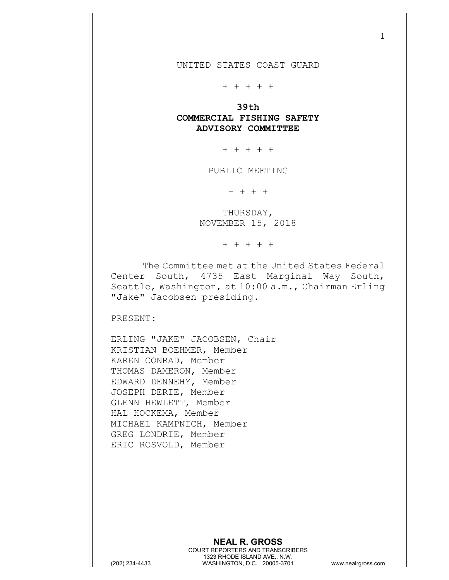## UNITED STATES COAST GUARD

+ + + + +

## 39th COMMERCIAL FISHING SAFETY ADVISORY COMMITTEE

+ + + + +

PUBLIC MEETING

+ + + +

 THURSDAY, NOVEMBER 15, 2018

+ + + + +

The Committee met at the United States Federal Center South, 4735 East Marginal Way South, Seattle, Washington, at 10:00 a.m., Chairman Erling "Jake" Jacobsen presiding.

PRESENT:

ERLING "JAKE" JACOBSEN, Chair KRISTIAN BOEHMER, Member KAREN CONRAD, Member THOMAS DAMERON, Member EDWARD DENNEHY, Member JOSEPH DERIE, Member GLENN HEWLETT, Member HAL HOCKEMA, Member MICHAEL KAMPNICH, Member GREG LONDRIE, Member ERIC ROSVOLD, Member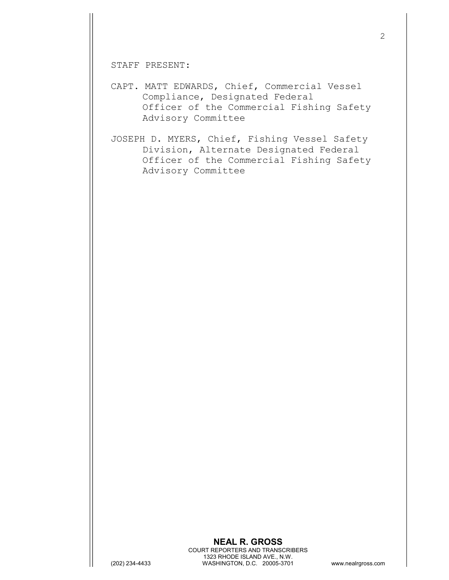STAFF PRESENT:

CAPT. MATT EDWARDS, Chief, Commercial Vessel Compliance, Designated Federal Officer of the Commercial Fishing Safety Advisory Committee

JOSEPH D. MYERS, Chief, Fishing Vessel Safety Division, Alternate Designated Federal Officer of the Commercial Fishing Safety Advisory Committee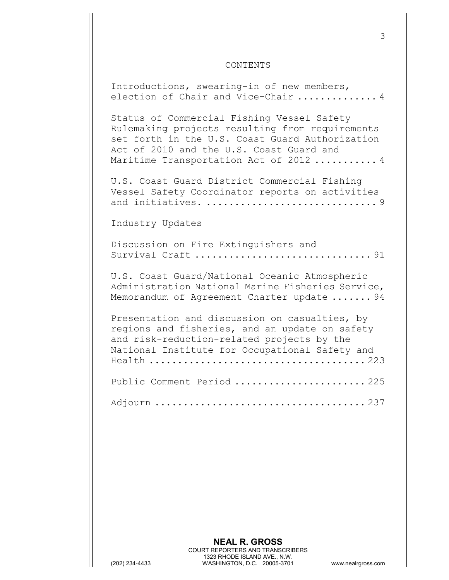## CONTENTS

Introductions, swearing-in of new members, election of Chair and Vice-Chair ...............4

Status of Commercial Fishing Vessel Safety Rulemaking projects resulting from requirements set forth in the U.S. Coast Guard Authorization Act of 2010 and the U.S. Coast Guard and Maritime Transportation Act of 2012 ........... 4

U.S. Coast Guard District Commercial Fishing Vessel Safety Coordinator reports on activities and initiatives. .............................. 9

Industry Updates

Discussion on Fire Extinguishers and Survival Craft ............................... 91

U.S. Coast Guard/National Oceanic Atmospheric Administration National Marine Fisheries Service, Memorandum of Agreement Charter update ....... 94

Presentation and discussion on casualties, by regions and fisheries, and an update on safety and risk-reduction-related projects by the National Institute for Occupational Safety and Health ...................................... 223

Public Comment Period .........................225

Adjourn ..................................... 237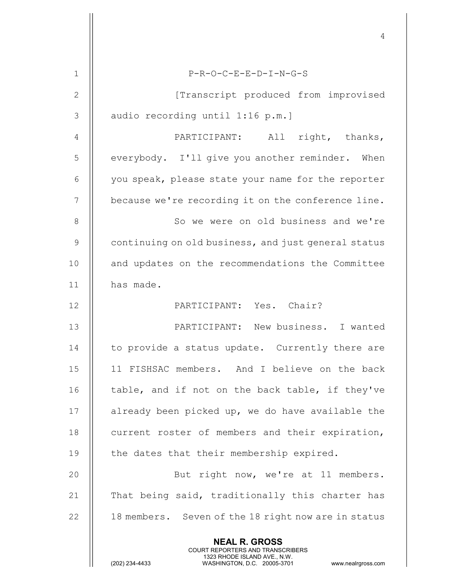|                | $\overline{4}$                                                                                                                                                         |
|----------------|------------------------------------------------------------------------------------------------------------------------------------------------------------------------|
| 1              | P-R-O-C-E-E-D-I-N-G-S                                                                                                                                                  |
| $\overline{2}$ | [Transcript produced from improvised                                                                                                                                   |
| 3              | audio recording until 1:16 p.m.]                                                                                                                                       |
| 4              | PARTICIPANT: All right, thanks,                                                                                                                                        |
| 5              | everybody. I'll give you another reminder. When                                                                                                                        |
| 6              | you speak, please state your name for the reporter                                                                                                                     |
| 7              | because we're recording it on the conference line.                                                                                                                     |
| 8              | So we were on old business and we're                                                                                                                                   |
| 9              | continuing on old business, and just general status                                                                                                                    |
| 10             | and updates on the recommendations the Committee                                                                                                                       |
| 11             | has made.                                                                                                                                                              |
| 12             | PARTICIPANT: Yes. Chair?                                                                                                                                               |
| 13             | PARTICIPANT: New business. I wanted                                                                                                                                    |
| 14             | to provide a status update. Currently there are                                                                                                                        |
| 15             | 11 FISHSAC members. And I believe on the back                                                                                                                          |
| 16             | table, and if not on the back table, if they've                                                                                                                        |
| 17             | already been picked up, we do have available the                                                                                                                       |
| 18             | current roster of members and their expiration,                                                                                                                        |
| 19             | the dates that their membership expired.                                                                                                                               |
| 20             | But right now, we're at 11 members.                                                                                                                                    |
| 21             | That being said, traditionally this charter has                                                                                                                        |
| 22             | 18 members. Seven of the 18 right now are in status                                                                                                                    |
|                | <b>NEAL R. GROSS</b><br><b>COURT REPORTERS AND TRANSCRIBERS</b><br>1323 RHODE ISLAND AVE., N.W.<br>(202) 234-4433<br>WASHINGTON, D.C. 20005-3701<br>www.nealrgross.com |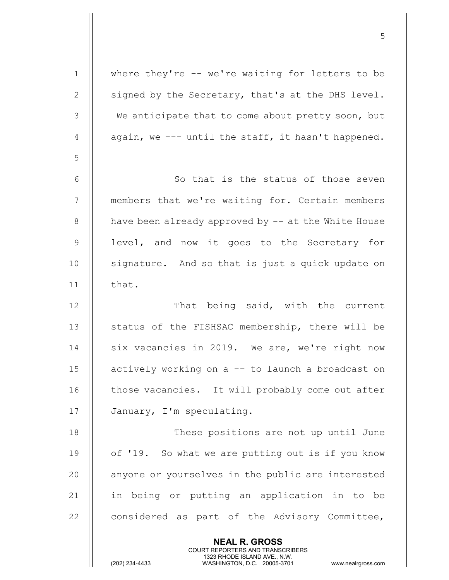| $\mathbf 1$    | where they're $--$ we're waiting for letters to be                                                                                                                     |
|----------------|------------------------------------------------------------------------------------------------------------------------------------------------------------------------|
| $\mathbf{2}$   | signed by the Secretary, that's at the DHS level.                                                                                                                      |
| $\mathfrak{Z}$ | We anticipate that to come about pretty soon, but                                                                                                                      |
| $\overline{4}$ | again, we --- until the staff, it hasn't happened.                                                                                                                     |
| 5              |                                                                                                                                                                        |
| 6              | So that is the status of those seven                                                                                                                                   |
| $\overline{7}$ | members that we're waiting for. Certain members                                                                                                                        |
| $8\,$          | have been already approved by -- at the White House                                                                                                                    |
| $\mathsf 9$    | level, and now it goes to the Secretary for                                                                                                                            |
| 10             | signature. And so that is just a quick update on                                                                                                                       |
| 11             | that.                                                                                                                                                                  |
| 12             | That being said, with the current                                                                                                                                      |
| 13             | status of the FISHSAC membership, there will be                                                                                                                        |
| 14             | six vacancies in 2019. We are, we're right now                                                                                                                         |
| 15             | actively working on a -- to launch a broadcast on                                                                                                                      |
| 16             | those vacancies. It will probably come out after                                                                                                                       |
| 17             | January, I'm speculating.                                                                                                                                              |
| 18             | These positions are not up until June                                                                                                                                  |
| 19             | of '19. So what we are putting out is if you know                                                                                                                      |
| 20             | anyone or yourselves in the public are interested                                                                                                                      |
| 21             | in being or putting an application in to be                                                                                                                            |
| 22             | considered as part of the Advisory Committee,                                                                                                                          |
|                | <b>NEAL R. GROSS</b><br><b>COURT REPORTERS AND TRANSCRIBERS</b><br>1323 RHODE ISLAND AVE., N.W.<br>(202) 234-4433<br>WASHINGTON, D.C. 20005-3701<br>www.nealrgross.com |

 $5<sub>5</sub>$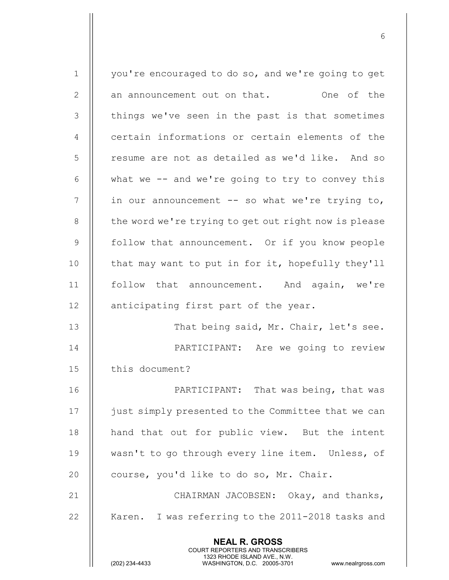| $\mathbf 1$ | you're encouraged to do so, and we're going to get                                                                                                                     |
|-------------|------------------------------------------------------------------------------------------------------------------------------------------------------------------------|
| 2           | an announcement out on that. One of the                                                                                                                                |
| 3           | things we've seen in the past is that sometimes                                                                                                                        |
| 4           | certain informations or certain elements of the                                                                                                                        |
| 5           | resume are not as detailed as we'd like. And so                                                                                                                        |
| 6           | what we $-$ and we're going to try to convey this                                                                                                                      |
| 7           | in our announcement -- so what we're trying to,                                                                                                                        |
| 8           | the word we're trying to get out right now is please                                                                                                                   |
| 9           | follow that announcement. Or if you know people                                                                                                                        |
| 10          | that may want to put in for it, hopefully they'll                                                                                                                      |
| 11          | follow that announcement. And again, we're                                                                                                                             |
| 12          | anticipating first part of the year.                                                                                                                                   |
| 13          | That being said, Mr. Chair, let's see.                                                                                                                                 |
| 14          | PARTICIPANT: Are we going to review                                                                                                                                    |
| 15          | this document?                                                                                                                                                         |
| 16          | PARTICIPANT: That was being, that was                                                                                                                                  |
| 17          | just simply presented to the Committee that we can                                                                                                                     |
| 18          | hand that out for public view. But the intent                                                                                                                          |
| 19          | wasn't to go through every line item. Unless, of                                                                                                                       |
| 20          | course, you'd like to do so, Mr. Chair.                                                                                                                                |
| 21          | CHAIRMAN JACOBSEN: Okay, and thanks,                                                                                                                                   |
| 22          | Karen. I was referring to the 2011-2018 tasks and                                                                                                                      |
|             | <b>NEAL R. GROSS</b><br><b>COURT REPORTERS AND TRANSCRIBERS</b><br>1323 RHODE ISLAND AVE., N.W.<br>(202) 234-4433<br>WASHINGTON, D.C. 20005-3701<br>www.nealrgross.com |

 $\sim$  6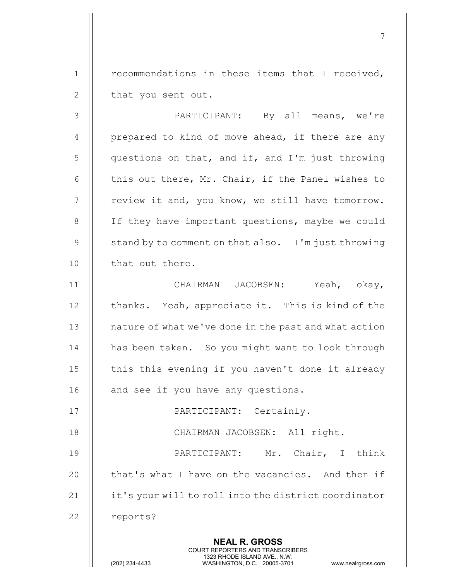$1$  | recommendations in these items that I received, 2 || that you sent out.

7

3 PARTICIPANT: By all means, we're 4 | prepared to kind of move ahead, if there are any  $5 \parallel$  questions on that, and if, and I'm just throwing 6  $\parallel$  this out there, Mr. Chair, if the Panel wishes to  $7$  | review it and, you know, we still have tomorrow. 8 || If they have important questions, maybe we could 9  $\parallel$  stand by to comment on that also. I'm just throwing 10 | that out there.

11 || CHAIRMAN JACOBSEN: Yeah, okay, 12 || thanks. Yeah, appreciate it. This is kind of the 13 | nature of what we've done in the past and what action 14 | has been taken. So you might want to look through  $15$   $\parallel$  this this evening if you haven't done it already 16 || and see if you have any questions.

17 || PARTICIPANT: Certainly. 18 || CHAIRMAN JACOBSEN: All right. 19 PARTICIPANT: Mr. Chair, I think 20  $\parallel$  that's what I have on the vacancies. And then if 21  $\parallel$  it's your will to roll into the district coordinator 22 | reports?

> NEAL R. GROSS COURT REPORTERS AND TRANSCRIBERS

1323 RHODE ISLAND AVE., N.W.<br>WASHINGTON, D.C. 20005-3701

WASHINGTON, D.C. 20005-3701 www.nealrgross.com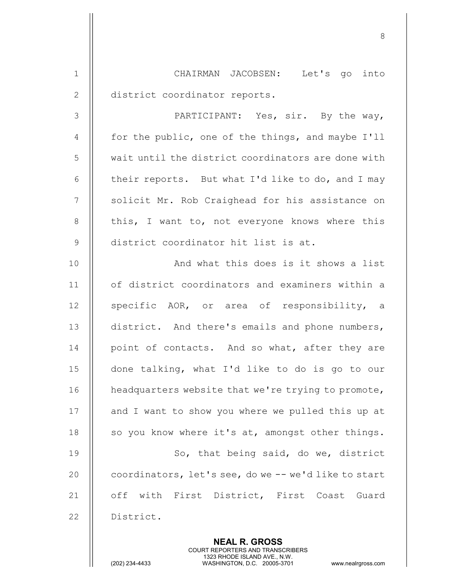1 CHAIRMAN JACOBSEN: Let's go into 2 | district coordinator reports.

8

3 PARTICIPANT: Yes, sir. By the way, 4  $\parallel$  for the public, one of the things, and maybe I'll 5 || wait until the district coordinators are done with 6  $\parallel$  their reports. But what I'd like to do, and I may 7 || solicit Mr. Rob Craighead for his assistance on 8  $\parallel$  this, I want to, not everyone knows where this 9 || district coordinator hit list is at.

10 || And what this does is it shows a list 11 of district coordinators and examiners within a 12 || specific AOR, or area of responsibility, a 13 district. And there's emails and phone numbers, 14 || point of contacts. And so what, after they are 15 done talking, what I'd like to do is go to our 16 | headquarters website that we're trying to promote, 17 || and I want to show you where we pulled this up at 18  $\parallel$  so you know where it's at, amongst other things. 19 || So, that being said, do we, district 20  $\parallel$  coordinators, let's see, do we  $-$ - we'd like to start 21 || off with First District, First Coast Guard 22 District.

> NEAL R. GROSS COURT REPORTERS AND TRANSCRIBERS

1323 RHODE ISLAND AVE., N.W.<br>WASHINGTON, D.C. 20005-3701

WASHINGTON, D.C. 20005-3701 www.nealrgross.com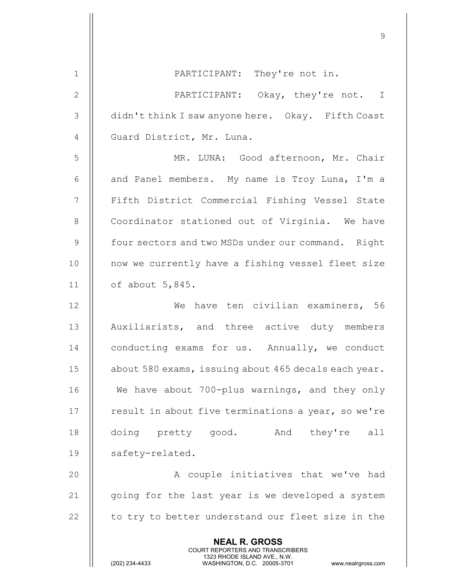| $\mathbf 1$    | PARTICIPANT: They're not in.                                                                                                                                           |
|----------------|------------------------------------------------------------------------------------------------------------------------------------------------------------------------|
| $\mathbf{2}$   | PARTICIPANT: Okay, they're not. I                                                                                                                                      |
| 3              | didn't think I saw anyone here. Okay. Fifth Coast                                                                                                                      |
| $\overline{4}$ | Guard District, Mr. Luna.                                                                                                                                              |
| 5              | MR. LUNA: Good afternoon, Mr. Chair                                                                                                                                    |
| 6              | and Panel members. My name is Troy Luna, I'm a                                                                                                                         |
| 7              | Fifth District Commercial Fishing Vessel State                                                                                                                         |
| $\,8\,$        | Coordinator stationed out of Virginia. We have                                                                                                                         |
| $\mathsf 9$    | four sectors and two MSDs under our command. Right                                                                                                                     |
| 10             | now we currently have a fishing vessel fleet size                                                                                                                      |
| 11             | of about $5,845$ .                                                                                                                                                     |
| 12             | We have ten civilian examiners, 56                                                                                                                                     |
| 13             | Auxiliarists, and three active duty members                                                                                                                            |
| 14             | conducting exams for us. Annually, we conduct                                                                                                                          |
| 15             | about 580 exams, issuing about 465 decals each year.                                                                                                                   |
| 16             | We have about 700-plus warnings, and they only                                                                                                                         |
| 17             | result in about five terminations a year, so we're                                                                                                                     |
| 18             | doing pretty good. And they're all                                                                                                                                     |
| 19             | safety-related.                                                                                                                                                        |
| 20             | A couple initiatives that we've had                                                                                                                                    |
| 21             | going for the last year is we developed a system                                                                                                                       |
| 22             | to try to better understand our fleet size in the                                                                                                                      |
|                | <b>NEAL R. GROSS</b><br><b>COURT REPORTERS AND TRANSCRIBERS</b><br>1323 RHODE ISLAND AVE., N.W.<br>(202) 234-4433<br>WASHINGTON, D.C. 20005-3701<br>www.nealrgross.com |

en de la construction de la construction de la construction de la construction de la construction de la constr<br>19 de juny 1990, la construction de la construction de la construction de la construction de la construction d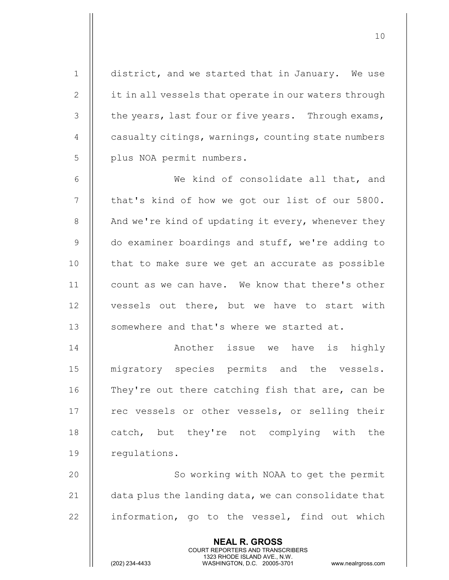1 district, and we started that in January. We use 2 | it in all vessels that operate in our waters through  $3$  | the years, last four or five years. Through exams, 4  $\parallel$  casualty citings, warnings, counting state numbers 5 || plus NOA permit numbers.

6 We kind of consolidate all that, and 7 || that's kind of how we got our list of our 5800. 8  $\parallel$  And we're kind of updating it every, whenever they 9 | do examiner boardings and stuff, we're adding to  $10$   $\parallel$  that to make sure we get an accurate as possible 11 || count as we can have. We know that there's other 12 || vessels out there, but we have to start with 13 | somewhere and that's where we started at.

14 || Another issue we have is highly 15 migratory species permits and the vessels. 16 || They're out there catching fish that are, can be 17 || rec vessels or other vessels, or selling their 18 || catch, but they're not complying with the 19 | requlations.

20 || So working with NOAA to get the permit 21  $\parallel$  data plus the landing data, we can consolidate that 22  $\parallel$  information, go to the vessel, find out which

> NEAL R. GROSS COURT REPORTERS AND TRANSCRIBERS

1323 RHODE ISLAND AVE., N.W.<br>WASHINGTON, D.C. 20005-3701

WASHINGTON, D.C. 20005-3701 www.nealrgross.com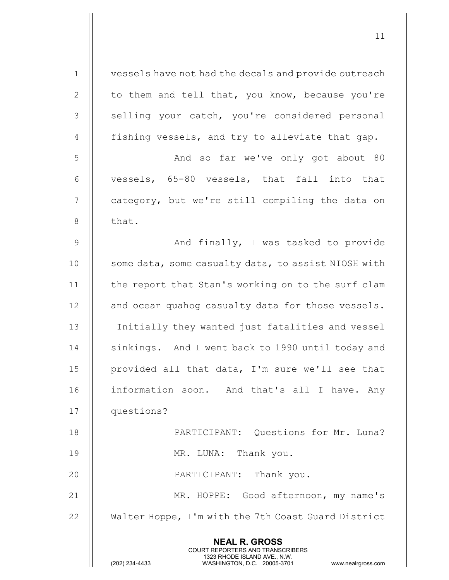NEAL R. GROSS COURT REPORTERS AND TRANSCRIBERS 1323 RHODE ISLAND AVE., N.W.<br>WASHINGTON, D.C. 20005-3701 WASHINGTON, D.C. 20005-3701 www.nealrgross.com 1 | vessels have not had the decals and provide outreach 2  $\parallel$  to them and tell that, you know, because you're 3 || selling your catch, you're considered personal 4  $\parallel$  fishing vessels, and try to alleviate that gap. 5 And so far we've only got about 80 6 || vessels,  $65-80$  vessels, that fall into that 7 | category, but we're still compiling the data on  $8$  | that. 9 || And finally, I was tasked to provide 10 | some data, some casualty data, to assist NIOSH with 11 | the report that Stan's working on to the surf clam 12 || and ocean quahog casualty data for those vessels. 13 Initially they wanted just fatalities and vessel 14 || sinkings. And I went back to 1990 until today and 15 || provided all that data, I'm sure we'll see that 16 || information soon. And that's all I have. Any 17 questions? 18 PARTICIPANT: Questions for Mr. Luna? 19 || MR. LUNA: Thank you. 20 || PARTICIPANT: Thank you. 21 || MR. HOPPE: Good afternoon, my name's 22 | Walter Hoppe, I'm with the 7th Coast Guard District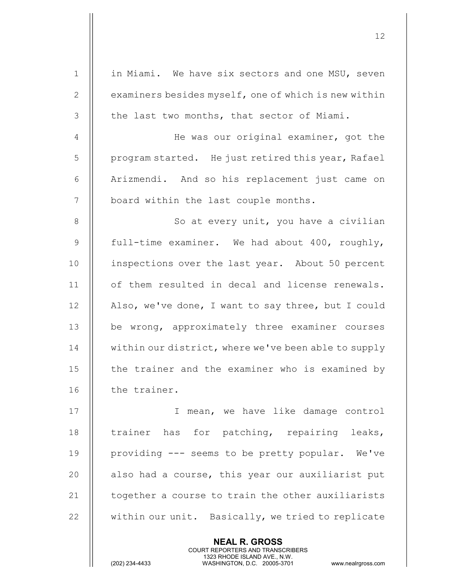| $\mathbf 1$    | in Miami. We have six sectors and one MSU, seven     |
|----------------|------------------------------------------------------|
| $\mathbf{2}$   | examiners besides myself, one of which is new within |
| 3              | the last two months, that sector of Miami.           |
| 4              | He was our original examiner, got the                |
| 5              | program started. He just retired this year, Rafael   |
| 6              | Arizmendi. And so his replacement just came on       |
| $\overline{7}$ | board within the last couple months.                 |
| $\,8\,$        | So at every unit, you have a civilian                |
| $\overline{9}$ | full-time examiner. We had about 400, roughly,       |
| 10             | inspections over the last year. About 50 percent     |
| 11             | of them resulted in decal and license renewals.      |
| 12             | Also, we've done, I want to say three, but I could   |
| 13             | be wrong, approximately three examiner courses       |
| 14             | within our district, where we've been able to supply |
| 15             | the trainer and the examiner who is examined by      |
| 16             | the trainer.                                         |
| 17             | I mean, we have like damage control                  |
| 18             | trainer has for patching, repairing leaks,           |
| 19             | providing --- seems to be pretty popular. We've      |
| 20             | also had a course, this year our auxiliarist put     |
| 21             | together a course to train the other auxiliarists    |
| 22             | within our unit. Basically, we tried to replicate    |
|                | <b>NEAL R. GROSS</b>                                 |

COURT REPORTERS AND TRANSCRIBERS

1323 RHODE ISLAND AVE., N.W.

 $\mathbf{\mathsf{I}}$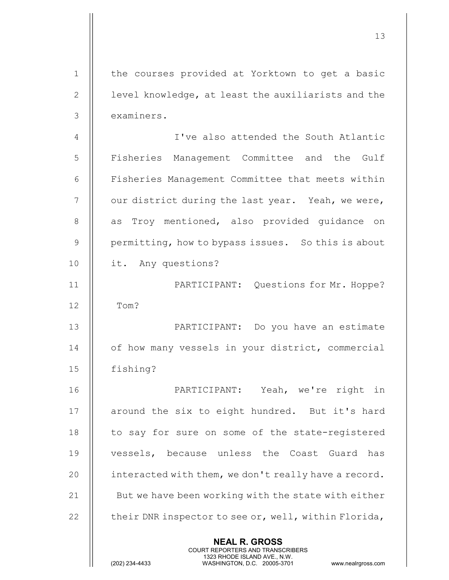NEAL R. GROSS COURT REPORTERS AND TRANSCRIBERS 1323 RHODE ISLAND AVE., N.W.<br>WASHINGTON, D.C. 20005-3701 1 || the courses provided at Yorktown to get a basic 2  $\parallel$  level knowledge, at least the auxiliarists and the 3 examiners. 4 I've also attended the South Atlantic 5 | Fisheries Management Committee and the Gulf 6 | Fisheries Management Committee that meets within  $7 \parallel$  our district during the last year. Yeah, we were, 8 || as Troy mentioned, also provided guidance on  $9$  | permitting, how to bypass issues. So this is about 10 it. Any questions? 11 PARTICIPANT: Questions for Mr. Hoppe?  $12$   $\parallel$  Tom? 13 PARTICIPANT: Do you have an estimate 14 | of how many vessels in your district, commercial 15 fishing? 16 PARTICIPANT: Yeah, we're right in 17 || around the six to eight hundred. But it's hard  $18$  | to say for sure on some of the state-registered 19 || vessels, because unless the Coast Guard has 20 | interacted with them, we don't really have a record. 21  $\parallel$  But we have been working with the state with either 22  $\parallel$  their DNR inspector to see or, well, within Florida,

13

WASHINGTON, D.C. 20005-3701 www.nealrgross.com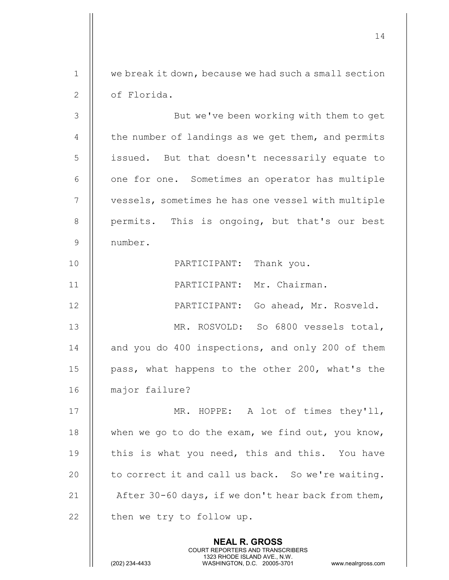|                | 14                                                                                                                                                              |
|----------------|-----------------------------------------------------------------------------------------------------------------------------------------------------------------|
| $\mathbf{1}$   | we break it down, because we had such a small section                                                                                                           |
| 2              | of Florida.                                                                                                                                                     |
| $\mathcal{S}$  | But we've been working with them to get                                                                                                                         |
| $\overline{4}$ | the number of landings as we get them, and permits                                                                                                              |
| 5              | issued. But that doesn't necessarily equate to                                                                                                                  |
| 6              | one for one. Sometimes an operator has multiple                                                                                                                 |
| $\overline{7}$ | vessels, sometimes he has one vessel with multiple                                                                                                              |
| $8\,$          | permits. This is ongoing, but that's our best                                                                                                                   |
| $\overline{9}$ | number.                                                                                                                                                         |
| 10             | PARTICIPANT: Thank you.                                                                                                                                         |
| 11             | PARTICIPANT: Mr. Chairman.                                                                                                                                      |
| 12             | PARTICIPANT: Go ahead, Mr. Rosveld.                                                                                                                             |
| 13             | MR. ROSVOLD: So 6800 vessels total,                                                                                                                             |
| 14             | and you do 400 inspections, and only 200 of them                                                                                                                |
| 15             | pass, what happens to the other 200, what's the                                                                                                                 |
| 16             | major failure?                                                                                                                                                  |
| 17             | MR. HOPPE: A lot of times they'll,                                                                                                                              |
| 18             | when we go to do the exam, we find out, you know,                                                                                                               |
| 19             | this is what you need, this and this. You have                                                                                                                  |
| 20             | to correct it and call us back. So we're waiting.                                                                                                               |
| 21             | After 30-60 days, if we don't hear back from them,                                                                                                              |
| 22             | then we try to follow up.                                                                                                                                       |
|                | <b>NEAL R. GROSS</b><br>COURT REPORTERS AND TRANSCRIBERS<br>1323 RHODE ISLAND AVE., N.W.<br>(202) 234-4433<br>WASHINGTON, D.C. 20005-3701<br>www.nealrgross.com |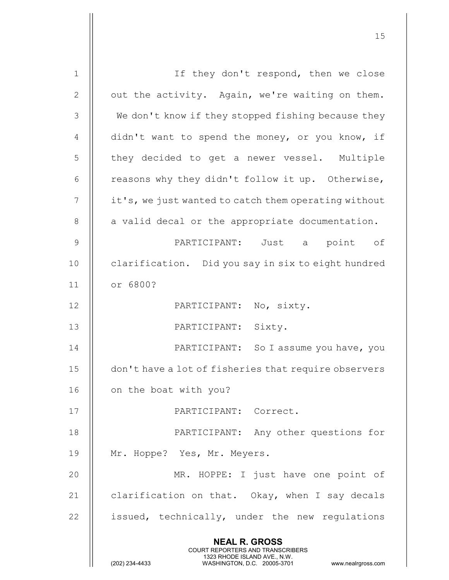| $\mathbf 1$    | If they don't respond, then we close                                                                                                                                   |
|----------------|------------------------------------------------------------------------------------------------------------------------------------------------------------------------|
| 2              | out the activity. Again, we're waiting on them.                                                                                                                        |
| 3              | We don't know if they stopped fishing because they                                                                                                                     |
| $\overline{4}$ | didn't want to spend the money, or you know, if                                                                                                                        |
| 5              | they decided to get a newer vessel. Multiple                                                                                                                           |
| 6              | reasons why they didn't follow it up. Otherwise,                                                                                                                       |
| 7              | it's, we just wanted to catch them operating without                                                                                                                   |
| 8              | a valid decal or the appropriate documentation.                                                                                                                        |
| $\mathcal{G}$  | PARTICIPANT: Just a<br>point of                                                                                                                                        |
| 10             | clarification. Did you say in six to eight hundred                                                                                                                     |
| 11             | or 6800?                                                                                                                                                               |
| 12             | PARTICIPANT: No, sixty.                                                                                                                                                |
| 13             | PARTICIPANT: Sixty.                                                                                                                                                    |
| 14             | PARTICIPANT: So I assume you have, you                                                                                                                                 |
| 15             | don't have a lot of fisheries that require observers                                                                                                                   |
| 16             | on the boat with you?                                                                                                                                                  |
| 17             | PARTICIPANT: Correct.                                                                                                                                                  |
| 18             | PARTICIPANT: Any other questions for                                                                                                                                   |
| 19             | Mr. Hoppe? Yes, Mr. Meyers.                                                                                                                                            |
| 20             | MR. HOPPE: I just have one point of                                                                                                                                    |
| 21             | clarification on that. Okay, when I say decals                                                                                                                         |
| 22             | issued, technically, under the new regulations                                                                                                                         |
|                | <b>NEAL R. GROSS</b><br><b>COURT REPORTERS AND TRANSCRIBERS</b><br>1323 RHODE ISLAND AVE., N.W.<br>(202) 234-4433<br>WASHINGTON, D.C. 20005-3701<br>www.nealrgross.com |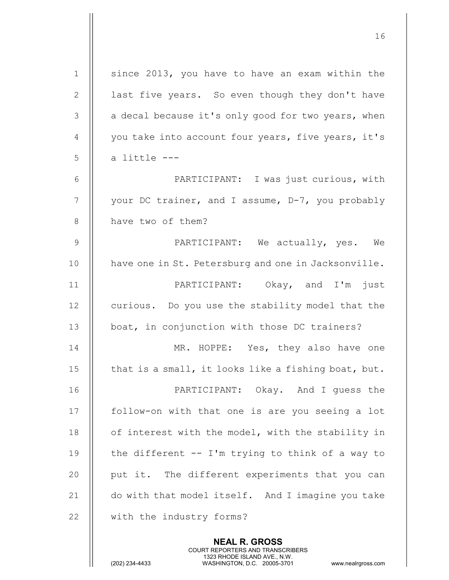| $\mathbf 1$    | since 2013, you have to have an exam within the     |
|----------------|-----------------------------------------------------|
| $\mathbf{2}$   | last five years. So even though they don't have     |
| 3              | a decal because it's only good for two years, when  |
| 4              | you take into account four years, five years, it's  |
| 5              | a little ---                                        |
| 6              | PARTICIPANT: I was just curious, with               |
| $\overline{7}$ | your DC trainer, and I assume, D-7, you probably    |
| $8\,$          | have two of them?                                   |
| $\mathsf 9$    | PARTICIPANT: We actually, yes. We                   |
| 10             | have one in St. Petersburg and one in Jacksonville. |
| 11             | PARTICIPANT: Okay, and I'm just                     |
| 12             | curious. Do you use the stability model that the    |
| 13             | boat, in conjunction with those DC trainers?        |
| 14             | MR. HOPPE: Yes, they also have one                  |
| 15             | that is a small, it looks like a fishing boat, but. |
| 16             | PARTICIPANT: Okay. And I quess the                  |
| 17             | follow-on with that one is are you seeing a lot     |
| 18             | of interest with the model, with the stability in   |
| 19             | the different -- I'm trying to think of a way to    |
| 20             | put it. The different experiments that you can      |
| 21             | do with that model itself. And I imagine you take   |
| 22             | with the industry forms?                            |
|                | <b>NEAL R. GROSS</b>                                |

 COURT REPORTERS AND TRANSCRIBERS 1323 RHODE ISLAND AVE., N.W.

Ш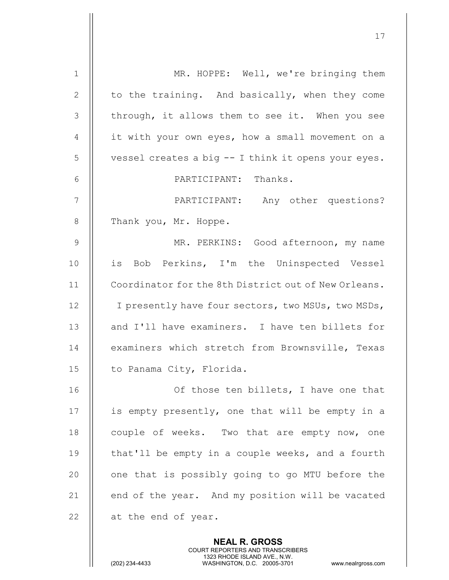| $\mathbf 1$    | MR. HOPPE: Well, we're bringing them                 |
|----------------|------------------------------------------------------|
| $\mathbf{2}$   | to the training. And basically, when they come       |
| 3              | through, it allows them to see it. When you see      |
| 4              | it with your own eyes, how a small movement on a     |
| 5              | vessel creates a big -- I think it opens your eyes.  |
| 6              | PARTICIPANT: Thanks.                                 |
| $\overline{7}$ | PARTICIPANT: Any other questions?                    |
| $8\,$          | Thank you, Mr. Hoppe.                                |
| 9              | MR. PERKINS: Good afternoon, my name                 |
| 10             | is Bob Perkins, I'm the Uninspected Vessel           |
| 11             | Coordinator for the 8th District out of New Orleans. |
| 12             | I presently have four sectors, two MSUs, two MSDs,   |
| 13             | and I'll have examiners. I have ten billets for      |
| 14             | examiners which stretch from Brownsville, Texas      |
| 15             | to Panama City, Florida.                             |
| 16             | Of those ten billets, I have one that                |
| 17             | is empty presently, one that will be empty in a      |
| 18             | couple of weeks. Two that are empty now, one         |
| 19             | that'll be empty in a couple weeks, and a fourth     |
| 20             | one that is possibly going to go MTU before the      |
| 21             | end of the year. And my position will be vacated     |
| 22             | at the end of year.                                  |
|                | <b>NEAL R. GROSS</b>                                 |

 COURT REPORTERS AND TRANSCRIBERS 1323 RHODE ISLAND AVE., N.W.

 $\mathbf{\mathsf{I}}$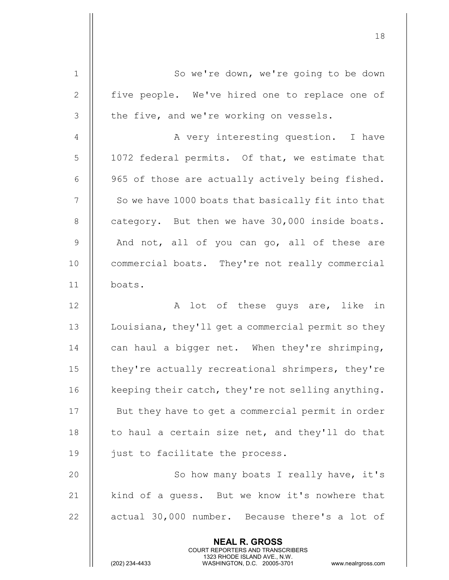| $\mathbf 1$    | So we're down, we're going to be down                                                                                                                                  |
|----------------|------------------------------------------------------------------------------------------------------------------------------------------------------------------------|
| $\mathbf{2}$   | five people. We've hired one to replace one of                                                                                                                         |
| 3              | the five, and we're working on vessels.                                                                                                                                |
| $\overline{4}$ | A very interesting question. I have                                                                                                                                    |
| 5              | 1072 federal permits. Of that, we estimate that                                                                                                                        |
| $6\,$          | 965 of those are actually actively being fished.                                                                                                                       |
| $\overline{7}$ | So we have 1000 boats that basically fit into that                                                                                                                     |
| 8              | category. But then we have 30,000 inside boats.                                                                                                                        |
| 9              | And not, all of you can go, all of these are                                                                                                                           |
| 10             | commercial boats. They're not really commercial                                                                                                                        |
| 11             | boats.                                                                                                                                                                 |
| 12             | lot of these guys are, like in<br>A                                                                                                                                    |
| 13             | Louisiana, they'll get a commercial permit so they                                                                                                                     |
| 14             | can haul a bigger net. When they're shrimping,                                                                                                                         |
| 15             | they're actually recreational shrimpers, they're                                                                                                                       |
| 16             | keeping their catch, they're not selling anything.                                                                                                                     |
| 17             | But they have to get a commercial permit in order                                                                                                                      |
| 18             | to haul a certain size net, and they'll do that                                                                                                                        |
| 19             | just to facilitate the process.                                                                                                                                        |
| 20             | So how many boats I really have, it's                                                                                                                                  |
| 21             | kind of a guess. But we know it's nowhere that                                                                                                                         |
| 22             | actual 30,000 number. Because there's a lot of                                                                                                                         |
|                | <b>NEAL R. GROSS</b><br><b>COURT REPORTERS AND TRANSCRIBERS</b><br>1323 RHODE ISLAND AVE., N.W.<br>(202) 234-4433<br>WASHINGTON, D.C. 20005-3701<br>www.nealrgross.com |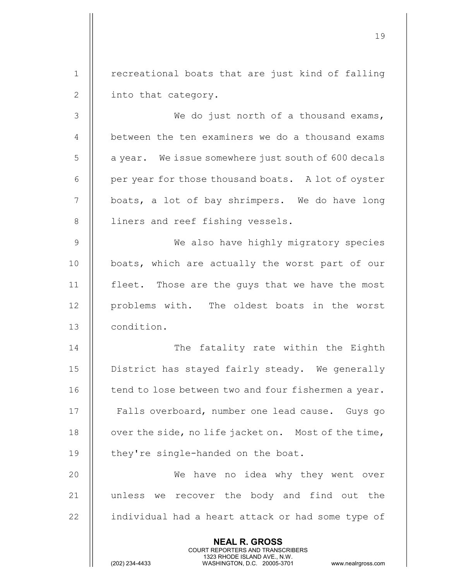1 || recreational boats that are just kind of falling 2 || into that category.

3 || We do just north of a thousand exams, 4 || between the ten examiners we do a thousand exams 5 | a year. We issue somewhere just south of 600 decals  $6$  || per year for those thousand boats. A lot of oyster 7 || boats, a lot of bay shrimpers. We do have long 8 || liners and reef fishing vessels. 9 || We also have highly migratory species

10 || boats, which are actually the worst part of our 11 fleet. Those are the guys that we have the most 12 || problems with. The oldest boats in the worst 13 condition.

14 || The fatality rate within the Eighth 15 || District has stayed fairly steady. We generally 16 | tend to lose between two and four fishermen a year. 17 || Falls overboard, number one lead cause. Guys go 18 | over the side, no life jacket on. Most of the time, 19 | they're single-handed on the boat.

20 || We have no idea why they went over 21 || unless we recover the body and find out the 22 | individual had a heart attack or had some type of

> NEAL R. GROSS COURT REPORTERS AND TRANSCRIBERS

1323 RHODE ISLAND AVE., N.W.<br>WASHINGTON, D.C. 20005-3701

WASHINGTON, D.C. 20005-3701 www.nealrgross.com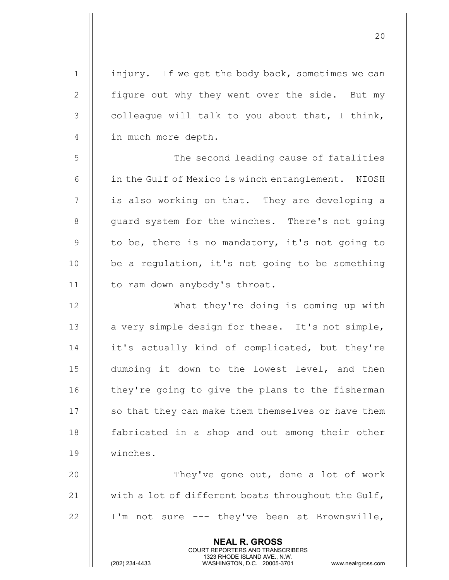NEAL R. GROSS COURT REPORTERS AND TRANSCRIBERS 1 | injury. If we get the body back, sometimes we can 2  $\parallel$  figure out why they went over the side. But my  $3 \parallel$  colleague will talk to you about that, I think, 4 || in much more depth. 5 | The second leading cause of fatalities 6 | in the Gulf of Mexico is winch entanglement. NIOSH 7 || is also working on that. They are developing a 8 || guard system for the winches. There's not going  $9$   $\parallel$  to be, there is no mandatory, it's not going to 10  $\parallel$  be a requlation, it's not going to be something 11 | to ram down anybody's throat. 12 What they're doing is coming up with 13  $\parallel$  a very simple design for these. It's not simple, 14 || it's actually kind of complicated, but they're 15 dumbing it down to the lowest level, and then 16 | they're going to give the plans to the fisherman 17 || so that they can make them themselves or have them 18 || fabricated in a shop and out among their other 19 winches. 20 || They've gone out, done a lot of work 21  $\parallel$  with a lot of different boats throughout the Gulf, 22  $\parallel$  I'm not sure --- they've been at Brownsville,

20

1323 RHODE ISLAND AVE., N.W.<br>WASHINGTON, D.C. 20005-3701

WASHINGTON, D.C. 20005-3701 www.nealrgross.com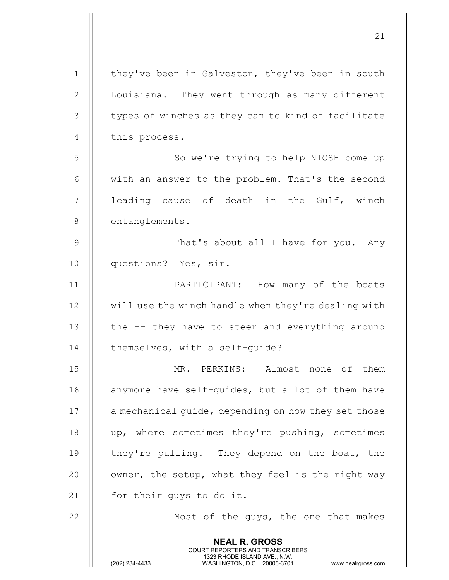| $\mathbf 1$    | they've been in Galveston, they've been in south                                                                                                                       |
|----------------|------------------------------------------------------------------------------------------------------------------------------------------------------------------------|
| $\mathbf{2}$   | Louisiana. They went through as many different                                                                                                                         |
| 3              | types of winches as they can to kind of facilitate                                                                                                                     |
| $\overline{4}$ | this process.                                                                                                                                                          |
| 5              | So we're trying to help NIOSH come up                                                                                                                                  |
| 6              | with an answer to the problem. That's the second                                                                                                                       |
| 7              | leading cause of death in the Gulf, winch                                                                                                                              |
| 8              | entanglements.                                                                                                                                                         |
| $\mathcal{G}$  | That's about all I have for you. Any                                                                                                                                   |
| 10             | questions? Yes, sir.                                                                                                                                                   |
| 11             | PARTICIPANT: How many of the boats                                                                                                                                     |
| 12             | will use the winch handle when they're dealing with                                                                                                                    |
| 13             | the -- they have to steer and everything around                                                                                                                        |
| 14             | themselves, with a self-quide?                                                                                                                                         |
| 15             | MR. PERKINS: Almost none of them                                                                                                                                       |
| 16             | anymore have self-quides, but a lot of them have                                                                                                                       |
| 17             | a mechanical quide, depending on how they set those                                                                                                                    |
| 18             | up, where sometimes they're pushing, sometimes                                                                                                                         |
| 19             | they're pulling. They depend on the boat, the                                                                                                                          |
| 20             | owner, the setup, what they feel is the right way                                                                                                                      |
| 21             | for their guys to do it.                                                                                                                                               |
| 22             | Most of the guys, the one that makes                                                                                                                                   |
|                | <b>NEAL R. GROSS</b><br><b>COURT REPORTERS AND TRANSCRIBERS</b><br>1323 RHODE ISLAND AVE., N.W.<br>(202) 234-4433<br>WASHINGTON, D.C. 20005-3701<br>www.nealrgross.com |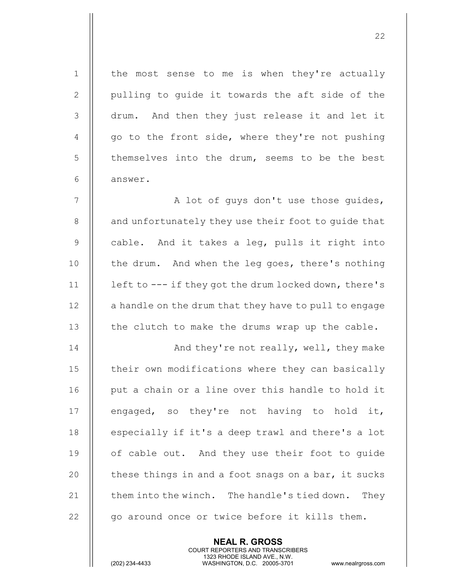1 || the most sense to me is when they're actually 2 || pulling to quide it towards the aft side of the 3 || drum. And then they just release it and let it 4  $\parallel$  go to the front side, where they're not pushing 5 || themselves into the drum, seems to be the best 6 II answer. 7 || A lot of guys don't use those guides,  $8$  || and unfortunately they use their foot to quide that 9 cable. And it takes a leg, pulls it right into 10  $\parallel$  the drum. And when the leg goes, there's nothing 11 | left to --- if they got the drum locked down, there's  $12$  | a handle on the drum that they have to pull to engage 13  $\parallel$  the clutch to make the drums wrap up the cable. 14 **And they're not really, well, they make** 15 | their own modifications where they can basically 16 || put a chain or a line over this handle to hold it 17  $\parallel$  engaged, so they're not having to hold it, 18  $\parallel$  especially if it's a deep trawl and there's a lot 19 || of cable out. And they use their foot to quide 20  $\parallel$  these things in and a foot snags on a bar, it sucks 21  $\parallel$  them into the winch. The handle's tied down. They  $22$   $\parallel$  go around once or twice before it kills them.

> NEAL R. GROSS COURT REPORTERS AND TRANSCRIBERS

22

1323 RHODE ISLAND AVE., N.W.<br>WASHINGTON, D.C. 20005-3701

WASHINGTON, D.C. 20005-3701 www.nealrgross.com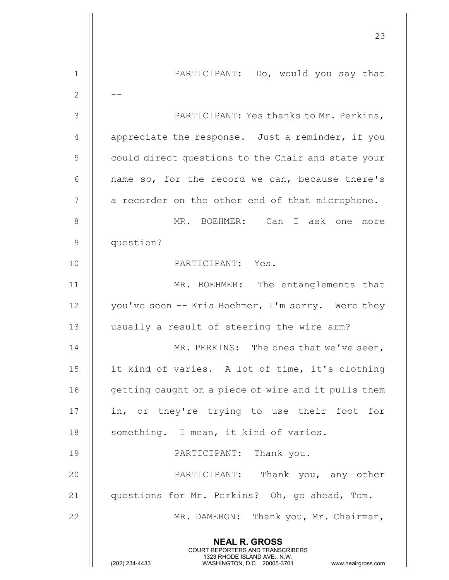|               | 23                                                                                                                                             |
|---------------|------------------------------------------------------------------------------------------------------------------------------------------------|
| $\mathbf 1$   | PARTICIPANT: Do, would you say that                                                                                                            |
| $\mathbf{2}$  |                                                                                                                                                |
| 3             | PARTICIPANT: Yes thanks to Mr. Perkins,                                                                                                        |
| 4             | appreciate the response. Just a reminder, if you                                                                                               |
| 5             | could direct questions to the Chair and state your                                                                                             |
| 6             | name so, for the record we can, because there's                                                                                                |
| 7             | a recorder on the other end of that microphone.                                                                                                |
| 8             | MR. BOEHMER: Can I ask one<br>more                                                                                                             |
| $\mathcal{G}$ | question?                                                                                                                                      |
| 10            | PARTICIPANT: Yes.                                                                                                                              |
| 11            | MR. BOEHMER: The entanglements that                                                                                                            |
| 12            | you've seen -- Kris Boehmer, I'm sorry. Were they                                                                                              |
| 13            | usually a result of steering the wire arm?                                                                                                     |
| 14            | MR. PERKINS: The ones that we've seen,                                                                                                         |
| 15            | it kind of varies. A lot of time, it's clothing                                                                                                |
| 16            | getting caught on a piece of wire and it pulls them                                                                                            |
| 17            | in, or they're trying to use their foot for                                                                                                    |
| 18            | something. I mean, it kind of varies.                                                                                                          |
| 19            | PARTICIPANT: Thank you.                                                                                                                        |
| 20            | PARTICIPANT:<br>Thank you, any other                                                                                                           |
| 21            | questions for Mr. Perkins? Oh, go ahead, Tom.                                                                                                  |
| 22            | MR. DAMERON: Thank you, Mr. Chairman,                                                                                                          |
|               | <b>NEAL R. GROSS</b>                                                                                                                           |
|               | <b>COURT REPORTERS AND TRANSCRIBERS</b><br>1323 RHODE ISLAND AVE., N.W.<br>(202) 234-4433<br>WASHINGTON, D.C. 20005-3701<br>www.nealrgross.com |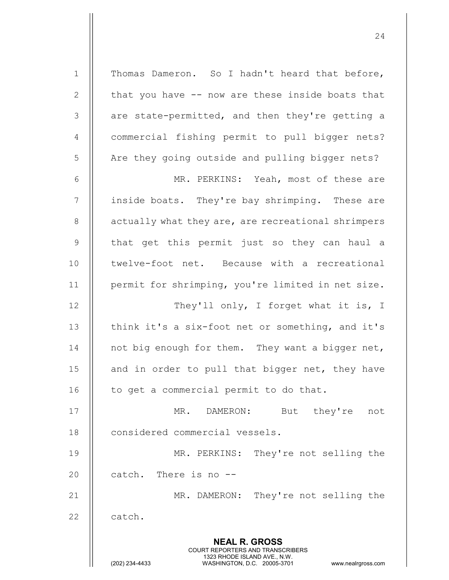NEAL R. GROSS COURT REPORTERS AND TRANSCRIBERS 1323 RHODE ISLAND AVE., N.W.<br>WASHINGTON, D.C. 20005-3701 WASHINGTON, D.C. 20005-3701 www.nealrgross.com 1 || Thomas Dameron. So I hadn't heard that before, 2  $\parallel$  that you have  $-$  now are these inside boats that  $3$   $\parallel$  are state-permitted, and then they're getting a 4 || commercial fishing permit to pull bigger nets? 5 | Are they going outside and pulling bigger nets? 6 MR. PERKINS: Yeah, most of these are 7 || inside boats. They're bay shrimping. These are  $8$  || actually what they are, are recreational shrimpers 9 || that get this permit just so they can haul a 10 || twelve-foot net. Because with a recreational 11 permit for shrimping, you're limited in net size. 12 || They'll only, I forget what it is, I 13 || think it's a six-foot net or something, and it's 14  $\parallel$  not big enough for them. They want a bigger net, 15  $\parallel$  and in order to pull that bigger net, they have  $16$  || to get a commercial permit to do that. 17 MR. DAMERON: But they're not 18 || considered commercial vessels. 19 || MR. PERKINS: They're not selling the  $20$  | catch. There is no  $-$ 21 || MR. DAMERON: They're not selling the  $22$  | catch.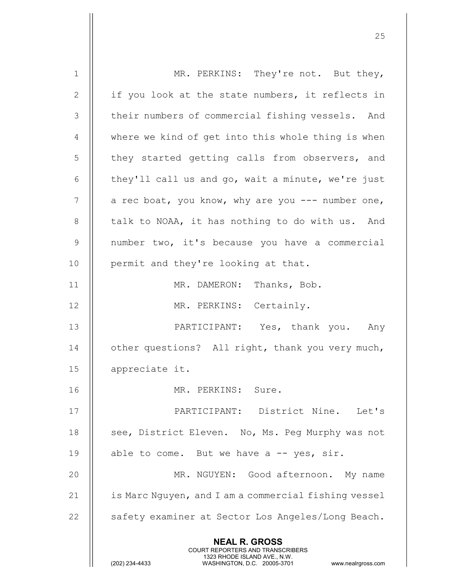| $\mathbf 1$    | MR. PERKINS: They're not. But they,                                                                                                                                    |
|----------------|------------------------------------------------------------------------------------------------------------------------------------------------------------------------|
| $\mathbf{2}$   | if you look at the state numbers, it reflects in                                                                                                                       |
| $\mathfrak{Z}$ | their numbers of commercial fishing vessels. And                                                                                                                       |
| $\overline{4}$ | where we kind of get into this whole thing is when                                                                                                                     |
| 5              | they started getting calls from observers, and                                                                                                                         |
| 6              | they'll call us and go, wait a minute, we're just                                                                                                                      |
| $\overline{7}$ | a rec boat, you know, why are you --- number one,                                                                                                                      |
| $8\,$          | talk to NOAA, it has nothing to do with us. And                                                                                                                        |
| $\mathsf 9$    | number two, it's because you have a commercial                                                                                                                         |
| 10             | permit and they're looking at that.                                                                                                                                    |
| 11             | MR. DAMERON: Thanks, Bob.                                                                                                                                              |
| 12             | MR. PERKINS: Certainly.                                                                                                                                                |
| 13             | PARTICIPANT: Yes, thank you. Any                                                                                                                                       |
| 14             | other questions? All right, thank you very much,                                                                                                                       |
| 15             | appreciate it.                                                                                                                                                         |
| 16             | MR. PERKINS: Sure.                                                                                                                                                     |
| 17             | PARTICIPANT: District Nine. Let's                                                                                                                                      |
| 18             | see, District Eleven. No, Ms. Peg Murphy was not                                                                                                                       |
| 19             | able to come. But we have a -- yes, sir.                                                                                                                               |
| 20             | MR. NGUYEN: Good afternoon. My name                                                                                                                                    |
| 21             | is Marc Nguyen, and I am a commercial fishing vessel                                                                                                                   |
| 22             | safety examiner at Sector Los Angeles/Long Beach.                                                                                                                      |
|                |                                                                                                                                                                        |
|                | <b>NEAL R. GROSS</b><br><b>COURT REPORTERS AND TRANSCRIBERS</b><br>1323 RHODE ISLAND AVE., N.W.<br>(202) 234-4433<br>WASHINGTON, D.C. 20005-3701<br>www.nealrgross.com |

<u>25</u>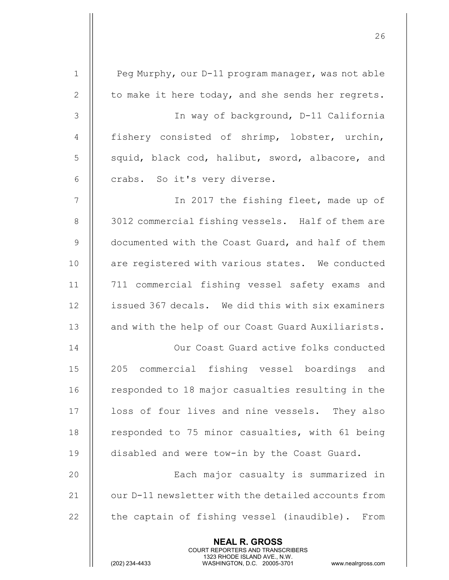| $\mathbf 1$  | Peg Murphy, our D-11 program manager, was not able                                                                                                                     |
|--------------|------------------------------------------------------------------------------------------------------------------------------------------------------------------------|
| $\mathbf{2}$ | to make it here today, and she sends her regrets.                                                                                                                      |
| 3            | In way of background, D-11 California                                                                                                                                  |
| 4            | fishery consisted of shrimp, lobster, urchin,                                                                                                                          |
| 5            | squid, black cod, halibut, sword, albacore, and                                                                                                                        |
| 6            | crabs. So it's very diverse.                                                                                                                                           |
| 7            | In 2017 the fishing fleet, made up of                                                                                                                                  |
| 8            | 3012 commercial fishing vessels. Half of them are                                                                                                                      |
| 9            | documented with the Coast Guard, and half of them                                                                                                                      |
| 10           | are registered with various states. We conducted                                                                                                                       |
| 11           | 711 commercial fishing vessel safety exams and                                                                                                                         |
| 12           | issued 367 decals. We did this with six examiners                                                                                                                      |
| 13           | and with the help of our Coast Guard Auxiliarists.                                                                                                                     |
| 14           | Our Coast Guard active folks conducted                                                                                                                                 |
| 15           | 205 commercial fishing vessel boardings and                                                                                                                            |
| 16           | responded to 18 major casualties resulting in the                                                                                                                      |
| 17           | loss of four lives and nine vessels. They also                                                                                                                         |
| 18           | responded to 75 minor casualties, with 61 being                                                                                                                        |
| 19           | disabled and were tow-in by the Coast Guard.                                                                                                                           |
| 20           | Each major casualty is summarized in                                                                                                                                   |
| 21           | our D-11 newsletter with the detailed accounts from                                                                                                                    |
| 22           | the captain of fishing vessel (inaudible). From                                                                                                                        |
|              | <b>NEAL R. GROSS</b><br><b>COURT REPORTERS AND TRANSCRIBERS</b><br>1323 RHODE ISLAND AVE., N.W.<br>(202) 234-4433<br>WASHINGTON, D.C. 20005-3701<br>www.nealrgross.com |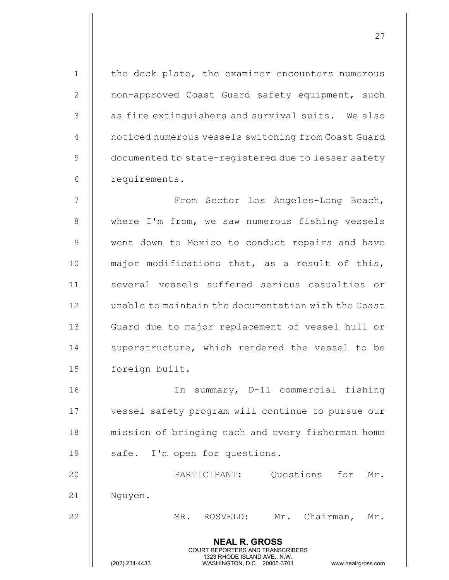NEAL R. GROSS COURT REPORTERS AND TRANSCRIBERS 1323 RHODE ISLAND AVE., N.W.<br>WASHINGTON, D.C. 20005-3701 WASHINGTON, D.C. WASHINGTON, D.C. 20005-3701 www.nealrgross.com 1 || the deck plate, the examiner encounters numerous 2 | non-approved Coast Guard safety equipment, such 3 || as fire extinguishers and survival suits. We also 4 | noticed numerous vessels switching from Coast Guard 5 documented to state-registered due to lesser safety 6 | requirements. 7 From Sector Los Angeles-Long Beach, 8 Where I'm from, we saw numerous fishing vessels 9 went down to Mexico to conduct repairs and have 10  $\parallel$  major modifications that, as a result of this, 11 || several vessels suffered serious casualties or 12 unable to maintain the documentation with the Coast 13 Guard due to major replacement of vessel hull or 14 || superstructure, which rendered the vessel to be 15 | foreign built. 16 In summary, D-11 commercial fishing 17 vessel safety program will continue to pursue our 18 || mission of bringing each and every fisherman home 19 || safe. I'm open for questions. 20 || PARTICIPANT: Questions for Mr. 21 Nguyen. 22 || MR. ROSVELD: Mr. Chairman, Mr.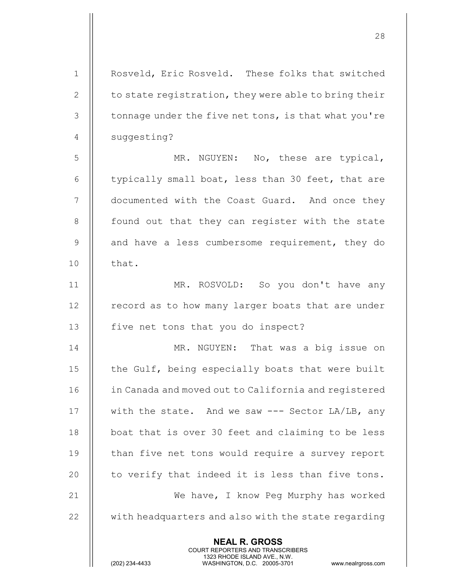| $\mathbf 1$    | Rosveld, Eric Rosveld. These folks that switched                                                                                                                       |
|----------------|------------------------------------------------------------------------------------------------------------------------------------------------------------------------|
| 2              | to state registration, they were able to bring their                                                                                                                   |
| 3              | tonnage under the five net tons, is that what you're                                                                                                                   |
| $\overline{4}$ | suggesting?                                                                                                                                                            |
| 5              | MR. NGUYEN: No, these are typical,                                                                                                                                     |
| 6              | typically small boat, less than 30 feet, that are                                                                                                                      |
| 7              | documented with the Coast Guard. And once they                                                                                                                         |
| 8              | found out that they can register with the state                                                                                                                        |
| $\mathsf 9$    | and have a less cumbersome requirement, they do                                                                                                                        |
| 10             | that.                                                                                                                                                                  |
| 11             | MR. ROSVOLD: So you don't have any                                                                                                                                     |
| 12             | record as to how many larger boats that are under                                                                                                                      |
| 13             | five net tons that you do inspect?                                                                                                                                     |
| 14             | MR. NGUYEN: That was a big issue on                                                                                                                                    |
| 15             | the Gulf, being especially boats that were built                                                                                                                       |
| 16             | in Canada and moved out to California and registered                                                                                                                   |
| 17             | with the state. And we saw $---$ Sector LA/LB, any                                                                                                                     |
| 18             | boat that is over 30 feet and claiming to be less                                                                                                                      |
| 19             | than five net tons would require a survey report                                                                                                                       |
| 20             | to verify that indeed it is less than five tons.                                                                                                                       |
| 21             | We have, I know Peg Murphy has worked                                                                                                                                  |
| 22             | with headquarters and also with the state regarding                                                                                                                    |
|                | <b>NEAL R. GROSS</b><br><b>COURT REPORTERS AND TRANSCRIBERS</b><br>1323 RHODE ISLAND AVE., N.W.<br>(202) 234-4433<br>WASHINGTON, D.C. 20005-3701<br>www.nealrgross.com |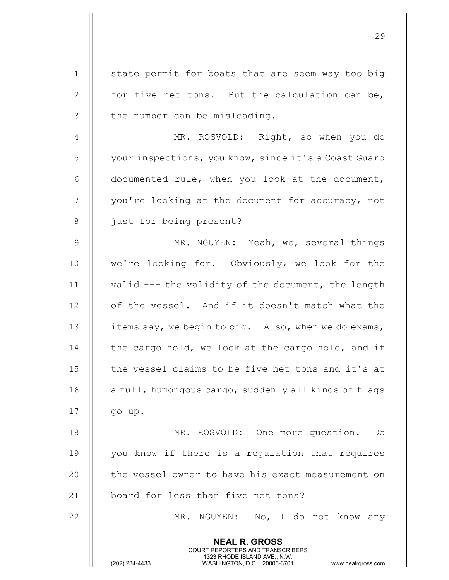| $\mathbf 1$    | state permit for boats that are seem way too big                                                                                        |
|----------------|-----------------------------------------------------------------------------------------------------------------------------------------|
| $\mathbf{2}$   | for five net tons. But the calculation can be,                                                                                          |
| 3              | the number can be misleading.                                                                                                           |
| $\overline{4}$ | MR. ROSVOLD: Right, so when you do                                                                                                      |
| 5              | your inspections, you know, since it's a Coast Guard                                                                                    |
| 6              | documented rule, when you look at the document,                                                                                         |
| $\overline{7}$ | you're looking at the document for accuracy, not                                                                                        |
| $8\,$          | just for being present?                                                                                                                 |
| $\mathsf 9$    | MR. NGUYEN: Yeah, we, several things                                                                                                    |
| 10             | we're looking for. Obviously, we look for the                                                                                           |
| 11             | valid --- the validity of the document, the length                                                                                      |
| 12             | of the vessel. And if it doesn't match what the                                                                                         |
| 13             | items say, we begin to dig. Also, when we do exams,                                                                                     |
| 14             | the cargo hold, we look at the cargo hold, and if                                                                                       |
| 15             | the vessel claims to be five net tons and it's at                                                                                       |
| 16             | a full, humongous cargo, suddenly all kinds of flags                                                                                    |
| 17             | go up.                                                                                                                                  |
| 18             | MR. ROSVOLD: One more question.<br>Do                                                                                                   |
| 19             | you know if there is a regulation that requires                                                                                         |
| 20             | the vessel owner to have his exact measurement on                                                                                       |
| 21             | board for less than five net tons?                                                                                                      |
| 22             | MR. NGUYEN: No, I do not know any                                                                                                       |
|                | <b>NEAL R. GROSS</b>                                                                                                                    |
|                | COURT REPORTERS AND TRANSCRIBERS<br>1323 RHODE ISLAND AVE., N.W.<br>(202) 234-4433<br>WASHINGTON, D.C. 20005-3701<br>www.nealrgross.com |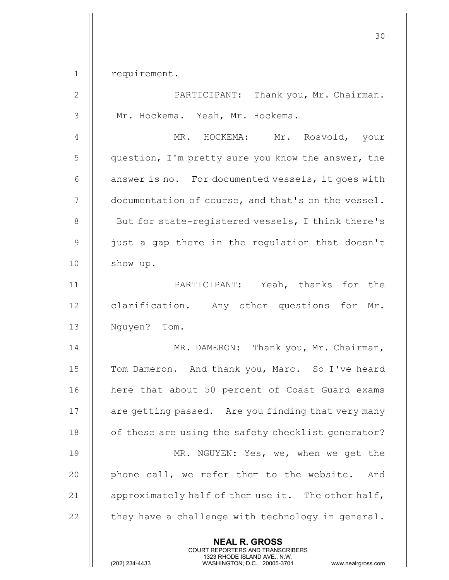1 | requirement.

| $\overline{2}$ | PARTICIPANT: Thank you, Mr. Chairman.              |
|----------------|----------------------------------------------------|
| $\mathfrak{Z}$ | Mr. Hockema. Yeah, Mr. Hockema.                    |
| $\overline{4}$ | MR. HOCKEMA: Mr. Rosvold, your                     |
| 5              | question, I'm pretty sure you know the answer, the |
| $6\,$          | answer is no. For documented vessels, it goes with |
| $\overline{7}$ | documentation of course, and that's on the vessel. |
| $\,8\,$        | But for state-registered vessels, I think there's  |
| $\mathsf 9$    | just a gap there in the regulation that doesn't    |
| 10             | show up.                                           |
| 11             | PARTICIPANT: Yeah, thanks for the                  |
| 12             | clarification. Any other questions for Mr.         |
| 13             | Nguyen? Tom.                                       |
| 14             | MR. DAMERON: Thank you, Mr. Chairman,              |
| 15             | Tom Dameron. And thank you, Marc. So I've heard    |
| 16             | here that about 50 percent of Coast Guard exams    |
| 17             | are getting passed. Are you finding that very many |
| 18             | of these are using the safety checklist generator? |
| 19             | MR. NGUYEN: Yes, we, when we get the               |
| 20             | phone call, we refer them to the website.<br>And   |
| 21             | approximately half of them use it. The other half, |
| 22             | they have a challenge with technology in general.  |
|                | <b>NEAL R. GROSS</b>                               |

 COURT REPORTERS AND TRANSCRIBERS 1323 RHODE ISLAND AVE., N.W.

 $\parallel$ 

(202) 234-4433 WASHINGTON, D.C. 20005-3701 www.nealrgross.com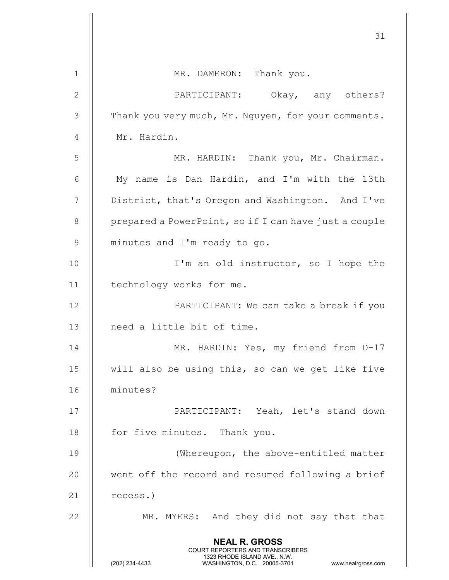|              | 31                                                                                                                                                                     |
|--------------|------------------------------------------------------------------------------------------------------------------------------------------------------------------------|
| $\mathbf{1}$ | MR. DAMERON: Thank you.                                                                                                                                                |
| $\mathbf{2}$ | PARTICIPANT:<br>Okay, any others?                                                                                                                                      |
| 3            | Thank you very much, Mr. Nguyen, for your comments.                                                                                                                    |
| 4            | Mr. Hardin.                                                                                                                                                            |
| 5            | MR. HARDIN: Thank you, Mr. Chairman.                                                                                                                                   |
| 6            | My name is Dan Hardin, and I'm with the 13th                                                                                                                           |
| 7            | District, that's Oregon and Washington. And I've                                                                                                                       |
| 8            | prepared a PowerPoint, so if I can have just a couple                                                                                                                  |
| 9            | minutes and I'm ready to go.                                                                                                                                           |
| 10           | I'm an old instructor, so I hope the                                                                                                                                   |
| 11           | technology works for me.                                                                                                                                               |
| 12           | PARTICIPANT: We can take a break if you                                                                                                                                |
| 13           | need a little bit of time.                                                                                                                                             |
| 14           | MR. HARDIN: Yes, my friend from D-17                                                                                                                                   |
| 15           | will also be using this, so can we get like five                                                                                                                       |
| 16           | minutes?                                                                                                                                                               |
| 17           | PARTICIPANT: Yeah, let's stand down                                                                                                                                    |
| 18           | for five minutes. Thank you.                                                                                                                                           |
| 19           | (Whereupon, the above-entitled matter                                                                                                                                  |
| 20           | went off the record and resumed following a brief                                                                                                                      |
| 21           | recess.)                                                                                                                                                               |
| 22           | MR. MYERS: And they did not say that that                                                                                                                              |
|              | <b>NEAL R. GROSS</b><br><b>COURT REPORTERS AND TRANSCRIBERS</b><br>1323 RHODE ISLAND AVE., N.W.<br>(202) 234-4433<br>WASHINGTON, D.C. 20005-3701<br>www.nealrgross.com |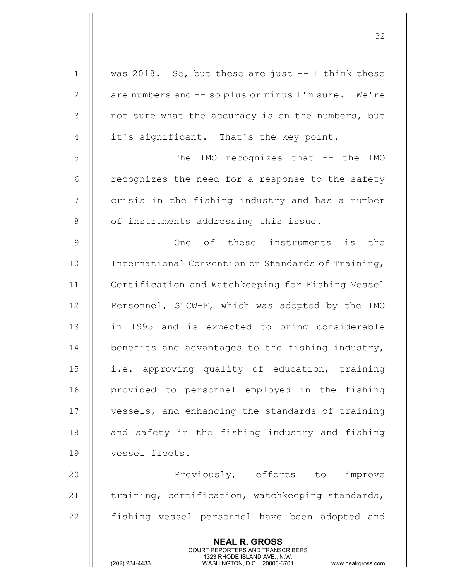| $\mathbf 1$    | was 2018. So, but these are just -- I think these                                                                                                                      |
|----------------|------------------------------------------------------------------------------------------------------------------------------------------------------------------------|
| $\mathbf{2}$   | are numbers and -- so plus or minus I'm sure. We're                                                                                                                    |
| 3              | not sure what the accuracy is on the numbers, but                                                                                                                      |
| $\overline{4}$ | it's significant. That's the key point.                                                                                                                                |
| $\mathsf S$    | The IMO recognizes that -- the IMO                                                                                                                                     |
| 6              | recognizes the need for a response to the safety                                                                                                                       |
| $7\phantom{.}$ | crisis in the fishing industry and has a number                                                                                                                        |
| 8              | of instruments addressing this issue.                                                                                                                                  |
| $\mathsf 9$    | One of these instruments is<br>the                                                                                                                                     |
| 10             | International Convention on Standards of Training,                                                                                                                     |
| 11             | Certification and Watchkeeping for Fishing Vessel                                                                                                                      |
| 12             | Personnel, STCW-F, which was adopted by the IMO                                                                                                                        |
| 13             | in 1995 and is expected to bring considerable                                                                                                                          |
| 14             | benefits and advantages to the fishing industry,                                                                                                                       |
| 15             | i.e. approving quality of education, training                                                                                                                          |
| 16             | provided to personnel employed in the fishing                                                                                                                          |
| 17             | vessels, and enhancing the standards of training                                                                                                                       |
| 18             | and safety in the fishing industry and fishing                                                                                                                         |
| 19             | vessel fleets.                                                                                                                                                         |
| 20             | Previously, efforts to<br>improve                                                                                                                                      |
| 21             | training, certification, watchkeeping standards,                                                                                                                       |
| 22             | fishing vessel personnel have been adopted and                                                                                                                         |
|                | <b>NEAL R. GROSS</b><br><b>COURT REPORTERS AND TRANSCRIBERS</b><br>1323 RHODE ISLAND AVE., N.W.<br>(202) 234-4433<br>WASHINGTON, D.C. 20005-3701<br>www.nealrgross.com |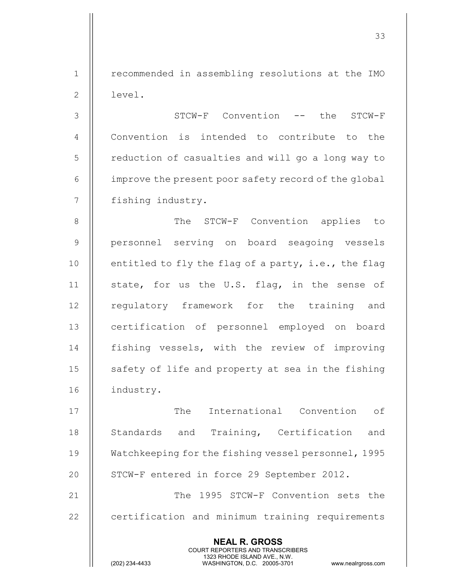1 | recommended in assembling resolutions at the IMO 2 | level.

3 STCW-F Convention -- the STCW-F 4 Convention is intended to contribute to the 5 | reduction of casualties and will go a long way to  $6 \parallel$  improve the present poor safety record of the global 7 | fishing industry.

8 || The STCW-F Convention applies to 9 || personnel serving on board seagoing vessels 10  $\parallel$  entitled to fly the flag of a party, i.e., the flag 11 || state, for us the U.S. flag, in the sense of 12 || regulatory framework for the training and 13 || certification of personnel employed on board 14 fishing vessels, with the review of improving 15  $\parallel$  safety of life and property at sea in the fishing 16 | industry.

17 || The International Convention of 18 || Standards and Training, Certification and 19 | Watchkeeping for the fishing vessel personnel, 1995 20 || STCW-F entered in force 29 September 2012. 21 || The 1995 STCW-F Convention sets the 22 | certification and minimum training requirements

> NEAL R. GROSS COURT REPORTERS AND TRANSCRIBERS

1323 RHODE ISLAND AVE., N.W.<br>WASHINGTON, D.C. 20005-3701 WASHINGTON, D.C.

WASHINGTON, D.C. 20005-3701 www.nealrgross.com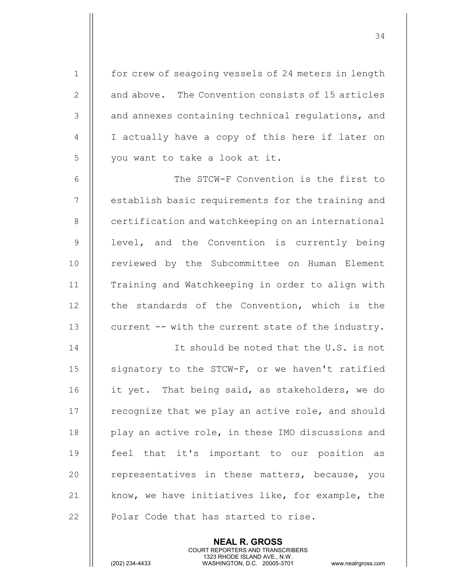1 | for crew of seagoing vessels of 24 meters in length 2 | and above. The Convention consists of 15 articles 3 || and annexes containing technical regulations, and 4 || I actually have a copy of this here if later on 5 || you want to take a look at it.

6 The STCW-F Convention is the first to 7 | establish basic requirements for the training and 8 | certification and watchkeeping on an international 9 || level, and the Convention is currently being 10 || reviewed by the Subcommittee on Human Element 11 Training and Watchkeeping in order to align with  $12$   $\parallel$  the standards of the Convention, which is the 13  $\parallel$  current -- with the current state of the industry.

14 || Tt should be noted that the U.S. is not 15  $\parallel$  signatory to the STCW-F, or we haven't ratified 16 || it yet. That being said, as stakeholders, we do  $17$  | recognize that we play an active role, and should 18  $\parallel$  play an active role, in these IMO discussions and 19 feel that it's important to our position as 20 || representatives in these matters, because, you 21  $\parallel$  know, we have initiatives like, for example, the 22 || Polar Code that has started to rise.

> NEAL R. GROSS COURT REPORTERS AND TRANSCRIBERS

1323 RHODE ISLAND AVE., N.W.<br>WASHINGTON, D.C. 20005-3701

WASHINGTON, D.C. 20005-3701 www.nealrgross.com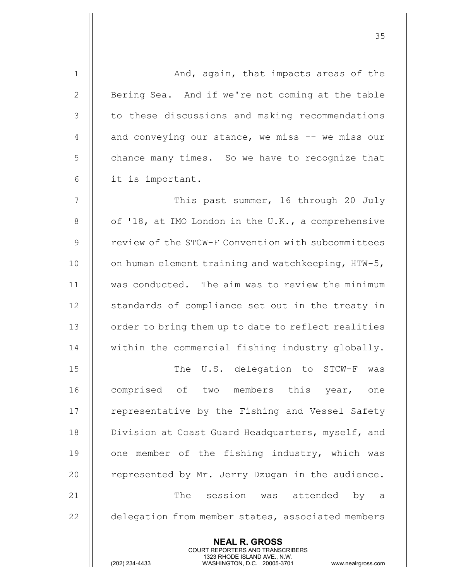| $\mathbf 1$    | And, again, that impacts areas of the                                                                                                                                  |
|----------------|------------------------------------------------------------------------------------------------------------------------------------------------------------------------|
| $\mathbf{2}$   | Bering Sea. And if we're not coming at the table                                                                                                                       |
| 3              | to these discussions and making recommendations                                                                                                                        |
| $\overline{4}$ | and conveying our stance, we miss -- we miss our                                                                                                                       |
| 5              | chance many times. So we have to recognize that                                                                                                                        |
| 6              | it is important.                                                                                                                                                       |
| 7              | This past summer, 16 through 20 July                                                                                                                                   |
| 8              | of '18, at IMO London in the U.K., a comprehensive                                                                                                                     |
| 9              | review of the STCW-F Convention with subcommittees                                                                                                                     |
| 10             | on human element training and watchkeeping, HTW-5,                                                                                                                     |
| 11             | was conducted. The aim was to review the minimum                                                                                                                       |
| 12             | standards of compliance set out in the treaty in                                                                                                                       |
| 13             | order to bring them up to date to reflect realities                                                                                                                    |
| 14             | within the commercial fishing industry globally.                                                                                                                       |
| 15             | The U.S. delegation to STCW-F was                                                                                                                                      |
| 16             | comprised of two members this year, one                                                                                                                                |
| 17             | representative by the Fishing and Vessel Safety                                                                                                                        |
| 18             | Division at Coast Guard Headquarters, myself, and                                                                                                                      |
| 19             | one member of the fishing industry, which was                                                                                                                          |
| 20             | represented by Mr. Jerry Dzugan in the audience.                                                                                                                       |
| 21             | The session was attended by a                                                                                                                                          |
| 22             | delegation from member states, associated members                                                                                                                      |
|                | <b>NEAL R. GROSS</b><br><b>COURT REPORTERS AND TRANSCRIBERS</b><br>1323 RHODE ISLAND AVE., N.W.<br>(202) 234-4433<br>WASHINGTON, D.C. 20005-3701<br>www.nealrgross.com |

<u>35 and 200 million and 200 million and 200 million and 200 million and 200 million and 200 million and 200 million and 200 million and 200 million and 200 million and 200 million and 200 million and 200 million and 200 mi</u>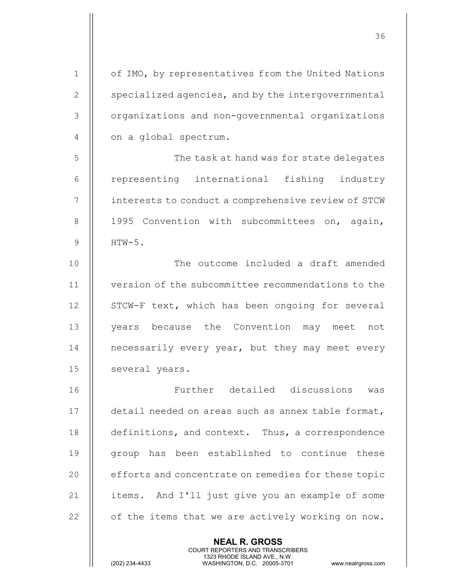| $\mathbf{1}$   | of IMO, by representatives from the United Nations  |
|----------------|-----------------------------------------------------|
| $\mathbf{2}$   | specialized agencies, and by the intergovernmental  |
| 3              | organizations and non-governmental organizations    |
| $\overline{4}$ | on a global spectrum.                               |
| 5              | The task at hand was for state delegates            |
| 6              | representing international fishing industry         |
| 7              | interests to conduct a comprehensive review of STCW |
| 8              | 1995 Convention with subcommittees on, again,       |
| $\mathcal{G}$  | $HTW-5.$                                            |
| 10             | The outcome included a draft amended                |
| 11             | version of the subcommittee recommendations to the  |
| 12             | STCW-F text, which has been ongoing for several     |
| 13             | years because the Convention may meet not           |
| 14             | necessarily every year, but they may meet every     |
| 15             | several years.                                      |
| 16             | Further detailed discussions<br>was                 |
| 17             | detail needed on areas such as annex table format,  |
| 18             | definitions, and context. Thus, a correspondence    |
| 19             | group has been established to continue these        |
| 20             | efforts and concentrate on remedies for these topic |
| 21             | items. And I'll just give you an example of some    |
| 22             | of the items that we are actively working on now.   |
|                | <b>NEAL R. GROSS</b>                                |

COURT REPORTERS AND TRANSCRIBERS

1323 RHODE ISLAND AVE., N.W.

 $\prod$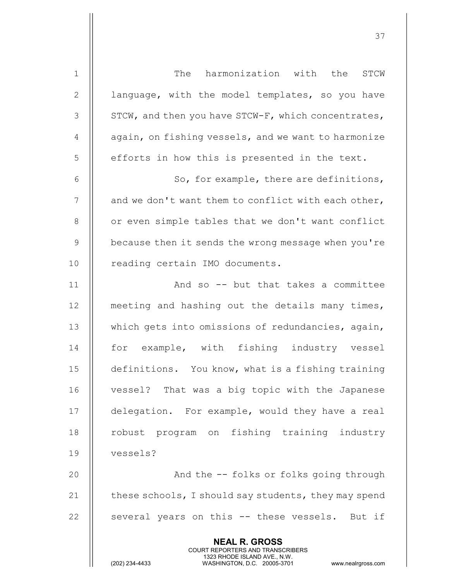| $\mathbf 1$  | The<br>harmonization with the<br><b>STCW</b>                                                                                                                           |
|--------------|------------------------------------------------------------------------------------------------------------------------------------------------------------------------|
| $\mathbf{2}$ | language, with the model templates, so you have                                                                                                                        |
| 3            | STCW, and then you have STCW-F, which concentrates,                                                                                                                    |
| 4            | again, on fishing vessels, and we want to harmonize                                                                                                                    |
| 5            | efforts in how this is presented in the text.                                                                                                                          |
| 6            | So, for example, there are definitions,                                                                                                                                |
| 7            | and we don't want them to conflict with each other,                                                                                                                    |
| $8\,$        | or even simple tables that we don't want conflict                                                                                                                      |
| $\mathsf 9$  | because then it sends the wrong message when you're                                                                                                                    |
| 10           | reading certain IMO documents.                                                                                                                                         |
| 11           | And so -- but that takes a committee                                                                                                                                   |
| 12           | meeting and hashing out the details many times,                                                                                                                        |
| 13           | which gets into omissions of redundancies, again,                                                                                                                      |
| 14           | for example, with fishing industry vessel                                                                                                                              |
| 15           | definitions. You know, what is a fishing training                                                                                                                      |
| 16           | vessel?<br>That was a big topic with the Japanese                                                                                                                      |
| 17           | delegation. For example, would they have a real                                                                                                                        |
| 18           | robust program on fishing training industry                                                                                                                            |
| 19           | vessels?                                                                                                                                                               |
| 20           | And the -- folks or folks going through                                                                                                                                |
| 21           | these schools, I should say students, they may spend                                                                                                                   |
| 22           | several years on this -- these vessels. But if                                                                                                                         |
|              |                                                                                                                                                                        |
|              | <b>NEAL R. GROSS</b><br><b>COURT REPORTERS AND TRANSCRIBERS</b><br>1323 RHODE ISLAND AVE., N.W.<br>(202) 234-4433<br>WASHINGTON, D.C. 20005-3701<br>www.nealrgross.com |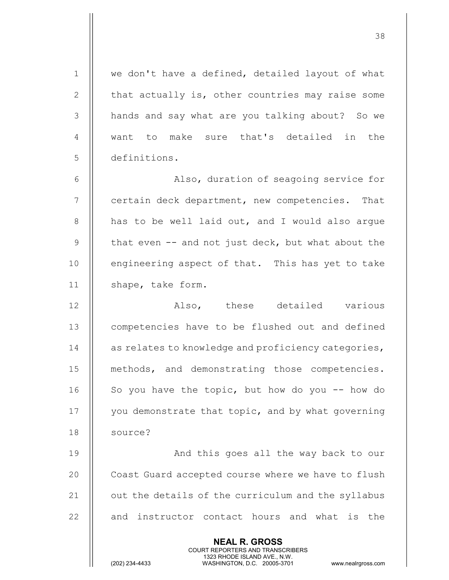NEAL R. GROSS COURT REPORTERS AND TRANSCRIBERS 1323 RHODE ISLAND AVE., N.W.<br>WASHINGTON, D.C. 20005-3701 WASHINGTON, D.C. 20005-3701 www.nealrgross.com  $1 \parallel$  we don't have a defined, detailed layout of what  $2$   $\parallel$  that actually is, other countries may raise some 3 || hands and say what are you talking about? So we 4 want to make sure that's detailed in the 5 definitions. 6 Also, duration of seagoing service for  $7$   $\parallel$  certain deck department, new competencies. That  $8$  || has to be well laid out, and I would also argue 9  $\parallel$  that even -- and not just deck, but what about the  $10$  | engineering aspect of that. This has yet to take 11 | shape, take form. 12 || Also, these detailed various 13 | competencies have to be flushed out and defined 14 | as relates to knowledge and proficiency categories, 15 || methods, and demonstrating those competencies. 16  $\parallel$  So you have the topic, but how do you -- how do 17 || you demonstrate that topic, and by what governing 18 | source? 19 || And this goes all the way back to our 20 | Coast Guard accepted course where we have to flush  $21$   $\parallel$  out the details of the curriculum and the syllabus  $22$   $\parallel$  and instructor contact hours and what is the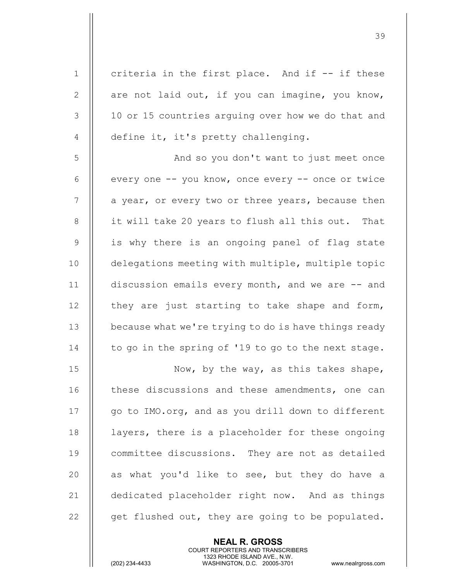1  $\parallel$  criteria in the first place. And if -- if these 2  $\parallel$  are not laid out, if you can imagine, you know, 3 || 10 or 15 countries arguing over how we do that and 4  $\parallel$  define it, it's pretty challenging. 5 | And so you don't want to just meet once 6  $\parallel$  every one -- you know, once every -- once or twice  $7$  || a year, or every two or three years, because then 8 || it will take 20 years to flush all this out. That 9 || is why there is an ongoing panel of flag state 10 || delegations meeting with multiple, multiple topic 11 | discussion emails every month, and we are -- and 12  $\parallel$  they are just starting to take shape and form, 13 **because what we're trying to do is have things ready** 14  $\parallel$  to go in the spring of '19 to go to the next stage. 15 || Now, by the way, as this takes shape, 16 | these discussions and these amendments, one can 17 || qo to IMO.org, and as you drill down to different 18 || layers, there is a placeholder for these ongoing 19 || committee discussions. They are not as detailed 20  $\parallel$  as what you'd like to see, but they do have a 21 | dedicated placeholder right now. And as things 22  $\parallel$  get flushed out, they are going to be populated.

> NEAL R. GROSS COURT REPORTERS AND TRANSCRIBERS

39

1323 RHODE ISLAND AVE., N.W.<br>WASHINGTON, D.C. 20005-3701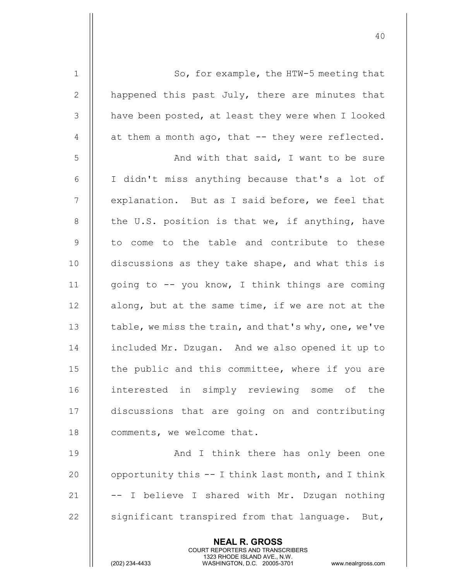| $1\,$        | So, for example, the HTW-5 meeting that                                                                                                                         |
|--------------|-----------------------------------------------------------------------------------------------------------------------------------------------------------------|
| $\mathbf{2}$ | happened this past July, there are minutes that                                                                                                                 |
| 3            | have been posted, at least they were when I looked                                                                                                              |
| 4            | at them a month ago, that -- they were reflected.                                                                                                               |
| 5            | And with that said, I want to be sure                                                                                                                           |
| 6            | I didn't miss anything because that's a lot of                                                                                                                  |
| 7            | explanation. But as I said before, we feel that                                                                                                                 |
| 8            | the U.S. position is that we, if anything, have                                                                                                                 |
| 9            | to come to the table and contribute to these                                                                                                                    |
| 10           | discussions as they take shape, and what this is                                                                                                                |
| 11           | going to $-$ you know, I think things are coming                                                                                                                |
| 12           | along, but at the same time, if we are not at the                                                                                                               |
| 13           | table, we miss the train, and that's why, one, we've                                                                                                            |
| 14           | included Mr. Dzugan. And we also opened it up to                                                                                                                |
| 15           | the public and this committee, where if you are                                                                                                                 |
| 16           | interested in simply reviewing some of the                                                                                                                      |
| 17           | discussions that are going on and contributing                                                                                                                  |
| 18           | comments, we welcome that.                                                                                                                                      |
| 19           | And I think there has only been one                                                                                                                             |
| 20           | opportunity this -- I think last month, and I think                                                                                                             |
| 21           | -- I believe I shared with Mr. Dzugan nothing                                                                                                                   |
| 22           | significant transpired from that language. But,                                                                                                                 |
|              | <b>NEAL R. GROSS</b><br>COURT REPORTERS AND TRANSCRIBERS<br>1323 RHODE ISLAND AVE., N.W.<br>(202) 234-4433<br>WASHINGTON, D.C. 20005-3701<br>www.nealrgross.com |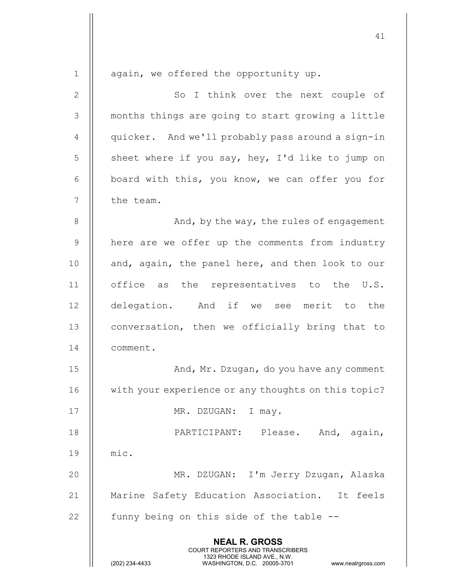| $1\,$        | again, we offered the opportunity up.                                                           |
|--------------|-------------------------------------------------------------------------------------------------|
| $\mathbf{2}$ | So I think over the next couple of                                                              |
| 3            | months things are going to start growing a little                                               |
| 4            | quicker. And we'll probably pass around a sign-in                                               |
| 5            | sheet where if you say, hey, I'd like to jump on                                                |
| 6            | board with this, you know, we can offer you for                                                 |
| 7            | the team.                                                                                       |
| $\,8\,$      | And, by the way, the rules of engagement                                                        |
| $\mathsf 9$  | here are we offer up the comments from industry                                                 |
| 10           | and, again, the panel here, and then look to our                                                |
| 11           | office as the representatives to the U.S.                                                       |
| 12           | delegation. And if we see merit to the                                                          |
| 13           | conversation, then we officially bring that to                                                  |
| 14           | comment.                                                                                        |
| 15           | And, Mr. Dzugan, do you have any comment                                                        |
| 16           | with your experience or any thoughts on this topic?                                             |
| 17           | MR. DZUGAN:<br>I may.                                                                           |
| 18           | PARTICIPANT: Please. And, again,                                                                |
| 19           | mic.                                                                                            |
| 20           | MR. DZUGAN: I'm Jerry Dzugan, Alaska                                                            |
| 21           | Marine Safety Education Association. It feels                                                   |
| 22           | funny being on this side of the table --                                                        |
|              | <b>NEAL R. GROSS</b><br><b>COURT REPORTERS AND TRANSCRIBERS</b><br>1323 RHODE ISLAND AVE., N.W. |
|              | (202) 234-4433<br>WASHINGTON, D.C. 20005-3701<br>www.nealrgross.com                             |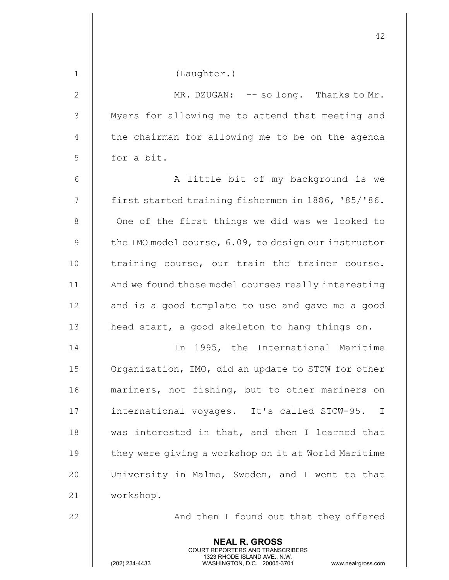|                | 42                                                          |
|----------------|-------------------------------------------------------------|
| $\mathbf{1}$   | (Laughter.)                                                 |
| $\mathbf{2}$   | MR. DZUGAN: -- so long. Thanks to Mr.                       |
| 3              | Myers for allowing me to attend that meeting and            |
| $\overline{4}$ | the chairman for allowing me to be on the agenda            |
| 5              | for a bit.                                                  |
| 6              | A little bit of my background is we                         |
| 7              | first started training fishermen in 1886, '85/'86.          |
| $8\,$          | One of the first things we did was we looked to             |
| $\mathsf 9$    | the IMO model course, 6.09, to design our instructor        |
| 10             | training course, our train the trainer course.              |
| 11             | And we found those model courses really interesting         |
| 12             | and is a good template to use and gave me a good            |
| 13             | head start, a good skeleton to hang things on.              |
| 14             | In 1995, the International Maritime                         |
| 15             | Organization, IMO, did an update to STCW for other          |
| 16             | mariners, not fishing, but to other mariners on             |
| 17             | international voyages. It's called STCW-95.<br>$\mathbb{I}$ |
| 18             | was interested in that, and then I learned that             |
| 19             | they were giving a workshop on it at World Maritime         |
| 20             | University in Malmo, Sweden, and I went to that             |
| 21             | workshop.                                                   |
| 22             | And then I found out that they offered                      |
|                | <b>NEAL R. GROSS</b><br>COURT REPORTERS AND TRANSCRIBERS    |

 $\frac{1}{2}$ 

1323 RHODE ISLAND AVE., N.W.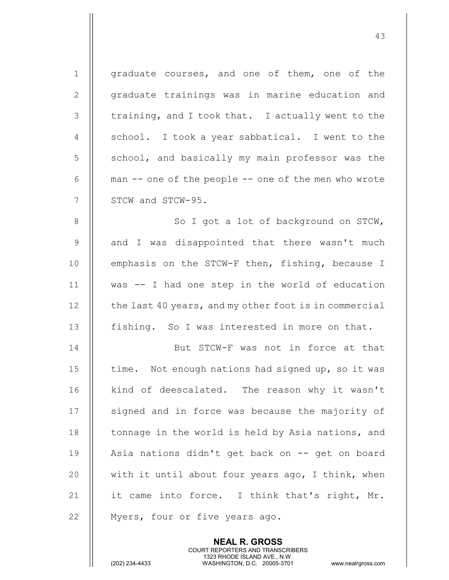| $\mathbf 1$    | graduate courses, and one of them, one of the         |
|----------------|-------------------------------------------------------|
| $\mathbf{2}$   | graduate trainings was in marine education and        |
| 3              | training, and I took that. I actually went to the     |
| $\overline{4}$ | school. I took a year sabbatical. I went to the       |
| 5              | school, and basically my main professor was the       |
| 6              | man -- one of the people -- one of the men who wrote  |
| 7              | STCW and STCW-95.                                     |
| 8              | So I got a lot of background on STCW,                 |
| 9              | and I was disappointed that there wasn't much         |
| 10             | emphasis on the STCW-F then, fishing, because I       |
| 11             | was -- I had one step in the world of education       |
| 12             | the last 40 years, and my other foot is in commercial |
| 13             | fishing. So I was interested in more on that.         |
| 14             | But STCW-F was not in force at that                   |
| 15             | time. Not enough nations had signed up, so it was     |
| 16             | kind of deescalated. The reason why it wasn't         |
| 17             | signed and in force was because the majority of       |
| 18             | tonnage in the world is held by Asia nations, and     |
| 19             | Asia nations didn't get back on -- get on board       |
| 20             | with it until about four years ago, I think, when     |
| 21             | it came into force. I think that's right, Mr.         |
| 22             | Myers, four or five years ago.                        |
|                |                                                       |

NEAL R. GROSS

 COURT REPORTERS AND TRANSCRIBERS 1323 RHODE ISLAND AVE., N.W.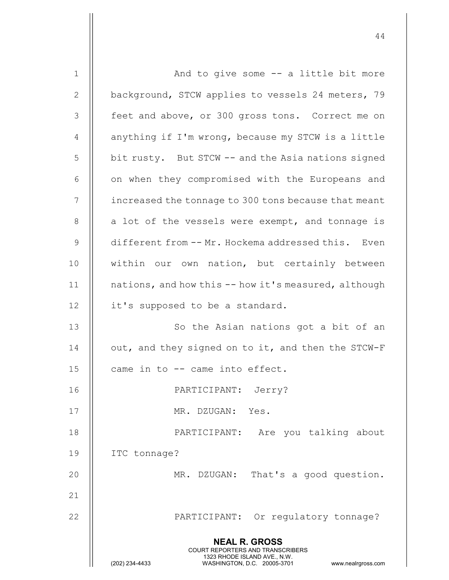| $\mathbf 1$   | And to give some $-$ a little bit more                                                                                                                                 |
|---------------|------------------------------------------------------------------------------------------------------------------------------------------------------------------------|
| $\mathbf{2}$  | background, STCW applies to vessels 24 meters, 79                                                                                                                      |
| $\mathcal{S}$ | feet and above, or 300 gross tons. Correct me on                                                                                                                       |
| 4             | anything if I'm wrong, because my STCW is a little                                                                                                                     |
| 5             | bit rusty. But STCW -- and the Asia nations signed                                                                                                                     |
| 6             | on when they compromised with the Europeans and                                                                                                                        |
| 7             | increased the tonnage to 300 tons because that meant                                                                                                                   |
| 8             | a lot of the vessels were exempt, and tonnage is                                                                                                                       |
| 9             | different from -- Mr. Hockema addressed this. Even                                                                                                                     |
| 10            | within our own nation, but certainly between                                                                                                                           |
| 11            | nations, and how this -- how it's measured, although                                                                                                                   |
| 12            | it's supposed to be a standard.                                                                                                                                        |
| 13            | So the Asian nations got a bit of an                                                                                                                                   |
| 14            | out, and they signed on to it, and then the STCW-F                                                                                                                     |
| 15            | came in to -- came into effect.                                                                                                                                        |
| 16            | PARTICIPANT: Jerry?                                                                                                                                                    |
| 17            | MR. DZUGAN: Yes.                                                                                                                                                       |
| 18            | PARTICIPANT:<br>Are you talking about                                                                                                                                  |
| 19            | ITC tonnage?                                                                                                                                                           |
| 20            | MR. DZUGAN: That's a good question.                                                                                                                                    |
| 21            |                                                                                                                                                                        |
| 22            | PARTICIPANT: Or regulatory tonnage?                                                                                                                                    |
|               | <b>NEAL R. GROSS</b><br><b>COURT REPORTERS AND TRANSCRIBERS</b><br>1323 RHODE ISLAND AVE., N.W.<br>(202) 234-4433<br>WASHINGTON, D.C. 20005-3701<br>www.nealrgross.com |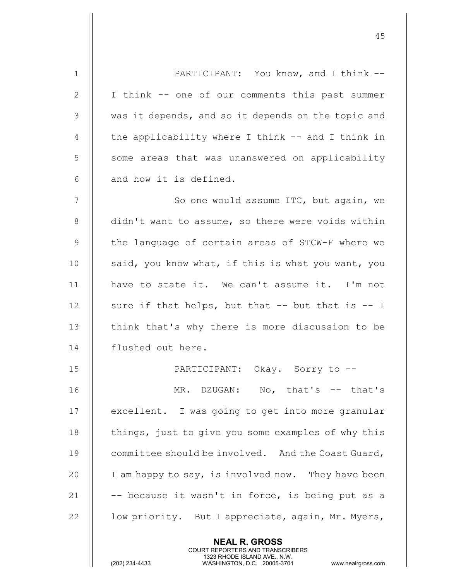NEAL R. GROSS 1 || PARTICIPANT: You know, and I think --2 || I think -- one of our comments this past summer 3 || was it depends, and so it depends on the topic and 4  $\parallel$  the applicability where I think  $-$  and I think in 5 || some areas that was unanswered on applicability  $6$   $\parallel$  and how it is defined. 7 || So one would assume ITC, but again, we 8 | didn't want to assume, so there were voids within 9 || the language of certain areas of STCW-F where we 10  $\parallel$  said, you know what, if this is what you want, you 11 have to state it. We can't assume it. I'm not 12  $\parallel$  sure if that helps, but that -- but that is -- I 13 || think that's why there is more discussion to be 14 | flushed out here. 15 || PARTICIPANT: Okay. Sorry to --16 || MR. DZUGAN: No, that's -- that's 17 || excellent. I was going to get into more granular 18  $\parallel$  things, just to give you some examples of why this 19 **committee should be involved.** And the Coast Guard, 20  $\parallel$  I am happy to say, is involved now. They have been 21  $\parallel$  -- because it wasn't in force, is being put as a 22  $\parallel$  1ow priority. But I appreciate, again, Mr. Myers,

COURT REPORTERS AND TRANSCRIBERS

45

1323 RHODE ISLAND AVE., N.W.<br>WASHINGTON, D.C. 20005-3701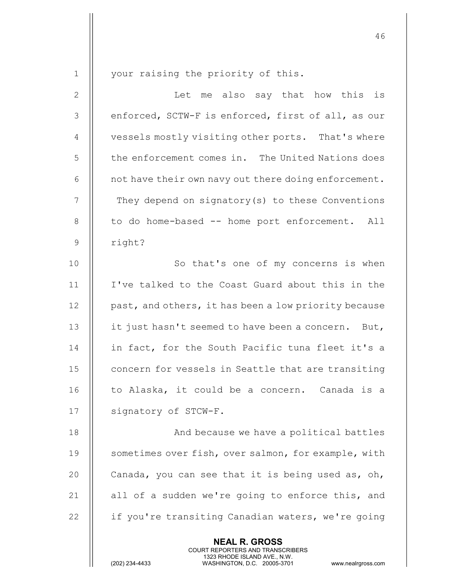NEAL R. GROSS 1 || your raising the priority of this. 2 || Let me also say that how this is  $3$  | enforced, SCTW-F is enforced, first of all, as our 4 | vessels mostly visiting other ports. That's where 5 | the enforcement comes in. The United Nations does 6  $\parallel$  not have their own navy out there doing enforcement. 7 | They depend on signatory(s) to these Conventions 8 || to do home-based -- home port enforcement. All 9 right? 10 || So that's one of my concerns is when 11 I've talked to the Coast Guard about this in the 12  $\parallel$  past, and others, it has been a low priority because 13 | it just hasn't seemed to have been a concern. But, 14 || in fact, for the South Pacific tuna fleet it's a 15 | concern for vessels in Seattle that are transiting  $16$  | to Alaska, it could be a concern. Canada is a 17 | signatory of STCW-F. 18 || And because we have a political battles 19 | sometimes over fish, over salmon, for example, with 20  $\parallel$  Canada, you can see that it is being used as, oh, 21  $\parallel$  all of a sudden we're going to enforce this, and 22  $\parallel$  if you're transiting Canadian waters, we're going

COURT REPORTERS AND TRANSCRIBERS

46

1323 RHODE ISLAND AVE., N.W.<br>WASHINGTON, D.C. 20005-3701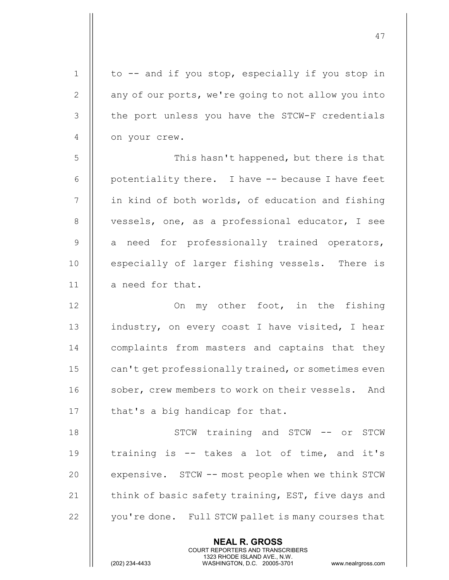| $\mathbf 1$    | to -- and if you stop, especially if you stop in    |
|----------------|-----------------------------------------------------|
| $\mathbf{2}$   | any of our ports, we're going to not allow you into |
| $\mathfrak{Z}$ | the port unless you have the STCW-F credentials     |
| $\overline{4}$ | on your crew.                                       |
| 5              | This hasn't happened, but there is that             |
| $6\,$          | potentiality there. I have -- because I have feet   |
| 7              | in kind of both worlds, of education and fishing    |
| $8\,$          | vessels, one, as a professional educator, I see     |
| $\mathcal{G}$  | need for professionally trained operators,<br>a     |
| 10             | especially of larger fishing vessels. There is      |
| 11             | a need for that.                                    |
| 12             | On my other foot, in the fishing                    |
| 13             | industry, on every coast I have visited, I hear     |
| 14             | complaints from masters and captains that they      |
| 15             | can't get professionally trained, or sometimes even |
| 16             | sober, crew members to work on their vessels. And   |
| 17             | that's a big handicap for that.                     |
| 18             | STCW training and STCW -- or STCW                   |
| 19             | training is -- takes a lot of time, and it's        |
| 20             | expensive. STCW -- most people when we think STCW   |
| 21             | think of basic safety training, EST, five days and  |
| 22             | you're done. Full STCW pallet is many courses that  |
|                | <b>NEAL R. GROSS</b>                                |

 COURT REPORTERS AND TRANSCRIBERS 1323 RHODE ISLAND AVE., N.W.

 $\mathbf{\mathsf{I}}$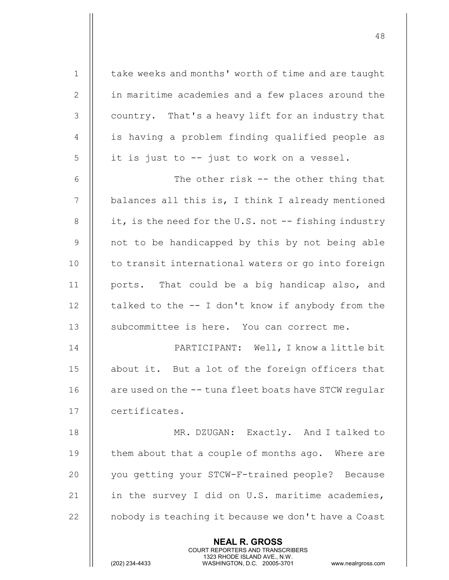NEAL R. GROSS COURT REPORTERS AND TRANSCRIBERS 1323 RHODE ISLAND AVE., N.W.<br>WASHINGTON, D.C. 20005-3701 1 | take weeks and months' worth of time and are taught 2 | in maritime academies and a few places around the 3 || country. That's a heavy lift for an industry that 4 || is having a problem finding qualified people as  $5 \parallel$  it is just to  $-$  just to work on a vessel. 6 The other risk -- the other thing that  $7$   $\parallel$  balances all this is, I think I already mentioned 8  $\parallel$  it, is the need for the U.S. not -- fishing industry  $9$  | not to be handicapped by this by not being able 10 || to transit international waters or go into foreign 11 || ports. That could be a big handicap also, and 12  $\parallel$  talked to the  $-$  I don't know if anybody from the 13 || subcommittee is here. You can correct me. 14 PARTICIPANT: Well, I know a little bit 15 || about it. But a lot of the foreign officers that 16 || are used on the -- tuna fleet boats have STCW reqular 17 | certificates. 18 || MR. DZUGAN: Exactly. And I talked to 19  $\parallel$  them about that a couple of months ago. Where are 20 || you getting your STCW-F-trained people? Because 21  $\parallel$  in the survey I did on U.S. maritime academies, 22 | nobody is teaching it because we don't have a Coast

48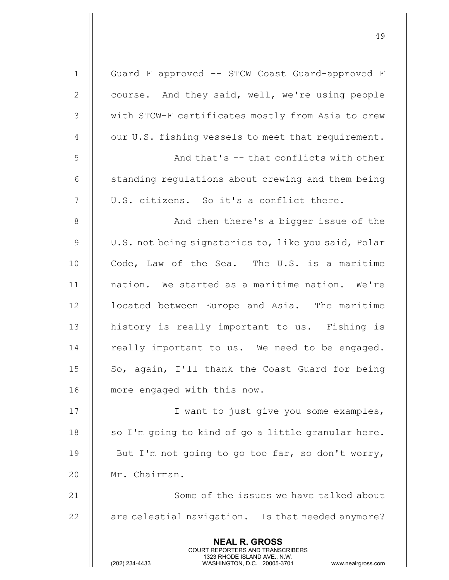| $\mathbf 1$    | Guard F approved -- STCW Coast Guard-approved F                                                                                                                        |
|----------------|------------------------------------------------------------------------------------------------------------------------------------------------------------------------|
| $\mathbf{2}$   | course. And they said, well, we're using people                                                                                                                        |
| 3              | with STCW-F certificates mostly from Asia to crew                                                                                                                      |
| $\overline{4}$ | our U.S. fishing vessels to meet that requirement.                                                                                                                     |
| 5              | And that's -- that conflicts with other                                                                                                                                |
| 6              | standing regulations about crewing and them being                                                                                                                      |
| $7\phantom{.}$ | U.S. citizens. So it's a conflict there.                                                                                                                               |
| $8\,$          | And then there's a bigger issue of the                                                                                                                                 |
| $\mathsf 9$    | U.S. not being signatories to, like you said, Polar                                                                                                                    |
| 10             | Code, Law of the Sea. The U.S. is a maritime                                                                                                                           |
| 11             | nation. We started as a maritime nation. We're                                                                                                                         |
| 12             | located between Europe and Asia. The maritime                                                                                                                          |
| 13             | history is really important to us. Fishing is                                                                                                                          |
| 14             | really important to us. We need to be engaged.                                                                                                                         |
| 15             | So, again, I'll thank the Coast Guard for being                                                                                                                        |
| 16             | more engaged with this now.                                                                                                                                            |
| 17             | I want to just give you some examples,                                                                                                                                 |
| 18             | so I'm going to kind of go a little granular here.                                                                                                                     |
| 19             | But I'm not going to go too far, so don't worry,                                                                                                                       |
| 20             | Mr. Chairman.                                                                                                                                                          |
| 21             | Some of the issues we have talked about                                                                                                                                |
| 22             | are celestial navigation. Is that needed anymore?                                                                                                                      |
|                | <b>NEAL R. GROSS</b><br><b>COURT REPORTERS AND TRANSCRIBERS</b><br>1323 RHODE ISLAND AVE., N.W.<br>(202) 234-4433<br>WASHINGTON, D.C. 20005-3701<br>www.nealrgross.com |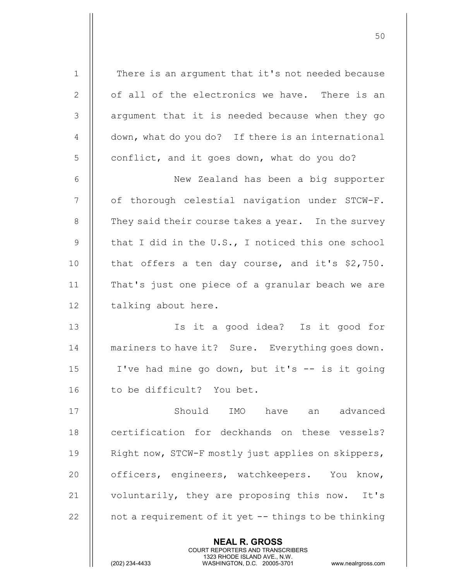| $\mathbf 1$    | There is an argument that it's not needed because    |
|----------------|------------------------------------------------------|
| 2              | of all of the electronics we have. There is an       |
| $\mathfrak{Z}$ | argument that it is needed because when they go      |
| 4              | down, what do you do? If there is an international   |
| 5              | conflict, and it goes down, what do you do?          |
| 6              | New Zealand has been a big supporter                 |
| 7              | of thorough celestial navigation under STCW-F.       |
| $8\,$          | They said their course takes a year. In the survey   |
| $\mathsf 9$    | that I did in the U.S., I noticed this one school    |
| 10             | that offers a ten day course, and it's \$2,750.      |
| 11             | That's just one piece of a granular beach we are     |
| 12             | talking about here.                                  |
| 13             | Is it a good idea? Is it good for                    |
| 14             | mariners to have it? Sure. Everything goes down.     |
| 15             | I've had mine go down, but it's -- is it going       |
| 16             | to be difficult? You bet.                            |
| 17             | Should<br>IMO<br>have<br>an advanced                 |
| 18             | certification for deckhands on these vessels?        |
| 19             | Right now, STCW-F mostly just applies on skippers,   |
| 20             | officers, engineers, watchkeepers. You know,         |
| 21             | voluntarily, they are proposing this now.<br>It's    |
| 22             | not a requirement of it yet -- things to be thinking |
|                |                                                      |

NEAL R. GROSS

 COURT REPORTERS AND TRANSCRIBERS 1323 RHODE ISLAND AVE., N.W.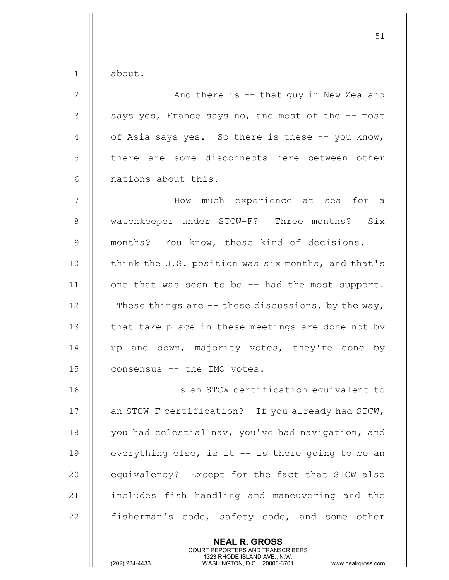| $\mathbf 1$    | about.                                                |
|----------------|-------------------------------------------------------|
| 2              | And there is -- that guy in New Zealand               |
| 3              | says yes, France says no, and most of the -- most     |
| $\overline{4}$ | of Asia says yes. So there is these -- you know,      |
| 5              | there are some disconnects here between other         |
| 6              | nations about this.                                   |
| 7              | How much experience at sea for a                      |
| 8              | watchkeeper under STCW-F? Three months? Six           |
| $\overline{9}$ | months? You know, those kind of decisions. I          |
| 10             | think the U.S. position was six months, and that's    |
| 11             | one that was seen to be -- had the most support.      |
| 12             | These things are $-$ - these discussions, by the way, |
| 13             | that take place in these meetings are done not by     |
| 14             | up and down, majority votes, they're done by          |
| 15             | consensus -- the IMO votes.                           |
| 16             | Is an STCW certification equivalent to                |
| 17             | an STCW-F certification? If you already had STCW,     |
| 18             | you had celestial nav, you've had navigation, and     |
| 19             | everything else, is it -- is there going to be an     |
| 20             | equivalency? Except for the fact that STCW also       |
| 21             | includes fish handling and maneuvering and the        |
| 22             | fisherman's code, safety code, and some other         |

NEAL R. GROSS

 COURT REPORTERS AND TRANSCRIBERS 1323 RHODE ISLAND AVE., N.W.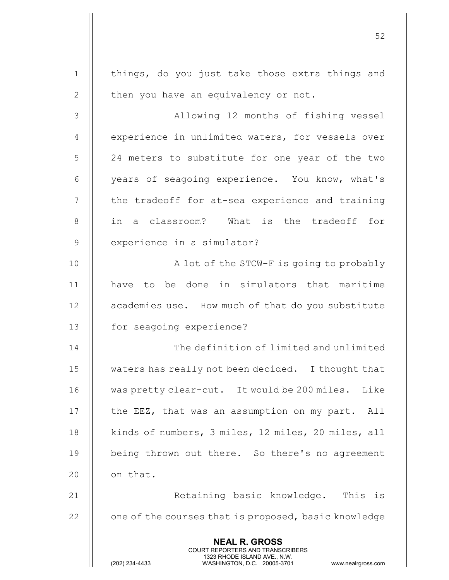|              | <b>NEAL R. GROSS</b><br><b>COURT REPORTERS AND TRANSCRIBERS</b><br>1323 RHODE ISLAND AVE., N.W.<br>(202) 234-4433<br>WASHINGTON, D.C. 20005-3701<br>www.nealrgross.com |
|--------------|------------------------------------------------------------------------------------------------------------------------------------------------------------------------|
| 22           | one of the courses that is proposed, basic knowledge                                                                                                                   |
| 21           | Retaining basic knowledge. This is                                                                                                                                     |
| 20           | on that.                                                                                                                                                               |
| 19           | being thrown out there. So there's no agreement                                                                                                                        |
| 18           | kinds of numbers, 3 miles, 12 miles, 20 miles, all                                                                                                                     |
| 17           | the EEZ, that was an assumption on my part. All                                                                                                                        |
| 16           | was pretty clear-cut. It would be 200 miles. Like                                                                                                                      |
| 15           | waters has really not been decided. I thought that                                                                                                                     |
| 14           | The definition of limited and unlimited                                                                                                                                |
| 13           | for seagoing experience?                                                                                                                                               |
| 12           | academies use. How much of that do you substitute                                                                                                                      |
| 11           | have to be done in simulators that maritime                                                                                                                            |
| 10           | A lot of the STCW-F is going to probably                                                                                                                               |
| 9            | experience in a simulator?                                                                                                                                             |
| 8            | in a classroom? What is the tradeoff for                                                                                                                               |
| 7            | the tradeoff for at-sea experience and training                                                                                                                        |
| 6            | years of seagoing experience. You know, what's                                                                                                                         |
| 5            | 24 meters to substitute for one year of the two                                                                                                                        |
| 4            | experience in unlimited waters, for vessels over                                                                                                                       |
| 3            | Allowing 12 months of fishing vessel                                                                                                                                   |
| $\mathbf{2}$ | then you have an equivalency or not.                                                                                                                                   |
| $\mathbf 1$  | things, do you just take those extra things and                                                                                                                        |
|              | 52                                                                                                                                                                     |
|              |                                                                                                                                                                        |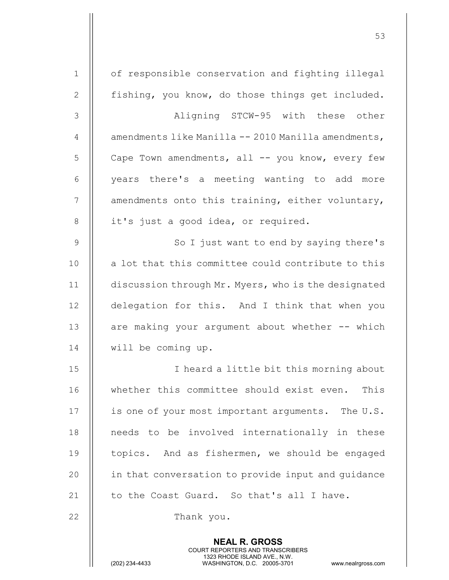| $\mathbf 1$   | of responsible conservation and fighting illegal                                                                                                                       |
|---------------|------------------------------------------------------------------------------------------------------------------------------------------------------------------------|
| $\mathbf{2}$  | fishing, you know, do those things get included.                                                                                                                       |
| 3             | Aligning STCW-95 with these other                                                                                                                                      |
| 4             | amendments like Manilla -- 2010 Manilla amendments,                                                                                                                    |
| 5             | Cape Town amendments, all -- you know, every few                                                                                                                       |
| 6             | years there's a meeting wanting to add more                                                                                                                            |
| 7             | amendments onto this training, either voluntary,                                                                                                                       |
| $8\,$         | it's just a good idea, or required.                                                                                                                                    |
| $\mathcal{G}$ | So I just want to end by saying there's                                                                                                                                |
| 10            | a lot that this committee could contribute to this                                                                                                                     |
| 11            | discussion through Mr. Myers, who is the designated                                                                                                                    |
| 12            | delegation for this. And I think that when you                                                                                                                         |
| 13            | are making your argument about whether -- which                                                                                                                        |
| 14            | will be coming up.                                                                                                                                                     |
| 15            | I heard a little bit this morning about                                                                                                                                |
| 16            | whether this committee should exist even.<br>This                                                                                                                      |
| 17            | is one of your most important arguments. The U.S.                                                                                                                      |
| 18            | needs to be involved internationally in these                                                                                                                          |
| 19            | topics. And as fishermen, we should be engaged                                                                                                                         |
| 20            | in that conversation to provide input and guidance                                                                                                                     |
| 21            | to the Coast Guard. So that's all I have.                                                                                                                              |
| 22            | Thank you.                                                                                                                                                             |
|               | <b>NEAL R. GROSS</b><br><b>COURT REPORTERS AND TRANSCRIBERS</b><br>1323 RHODE ISLAND AVE., N.W.<br>(202) 234-4433<br>WASHINGTON, D.C. 20005-3701<br>www.nealrgross.com |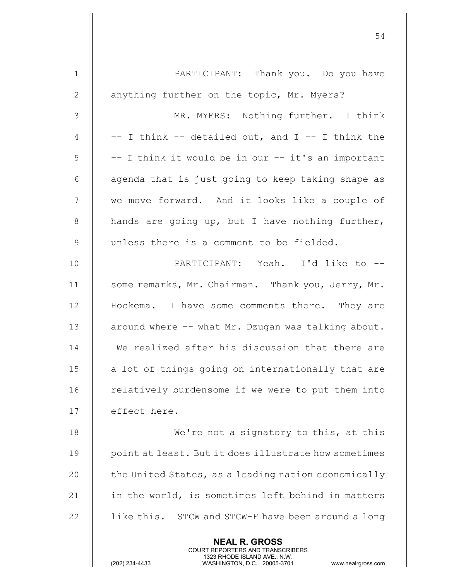| $\mathbf 1$    | PARTICIPANT: Thank you. Do you have                                                                                                                                    |
|----------------|------------------------------------------------------------------------------------------------------------------------------------------------------------------------|
| $\overline{2}$ | anything further on the topic, Mr. Myers?                                                                                                                              |
| $\mathfrak{Z}$ | MR. MYERS: Nothing further. I think                                                                                                                                    |
| $\overline{4}$ | -- I think -- detailed out, and I -- I think the                                                                                                                       |
| 5              | -- I think it would be in our -- it's an important                                                                                                                     |
| 6              | agenda that is just going to keep taking shape as                                                                                                                      |
| 7              | we move forward. And it looks like a couple of                                                                                                                         |
| $\,8\,$        | hands are going up, but I have nothing further,                                                                                                                        |
| $\mathsf 9$    | unless there is a comment to be fielded.                                                                                                                               |
| 10             | PARTICIPANT: Yeah. I'd like to --                                                                                                                                      |
| 11             | some remarks, Mr. Chairman. Thank you, Jerry, Mr.                                                                                                                      |
| 12             | Hockema. I have some comments there. They are                                                                                                                          |
| 13             | around where -- what Mr. Dzugan was talking about.                                                                                                                     |
| 14             | We realized after his discussion that there are                                                                                                                        |
| 15             | a lot of things going on internationally that are                                                                                                                      |
| 16             | relatively burdensome if we were to put them into                                                                                                                      |
| 17             | effect here.                                                                                                                                                           |
| 18             | We're not a signatory to this, at this                                                                                                                                 |
| 19             | point at least. But it does illustrate how sometimes                                                                                                                   |
| 20             | the United States, as a leading nation economically                                                                                                                    |
| 21             | in the world, is sometimes left behind in matters                                                                                                                      |
| 22             | like this. STCW and STCW-F have been around a long                                                                                                                     |
|                | <b>NEAL R. GROSS</b><br><b>COURT REPORTERS AND TRANSCRIBERS</b><br>1323 RHODE ISLAND AVE., N.W.<br>(202) 234-4433<br>WASHINGTON, D.C. 20005-3701<br>www.nealrgross.com |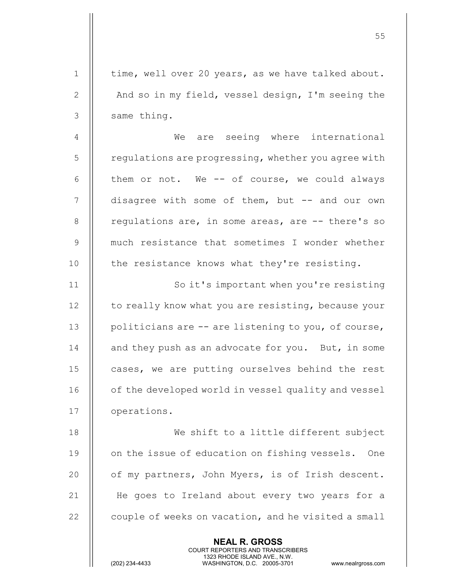| $\mathbf 1$    | time, well over 20 years, as we have talked about.                                                                                                                     |
|----------------|------------------------------------------------------------------------------------------------------------------------------------------------------------------------|
| $\mathbf{2}$   | And so in my field, vessel design, I'm seeing the                                                                                                                      |
| 3              | same thing.                                                                                                                                                            |
| $\overline{4}$ | We are seeing where international                                                                                                                                      |
| 5              | regulations are progressing, whether you agree with                                                                                                                    |
| 6              | them or not. We -- of course, we could always                                                                                                                          |
| 7              | disagree with some of them, but -- and our own                                                                                                                         |
| 8              | regulations are, in some areas, are -- there's so                                                                                                                      |
| 9              | much resistance that sometimes I wonder whether                                                                                                                        |
| 10             | the resistance knows what they're resisting.                                                                                                                           |
| 11             | So it's important when you're resisting                                                                                                                                |
| 12             | to really know what you are resisting, because your                                                                                                                    |
| 13             | politicians are -- are listening to you, of course,                                                                                                                    |
| 14             | and they push as an advocate for you. But, in some                                                                                                                     |
| 15             | cases, we are putting ourselves behind the rest                                                                                                                        |
| 16             | of the developed world in vessel quality and vessel                                                                                                                    |
| 17             | operations.                                                                                                                                                            |
| 18             | We shift to a little different subject                                                                                                                                 |
| 19             | on the issue of education on fishing vessels.<br>One                                                                                                                   |
| 20             | of my partners, John Myers, is of Irish descent.                                                                                                                       |
| 21             | He goes to Ireland about every two years for a                                                                                                                         |
| 22             | couple of weeks on vacation, and he visited a small                                                                                                                    |
|                | <b>NEAL R. GROSS</b><br><b>COURT REPORTERS AND TRANSCRIBERS</b><br>1323 RHODE ISLAND AVE., N.W.<br>(202) 234-4433<br>WASHINGTON, D.C. 20005-3701<br>www.nealrgross.com |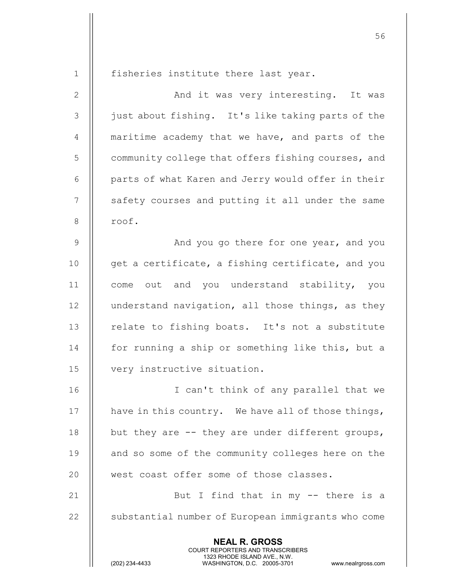1 || fisheries institute there last year. 2 || And it was very interesting. It was 3 || just about fishing. It's like taking parts of the 4 || maritime academy that we have, and parts of the 5 community college that offers fishing courses, and 6 | parts of what Karen and Jerry would offer in their 7 || safety courses and putting it all under the same 8 | roof. 9 | Road you go there for one year, and you 10  $\parallel$  get a certificate, a fishing certificate, and you 11 || come out and you understand stability, you 12 | understand navigation, all those things, as they 13 || relate to fishing boats. It's not a substitute 14 || for running a ship or something like this, but a 15 very instructive situation. 16 || I can't think of any parallel that we 17  $\parallel$  have in this country. We have all of those things, 18  $\parallel$  but they are  $-$  they are under different groups, 19 || and so some of the community colleges here on the 20 || west coast offer some of those classes. 21 || But I find that in my -- there is a 22 | substantial number of European immigrants who come

> NEAL R. GROSS COURT REPORTERS AND TRANSCRIBERS

 $56$ 

1323 RHODE ISLAND AVE., N.W.<br>WASHINGTON, D.C. 20005-3701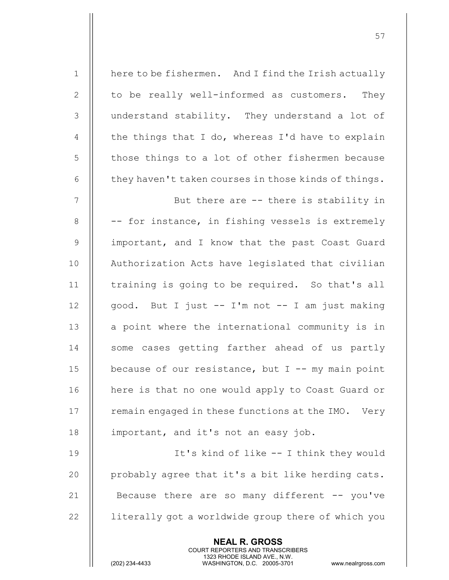NEAL R. GROSS 1 | here to be fishermen. And I find the Irish actually 2 || to be really well-informed as customers. They 3 | understand stability. They understand a lot of 4  $\parallel$  the things that I do, whereas I'd have to explain 5 | those things to a lot of other fishermen because 6  $\parallel$  they haven't taken courses in those kinds of things. 7 || But there are -- there is stability in  $8$   $\parallel$  -- for instance, in fishing vessels is extremely 9 || important, and I know that the past Coast Guard 10 || Authorization Acts have legislated that civilian 11 | training is going to be required. So that's all 12  $\parallel$  good. But I just -- I'm not -- I am just making  $13$   $\parallel$  a point where the international community is in 14 || some cases getting farther ahead of us partly 15  $\parallel$  because of our resistance, but I -- my main point 16 || here is that no one would apply to Coast Guard or 17  $\parallel$  remain engaged in these functions at the IMO. Very 18  $\parallel$  important, and it's not an easy job. 19 || It's kind of like -- I think they would 20  $\parallel$  probably agree that it's a bit like herding cats. 21  $\parallel$  Because there are so many different  $-$ - you've 22 | literally got a worldwide group there of which you

COURT REPORTERS AND TRANSCRIBERS

57

1323 RHODE ISLAND AVE., N.W.<br>WASHINGTON, D.C. 20005-3701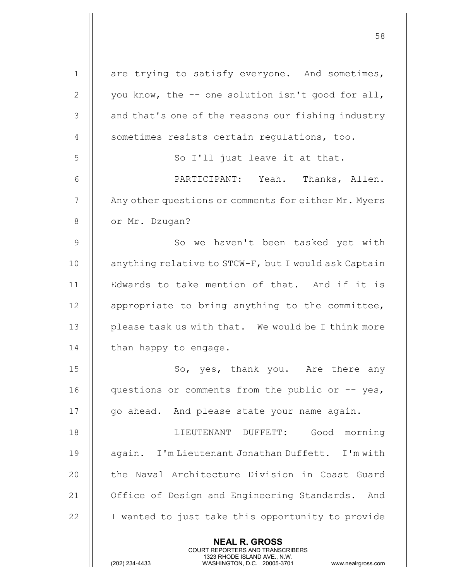| $\mathbf 1$    | are trying to satisfy everyone. And sometimes,                                                      |
|----------------|-----------------------------------------------------------------------------------------------------|
| 2              | you know, the -- one solution isn't good for all,                                                   |
| 3              | and that's one of the reasons our fishing industry                                                  |
| 4              | sometimes resists certain regulations, too.                                                         |
| 5              | So I'll just leave it at that.                                                                      |
| 6              | PARTICIPANT: Yeah. Thanks, Allen.                                                                   |
| $7\phantom{.}$ | Any other questions or comments for either Mr. Myers                                                |
| $8\,$          | or Mr. Dzugan?                                                                                      |
| $\overline{9}$ | So we haven't been tasked yet with                                                                  |
| 10             | anything relative to STCW-F, but I would ask Captain                                                |
| 11             | Edwards to take mention of that. And if it is                                                       |
| 12             | appropriate to bring anything to the committee,                                                     |
| 13             | please task us with that. We would be I think more                                                  |
| 14             | than happy to engage.                                                                               |
| 15             | So, yes, thank you. Are there any                                                                   |
| 16             | questions or comments from the public or -- yes,                                                    |
| 17             | go ahead. And please state your name again.                                                         |
| 18             | Good<br>LIEUTENANT DUFFETT:<br>morning                                                              |
| 19             | again. I'm Lieutenant Jonathan Duffett. I'm with                                                    |
| 20             | the Naval Architecture Division in Coast Guard                                                      |
| 21             | Office of Design and Engineering Standards. And                                                     |
| 22             | I wanted to just take this opportunity to provide                                                   |
|                | <b>NEAL R. GROSS</b><br><b>COURT REPORTERS AND TRANSCRIBERS</b>                                     |
|                | 1323 RHODE ISLAND AVE., N.W.<br>(202) 234-4433<br>WASHINGTON, D.C. 20005-3701<br>www.nealrgross.com |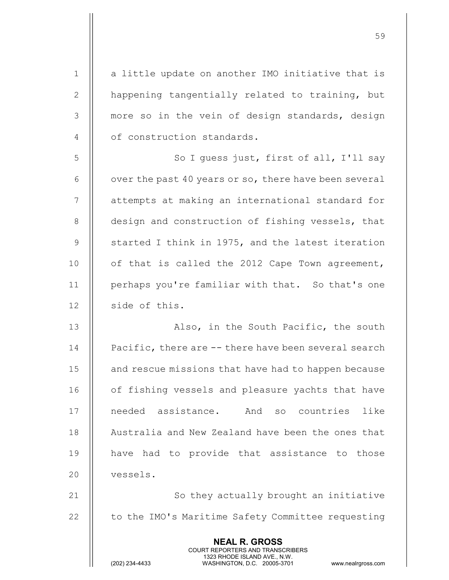NEAL R. GROSS COURT REPORTERS AND TRANSCRIBERS 1323 RHODE ISLAND AVE., N.W.<br>WASHINGTON, D.C. 20005-3701 1 || a little update on another IMO initiative that is 2  $\parallel$  happening tangentially related to training, but 3 || more so in the vein of design standards, design 4 | of construction standards. 5 So I quess just, first of all, I'll say 6  $\parallel$  over the past 40 years or so, there have been several 7 || attempts at making an international standard for 8 | design and construction of fishing vessels, that 9  $\parallel$  started I think in 1975, and the latest iteration 10  $\parallel$  of that is called the 2012 Cape Town agreement, 11 perhaps you're familiar with that. So that's one 12 | side of this. 13 || Also, in the South Pacific, the south 14 **Pacific, there are -- there have been several search** 15 | and rescue missions that have had to happen because 16 | of fishing vessels and pleasure yachts that have 17 || needed assistance. And so countries like 18 || Australia and New Zealand have been the ones that 19 || have had to provide that assistance to those 20 | vessels. 21 || So they actually brought an initiative 22 | to the IMO's Maritime Safety Committee requesting

 $59<sub>2</sub>$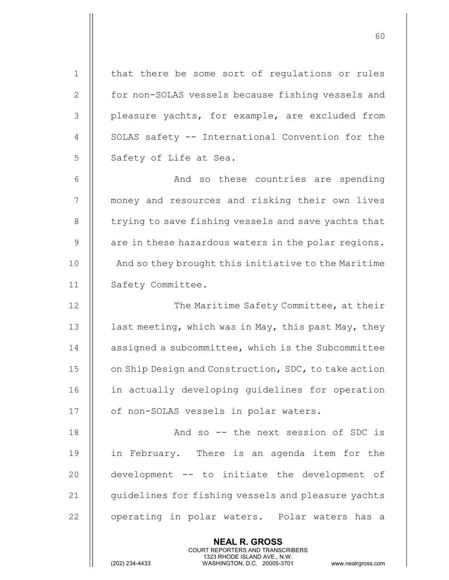NEAL R. GROSS COURT REPORTERS AND TRANSCRIBERS 1 || that there be some sort of requiations or rules 2 | for non-SOLAS vessels because fishing vessels and 3 || pleasure yachts, for example, are excluded from 4 || SOLAS safety -- International Convention for the 5 || Safety of Life at Sea. 6 || And so these countries are spending 7 || money and resources and risking their own lives  $8$  | trying to save fishing vessels and save yachts that  $9 \parallel$  are in these hazardous waters in the polar regions. 10 || And so they brought this initiative to the Maritime 11 | Safety Committee. 12 || The Maritime Safety Committee, at their 13  $\parallel$  last meeting, which was in May, this past May, they 14 | assigned a subcommittee, which is the Subcommittee 15 | on Ship Design and Construction, SDC, to take action 16 || in actually developing quidelines for operation 17 || of non-SOLAS vessels in polar waters. 18 || And so -- the next session of SDC is 19 in February. There is an agenda item for the 20 || development -- to initiate the development of 21 | guidelines for fishing vessels and pleasure yachts 22 || operating in polar waters. Polar waters has a

60

1323 RHODE ISLAND AVE., N.W.<br>WASHINGTON, D.C. 20005-3701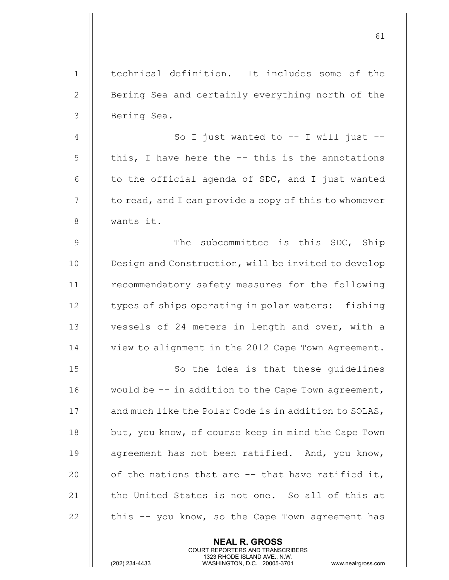| $\mathbf{1}$   | technical definition. It includes some of the          |
|----------------|--------------------------------------------------------|
| $\mathbf{2}$   | Bering Sea and certainly everything north of the       |
| $\mathcal{S}$  | Bering Sea.                                            |
| $\overline{4}$ | So I just wanted to -- I will just --                  |
| 5              | this, I have here the $--$ this is the annotations     |
| 6              | to the official agenda of SDC, and I just wanted       |
| 7              | to read, and I can provide a copy of this to whomever  |
| $8\,$          | wants it.                                              |
| $\mathsf 9$    | The subcommittee is this SDC, Ship                     |
| 10             | Design and Construction, will be invited to develop    |
| 11             | recommendatory safety measures for the following       |
| 12             | types of ships operating in polar waters: fishing      |
| 13             | vessels of 24 meters in length and over, with a        |
| 14             | view to alignment in the 2012 Cape Town Agreement.     |
| 15             | So the idea is that these quidelines                   |
| 16             | would be $-$ - in addition to the Cape Town agreement, |
| 17             | and much like the Polar Code is in addition to SOLAS,  |
| 18             | but, you know, of course keep in mind the Cape Town    |
| 19             | agreement has not been ratified. And, you know,        |
| 20             | of the nations that are -- that have ratified it,      |
| 21             | the United States is not one. So all of this at        |
| 22             | this -- you know, so the Cape Town agreement has       |
|                | <b>NEAL R. GROSS</b>                                   |

 COURT REPORTERS AND TRANSCRIBERS 1323 RHODE ISLAND AVE., N.W.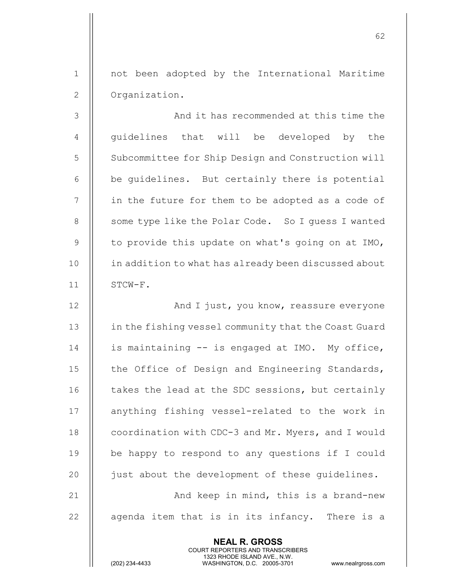1 not been adopted by the International Maritime 2 | Organization.

3 And it has recommended at this time the 4 || quidelines that will be developed by the 5 Subcommittee for Ship Design and Construction will  $6$   $\parallel$  be guidelines. But certainly there is potential  $7$  || in the future for them to be adopted as a code of 8 | some type like the Polar Code. So I guess I wanted 9  $\parallel$  to provide this update on what's going on at IMO, 10 | in addition to what has already been discussed about 11 STCW-F.

12 || And I just, you know, reassure everyone 13 | in the fishing vessel community that the Coast Guard 14  $\parallel$  is maintaining -- is engaged at IMO. My office, 15 | the Office of Design and Engineering Standards, 16  $\parallel$  takes the lead at the SDC sessions, but certainly 17 || anything fishing vessel-related to the work in 18 | coordination with CDC-3 and Mr. Myers, and I would 19 || be happy to respond to any questions if I could 20 || just about the development of these quidelines. 21 || And keep in mind, this is a brand-new  $22$   $\parallel$  agenda item that is in its infancy. There is a

> NEAL R. GROSS COURT REPORTERS AND TRANSCRIBERS

1323 RHODE ISLAND AVE., N.W.<br>WASHINGTON, D.C. 20005-3701

WASHINGTON, D.C. 20005-3701 www.nealrgross.com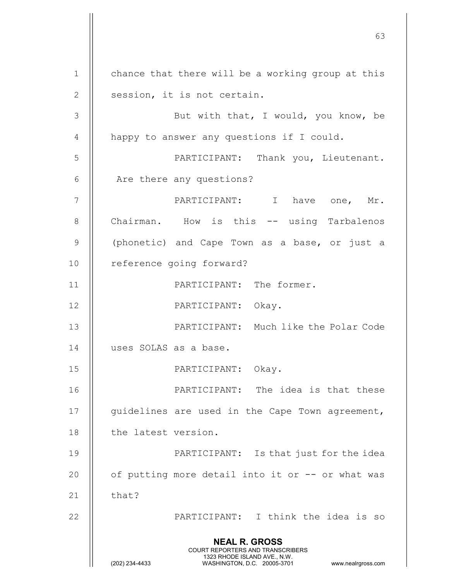63 NEAL R. GROSS COURT REPORTERS AND TRANSCRIBERS 1323 RHODE ISLAND AVE., N.W.<br>WASHINGTON, D.C. 20005-3701 WASHINGTON, D.C. WASHINGTON, D.C. 20005-3701 www.nealrgross.com 1 | chance that there will be a working group at this  $2 \parallel$  session, it is not certain. 3 || But with that, I would, you know, be 4 | happy to answer any questions if I could. 5 PARTICIPANT: Thank you, Lieutenant.  $6$  || Are there any questions? 7 || PARTICIPANT: I have one, Mr. 8 | Chairman. How is this -- using Tarbalenos 9 || (phonetic) and Cape Town as a base, or just a 10 | reference going forward? 11 || PARTICIPANT: The former. 12 PARTICIPANT: Okay. 13 PARTICIPANT: Much like the Polar Code 14 uses SOLAS as a base. 15 PARTICIPANT: Okay. 16 PARTICIPANT: The idea is that these 17 || guidelines are used in the Cape Town agreement, 18 || the latest version. 19 || PARTICIPANT: Is that just for the idea 20  $\parallel$  of putting more detail into it or  $-$ - or what was 21  $\parallel$  that? 22 PARTICIPANT: I think the idea is so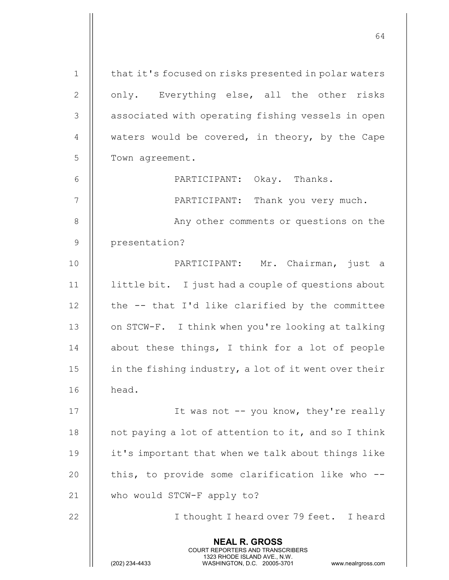| $\mathbf 1$    | that it's focused on risks presented in polar waters                                                                                                                   |
|----------------|------------------------------------------------------------------------------------------------------------------------------------------------------------------------|
| $\mathbf{2}$   | only. Everything else, all the other risks                                                                                                                             |
| 3              | associated with operating fishing vessels in open                                                                                                                      |
| $\overline{4}$ | waters would be covered, in theory, by the Cape                                                                                                                        |
| 5              | Town agreement.                                                                                                                                                        |
| 6              | PARTICIPANT: Okay. Thanks.                                                                                                                                             |
| $\overline{7}$ | PARTICIPANT: Thank you very much.                                                                                                                                      |
| $8\,$          | Any other comments or questions on the                                                                                                                                 |
| $\mathsf 9$    | presentation?                                                                                                                                                          |
| 10             | PARTICIPANT: Mr. Chairman, just a                                                                                                                                      |
| 11             | little bit. I just had a couple of questions about                                                                                                                     |
| 12             | the -- that I'd like clarified by the committee                                                                                                                        |
| 13             | on STCW-F. I think when you're looking at talking                                                                                                                      |
| 14             | about these things, I think for a lot of people                                                                                                                        |
| 15             | in the fishing industry, a lot of it went over their                                                                                                                   |
| 16             | head.                                                                                                                                                                  |
| 17             | It was not -- you know, they're really                                                                                                                                 |
| 18             | not paying a lot of attention to it, and so I think                                                                                                                    |
| 19             | it's important that when we talk about things like                                                                                                                     |
| 20             | this, to provide some clarification like who --                                                                                                                        |
| 21             | who would STCW-F apply to?                                                                                                                                             |
| 22             | I thought I heard over 79 feet. I heard                                                                                                                                |
|                | <b>NEAL R. GROSS</b><br><b>COURT REPORTERS AND TRANSCRIBERS</b><br>1323 RHODE ISLAND AVE., N.W.<br>(202) 234-4433<br>WASHINGTON, D.C. 20005-3701<br>www.nealrgross.com |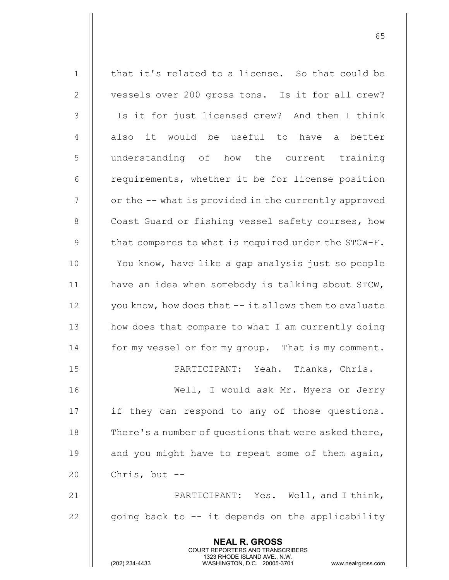| $\mathbf 1$    | that it's related to a license. So that could be                                                                                                                       |
|----------------|------------------------------------------------------------------------------------------------------------------------------------------------------------------------|
| $\mathbf{2}$   | vessels over 200 gross tons. Is it for all crew?                                                                                                                       |
| 3              | Is it for just licensed crew? And then I think                                                                                                                         |
| $\overline{4}$ | also it would be useful to have a better                                                                                                                               |
| 5              | understanding of how the current training                                                                                                                              |
| 6              | requirements, whether it be for license position                                                                                                                       |
| 7              | or the -- what is provided in the currently approved                                                                                                                   |
| 8              | Coast Guard or fishing vessel safety courses, how                                                                                                                      |
| $\mathsf 9$    | that compares to what is required under the STCW-F.                                                                                                                    |
| 10             | You know, have like a gap analysis just so people                                                                                                                      |
| 11             | have an idea when somebody is talking about STCW,                                                                                                                      |
| 12             | you know, how does that -- it allows them to evaluate                                                                                                                  |
| 13             | how does that compare to what I am currently doing                                                                                                                     |
| 14             | for my vessel or for my group. That is my comment.                                                                                                                     |
| 15             | PARTICIPANT: Yeah. Thanks, Chris.                                                                                                                                      |
| 16             | Well, I would ask Mr. Myers or Jerry                                                                                                                                   |
| 17             | if they can respond to any of those questions.                                                                                                                         |
| 18             | There's a number of questions that were asked there,                                                                                                                   |
| 19             | and you might have to repeat some of them again,                                                                                                                       |
| 20             | Chris, but $--$                                                                                                                                                        |
| 21             | PARTICIPANT: Yes. Well, and I think,                                                                                                                                   |
| 22             | going back to -- it depends on the applicability                                                                                                                       |
|                | <b>NEAL R. GROSS</b><br><b>COURT REPORTERS AND TRANSCRIBERS</b><br>1323 RHODE ISLAND AVE., N.W.<br>(202) 234-4433<br>WASHINGTON, D.C. 20005-3701<br>www.nealrgross.com |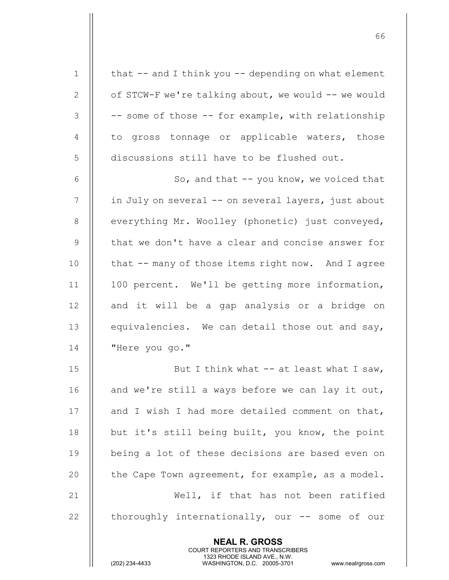| $\mathbf 1$    | that $--$ and I think you $--$ depending on what element |
|----------------|----------------------------------------------------------|
| 2              | of STCW-F we're talking about, we would -- we would      |
| 3              | -- some of those -- for example, with relationship       |
| $\overline{4}$ | to gross tonnage or applicable waters, those             |
| 5              | discussions still have to be flushed out.                |
| 6              | So, and that $--$ you know, we voiced that               |
| 7              | in July on several -- on several layers, just about      |
| 8              | everything Mr. Woolley (phonetic) just conveyed,         |
| 9              | that we don't have a clear and concise answer for        |
| 10             | that -- many of those items right now. And I agree       |
| 11             | 100 percent. We'll be getting more information,          |
| 12             | and it will be a gap analysis or a bridge on             |
| 13             | equivalencies. We can detail those out and say,          |
| 14             | "Here you go."                                           |
| 15             | But I think what $--$ at least what I saw,               |
| 16             | and we're still a ways before we can lay it out,         |
| 17             | and I wish I had more detailed comment on that,          |
| 18             | but it's still being built, you know, the point          |
| 19             | being a lot of these decisions are based even on         |
| 20             | the Cape Town agreement, for example, as a model.        |
| 21             | Well, if that has not been ratified                      |
| 22             | thoroughly internationally, our -- some of our           |
|                | <b>NEAL R. GROSS</b>                                     |

 COURT REPORTERS AND TRANSCRIBERS 1323 RHODE ISLAND AVE., N.W.

 $\parallel$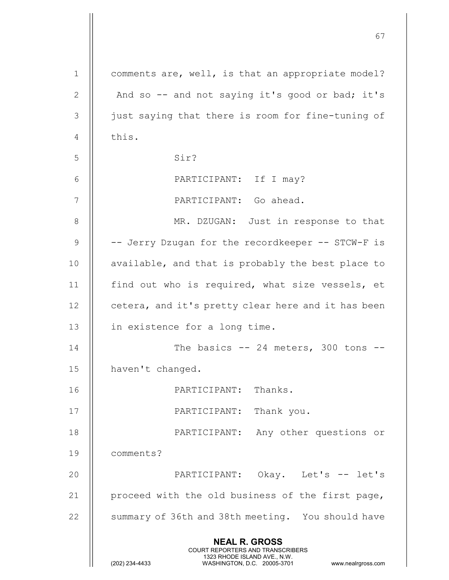|               | 67                                                                                                  |
|---------------|-----------------------------------------------------------------------------------------------------|
| 1             | comments are, well, is that an appropriate model?                                                   |
| $\mathbf{2}$  | And so -- and not saying it's good or bad; it's                                                     |
| $\mathcal{S}$ | just saying that there is room for fine-tuning of                                                   |
| 4             | this.                                                                                               |
| 5             | Sir?                                                                                                |
| 6             | PARTICIPANT: If I may?                                                                              |
| 7             | PARTICIPANT: Go ahead.                                                                              |
| 8             | MR. DZUGAN: Just in response to that                                                                |
| $\mathsf 9$   | -- Jerry Dzugan for the recordkeeper -- STCW-F is                                                   |
| 10            | available, and that is probably the best place to                                                   |
| 11            | find out who is required, what size vessels, et                                                     |
| 12            | cetera, and it's pretty clear here and it has been                                                  |
| 13            | in existence for a long time.                                                                       |
| 14            | The basics $--$ 24 meters, 300 tons $--$                                                            |
| 15            | haven't changed.                                                                                    |
| 16            | Thanks.<br>PARTICIPANT:                                                                             |
| 17            | PARTICIPANT:<br>Thank you.                                                                          |
| 18            | PARTICIPANT:<br>Any other questions or                                                              |
| 19            | comments?                                                                                           |
| 20            | PARTICIPANT: Okay. Let's -- let's                                                                   |
| 21            | proceed with the old business of the first page,                                                    |
| 22            | summary of 36th and 38th meeting. You should have                                                   |
|               | <b>NEAL R. GROSS</b><br>COURT REPORTERS AND TRANSCRIBERS                                            |
|               | 1323 RHODE ISLAND AVE., N.W.<br>(202) 234-4433<br>WASHINGTON, D.C. 20005-3701<br>www.nealrgross.com |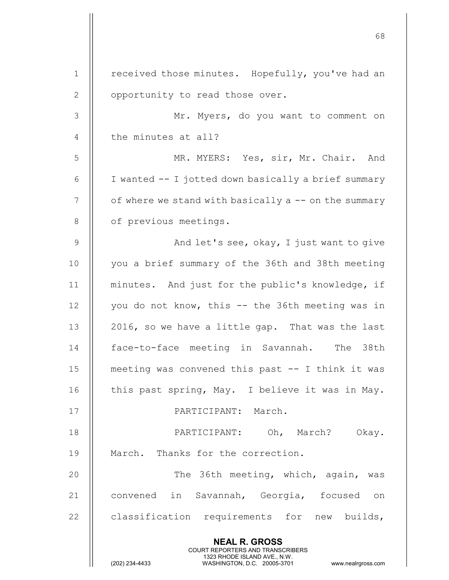$68<sup>th</sup>$ NEAL R. GROSS COURT REPORTERS AND TRANSCRIBERS 1323 RHODE ISLAND AVE., N.W.<br>WASHINGTON, D.C. 20005-3701 1 | received those minutes. Hopefully, you've had an 2 || opportunity to read those over. 3 Mr. Myers, do you want to comment on 4 || the minutes at all? 5 MR. MYERS: Yes, sir, Mr. Chair. And 6  $\parallel$  I wanted -- I jotted down basically a brief summary  $7 \parallel$  of where we stand with basically a  $-$  on the summary 8 | of previous meetings. 9 || And let's see, okay, I just want to give 10 you a brief summary of the 36th and 38th meeting 11 minutes. And just for the public's knowledge, if 12 || you do not know, this -- the 36th meeting was in 13  $\parallel$  2016, so we have a little gap. That was the last 14 face-to-face meeting in Savannah. The 38th 15 meeting was convened this past -- I think it was 16 | this past spring, May. I believe it was in May. 17 || PARTICIPANT: March. 18 PARTICIPANT: Oh, March? Okay. 19 H March. Thanks for the correction. 20 || The 36th meeting, which, again, was 21 || convened in Savannah, Georgia, focused on 22  $\parallel$  classification requirements for new builds,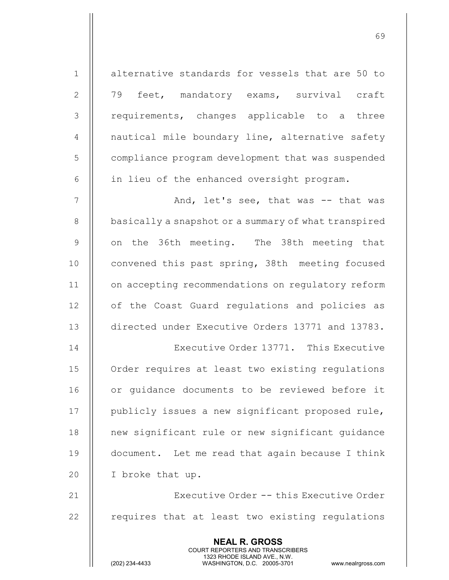| $\mathbf 1$   | alternative standards for vessels that are 50 to     |
|---------------|------------------------------------------------------|
| $\mathbf{2}$  | 79<br>feet, mandatory exams, survival craft          |
| 3             | requirements, changes applicable to a three          |
| 4             | nautical mile boundary line, alternative safety      |
| 5             | compliance program development that was suspended    |
| 6             | in lieu of the enhanced oversight program.           |
| 7             | And, let's see, that was -- that was                 |
| $\,8\,$       | basically a snapshot or a summary of what transpired |
| $\mathcal{G}$ | on the 36th meeting. The 38th meeting that           |
| 10            | convened this past spring, 38th meeting focused      |
| 11            | on accepting recommendations on regulatory reform    |
| 12            | of the Coast Guard regulations and policies as       |
| 13            | directed under Executive Orders 13771 and 13783.     |
| 14            | Executive Order 13771. This Executive                |
| 15            | Order requires at least two existing regulations     |
| 16            | or quidance documents to be reviewed before it       |
| 17            | publicly issues a new significant proposed rule,     |
| 18            | new significant rule or new significant guidance     |
| 19            | document. Let me read that again because I think     |
| 20            | I broke that up.                                     |
| 21            | Executive Order -- this Executive Order              |
| 22            | requires that at least two existing regulations      |
|               | <b>NEAL R. GROSS</b>                                 |

 COURT REPORTERS AND TRANSCRIBERS 1323 RHODE ISLAND AVE., N.W.

Ш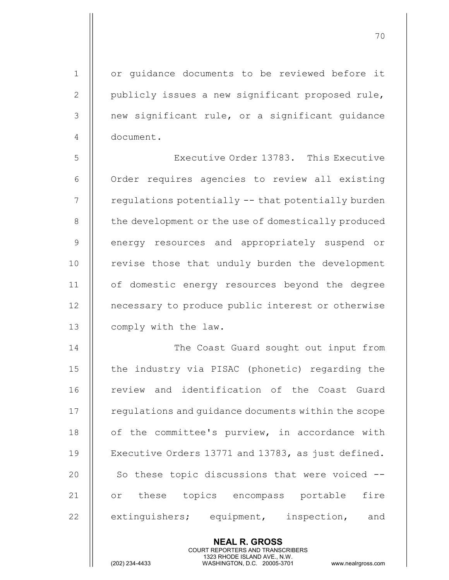1 || or quidance documents to be reviewed before it 2 || publicly issues a new significant proposed rule, 3 || new significant rule, or a significant guidance 4 document.

70

5 || Executive Order 13783. This Executive 6 | Order requires agencies to review all existing  $7$   $\parallel$  regulations potentially  $-$  that potentially burden 8 | the development or the use of domestically produced 9 || energy resources and appropriately suspend or 10 || revise those that unduly burden the development 11 | of domestic energy resources beyond the degree 12 necessary to produce public interest or otherwise 13 | comply with the law.

14 || The Coast Guard sought out input from 15 | the industry via PISAC (phonetic) regarding the 16 || review and identification of the Coast Guard 17 | requiations and quidance documents within the scope 18 | of the committee's purview, in accordance with 19 || Executive Orders 13771 and 13783, as just defined. 20 || So these topic discussions that were voiced --21 || or these topics encompass portable fire 22 || extinguishers; equipment, inspection, and

> NEAL R. GROSS COURT REPORTERS AND TRANSCRIBERS

1323 RHODE ISLAND AVE., N.W.<br>WASHINGTON, D.C. 20005-3701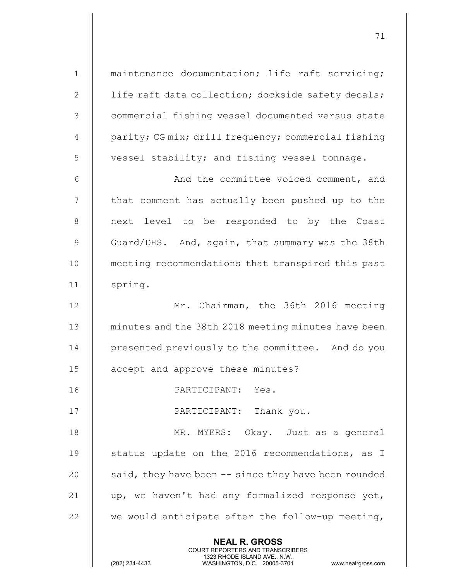| $\mathbf 1$    | maintenance documentation; life raft servicing;                                                     |
|----------------|-----------------------------------------------------------------------------------------------------|
| $\mathbf{2}$   | life raft data collection; dockside safety decals;                                                  |
| 3              | commercial fishing vessel documented versus state                                                   |
| $\overline{4}$ | parity; CG mix; drill frequency; commercial fishing                                                 |
| 5              | vessel stability; and fishing vessel tonnage.                                                       |
| 6              | And the committee voiced comment, and                                                               |
| 7              | that comment has actually been pushed up to the                                                     |
| 8              | next level to be responded to by the Coast                                                          |
| $\mathcal{G}$  | Guard/DHS. And, again, that summary was the 38th                                                    |
| 10             | meeting recommendations that transpired this past                                                   |
| 11             | spring.                                                                                             |
| 12             | Mr. Chairman, the 36th 2016 meeting                                                                 |
| 13             | minutes and the 38th 2018 meeting minutes have been                                                 |
| 14             | presented previously to the committee. And do you                                                   |
| 15             | accept and approve these minutes?                                                                   |
| 16             | PARTICIPANT: Yes.                                                                                   |
| 17             | PARTICIPANT: Thank you.                                                                             |
| 18             | MR. MYERS: Okay. Just as a general                                                                  |
| 19             | status update on the 2016 recommendations, as I                                                     |
| 20             | said, they have been -- since they have been rounded                                                |
| 21             | up, we haven't had any formalized response yet,                                                     |
| 22             | we would anticipate after the follow-up meeting,                                                    |
|                | <b>NEAL R. GROSS</b><br><b>COURT REPORTERS AND TRANSCRIBERS</b>                                     |
|                | 1323 RHODE ISLAND AVE., N.W.<br>(202) 234-4433<br>WASHINGTON, D.C. 20005-3701<br>www.nealrgross.com |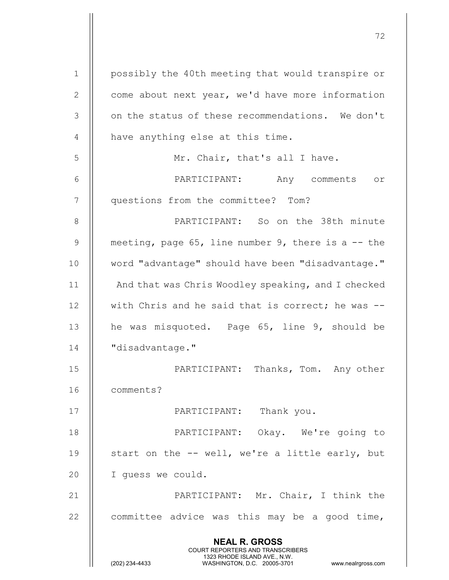| $\mathbf 1$    | possibly the 40th meeting that would transpire or                                                                                                                      |
|----------------|------------------------------------------------------------------------------------------------------------------------------------------------------------------------|
| $\mathbf{2}$   | come about next year, we'd have more information                                                                                                                       |
| $\mathcal{S}$  | on the status of these recommendations. We don't                                                                                                                       |
| 4              | have anything else at this time.                                                                                                                                       |
| 5              | Mr. Chair, that's all I have.                                                                                                                                          |
| 6              | PARTICIPANT: Any comments or                                                                                                                                           |
| $\overline{7}$ | questions from the committee? Tom?                                                                                                                                     |
| $8\,$          | PARTICIPANT: So on the 38th minute                                                                                                                                     |
| $\overline{9}$ | meeting, page $65$ , line number 9, there is a $-$ the                                                                                                                 |
| 10             | word "advantage" should have been "disadvantage."                                                                                                                      |
| 11             | And that was Chris Woodley speaking, and I checked                                                                                                                     |
| 12             | with Chris and he said that is correct; he was --                                                                                                                      |
| 13             | he was misquoted. Page 65, line 9, should be                                                                                                                           |
| 14             | "disadvantage."                                                                                                                                                        |
| 15             | PARTICIPANT: Thanks, Tom. Any other                                                                                                                                    |
| 16             | comments?                                                                                                                                                              |
| 17             | Thank you.<br>PARTICIPANT:                                                                                                                                             |
| 18             | PARTICIPANT: Okay. We're going to                                                                                                                                      |
| 19             | start on the -- well, we're a little early, but                                                                                                                        |
| 20             | I guess we could.                                                                                                                                                      |
| 21             | PARTICIPANT: Mr. Chair, I think the                                                                                                                                    |
| 22             | committee advice was this may be a good time,                                                                                                                          |
|                | <b>NEAL R. GROSS</b><br><b>COURT REPORTERS AND TRANSCRIBERS</b><br>1323 RHODE ISLAND AVE., N.W.<br>(202) 234-4433<br>WASHINGTON, D.C. 20005-3701<br>www.nealrgross.com |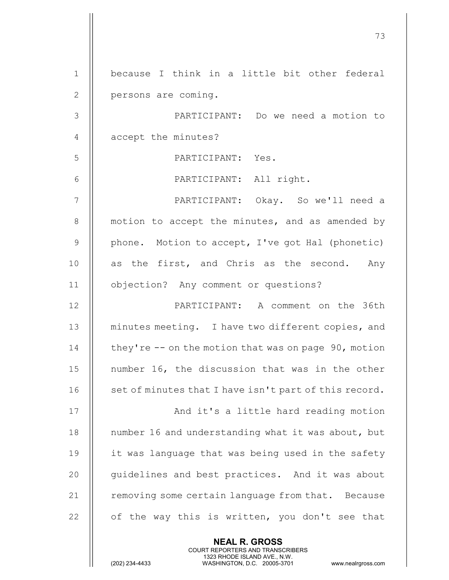|                | 73                                                      |
|----------------|---------------------------------------------------------|
| $\mathbf{1}$   | because I think in a little bit other federal           |
| $\mathbf{2}$   | persons are coming.                                     |
| $\mathcal{S}$  | PARTICIPANT: Do we need a motion to                     |
| $\overline{4}$ | accept the minutes?                                     |
| 5              | PARTICIPANT: Yes.                                       |
| 6              | PARTICIPANT: All right.                                 |
| 7              | PARTICIPANT: Okay. So we'll need a                      |
| $8\,$          | motion to accept the minutes, and as amended by         |
| $\overline{9}$ | phone. Motion to accept, I've got Hal (phonetic)        |
| 10             | as the first, and Chris as the second. Any              |
| 11             | objection? Any comment or questions?                    |
| 12             | PARTICIPANT: A comment on the 36th                      |
| 13             | minutes meeting. I have two different copies, and       |
| 14             | they're $-$ - on the motion that was on page 90, motion |
| 15             | number 16, the discussion that was in the other         |
| 16             | set of minutes that I have isn't part of this record.   |
| 17             | And it's a little hard reading motion                   |
| 18             | number 16 and understanding what it was about, but      |
| 19             | it was language that was being used in the safety       |
| 20             | guidelines and best practices. And it was about         |
| 21             | removing some certain language from that. Because       |
| 22             | of the way this is written, you don't see that          |
|                | <b>NEAL R. GROSS</b>                                    |

COURT REPORTERS AND TRANSCRIBERS

1323 RHODE ISLAND AVE., N.W.

Ш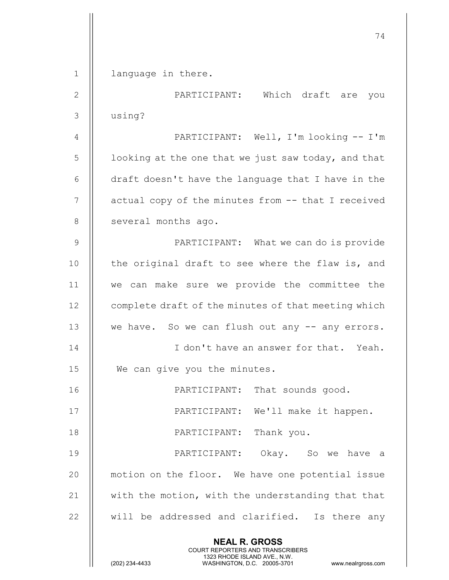1 | language in there.

NEAL R. GROSS COURT REPORTERS AND TRANSCRIBERS 2 PARTICIPANT: Which draft are you 3 using? 4 PARTICIPANT: Well, I'm looking -- I'm  $5$  | 100king at the one that we just saw today, and that 6  $\parallel$  draft doesn't have the language that I have in the 7 | actual copy of the minutes from -- that I received 8 | several months ago. 9 || PARTICIPANT: What we can do is provide 10  $\parallel$  the original draft to see where the flaw is, and 11 we can make sure we provide the committee the 12 | complete draft of the minutes of that meeting which 13 || we have. So we can flush out any -- any errors. 14 || I don't have an answer for that. Yeah. 15 We can give you the minutes. 16 PARTICIPANT: That sounds good. 17 || PARTICIPANT: We'll make it happen. 18 || PARTICIPANT: Thank you. 19 PARTICIPANT: Okay. So we have a 20 || motion on the floor. We have one potential issue 21  $\parallel$  with the motion, with the understanding that that  $22$   $\parallel$  will be addressed and clarified. Is there any

1323 RHODE ISLAND AVE., N.W.<br>WASHINGTON, D.C. 20005-3701

WASHINGTON, D.C. 20005-3701 www.nealrgross.com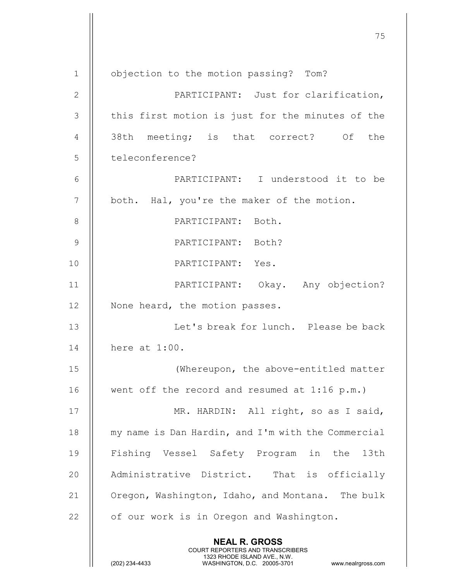|              | 75                                                                                                                                                                     |
|--------------|------------------------------------------------------------------------------------------------------------------------------------------------------------------------|
| $\mathbf{1}$ | objection to the motion passing? Tom?                                                                                                                                  |
| $\mathbf{2}$ | PARTICIPANT: Just for clarification,                                                                                                                                   |
| 3            | this first motion is just for the minutes of the                                                                                                                       |
| 4            | 38th meeting; is that correct? Of<br>the                                                                                                                               |
| 5            | teleconference?                                                                                                                                                        |
| 6            | PARTICIPANT: I understood it to be                                                                                                                                     |
|              |                                                                                                                                                                        |
| 7            | both. Hal, you're the maker of the motion.                                                                                                                             |
| $8\,$        | PARTICIPANT: Both.                                                                                                                                                     |
| 9            | PARTICIPANT: Both?                                                                                                                                                     |
| 10           | PARTICIPANT: Yes.                                                                                                                                                      |
| 11           | PARTICIPANT: Okay. Any objection?                                                                                                                                      |
| 12           | None heard, the motion passes.                                                                                                                                         |
| 13           | Let's break for lunch. Please be back                                                                                                                                  |
| 14           | here at $1:00$ .                                                                                                                                                       |
| 15           | (Whereupon, the above-entitled matter                                                                                                                                  |
| 16           | went off the record and resumed at 1:16 p.m.)                                                                                                                          |
| 17           | MR. HARDIN: All right, so as I said,                                                                                                                                   |
| 18           | my name is Dan Hardin, and I'm with the Commercial                                                                                                                     |
| 19           | Fishing Vessel Safety Program in the<br>13th                                                                                                                           |
| 20           | Administrative District. That is officially                                                                                                                            |
| 21           | Oregon, Washington, Idaho, and Montana. The bulk                                                                                                                       |
| 22           | of our work is in Oregon and Washington.                                                                                                                               |
|              | <b>NEAL R. GROSS</b><br><b>COURT REPORTERS AND TRANSCRIBERS</b><br>1323 RHODE ISLAND AVE., N.W.<br>(202) 234-4433<br>WASHINGTON, D.C. 20005-3701<br>www.nealrgross.com |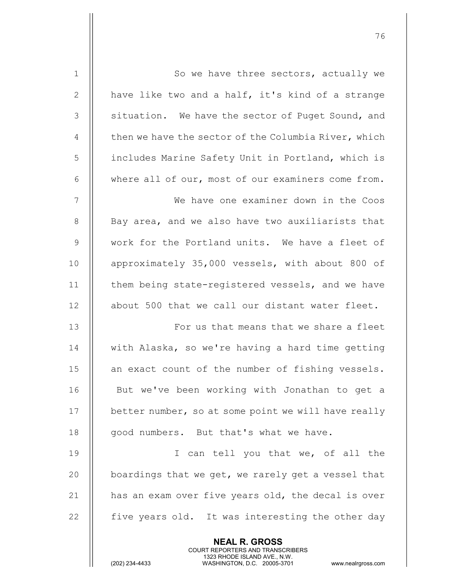| $\mathbf 1$      | So we have three sectors, actually we                                                                                                   |
|------------------|-----------------------------------------------------------------------------------------------------------------------------------------|
| $\mathbf{2}$     | have like two and a half, it's kind of a strange                                                                                        |
| 3                | situation. We have the sector of Puget Sound, and                                                                                       |
| 4                | then we have the sector of the Columbia River, which                                                                                    |
| 5                | includes Marine Safety Unit in Portland, which is                                                                                       |
| 6                | where all of our, most of our examiners come from.                                                                                      |
| $\boldsymbol{7}$ | We have one examiner down in the Coos                                                                                                   |
| $8\,$            | Bay area, and we also have two auxiliarists that                                                                                        |
| $\mathcal{G}$    | work for the Portland units. We have a fleet of                                                                                         |
| 10               | approximately 35,000 vessels, with about 800 of                                                                                         |
| 11               | them being state-registered vessels, and we have                                                                                        |
| 12               | about 500 that we call our distant water fleet.                                                                                         |
| 13               | For us that means that we share a fleet                                                                                                 |
| 14               | with Alaska, so we're having a hard time getting                                                                                        |
| 15               | an exact count of the number of fishing vessels.                                                                                        |
| 16               | But we've been working with Jonathan to get a                                                                                           |
| 17               | better number, so at some point we will have really                                                                                     |
| 18               | good numbers. But that's what we have.                                                                                                  |
| 19               | I can tell you that we, of all the                                                                                                      |
| 20               | boardings that we get, we rarely get a vessel that                                                                                      |
| 21               | has an exam over five years old, the decal is over                                                                                      |
| 22               | five years old. It was interesting the other day                                                                                        |
|                  | <b>NEAL R. GROSS</b>                                                                                                                    |
|                  | COURT REPORTERS AND TRANSCRIBERS<br>1323 RHODE ISLAND AVE., N.W.<br>(202) 234-4433<br>WASHINGTON, D.C. 20005-3701<br>www.nealrgross.com |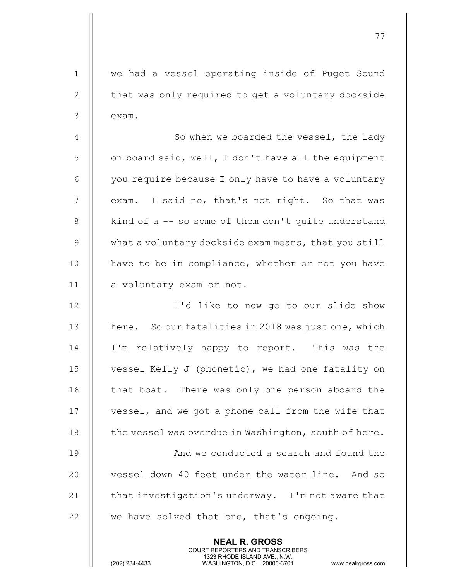| $\mathbf 1$    | we had a vessel operating inside of Puget Sound       |
|----------------|-------------------------------------------------------|
| $\mathbf{2}$   | that was only required to get a voluntary dockside    |
| $\mathcal{S}$  | exam.                                                 |
| $\overline{4}$ | So when we boarded the vessel, the lady               |
| 5              | on board said, well, I don't have all the equipment   |
| 6              | you require because I only have to have a voluntary   |
| $\overline{7}$ | I said no, that's not right. So that was<br>exam.     |
| 8              | kind of $a$ -- so some of them don't quite understand |
| $\mathcal{G}$  | what a voluntary dockside exam means, that you still  |
| 10             | have to be in compliance, whether or not you have     |
| 11             | a voluntary exam or not.                              |
| 12             | I'd like to now go to our slide show                  |
| 13             | here. So our fatalities in 2018 was just one, which   |
| 14             | I'm relatively happy to report. This was the          |
| 15             | vessel Kelly J (phonetic), we had one fatality on     |
| 16             | that boat. There was only one person aboard the       |
| 17             | vessel, and we got a phone call from the wife that    |
| 18             | the vessel was overdue in Washington, south of here.  |
| 19             | And we conducted a search and found the               |
| 20             | vessel down 40 feet under the water line. And so      |
| 21             | that investigation's underway. I'm not aware that     |
| 22             | we have solved that one, that's ongoing.              |
|                | <b>NEAL R. GROSS</b>                                  |

 COURT REPORTERS AND TRANSCRIBERS 1323 RHODE ISLAND AVE., N.W.

 $\parallel$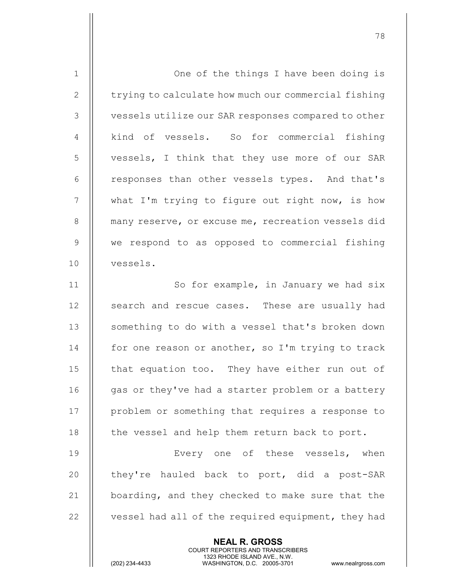| $\mathbf 1$    | One of the things I have been doing is                                                              |
|----------------|-----------------------------------------------------------------------------------------------------|
| $\mathbf{2}$   | trying to calculate how much our commercial fishing                                                 |
| 3              | vessels utilize our SAR responses compared to other                                                 |
| $\overline{4}$ | kind of vessels. So for commercial fishing                                                          |
| 5              | vessels, I think that they use more of our SAR                                                      |
| 6              | responses than other vessels types. And that's                                                      |
| $\overline{7}$ | what I'm trying to figure out right now, is how                                                     |
| 8              | many reserve, or excuse me, recreation vessels did                                                  |
| 9              | we respond to as opposed to commercial fishing                                                      |
| 10             | vessels.                                                                                            |
| 11             | So for example, in January we had six                                                               |
| 12             | search and rescue cases. These are usually had                                                      |
| 13             | something to do with a vessel that's broken down                                                    |
| 14             | for one reason or another, so I'm trying to track                                                   |
| 15             | that equation too. They have either run out of                                                      |
| 16             | gas or they've had a starter problem or a battery                                                   |
| 17             | problem or something that requires a response to                                                    |
| 18             | the vessel and help them return back to port.                                                       |
| 19             | Every one of these vessels, when                                                                    |
| 20             | they're hauled back to port, did a post-SAR                                                         |
| 21             | boarding, and they checked to make sure that the                                                    |
| 22             | vessel had all of the required equipment, they had                                                  |
|                | <b>NEAL R. GROSS</b><br><b>COURT REPORTERS AND TRANSCRIBERS</b>                                     |
|                | 1323 RHODE ISLAND AVE., N.W.<br>(202) 234-4433<br>WASHINGTON, D.C. 20005-3701<br>www.nealrgross.com |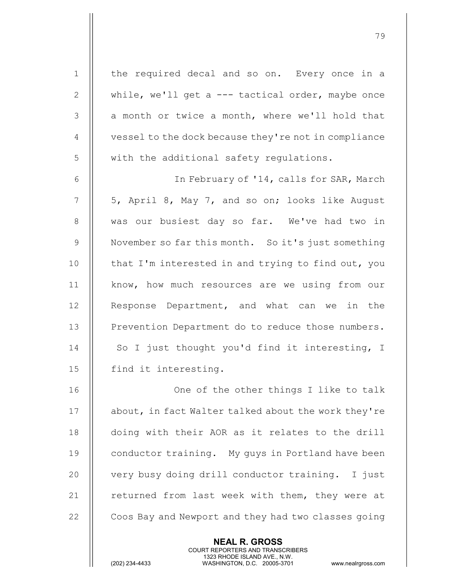1 || the required decal and so on. Every once in a 2  $\parallel$  while, we'll get a --- tactical order, maybe once  $3$  || a month or twice a month, where we'll hold that 4 | vessel to the dock because they're not in compliance  $5$   $\parallel$  with the additional safety requlations. 6 || In February of '14, calls for SAR, March  $7 \parallel 5$ , April 8, May 7, and so on; looks like August 8 || was our busiest day so far. We've had two in 9 November so far this month. So it's just something 10  $\parallel$  that I'm interested in and trying to find out, you 11 || know, how much resources are we using from our 12 || Response Department, and what can we in the 13 | Prevention Department do to reduce those numbers. 14  $\parallel$  So I just thought you'd find it interesting, I 15 || find it interesting. 16 || One of the other things I like to talk 17 | about, in fact Walter talked about the work they're 18 || doing with their AOR as it relates to the drill 19 | conductor training. My guys in Portland have been 20 || very busy doing drill conductor training. I just 21  $\parallel$  returned from last week with them, they were at 22 **Coos Bay and Newport and they had two classes going** 

> NEAL R. GROSS COURT REPORTERS AND TRANSCRIBERS

79

1323 RHODE ISLAND AVE., N.W.<br>WASHINGTON, D.C. 20005-3701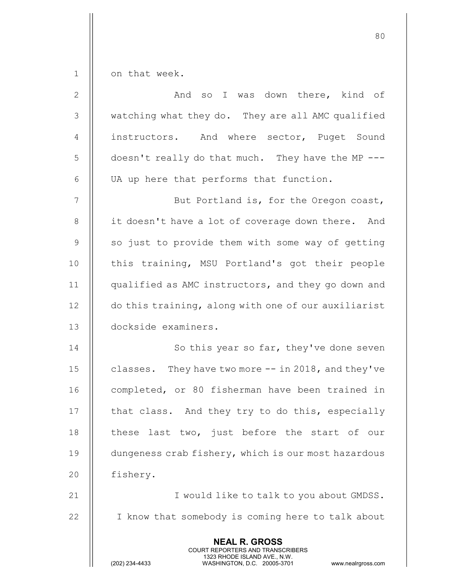$1 \parallel$  on that week.

| $\mathbf{2}$   | And so I was down there, kind of                                                                                                                                |
|----------------|-----------------------------------------------------------------------------------------------------------------------------------------------------------------|
| $\mathcal{S}$  | watching what they do. They are all AMC qualified                                                                                                               |
| $\overline{4}$ | instructors. And where sector, Puget Sound                                                                                                                      |
| 5              | doesn't really do that much. They have the MP ---                                                                                                               |
| 6              | UA up here that performs that function.                                                                                                                         |
| $\overline{7}$ | But Portland is, for the Oregon coast,                                                                                                                          |
| $\,8\,$        | it doesn't have a lot of coverage down there. And                                                                                                               |
| $\mathsf 9$    | so just to provide them with some way of getting                                                                                                                |
| 10             | this training, MSU Portland's got their people                                                                                                                  |
| 11             | qualified as AMC instructors, and they go down and                                                                                                              |
| 12             | do this training, along with one of our auxiliarist                                                                                                             |
| 13             | dockside examiners.                                                                                                                                             |
| 14             | So this year so far, they've done seven                                                                                                                         |
| 15             | classes. They have two more -- in 2018, and they've                                                                                                             |
| 16             | completed, or 80 fisherman have been trained in                                                                                                                 |
| 17             | that class. And they try to do this, especially                                                                                                                 |
| 18             | these last two, just before the start of our                                                                                                                    |
| 19             | dungeness crab fishery, which is our most hazardous                                                                                                             |
| 20             | fishery.                                                                                                                                                        |
| 21             | I would like to talk to you about GMDSS.                                                                                                                        |
| 22             | I know that somebody is coming here to talk about                                                                                                               |
|                | <b>NEAL R. GROSS</b><br>COURT REPORTERS AND TRANSCRIBERS<br>1323 RHODE ISLAND AVE., N.W.<br>(202) 234-4433<br>WASHINGTON, D.C. 20005-3701<br>www.nealrgross.com |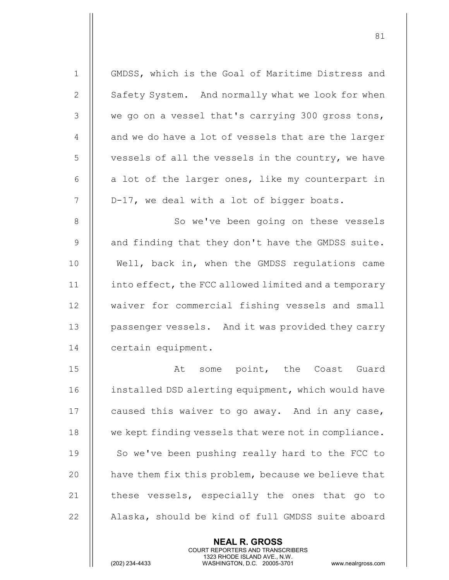| $\mathbf 1$    | GMDSS, which is the Goal of Maritime Distress and    |
|----------------|------------------------------------------------------|
| $\mathbf{2}$   | Safety System. And normally what we look for when    |
| 3              | we go on a vessel that's carrying 300 gross tons,    |
| $\overline{4}$ | and we do have a lot of vessels that are the larger  |
| 5              | vessels of all the vessels in the country, we have   |
| 6              | a lot of the larger ones, like my counterpart in     |
| 7              | D-17, we deal with a lot of bigger boats.            |
| 8              | So we've been going on these vessels                 |
| $\overline{9}$ | and finding that they don't have the GMDSS suite.    |
| 10             | Well, back in, when the GMDSS regulations came       |
| 11             | into effect, the FCC allowed limited and a temporary |
| 12             | waiver for commercial fishing vessels and small      |
| 13             | passenger vessels. And it was provided they carry    |
| 14             | certain equipment.                                   |
| 15             | some point, the Coast Guard<br>At                    |
| 16             | installed DSD alerting equipment, which would have   |
| 17             | caused this waiver to go away. And in any case,      |
| 18             | we kept finding vessels that were not in compliance. |
| 19             | So we've been pushing really hard to the FCC to      |
| 20             | have them fix this problem, because we believe that  |
| 21             | these vessels, especially the ones that go to        |
| 22             | Alaska, should be kind of full GMDSS suite aboard    |
|                |                                                      |

NEAL R. GROSS

 COURT REPORTERS AND TRANSCRIBERS 1323 RHODE ISLAND AVE., N.W.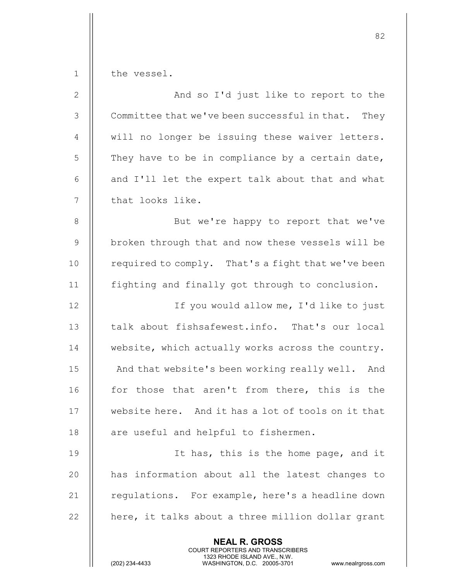NEAL R. GROSS COURT REPORTERS AND TRANSCRIBERS 1323 RHODE ISLAND AVE., N.W.<br>WASHINGTON, D.C. 20005-3701 1 | the vessel. 2 || And so I'd just like to report to the 3 | Committee that we've been successful in that. They 4 || will no longer be issuing these waiver letters.  $5$   $\parallel$  They have to be in compliance by a certain date, 6  $\parallel$  and I'll let the expert talk about that and what 7 || that looks like. 8 || But we're happy to report that we've 9 | broken through that and now these vessels will be 10  $\parallel$  required to comply. That's a fight that we've been 11 | fighting and finally got through to conclusion. 12 || If you would allow me, I'd like to just 13 || talk about fishsafewest.info. That's our local 14 | website, which actually works across the country. 15 || And that website's been working really well. And 16 || for those that aren't from there, this is the 17 || website here. And it has a lot of tools on it that  $18$  || are useful and helpful to fishermen. 19 || It has, this is the home page, and it 20 || has information about all the latest changes to 21  $\parallel$  regulations. For example, here's a headline down 22  $\parallel$  here, it talks about a three million dollar grant

82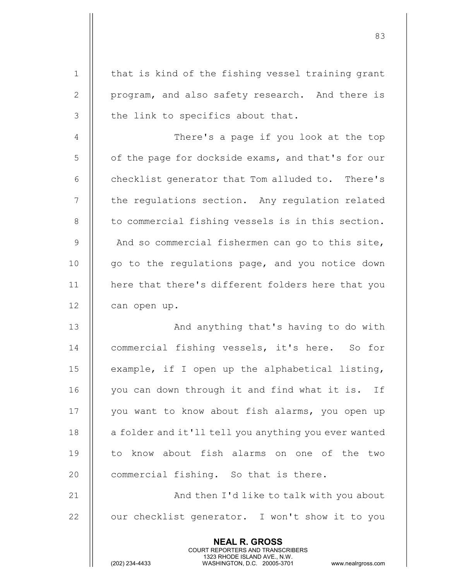| $\mathbf 1$   | that is kind of the fishing vessel training grant                                                                                                               |
|---------------|-----------------------------------------------------------------------------------------------------------------------------------------------------------------|
| $\mathbf{2}$  | program, and also safety research. And there is                                                                                                                 |
| $\mathcal{S}$ | the link to specifics about that.                                                                                                                               |
| 4             | There's a page if you look at the top                                                                                                                           |
| 5             | of the page for dockside exams, and that's for our                                                                                                              |
| 6             | checklist generator that Tom alluded to. There's                                                                                                                |
| 7             | the regulations section. Any regulation related                                                                                                                 |
| 8             | to commercial fishing vessels is in this section.                                                                                                               |
| $\mathcal{G}$ | And so commercial fishermen can go to this site,                                                                                                                |
| 10            | go to the regulations page, and you notice down                                                                                                                 |
| 11            | here that there's different folders here that you                                                                                                               |
| 12            | can open up.                                                                                                                                                    |
| 13            | And anything that's having to do with                                                                                                                           |
| 14            | commercial fishing vessels, it's here. So for                                                                                                                   |
| 15            | example, if I open up the alphabetical listing,                                                                                                                 |
| 16            | you can down through it and find what it is. If                                                                                                                 |
| 17            | you want to know about fish alarms, you open up                                                                                                                 |
| 18            | a folder and it'll tell you anything you ever wanted                                                                                                            |
| 19            | know about fish alarms on one of the two<br>to                                                                                                                  |
| 20            | commercial fishing. So that is there.                                                                                                                           |
| 21            | And then I'd like to talk with you about                                                                                                                        |
| 22            | our checklist generator. I won't show it to you                                                                                                                 |
|               | <b>NEAL R. GROSS</b><br>COURT REPORTERS AND TRANSCRIBERS<br>1323 RHODE ISLAND AVE., N.W.<br>(202) 234-4433<br>WASHINGTON, D.C. 20005-3701<br>www.nealrgross.com |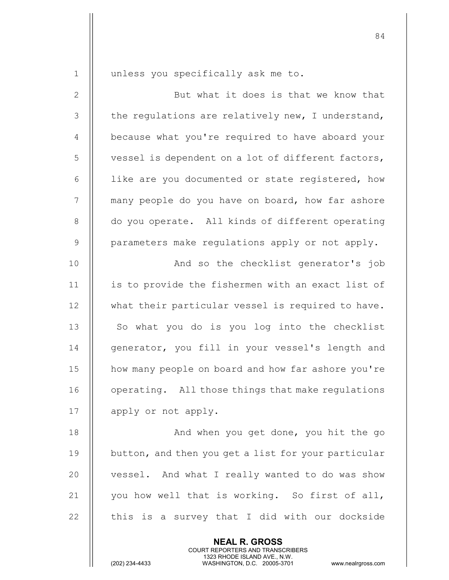1 || unless you specifically ask me to.

2 || But what it does is that we know that  $3$   $\parallel$  the regulations are relatively new, I understand, 4 | because what you're required to have aboard your  $5 \parallel$  vessel is dependent on a lot of different factors,  $6$  || like are you documented or state registered, how 7 || many people do you have on board, how far ashore 8 | do you operate. All kinds of different operating  $9$   $\parallel$  parameters make regulations apply or not apply.

10 || And so the checklist generator's job 11 || is to provide the fishermen with an exact list of 12 || what their particular vessel is required to have.  $13$   $\parallel$  So what you do is you log into the checklist 14 || generator, you fill in your vessel's length and 15 how many people on board and how far ashore you're 16 | operating. All those things that make regulations 17 || apply or not apply.

18 || And when you get done, you hit the go 19 || button, and then you get a list for your particular 20 || vessel. And what I really wanted to do was show 21  $\parallel$  you how well that is working. So first of all, 22  $\parallel$  this is a survey that I did with our dockside

> NEAL R. GROSS COURT REPORTERS AND TRANSCRIBERS

1323 RHODE ISLAND AVE., N.W.<br>WASHINGTON, D.C. 20005-3701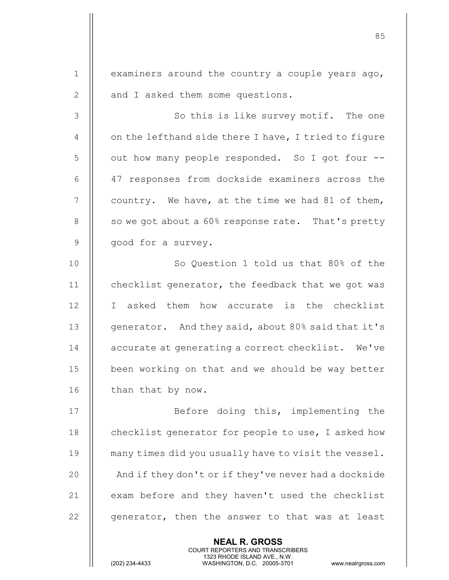| $\mathbf 1$    | examiners around the country a couple years ago,     |
|----------------|------------------------------------------------------|
| $\overline{2}$ | and I asked them some questions.                     |
| $\mathcal{S}$  | So this is like survey motif. The one                |
| $\overline{4}$ | on the lefthand side there I have, I tried to figure |
| 5              | out how many people responded. So I got four --      |
| 6              | 47 responses from dockside examiners across the      |
| 7              | country. We have, at the time we had 81 of them,     |
| $8\,$          | so we got about a 60% response rate. That's pretty   |
| $\mathsf 9$    | good for a survey.                                   |
| 10             | So Question 1 told us that 80% of the                |
| 11             | checklist generator, the feedback that we got was    |
| 12             | I asked them how accurate is the checklist           |
| 13             | generator. And they said, about 80% said that it's   |
| 14             | accurate at generating a correct checklist. We've    |
| 15             | been working on that and we should be way better     |
| 16             | than that by now.                                    |
| 17             | Before doing this, implementing the                  |
| 18             | checklist generator for people to use, I asked how   |
| 19             | many times did you usually have to visit the vessel. |
| 20             | And if they don't or if they've never had a dockside |
| 21             | exam before and they haven't used the checklist      |
| 22             | generator, then the answer to that was at least      |
|                |                                                      |

NEAL R. GROSS

 COURT REPORTERS AND TRANSCRIBERS 1323 RHODE ISLAND AVE., N.W.

en and the state of the state of the state of the state of the state of the state of the state of the state of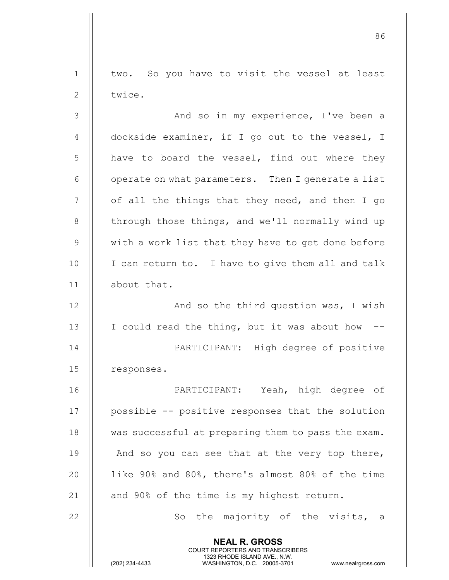<u>86 and 2001 and 2002 and 2003 and 2003 and 2004 and 2004 and 2004 and 2004 and 2004 and 2004 and 2004 and 200</u> NEAL R. GROSS COURT REPORTERS AND TRANSCRIBERS 1323 RHODE ISLAND AVE., N.W.<br>WASHINGTON, D.C. 20005-3701 WASHINGTON, D.C. 20005-3701 www.nealrgross.com 1 || two. So you have to visit the vessel at least 2 | twice. 3 And so in my experience, I've been a 4  $\parallel$  dockside examiner, if I go out to the vessel, I  $5$  | have to board the vessel, find out where they  $6$   $\parallel$  operate on what parameters. Then I generate a list  $7 \parallel$  of all the things that they need, and then I go 8 | through those things, and we'll normally wind up 9 || with a work list that they have to get done before 10 || I can return to. I have to give them all and talk 11 about that. 12 || And so the third question was, I wish 13  $\parallel$  I could read the thing, but it was about how --14 PARTICIPANT: High degree of positive 15 || responses. 16 PARTICIPANT: Yeah, high degree of 17 || possible -- positive responses that the solution 18 || was successful at preparing them to pass the exam. 19  $\parallel$  And so you can see that at the very top there, 20  $\parallel$  like 90% and 80%, there's almost 80% of the time 21  $\parallel$  and 90% of the time is my highest return. 22 || So the majority of the visits, a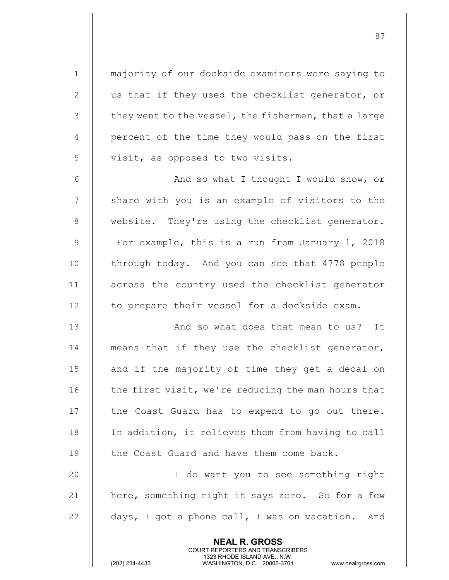1 || majority of our dockside examiners were saying to 2 || us that if they used the checklist generator, or  $3$   $\parallel$  they went to the vessel, the fishermen, that a large 4 || percent of the time they would pass on the first 5 | visit, as opposed to two visits.

6 | Robert Change State And so what I thought I would show, or 7 || share with you is an example of visitors to the 8 || website. They're using the checklist generator. 9 | For example, this is a run from January 1, 2018 10 || through today. And you can see that 4778 people 11 || across the country used the checklist generator  $12$  | to prepare their vessel for a dockside exam.

13 || And so what does that mean to us? It 14  $\parallel$  means that if they use the checklist generator, 15  $\parallel$  and if the majority of time they get a decal on 16 | the first visit, we're reducing the man hours that 17 | the Coast Guard has to expend to go out there. 18 | In addition, it relieves them from having to call 19 **the Coast Guard and have them come back.** 

20 I do want you to see something right 21  $\parallel$  here, something right it says zero. So for a few 22  $\parallel$  days, I got a phone call, I was on vacation. And

> NEAL R. GROSS COURT REPORTERS AND TRANSCRIBERS

1323 RHODE ISLAND AVE., N.W.<br>WASHINGTON, D.C. 20005-3701

WASHINGTON, D.C. 20005-3701 www.nealrgross.com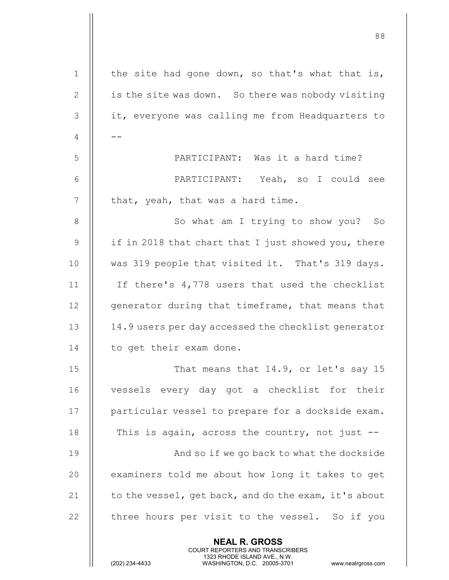|              | 88                                                                                                                                                                     |
|--------------|------------------------------------------------------------------------------------------------------------------------------------------------------------------------|
| $\mathbf{1}$ | the site had gone down, so that's what that is,                                                                                                                        |
| $\mathbf{2}$ | is the site was down. So there was nobody visiting                                                                                                                     |
| 3            | it, everyone was calling me from Headquarters to                                                                                                                       |
| 4            |                                                                                                                                                                        |
| 5            | PARTICIPANT: Was it a hard time?                                                                                                                                       |
| 6            | PARTICIPANT: Yeah, so I could see                                                                                                                                      |
| 7            | that, yeah, that was a hard time.                                                                                                                                      |
| $8\,$        | So what am I trying to show you? So                                                                                                                                    |
| 9            | if in 2018 that chart that I just showed you, there                                                                                                                    |
| 10           | was 319 people that visited it. That's 319 days.                                                                                                                       |
| 11           | If there's 4,778 users that used the checklist                                                                                                                         |
| 12           | generator during that timeframe, that means that                                                                                                                       |
| 13           | 14.9 users per day accessed the checklist generator                                                                                                                    |
| 14           | to get their exam done.                                                                                                                                                |
| 15           | That means that 14.9, or let's say 15                                                                                                                                  |
| 16           | vessels every day got a checklist for their                                                                                                                            |
| 17           | particular vessel to prepare for a dockside exam.                                                                                                                      |
| 18           | This is again, across the country, not just $-$                                                                                                                        |
| 19           | And so if we go back to what the dockside                                                                                                                              |
| 20           | examiners told me about how long it takes to get                                                                                                                       |
| 21           | to the vessel, get back, and do the exam, it's about                                                                                                                   |
| 22           | three hours per visit to the vessel. So if you                                                                                                                         |
|              | <b>NEAL R. GROSS</b><br><b>COURT REPORTERS AND TRANSCRIBERS</b><br>1323 RHODE ISLAND AVE., N.W.<br>(202) 234-4433<br>WASHINGTON, D.C. 20005-3701<br>www.nealrgross.com |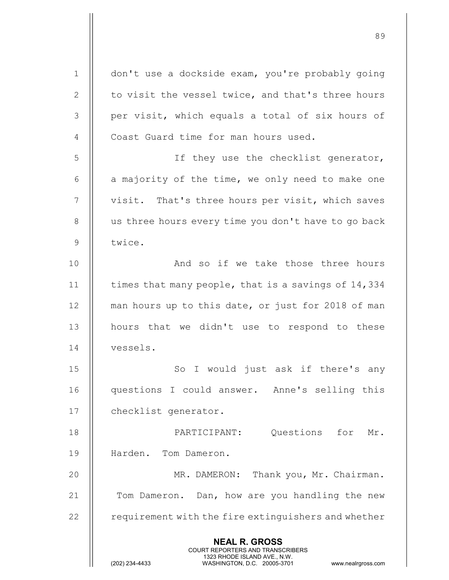NEAL R. GROSS COURT REPORTERS AND TRANSCRIBERS 1323 RHODE ISLAND AVE., N.W.<br>WASHINGTON, D.C. 20005-3701 WASHINGTON, D.C. 20005-3701 www.nealrgross.com 1 | don't use a dockside exam, you're probably going 2  $\parallel$  to visit the vessel twice, and that's three hours 3 || per visit, which equals a total of six hours of 4 || Coast Guard time for man hours used. 5 || Tf they use the checklist generator,  $6$  || a majority of the time, we only need to make one 7 | visit. That's three hours per visit, which saves  $8$  || us three hours every time you don't have to go back 9 Il twice. 10 || And so if we take those three hours 11  $\parallel$  times that many people, that is a savings of 14,334 12 || man hours up to this date, or just for 2018 of man 13 || hours that we didn't use to respond to these 14 vessels. 15 || So I would just ask if there's any 16 questions I could answer. Anne's selling this 17 | checklist generator. 18 PARTICIPANT: Questions for Mr. 19 Harden. Tom Dameron. 20 || MR. DAMERON: Thank you, Mr. Chairman. 21 | Tom Dameron. Dan, how are you handling the new 22 | requirement with the fire extinguishers and whether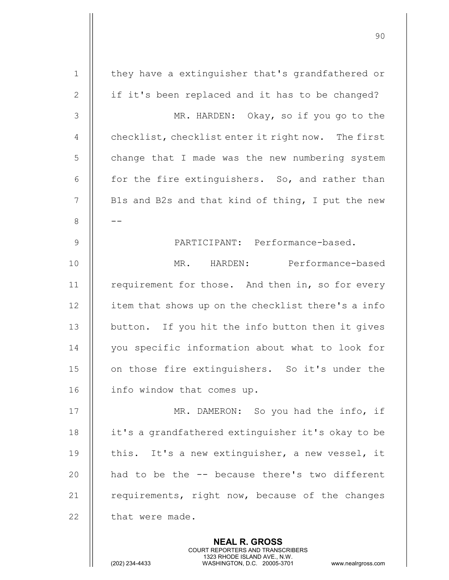| $\mathbf{1}$   | they have a extinguisher that's grandfathered or                                                                                                                |
|----------------|-----------------------------------------------------------------------------------------------------------------------------------------------------------------|
| $\mathbf{2}$   | if it's been replaced and it has to be changed?                                                                                                                 |
| $\mathfrak{Z}$ | MR. HARDEN: Okay, so if you go to the                                                                                                                           |
| $\overline{4}$ | checklist, checklist enter it right now. The first                                                                                                              |
| 5              | change that I made was the new numbering system                                                                                                                 |
| $6\,$          | for the fire extinguishers. So, and rather than                                                                                                                 |
| $\overline{7}$ | Bls and B2s and that kind of thing, I put the new                                                                                                               |
| $8\,$          |                                                                                                                                                                 |
| 9              | PARTICIPANT: Performance-based.                                                                                                                                 |
| 10             | MR. HARDEN: Performance-based                                                                                                                                   |
| 11             | requirement for those. And then in, so for every                                                                                                                |
| 12             | item that shows up on the checklist there's a info                                                                                                              |
| 13             | button. If you hit the info button then it gives                                                                                                                |
| 14             | you specific information about what to look for                                                                                                                 |
| 15             | on those fire extinguishers. So it's under the                                                                                                                  |
| 16             | info window that comes up.                                                                                                                                      |
| 17             | MR. DAMERON: So you had the info, if                                                                                                                            |
| 18             | it's a grandfathered extinguisher it's okay to be                                                                                                               |
| 19             | this. It's a new extinguisher, a new vessel, it                                                                                                                 |
| 20             | had to be the -- because there's two different                                                                                                                  |
| 21             | requirements, right now, because of the changes                                                                                                                 |
| 22             | that were made.                                                                                                                                                 |
|                | <b>NEAL R. GROSS</b><br>COURT REPORTERS AND TRANSCRIBERS<br>1323 RHODE ISLAND AVE., N.W.<br>(202) 234-4433<br>WASHINGTON, D.C. 20005-3701<br>www.nealrgross.com |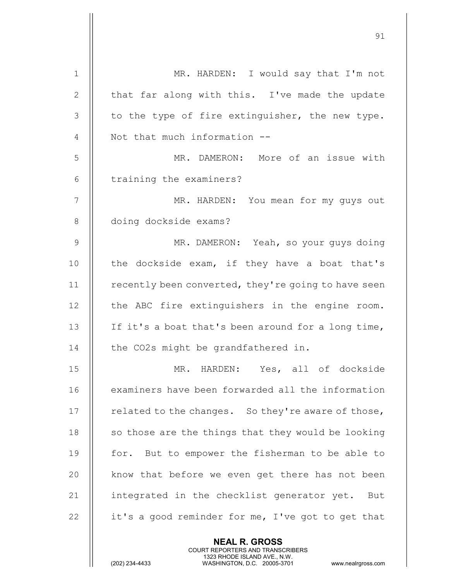| $\mathbf 1$    | MR. HARDEN: I would say that I'm not                |
|----------------|-----------------------------------------------------|
| 2              | that far along with this. I've made the update      |
| 3              | to the type of fire extinguisher, the new type.     |
| $\overline{4}$ | Not that much information --                        |
| 5              | MR. DAMERON: More of an issue with                  |
| 6              | training the examiners?                             |
| 7              | MR. HARDEN: You mean for my guys out                |
| $8\,$          | doing dockside exams?                               |
| $\mathsf 9$    | MR. DAMERON: Yeah, so your guys doing               |
| 10             | the dockside exam, if they have a boat that's       |
| 11             | recently been converted, they're going to have seen |
| 12             | the ABC fire extinguishers in the engine room.      |
| 13             | If it's a boat that's been around for a long time,  |
| 14             | the CO2s might be grandfathered in.                 |
| 15             | MR. HARDEN:<br>Yes, all of dockside                 |
| 16             | examiners have been forwarded all the information   |
| 17             | related to the changes. So they're aware of those,  |
| 18             | so those are the things that they would be looking  |
| 19             | for. But to empower the fisherman to be able to     |
| 20             | know that before we even get there has not been     |
| 21             | integrated in the checklist generator yet. But      |
| 22             | it's a good reminder for me, I've got to get that   |
|                | <b>NEAL R. GROSS</b>                                |

 COURT REPORTERS AND TRANSCRIBERS 1323 RHODE ISLAND AVE., N.W.

 $\prod$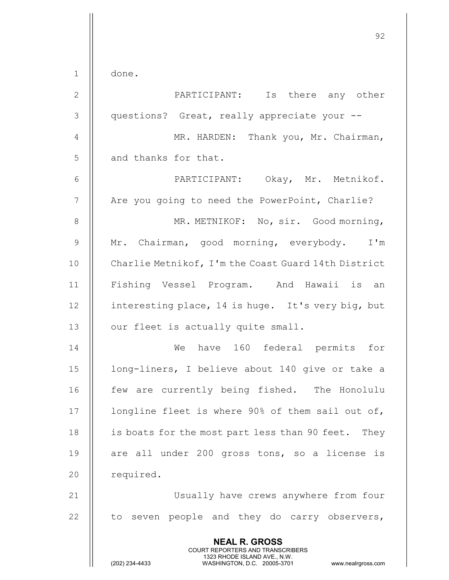|              | 92                                                                                                                                                                     |
|--------------|------------------------------------------------------------------------------------------------------------------------------------------------------------------------|
| $\mathbf{1}$ | done.                                                                                                                                                                  |
| $\mathbf{2}$ | PARTICIPANT: Is there any other                                                                                                                                        |
| 3            | questions? Great, really appreciate your --                                                                                                                            |
| 4            | MR. HARDEN: Thank you, Mr. Chairman,                                                                                                                                   |
|              |                                                                                                                                                                        |
| 5            | and thanks for that.                                                                                                                                                   |
| 6            | PARTICIPANT: Okay, Mr. Metnikof.                                                                                                                                       |
| 7            | Are you going to need the PowerPoint, Charlie?                                                                                                                         |
| $8\,$        | MR. METNIKOF: No, sir. Good morning,                                                                                                                                   |
| $\mathsf 9$  | Mr. Chairman, good morning, everybody. I'm                                                                                                                             |
| 10           | Charlie Metnikof, I'm the Coast Guard 14th District                                                                                                                    |
| 11           | Fishing Vessel Program. And Hawaii is an                                                                                                                               |
| 12           | interesting place, 14 is huge. It's very big, but                                                                                                                      |
| 13           | our fleet is actually quite small.                                                                                                                                     |
| 14           | have 160 federal permits for<br>We                                                                                                                                     |
| 15           | long-liners, I believe about 140 give or take a                                                                                                                        |
| 16           | few are currently being fished. The Honolulu                                                                                                                           |
| 17           | longline fleet is where 90% of them sail out of,                                                                                                                       |
| 18           | is boats for the most part less than 90 feet. They                                                                                                                     |
| 19           | are all under 200 gross tons, so a license is                                                                                                                          |
| 20           | required.                                                                                                                                                              |
| 21           | Usually have crews anywhere from four                                                                                                                                  |
| 22           | to seven people and they do carry observers,                                                                                                                           |
|              | <b>NEAL R. GROSS</b><br><b>COURT REPORTERS AND TRANSCRIBERS</b><br>1323 RHODE ISLAND AVE., N.W.<br>(202) 234-4433<br>WASHINGTON, D.C. 20005-3701<br>www.nealrgross.com |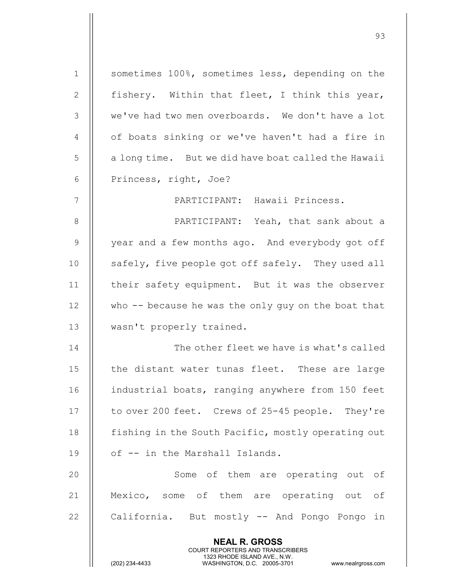| $\mathbf 1$ | sometimes 100%, sometimes less, depending on the                                                                                                                |
|-------------|-----------------------------------------------------------------------------------------------------------------------------------------------------------------|
| 2           | fishery. Within that fleet, I think this year,                                                                                                                  |
| 3           | we've had two men overboards. We don't have a lot                                                                                                               |
| 4           | of boats sinking or we've haven't had a fire in                                                                                                                 |
| 5           | a long time. But we did have boat called the Hawaii                                                                                                             |
| 6           | Princess, right, Joe?                                                                                                                                           |
| 7           | PARTICIPANT: Hawaii Princess.                                                                                                                                   |
| 8           | PARTICIPANT: Yeah, that sank about a                                                                                                                            |
| 9           | year and a few months ago. And everybody got off                                                                                                                |
| 10          | safely, five people got off safely. They used all                                                                                                               |
| 11          | their safety equipment. But it was the observer                                                                                                                 |
| 12          | who -- because he was the only guy on the boat that                                                                                                             |
| 13          | wasn't properly trained.                                                                                                                                        |
| 14          | The other fleet we have is what's called                                                                                                                        |
| 15          | the distant water tunas fleet. These are large                                                                                                                  |
| 16          | industrial boats, ranging anywhere from 150 feet                                                                                                                |
| 17          | to over 200 feet. Crews of 25-45 people. They're                                                                                                                |
| 18          | fishing in the South Pacific, mostly operating out                                                                                                              |
| 19          | of -- in the Marshall Islands.                                                                                                                                  |
| 20          | Some of them are operating out of                                                                                                                               |
| 21          | Mexico, some of them are operating out of                                                                                                                       |
| 22          | California. But mostly -- And Pongo Pongo in                                                                                                                    |
|             | <b>NEAL R. GROSS</b><br>COURT REPORTERS AND TRANSCRIBERS<br>1323 RHODE ISLAND AVE., N.W.<br>(202) 234-4433<br>WASHINGTON, D.C. 20005-3701<br>www.nealrgross.com |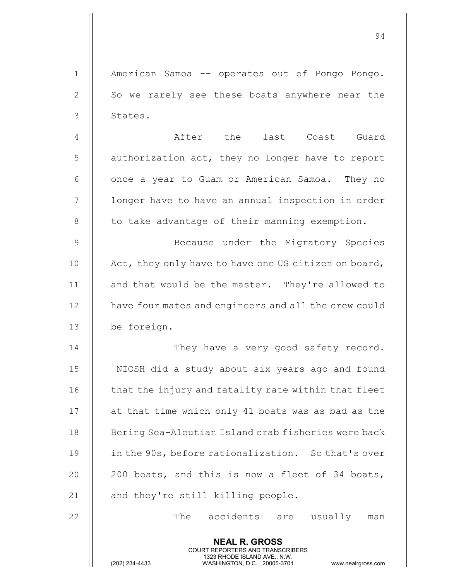NEAL R. GROSS COURT REPORTERS AND TRANSCRIBERS 1323 RHODE ISLAND AVE., N.W.<br>WASHINGTON, D.C. 20005-3701 1 || American Samoa -- operates out of Pongo Pongo. 2 || So we rarely see these boats anywhere near the 3 | States. 4 After the last Coast Guard  $5$  | authorization act, they no longer have to report 6 | once a year to Guam or American Samoa. They no 7 | | longer have to have an annual inspection in order  $8$  || to take advantage of their manning exemption. 9 || Because under the Migratory Species 10 || Act, they only have to have one US citizen on board, 11 || and that would be the master. They're allowed to 12 | have four mates and engineers and all the crew could 13 be foreign. 14 || They have a very good safety record. 15 || NIOSH did a study about six years ago and found 16 | that the injury and fatality rate within that fleet 17 || at that time which only 41 boats was as bad as the 18 || Bering Sea-Aleutian Island crab fisheries were back 19 || in the 90s, before rationalization. So that's over 20  $\parallel$  200 boats, and this is now a fleet of 34 boats, 21  $\parallel$  and they're still killing people. 22 The accidents are usually man

94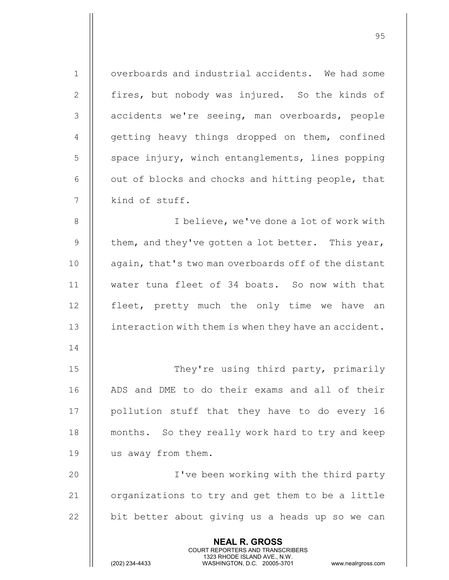| $\mathbf 1$  | overboards and industrial accidents. We had some                                                                                                                       |
|--------------|------------------------------------------------------------------------------------------------------------------------------------------------------------------------|
| $\mathbf{2}$ | fires, but nobody was injured. So the kinds of                                                                                                                         |
| 3            | accidents we're seeing, man overboards, people                                                                                                                         |
| 4            | getting heavy things dropped on them, confined                                                                                                                         |
| 5            | space injury, winch entanglements, lines popping                                                                                                                       |
| 6            | out of blocks and chocks and hitting people, that                                                                                                                      |
| 7            | kind of stuff.                                                                                                                                                         |
| $\,8\,$      | I believe, we've done a lot of work with                                                                                                                               |
| $\mathsf 9$  | them, and they've gotten a lot better. This year,                                                                                                                      |
| 10           | again, that's two man overboards off of the distant                                                                                                                    |
| 11           | water tuna fleet of 34 boats. So now with that                                                                                                                         |
| 12           | fleet, pretty much the only time we have an                                                                                                                            |
| 13           | interaction with them is when they have an accident.                                                                                                                   |
| 14           |                                                                                                                                                                        |
| 15           | They're using third party, primarily                                                                                                                                   |
| 16           | ADS and DME to do their exams and all of their                                                                                                                         |
| 17           | pollution stuff that they have to do every 16                                                                                                                          |
| 18           | months. So they really work hard to try and keep                                                                                                                       |
| 19           | us away from them.                                                                                                                                                     |
| 20           | I've been working with the third party                                                                                                                                 |
| 21           | organizations to try and get them to be a little                                                                                                                       |
| 22           | bit better about giving us a heads up so we can                                                                                                                        |
|              | <b>NEAL R. GROSS</b><br><b>COURT REPORTERS AND TRANSCRIBERS</b><br>1323 RHODE ISLAND AVE., N.W.<br>(202) 234-4433<br>WASHINGTON, D.C. 20005-3701<br>www.nealrgross.com |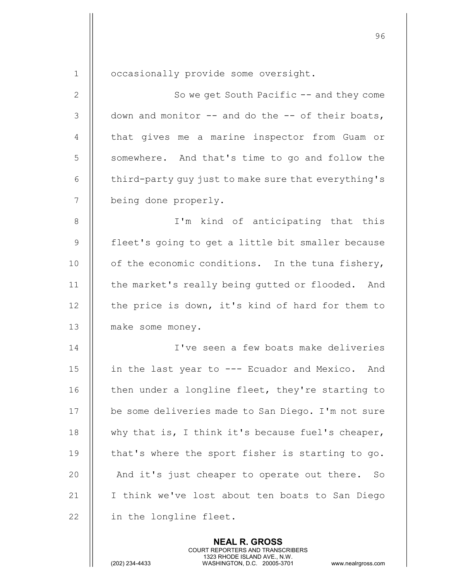| $\mathbf{1}$   | occasionally provide some oversight.                  |
|----------------|-------------------------------------------------------|
| 2              | So we get South Pacific $-$ and they come             |
| $\mathcal{S}$  | down and monitor $--$ and do the $--$ of their boats, |
| $\overline{4}$ | that gives me a marine inspector from Guam or         |
| 5              | somewhere. And that's time to go and follow the       |
| 6              | third-party guy just to make sure that everything's   |
| 7              | being done properly.                                  |
| $8\,$          | I'm kind of anticipating that this                    |
| $\mathsf 9$    | fleet's going to get a little bit smaller because     |
| 10             | of the economic conditions. In the tuna fishery,      |
| 11             | the market's really being gutted or flooded. And      |
| 12             | the price is down, it's kind of hard for them to      |
| 13             | make some money.                                      |
| 14             | I've seen a few boats make deliveries                 |
| 15             | in the last year to --- Ecuador and Mexico. And       |
| 16             | then under a longline fleet, they're starting to      |
| 17             | be some deliveries made to San Diego. I'm not sure    |
| $18\,$         | why that is, I think it's because fuel's cheaper,     |
| 19             | that's where the sport fisher is starting to go.      |
| 20             | And it's just cheaper to operate out there. So        |
| 21             | I think we've lost about ten boats to San Diego       |
| 22             | in the longline fleet.                                |
|                |                                                       |

NEAL R. GROSS

 COURT REPORTERS AND TRANSCRIBERS 1323 RHODE ISLAND AVE., N.W.

е процесс в политическиот село в 1963 година в 1963 година в 1963 година в 1963 година в 1964 година в 1964 го<br>В 1964 година в 1964 година в 1964 година в 1964 година в 1964 година в 1964 година в 1964 година в 1964 годин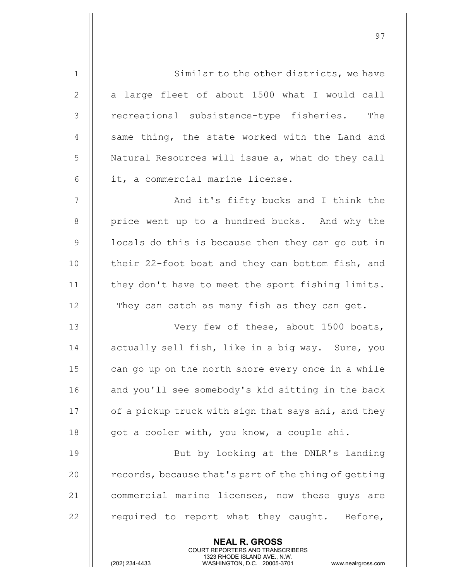| $\mathbf{1}$    | Similar to the other districts, we have                  |
|-----------------|----------------------------------------------------------|
| $\mathbf{2}$    | a large fleet of about 1500 what I would call            |
| 3               | recreational subsistence-type fisheries.<br>The          |
| $\overline{4}$  | same thing, the state worked with the Land and           |
| 5               | Natural Resources will issue a, what do they call        |
| 6               | it, a commercial marine license.                         |
| $7\phantom{.0}$ | And it's fifty bucks and I think the                     |
| 8               | price went up to a hundred bucks. And why the            |
| $\overline{9}$  | locals do this is because then they can go out in        |
| 10              | their 22-foot boat and they can bottom fish, and         |
| 11              | they don't have to meet the sport fishing limits.        |
| 12              | They can catch as many fish as they can get.             |
| 13              | Very few of these, about 1500 boats,                     |
| 14              | actually sell fish, like in a big way. Sure, you         |
| 15              | can go up on the north shore every once in a while       |
| 16              | and you'll see somebody's kid sitting in the back        |
| 17              | of a pickup truck with sign that says ahi, and they      |
| 18              | got a cooler with, you know, a couple ahi.               |
| 19              | But by looking at the DNLR's landing                     |
| 20              | records, because that's part of the thing of getting     |
| 21              | commercial marine licenses, now these guys are           |
| 22              | required to report what they caught. Before,             |
|                 | <b>NEAL R. GROSS</b><br>COURT REPORTERS AND TRANSCRIBERS |

 $\prod$ 

1323 RHODE ISLAND AVE., N.W.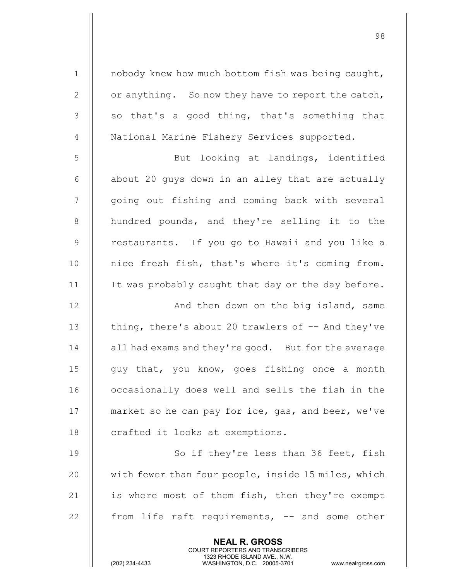NEAL R. GROSS COURT REPORTERS AND TRANSCRIBERS 1 | nobody knew how much bottom fish was being caught, 2  $\parallel$  or anything. So now they have to report the catch,  $3 \parallel$  so that's a good thing, that's something that 4 | National Marine Fishery Services supported. 5 || But looking at landings, identified 6  $\parallel$  about 20 guys down in an alley that are actually 7 || going out fishing and coming back with several 8 || hundred pounds, and they're selling it to the 9 || restaurants. If you go to Hawaii and you like a 10 || nice fresh fish, that's where it's coming from. 11 | It was probably caught that day or the day before. 12 || And then down on the big island, same 13 || thing, there's about 20 trawlers of -- And they've 14 | all had exams and they're good. But for the average 15  $\parallel$  quy that, you know, goes fishing once a month 16 | occasionally does well and sells the fish in the 17 || market so he can pay for ice, gas, and beer, we've 18 | crafted it looks at exemptions. 19 || So if they're less than 36 feet, fish 20 || with fewer than four people, inside 15 miles, which 21  $\parallel$  is where most of them fish, then they're exempt 22  $\parallel$  from life raft requirements,  $-$  and some other

98

1323 RHODE ISLAND AVE., N.W.<br>WASHINGTON, D.C. 20005-3701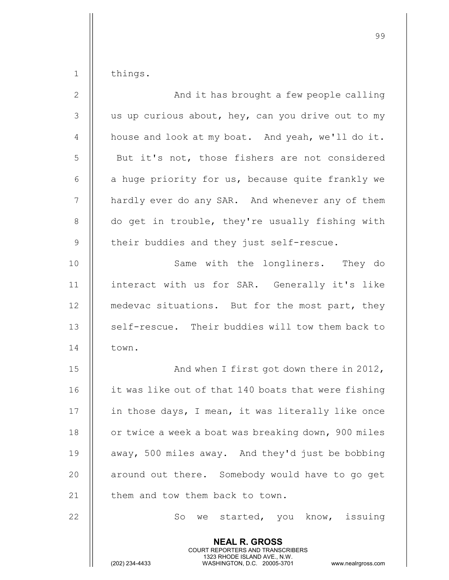1 | things.

| $\mathbf{2}$ | And it has brought a few people calling                                                                                                                                |
|--------------|------------------------------------------------------------------------------------------------------------------------------------------------------------------------|
| 3            | us up curious about, hey, can you drive out to my                                                                                                                      |
| 4            | house and look at my boat. And yeah, we'll do it.                                                                                                                      |
| 5            | But it's not, those fishers are not considered                                                                                                                         |
| 6            | a huge priority for us, because quite frankly we                                                                                                                       |
| 7            | hardly ever do any SAR. And whenever any of them                                                                                                                       |
| $\,8\,$      | do get in trouble, they're usually fishing with                                                                                                                        |
| $\mathsf 9$  | their buddies and they just self-rescue.                                                                                                                               |
| 10           | Same with the longliners. They do                                                                                                                                      |
| 11           | interact with us for SAR. Generally it's like                                                                                                                          |
| 12           | medevac situations. But for the most part, they                                                                                                                        |
| 13           | self-rescue. Their buddies will tow them back to                                                                                                                       |
| 14           | town.                                                                                                                                                                  |
| 15           | And when I first got down there in 2012,                                                                                                                               |
| 16           | it was like out of that 140 boats that were fishing                                                                                                                    |
| 17           | in those days, I mean, it was literally like once                                                                                                                      |
| 18           | or twice a week a boat was breaking down, 900 miles                                                                                                                    |
| 19           | away, 500 miles away. And they'd just be bobbing                                                                                                                       |
| 20           | around out there. Somebody would have to go get                                                                                                                        |
| 21           | them and tow them back to town.                                                                                                                                        |
| 22           | we started, you know, issuing<br>So                                                                                                                                    |
|              | <b>NEAL R. GROSS</b><br><b>COURT REPORTERS AND TRANSCRIBERS</b><br>1323 RHODE ISLAND AVE., N.W.<br>(202) 234-4433<br>WASHINGTON, D.C. 20005-3701<br>www.nealrgross.com |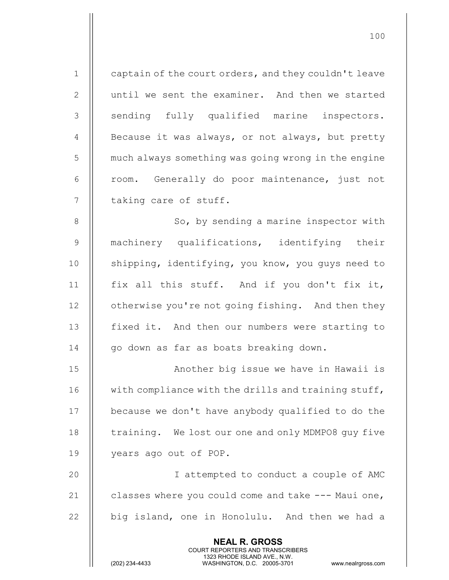NEAL R. GROSS COURT REPORTERS AND TRANSCRIBERS 1 | captain of the court orders, and they couldn't leave 2 || until we sent the examiner. And then we started 3 || sending fully qualified marine inspectors. 4  $\parallel$  Because it was always, or not always, but pretty 5 | much always something was going wrong in the engine 6 || room. Generally do poor maintenance, just not 7 | taking care of stuff. 8 || So, by sending a marine inspector with 9 machinery qualifications, identifying their 10 || shipping, identifying, you know, you guys need to 11  $\parallel$  fix all this stuff. And if you don't fix it, 12 | otherwise you're not going fishing. And then they 13 || fixed it. And then our numbers were starting to 14 || qo down as far as boats breaking down. 15 Another big issue we have in Hawaii is 16 | with compliance with the drills and training stuff, 17 | because we don't have anybody qualified to do the 18 || training. We lost our one and only MDMPO8 guy five 19 || years ago out of POP. 20 || **I** attempted to conduct a couple of AMC 21  $\parallel$  classes where you could come and take --- Maui one,  $22$   $\parallel$  big island, one in Honolulu. And then we had a

100

1323 RHODE ISLAND AVE., N.W.<br>WASHINGTON, D.C. 20005-3701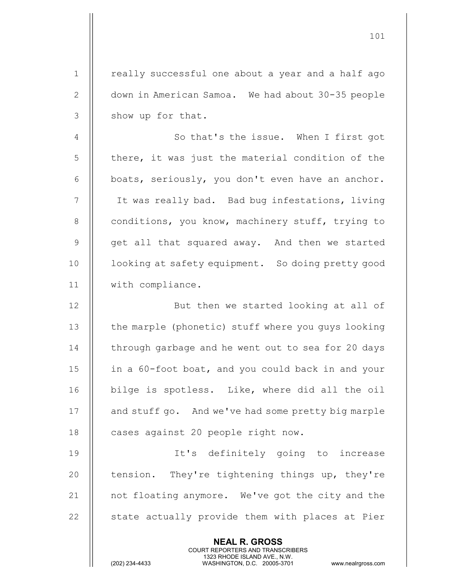| $\mathbf 1$    | really successful one about a year and a half ago                                                                                                               |
|----------------|-----------------------------------------------------------------------------------------------------------------------------------------------------------------|
| $\mathbf{2}$   | down in American Samoa. We had about 30-35 people                                                                                                               |
| $\mathcal{S}$  | show up for that.                                                                                                                                               |
| $\overline{4}$ | So that's the issue. When I first got                                                                                                                           |
| 5              | there, it was just the material condition of the                                                                                                                |
| 6              | boats, seriously, you don't even have an anchor.                                                                                                                |
| $\overline{7}$ | It was really bad. Bad bug infestations, living                                                                                                                 |
| 8              | conditions, you know, machinery stuff, trying to                                                                                                                |
| 9              | get all that squared away. And then we started                                                                                                                  |
| 10             | looking at safety equipment. So doing pretty good                                                                                                               |
| 11             | with compliance.                                                                                                                                                |
| 12             | But then we started looking at all of                                                                                                                           |
| 13             | the marple (phonetic) stuff where you guys looking                                                                                                              |
| 14             | through garbage and he went out to sea for 20 days                                                                                                              |
| 15             | in a 60-foot boat, and you could back in and your                                                                                                               |
| 16             | bilge is spotless. Like, where did all the oil                                                                                                                  |
| 17             | and stuff go. And we've had some pretty big marple                                                                                                              |
| 18             | cases against 20 people right now.                                                                                                                              |
| 19             | It's definitely going to increase                                                                                                                               |
| 20             | tension. They're tightening things up, they're                                                                                                                  |
| 21             | not floating anymore. We've got the city and the                                                                                                                |
| 22             | state actually provide them with places at Pier                                                                                                                 |
|                | <b>NEAL R. GROSS</b><br>COURT REPORTERS AND TRANSCRIBERS<br>1323 RHODE ISLAND AVE., N.W.<br>(202) 234-4433<br>WASHINGTON, D.C. 20005-3701<br>www.nealrgross.com |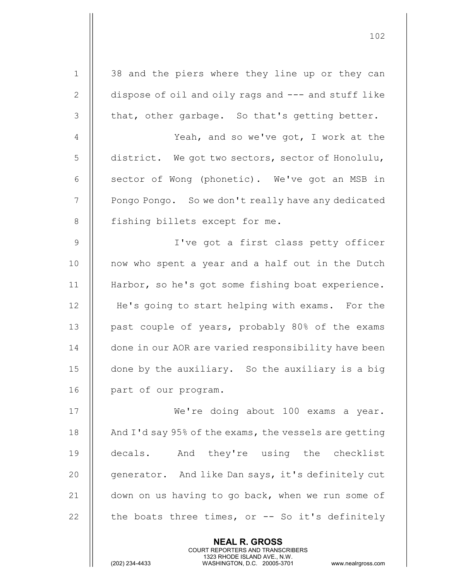| $\mathbf 1$   | 38 and the piers where they line up or they can       |
|---------------|-------------------------------------------------------|
| 2             | dispose of oil and oily rags and --- and stuff like   |
| 3             | that, other garbage. So that's getting better.        |
| 4             | Yeah, and so we've got, I work at the                 |
| 5             | district. We got two sectors, sector of Honolulu,     |
| 6             | sector of Wong (phonetic). We've got an MSB in        |
| 7             | Pongo Pongo. So we don't really have any dedicated    |
| 8             | fishing billets except for me.                        |
| $\mathcal{G}$ | I've got a first class petty officer                  |
| 10            | now who spent a year and a half out in the Dutch      |
| 11            | Harbor, so he's got some fishing boat experience.     |
| 12            | He's going to start helping with exams. For the       |
| 13            | past couple of years, probably 80% of the exams       |
| 14            | done in our AOR are varied responsibility have been   |
| 15            | done by the auxiliary. So the auxiliary is a big      |
| 16            | part of our program.                                  |
| 17            | We're doing about 100 exams a year.                   |
| 18            | And I'd say 95% of the exams, the vessels are getting |
| 19            | decals. And they're using the checklist               |
| 20            | generator. And like Dan says, it's definitely cut     |
| 21            | down on us having to go back, when we run some of     |
| 22            | the boats three times, or -- So it's definitely       |
|               | <b>NEAL R. GROSS</b>                                  |

 COURT REPORTERS AND TRANSCRIBERS 1323 RHODE ISLAND AVE., N.W.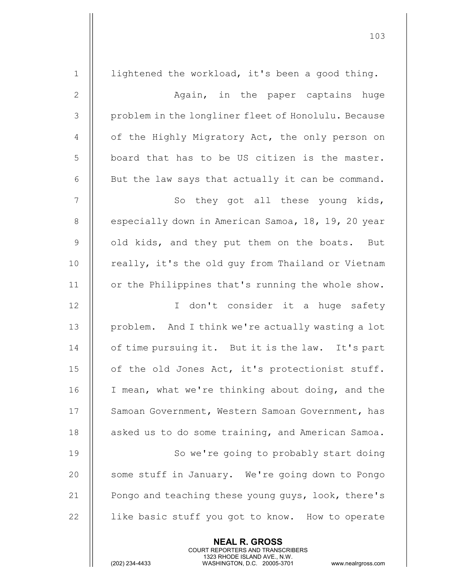| $1\,$          | lightened the workload, it's been a good thing.     |
|----------------|-----------------------------------------------------|
| $\mathbf{2}$   | Again, in the paper captains huge                   |
| 3              | problem in the longliner fleet of Honolulu. Because |
| $\overline{4}$ | of the Highly Migratory Act, the only person on     |
| 5              | board that has to be US citizen is the master.      |
| 6              | But the law says that actually it can be command.   |
| $\overline{7}$ | So they got all these young kids,                   |
| $\,8\,$        | especially down in American Samoa, 18, 19, 20 year  |
| $\mathsf 9$    | old kids, and they put them on the boats. But       |
| 10             | really, it's the old guy from Thailand or Vietnam   |
| 11             | or the Philippines that's running the whole show.   |
| 12             | I don't consider it a huge safety                   |
| 13             | problem. And I think we're actually wasting a lot   |
| 14             | of time pursuing it. But it is the law. It's part   |
| 15             | of the old Jones Act, it's protectionist stuff.     |
| 16             | I mean, what we're thinking about doing, and the    |
| 17             | Samoan Government, Western Samoan Government, has   |
| 18             | asked us to do some training, and American Samoa.   |
| 19             | So we're going to probably start doing              |
| 20             | some stuff in January. We're going down to Pongo    |
| 21             | Pongo and teaching these young guys, look, there's  |
| 22             | like basic stuff you got to know. How to operate    |
|                | <b>NEAL R. GROSS</b>                                |

 COURT REPORTERS AND TRANSCRIBERS 1323 RHODE ISLAND AVE., N.W.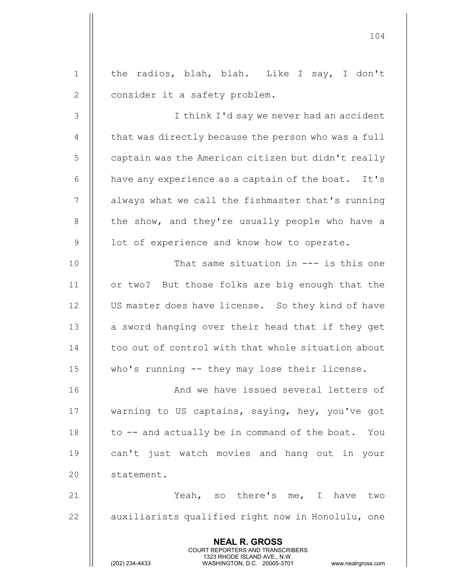|                | 104                                                                                                                                                                    |
|----------------|------------------------------------------------------------------------------------------------------------------------------------------------------------------------|
| $\mathbf{1}$   | the radios, blah, blah. Like I say, I don't                                                                                                                            |
| $\mathbf{2}$   | consider it a safety problem.                                                                                                                                          |
| $\mathfrak{Z}$ | I think I'd say we never had an accident                                                                                                                               |
| 4              | that was directly because the person who was a full                                                                                                                    |
| 5              | captain was the American citizen but didn't really                                                                                                                     |
| 6              | have any experience as a captain of the boat. It's                                                                                                                     |
| 7              | always what we call the fishmaster that's running                                                                                                                      |
| $8\,$          | the show, and they're usually people who have a                                                                                                                        |
| $\mathsf 9$    | lot of experience and know how to operate.                                                                                                                             |
| 10             | That same situation in $---$ is this one                                                                                                                               |
| 11             | or two? But those folks are big enough that the                                                                                                                        |
| 12             | US master does have license. So they kind of have                                                                                                                      |
| 13             | a sword hanging over their head that if they get                                                                                                                       |
| 14             | too out of control with that whole situation about                                                                                                                     |
| 15             | who's running -- they may lose their license.                                                                                                                          |
| 16             | And we have issued several letters of                                                                                                                                  |
| 17             | warning to US captains, saying, hey, you've got                                                                                                                        |
| 18             | to -- and actually be in command of the boat. You                                                                                                                      |
| 19             | can't just watch movies and hang out in your                                                                                                                           |
| 20             | statement.                                                                                                                                                             |
| 21             | Yeah, so there's me, I have two                                                                                                                                        |
| 22             | auxiliarists qualified right now in Honolulu, one                                                                                                                      |
|                | <b>NEAL R. GROSS</b><br><b>COURT REPORTERS AND TRANSCRIBERS</b><br>1323 RHODE ISLAND AVE., N.W.<br>(202) 234-4433<br>WASHINGTON, D.C. 20005-3701<br>www.nealrgross.com |

 $\mathsf{||}$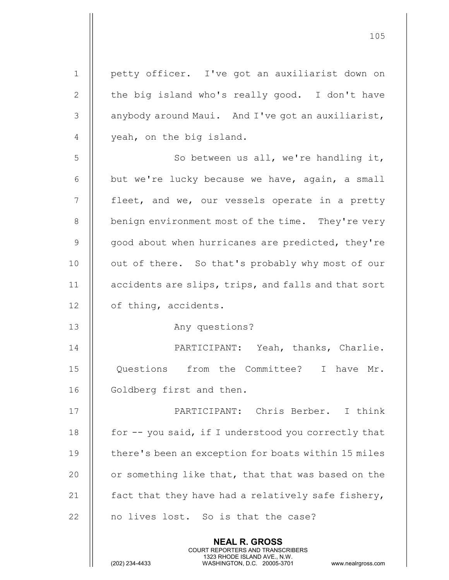NEAL R. GROSS 1 || petty officer. I've got an auxiliarist down on 2  $\parallel$  the big island who's really good. I don't have  $3$  | anybody around Maui. And I've got an auxiliarist, 4 | yeah, on the big island. 5 || So between us all, we're handling it, 6  $\parallel$  but we're lucky because we have, again, a small  $7$  || fleet, and we, our vessels operate in a pretty 8 | benign environment most of the time. They're very  $9$  |  $\sigma$  good about when hurricanes are predicted, they're 10 || out of there. So that's probably why most of our 11 || accidents are slips, trips, and falls and that sort 12 | of thing, accidents. 13 || **Any questions?** 14 || PARTICIPANT: Yeah, thanks, Charlie. 15 || Ouestions from the Committee? I have Mr. 16 | Goldberg first and then. 17 || PARTICIPANT: Chris Berber. I think 18  $\parallel$  for -- you said, if I understood you correctly that 19 || there's been an exception for boats within 15 miles 20  $\parallel$  or something like that, that that was based on the 21  $\parallel$  fact that they have had a relatively safe fishery, 22 || no lives lost. So is that the case?

COURT REPORTERS AND TRANSCRIBERS

1323 RHODE ISLAND AVE., N.W.<br>WASHINGTON, D.C. 20005-3701

WASHINGTON, D.C. 20005-3701 www.nealrgross.com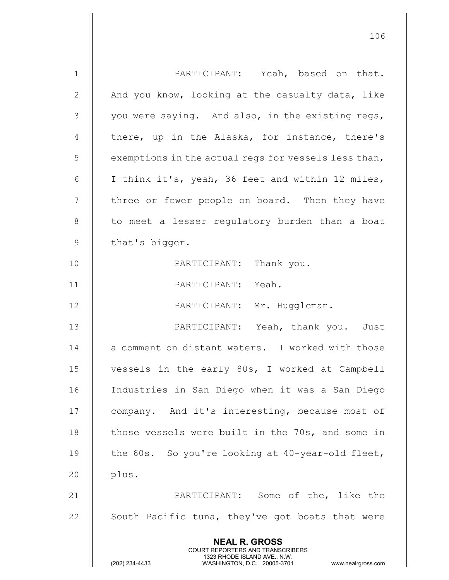| $\mathbf 1$    | PARTICIPANT: Yeah, based on that.                                                                                                                                      |
|----------------|------------------------------------------------------------------------------------------------------------------------------------------------------------------------|
| 2              | And you know, looking at the casualty data, like                                                                                                                       |
| 3              | you were saying. And also, in the existing regs,                                                                                                                       |
| 4              | there, up in the Alaska, for instance, there's                                                                                                                         |
| 5              | exemptions in the actual regs for vessels less than,                                                                                                                   |
| 6              | I think it's, yeah, 36 feet and within 12 miles,                                                                                                                       |
| $\overline{7}$ | three or fewer people on board. Then they have                                                                                                                         |
| 8              | to meet a lesser regulatory burden than a boat                                                                                                                         |
| 9              | that's bigger.                                                                                                                                                         |
| 10             | PARTICIPANT: Thank you.                                                                                                                                                |
| 11             | PARTICIPANT: Yeah.                                                                                                                                                     |
| 12             | PARTICIPANT: Mr. Huggleman.                                                                                                                                            |
| 13             | PARTICIPANT: Yeah, thank you. Just                                                                                                                                     |
| 14             | a comment on distant waters. I worked with those                                                                                                                       |
| 15             | vessels in the early 80s, I worked at Campbell                                                                                                                         |
| 16             | Industries in San Diego when it was a San Diego                                                                                                                        |
| 17             | company. And it's interesting, because most of                                                                                                                         |
| 18             | those vessels were built in the 70s, and some in                                                                                                                       |
| 19             | the 60s. So you're looking at 40-year-old fleet,                                                                                                                       |
| 20             | plus.                                                                                                                                                                  |
| 21             | PARTICIPANT: Some of the, like the                                                                                                                                     |
| 22             | South Pacific tuna, they've got boats that were                                                                                                                        |
|                | <b>NEAL R. GROSS</b><br><b>COURT REPORTERS AND TRANSCRIBERS</b><br>1323 RHODE ISLAND AVE., N.W.<br>(202) 234-4433<br>WASHINGTON, D.C. 20005-3701<br>www.nealrgross.com |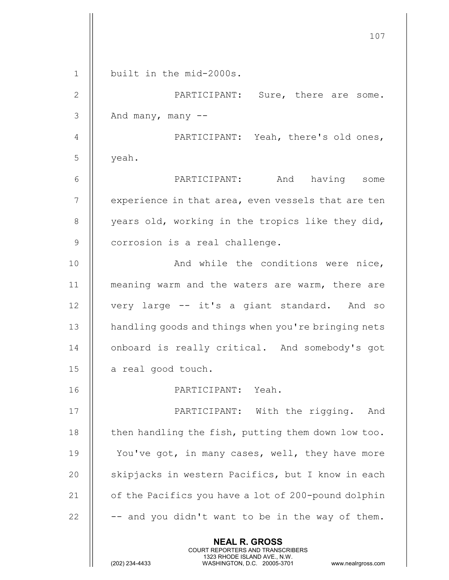107 NEAL R. GROSS COURT REPORTERS AND TRANSCRIBERS 1323 RHODE ISLAND AVE., N.W.<br>WASHINGTON, D.C. 20005-3701 WASHINGTON, D.C. 1 built in the mid-2000s. 2 | PARTICIPANT: Sure, there are some.  $3 \parallel$  And many, many  $-$ 4 | PARTICIPANT: Yeah, there's old ones,  $5 \parallel$  yeah. 6 PARTICIPANT: And having some  $7$   $\parallel$  experience in that area, even vessels that are ten  $8$  || years old, working in the tropics like they did, 9 | corrosion is a real challenge. 10 || And while the conditions were nice, 11 || meaning warm and the waters are warm, there are 12 || very large -- it's a giant standard. And so 13 | handling goods and things when you're bringing nets 14 | onboard is really critical. And somebody's got  $15$  || a real good touch. 16 PARTICIPANT: Yeah. 17 || PARTICIPANT: With the rigging. And 18  $\parallel$  then handling the fish, putting them down low too. 19 || You've got, in many cases, well, they have more 20 || skipjacks in western Pacifics, but I know in each 21  $\parallel$  of the Pacifics you have a lot of 200-pound dolphin 22  $\parallel$  -- and you didn't want to be in the way of them.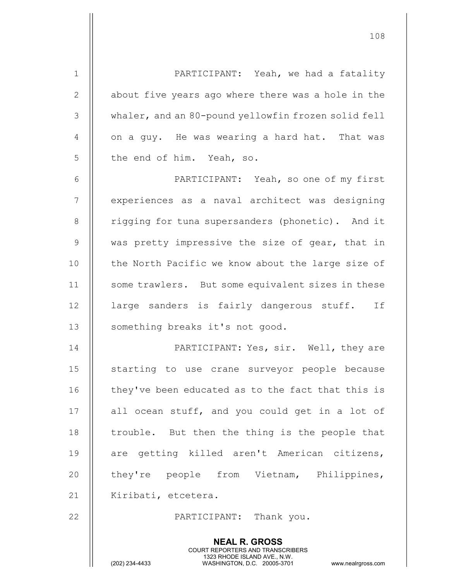1 || PARTICIPANT: Yeah, we had a fatality 2 | about five years ago where there was a hole in the 3 whaler, and an 80-pound yellowfin frozen solid fell 4  $\parallel$  on a guy. He was wearing a hard hat. That was 5 || the end of him. Yeah, so.

6 PARTICIPANT: Yeah, so one of my first 7 | experiences as a naval architect was designing 8 | rigging for tuna supersanders (phonetic). And it 9 || was pretty impressive the size of gear, that in 10 || the North Pacific we know about the large size of 11 || some trawlers. But some equivalent sizes in these 12 || large sanders is fairly dangerous stuff. If 13 || something breaks it's not good.

14 PARTICIPANT: Yes, sir. Well, they are 15 || starting to use crane surveyor people because 16 | they've been educated as to the fact that this is 17  $\parallel$  all ocean stuff, and you could get in a lot of 18  $\parallel$  trouble. But then the thing is the people that 19 || are getting killed aren't American citizens, 20 || they're people from Vietnam, Philippines, 21 | Kiribati, etcetera.

22 || PARTICIPANT: Thank you.

NEAL R. GROSS COURT REPORTERS AND TRANSCRIBERS

1323 RHODE ISLAND AVE., N.W.<br>WASHINGTON, D.C. 20005-3701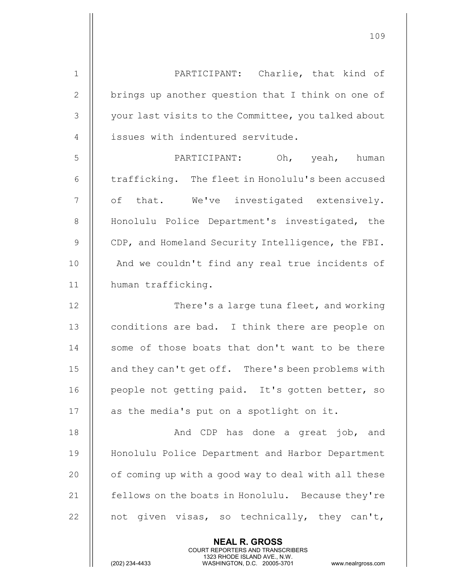1 || PARTICIPANT: Charlie, that kind of 2 | brings up another question that I think on one of 3 | your last visits to the Committee, you talked about 4 || issues with indentured servitude. 5 PARTICIPANT: Oh, yeah, human 6  $\parallel$  trafficking. The fleet in Honolulu's been accused 7 || of that. We've investigated extensively. 8 || Honolulu Police Department's investigated, the 9  $\parallel$  CDP, and Homeland Security Intelligence, the FBI. 10 || And we couldn't find any real true incidents of 11 human trafficking. 12 || There's a large tuna fleet, and working 13 || conditions are bad. I think there are people on 14 || some of those boats that don't want to be there 15 || and they can't get off. There's been problems with 16 || people not getting paid. It's gotten better, so 17 || as the media's put on a spotlight on it. 18 || And CDP has done a great job, and 19 Honolulu Police Department and Harbor Department 20 | of coming up with a good way to deal with all these 21 | fellows on the boats in Honolulu. Because they're 22  $\parallel$  not given visas, so technically, they can't,

> NEAL R. GROSS COURT REPORTERS AND TRANSCRIBERS

> > WASHINGTON, D.C. 20005-3701 www.nealrgross.com

1323 RHODE ISLAND AVE., N.W.<br>WASHINGTON, D.C. 20005-3701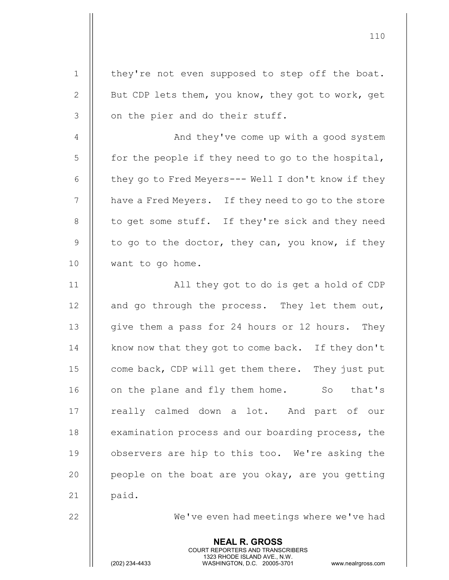|                | <b>NEAL R. GROSS</b>                                |
|----------------|-----------------------------------------------------|
| 22             | We've even had meetings where we've had             |
| 21             | paid.                                               |
| 20             | people on the boat are you okay, are you getting    |
| 19             | observers are hip to this too. We're asking the     |
| 18             | examination process and our boarding process, the   |
| 17             | really calmed down a lot. And part of our           |
| 16             | on the plane and fly them home. So that's           |
| 15             | come back, CDP will get them there. They just put   |
| 14             | know now that they got to come back. If they don't  |
| 13             | give them a pass for 24 hours or 12 hours. They     |
| 12             | and go through the process. They let them out,      |
| 11             | All they got to do is get a hold of CDP             |
| 10             | want to go home.                                    |
| $\overline{9}$ | to go to the doctor, they can, you know, if they    |
| 8              | to get some stuff. If they're sick and they need    |
| 7              | have a Fred Meyers. If they need to go to the store |
| 6              | they go to Fred Meyers--- Well I don't know if they |
| 5              | for the people if they need to go to the hospital,  |
| $\overline{4}$ | And they've come up with a good system              |
| 3              | on the pier and do their stuff.                     |
| $\mathbf{2}$   | But CDP lets them, you know, they got to work, get  |
| $\mathbf 1$    | they're not even supposed to step off the boat.     |
|                |                                                     |

 COURT REPORTERS AND TRANSCRIBERS 1323 RHODE ISLAND AVE., N.W.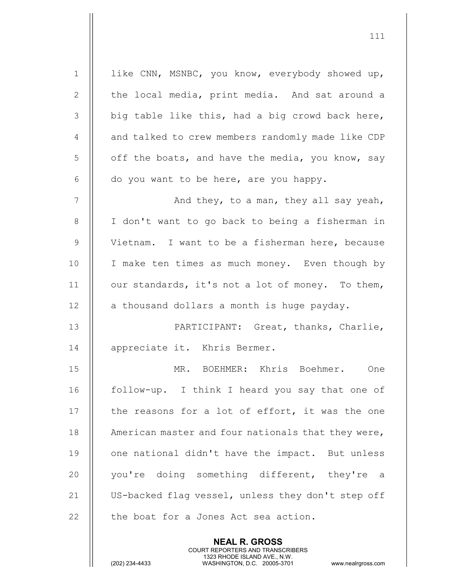1 | like CNN, MSNBC, you know, everybody showed up, 2 || the local media, print media. And sat around a  $3 \parallel$  big table like this, had a big crowd back here, 4 | and talked to crew members randomly made like CDP  $5 \parallel$  off the boats, and have the media, you know, say  $6 \parallel$  do you want to be here, are you happy.  $7$  ||  $\sim$  And they, to a man, they all say yeah, 8 || I don't want to go back to being a fisherman in 9 || Vietnam. I want to be a fisherman here, because 10 || I make ten times as much money. Even though by 11 | our standards, it's not a lot of money. To them,  $12$  | a thousand dollars a month is huge payday. 13 || PARTICIPANT: Great, thanks, Charlie, 14 || appreciate it. Khris Bermer. 15 MR. BOEHMER: Khris Boehmer. One 16 || follow-up. I think I heard you say that one of 17 || the reasons for a lot of effort, it was the one 18 | American master and four nationals that they were, 19 || one national didn't have the impact. But unless 20 || you're doing something different, they're a 21 | US-backed flag vessel, unless they don't step off  $22$   $\parallel$  the boat for a Jones Act sea action.

> NEAL R. GROSS COURT REPORTERS AND TRANSCRIBERS

111

1323 RHODE ISLAND AVE., N.W.<br>WASHINGTON, D.C. 20005-3701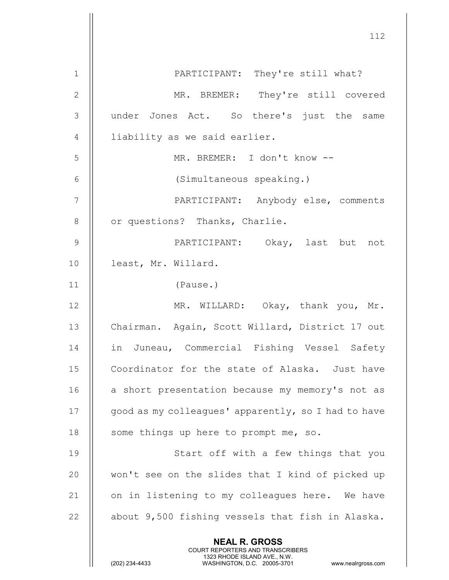|                | 112                                                                                                                                                             |
|----------------|-----------------------------------------------------------------------------------------------------------------------------------------------------------------|
| $\mathbf{1}$   | PARTICIPANT: They're still what?                                                                                                                                |
| $\mathbf{2}$   | MR. BREMER: They're still covered                                                                                                                               |
| 3              | under Jones Act. So there's just the same                                                                                                                       |
| $\overline{4}$ | liability as we said earlier.                                                                                                                                   |
| 5              | MR. BREMER: I don't know --                                                                                                                                     |
| 6              | (Simultaneous speaking.)                                                                                                                                        |
| $\overline{7}$ | PARTICIPANT: Anybody else, comments                                                                                                                             |
| 8              | or questions? Thanks, Charlie.                                                                                                                                  |
| 9              | PARTICIPANT: Okay, last but not                                                                                                                                 |
| 10             | least, Mr. Willard.                                                                                                                                             |
| 11             | (Pause.)                                                                                                                                                        |
| 12             | MR. WILLARD: Okay, thank you, Mr.                                                                                                                               |
| 13             | Chairman. Again, Scott Willard, District 17 out                                                                                                                 |
| 14             | in Juneau, Commercial Fishing Vessel Safety                                                                                                                     |
| 15             | Coordinator for the state of Alaska. Just have                                                                                                                  |
| 16             | a short presentation because my memory's not as                                                                                                                 |
| 17             | good as my colleagues' apparently, so I had to have                                                                                                             |
| 18             | some things up here to prompt me, so.                                                                                                                           |
| 19             | Start off with a few things that you                                                                                                                            |
| 20             | won't see on the slides that I kind of picked up                                                                                                                |
| 21             | on in listening to my colleagues here. We have                                                                                                                  |
| 22             | about 9,500 fishing vessels that fish in Alaska.                                                                                                                |
|                | <b>NEAL R. GROSS</b><br>COURT REPORTERS AND TRANSCRIBERS<br>1323 RHODE ISLAND AVE., N.W.<br>(202) 234-4433<br>WASHINGTON, D.C. 20005-3701<br>www.nealrgross.com |

 $\mathbb{I}$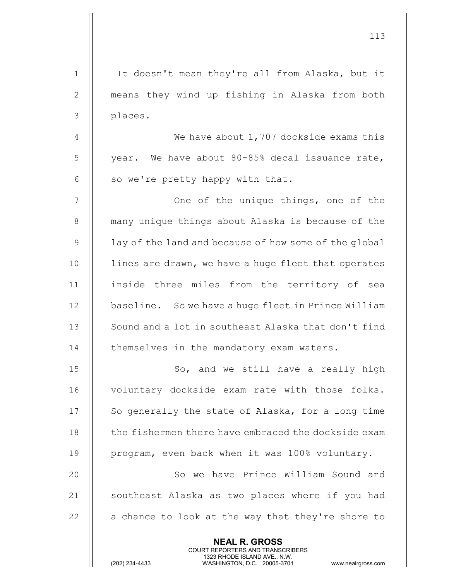| $\mathbf 1$    | It doesn't mean they're all from Alaska, but it       |
|----------------|-------------------------------------------------------|
| 2              | means they wind up fishing in Alaska from both        |
| 3              | places.                                               |
| $\overline{4}$ | We have about 1,707 dockside exams this               |
| 5              | year. We have about 80-85% decal issuance rate,       |
| 6              | so we're pretty happy with that.                      |
| 7              | One of the unique things, one of the                  |
| 8              | many unique things about Alaska is because of the     |
| $\mathsf 9$    | lay of the land and because of how some of the global |
| 10             | lines are drawn, we have a huge fleet that operates   |
| 11             | inside three miles from the territory of sea          |
| 12             | baseline. So we have a huge fleet in Prince William   |
| 13             | Sound and a lot in southeast Alaska that don't find   |
| 14             | themselves in the mandatory exam waters.              |
| 15             | So, and we still have a really high                   |
| 16             | voluntary dockside exam rate with those folks.        |
| 17             | So generally the state of Alaska, for a long time     |
| 18             | the fishermen there have embraced the dockside exam   |
| 19             | program, even back when it was 100% voluntary.        |
| 20             | So we have Prince William Sound and                   |
| 21             | southeast Alaska as two places where if you had       |
| 22             | a chance to look at the way that they're shore to     |
|                | <b>NEAL R. GROSS</b>                                  |

 COURT REPORTERS AND TRANSCRIBERS 1323 RHODE ISLAND AVE., N.W.

 $\mathbb{I}$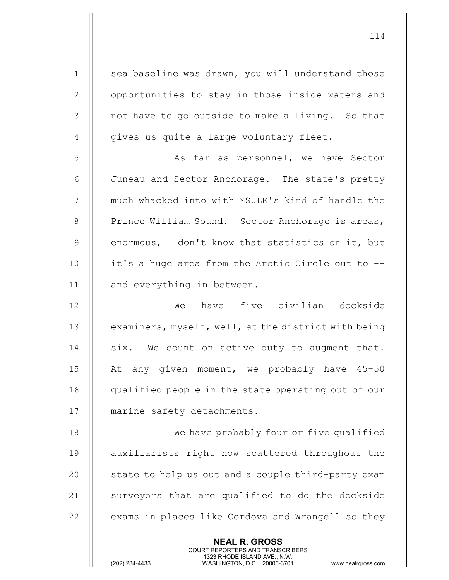1 | sea baseline was drawn, you will understand those 2 | | opportunities to stay in those inside waters and 3 || not have to go outside to make a living. So that  $4$  | qives us quite a large voluntary fleet. 5 || As far as personnel, we have Sector 6 Juneau and Sector Anchorage. The state's pretty 7 | much whacked into with MSULE's kind of handle the 8 | Prince William Sound. Sector Anchorage is areas, 9  $\parallel$  enormous, I don't know that statistics on it, but 10 || it's a huge area from the Arctic Circle out to --11 || and everything in between. 12 We have five civilian dockside 13 | examiners, myself, well, at the district with being  $14$  || six. We count on active duty to augment that. 15 || At any given moment, we probably have 45-50 16 || qualified people in the state operating out of our 17 || marine safety detachments. 18 || We have probably four or five qualified 19 || auxiliarists right now scattered throughout the 20  $\parallel$  state to help us out and a couple third-party exam 21  $\parallel$  surveyors that are qualified to do the dockside 22  $\parallel$  exams in places like Cordova and Wrangell so they

> NEAL R. GROSS COURT REPORTERS AND TRANSCRIBERS

114

1323 RHODE ISLAND AVE., N.W.<br>WASHINGTON, D.C. 20005-3701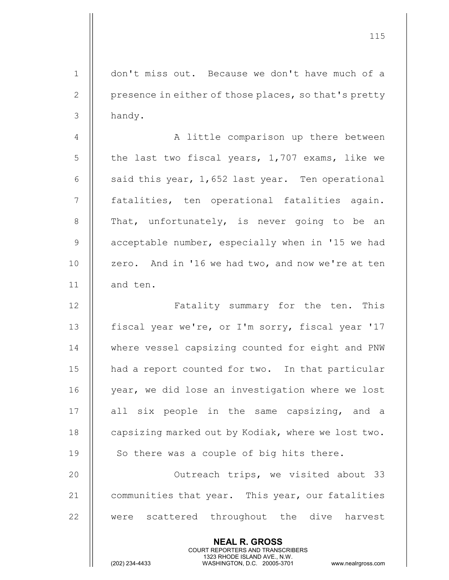1 don't miss out. Because we don't have much of a 2 | presence in either of those places, so that's pretty  $3 \parallel$  handy.

4 || A little comparison up there between 5  $\parallel$  the last two fiscal years, 1,707 exams, like we 6  $\parallel$  said this year, 1,652 last year. Ten operational 7 || fatalities, ten operational fatalities again. 8 || That, unfortunately, is never going to be an 9 | acceptable number, especially when in '15 we had 10 || zero. And in '16 we had two, and now we're at ten 11 || and ten.

12 || Fatality summary for the ten. This 13 || fiscal year we're, or I'm sorry, fiscal year '17 14 || where vessel capsizing counted for eight and PNW 15 || had a report counted for two. In that particular 16 || year, we did lose an investigation where we lost 17 || all six people in the same capsizing, and a 18  $\parallel$  capsizing marked out by Kodiak, where we lost two. 19  $\parallel$  So there was a couple of big hits there.

20 Outreach trips, we visited about 33 21 | communities that year. This year, our fatalities 22 || were scattered throughout the dive harvest

> NEAL R. GROSS COURT REPORTERS AND TRANSCRIBERS

1323 RHODE ISLAND AVE., N.W.<br>WASHINGTON, D.C. 20005-3701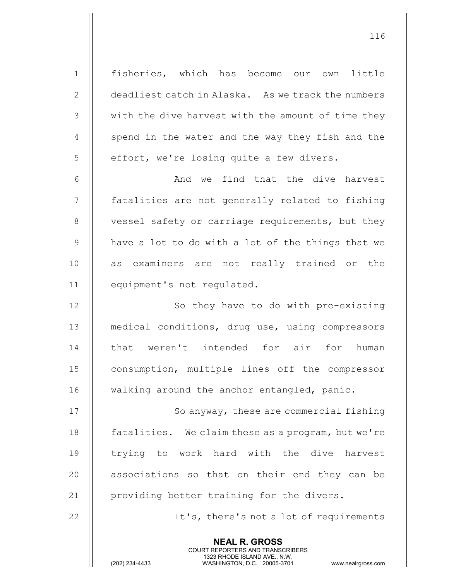1 fisheries, which has become our own little 2 deadliest catch in Alaska. As we track the numbers 3 || with the dive harvest with the amount of time they  $4 \parallel$  spend in the water and the way they fish and the  $5$  || effort, we're losing quite a few divers.

6 And we find that the dive harvest 7 || fatalities are not generally related to fishing 8 || vessel safety or carriage requirements, but they  $9$   $\parallel$  have a lot to do with a lot of the things that we 10 as examiners are not really trained or the 11 equipment's not regulated.

12 || So they have to do with pre-existing 13 || medical conditions, drug use, using compressors 14 || that weren't intended for air for human 15 || consumption, multiple lines off the compressor 16 || walking around the anchor entangled, panic.

17 || So anyway, these are commercial fishing 18 **fatalities.** We claim these as a program, but we're 19 || trying to work hard with the dive harvest  $20$  || associations so that on their end they can be 21  $\parallel$  providing better training for the divers.

> NEAL R. GROSS COURT REPORTERS AND TRANSCRIBERS

22 || It's, there's not a lot of requirements

1323 RHODE ISLAND AVE., N.W.<br>WASHINGTON, D.C. 20005-3701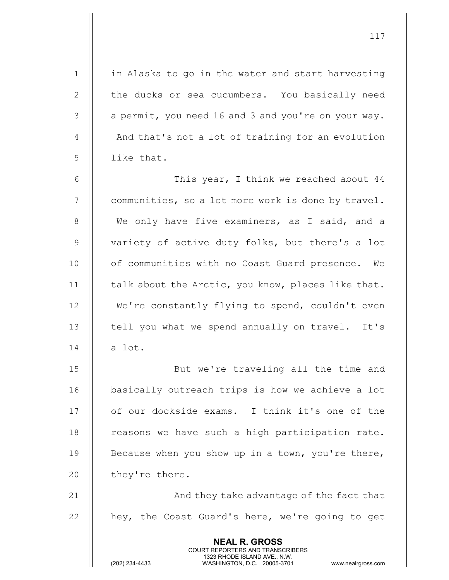| $\mathbf 1$      | in Alaska to go in the water and start harvesting                                                                                       |
|------------------|-----------------------------------------------------------------------------------------------------------------------------------------|
| $\mathbf{2}$     | the ducks or sea cucumbers. You basically need                                                                                          |
| 3                | a permit, you need 16 and 3 and you're on your way.                                                                                     |
| 4                | And that's not a lot of training for an evolution                                                                                       |
| 5                | like that.                                                                                                                              |
| 6                | This year, I think we reached about 44                                                                                                  |
| $\boldsymbol{7}$ | communities, so a lot more work is done by travel.                                                                                      |
| 8                | We only have five examiners, as I said, and a                                                                                           |
| $\mathsf 9$      | variety of active duty folks, but there's a lot                                                                                         |
| 10               | of communities with no Coast Guard presence.<br>We                                                                                      |
| 11               | talk about the Arctic, you know, places like that.                                                                                      |
| 12               | We're constantly flying to spend, couldn't even                                                                                         |
| 13               | tell you what we spend annually on travel. It's                                                                                         |
| 14               | a lot.                                                                                                                                  |
| 15               | But we're traveling all the time and                                                                                                    |
| 16               | basically outreach trips is how we achieve a lot                                                                                        |
| 17               | of our dockside exams. I think it's one of the                                                                                          |
| 18               | reasons we have such a high participation rate.                                                                                         |
| 19               | Because when you show up in a town, you're there,                                                                                       |
| 20               | they're there.                                                                                                                          |
| 21               | And they take advantage of the fact that                                                                                                |
| 22               | hey, the Coast Guard's here, we're going to get                                                                                         |
|                  | <b>NEAL R. GROSS</b>                                                                                                                    |
|                  | COURT REPORTERS AND TRANSCRIBERS<br>1323 RHODE ISLAND AVE., N.W.<br>(202) 234-4433<br>WASHINGTON, D.C. 20005-3701<br>www.nealrgross.com |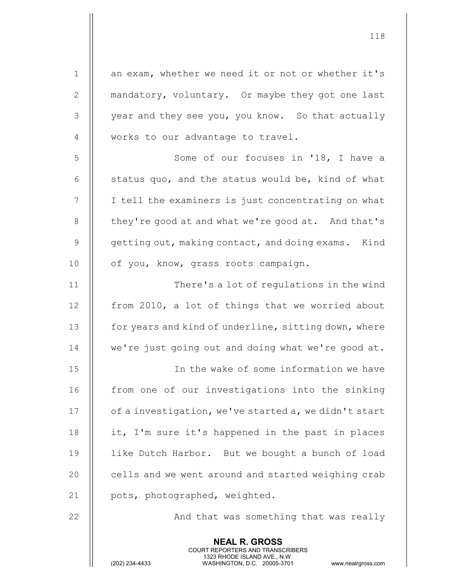|              | <b>NEAL R. GROSS</b><br><b>COURT REPORTERS AND TRANSCRIBERS</b><br>1323 RHODE ISLAND AVE., N.W.<br>(202) 234-4433<br>WASHINGTON, D.C. 20005-3701<br>www.nealrgross.com |
|--------------|------------------------------------------------------------------------------------------------------------------------------------------------------------------------|
| 22           | And that was something that was really                                                                                                                                 |
| 21           | pots, photographed, weighted.                                                                                                                                          |
| 20           | cells and we went around and started weighing crab                                                                                                                     |
| 19           | like Dutch Harbor. But we bought a bunch of load                                                                                                                       |
| 18           | it, I'm sure it's happened in the past in places                                                                                                                       |
| 17           | of a investigation, we've started a, we didn't start                                                                                                                   |
| 16           | from one of our investigations into the sinking                                                                                                                        |
| 15           | In the wake of some information we have                                                                                                                                |
| 14           | we're just going out and doing what we're good at.                                                                                                                     |
| 13           | for years and kind of underline, sitting down, where                                                                                                                   |
| 12           | from 2010, a lot of things that we worried about                                                                                                                       |
| 11           | There's a lot of regulations in the wind                                                                                                                               |
| 10           | of you, know, grass roots campaign.                                                                                                                                    |
| $\mathsf 9$  | getting out, making contact, and doing exams. Kind                                                                                                                     |
| $\,8\,$      | they're good at and what we're good at. And that's                                                                                                                     |
| 7            | I tell the examiners is just concentrating on what                                                                                                                     |
| 6            | status quo, and the status would be, kind of what                                                                                                                      |
| 5            | Some of our focuses in '18, I have a                                                                                                                                   |
| 4            | works to our advantage to travel.                                                                                                                                      |
| 3            | year and they see you, you know. So that actually                                                                                                                      |
| $\mathbf{2}$ | mandatory, voluntary. Or maybe they got one last                                                                                                                       |
| $\mathbf 1$  | an exam, whether we need it or not or whether it's                                                                                                                     |
|              |                                                                                                                                                                        |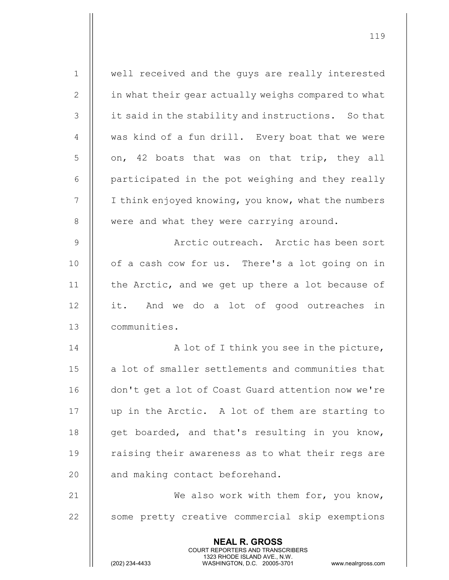NEAL R. GROSS COURT REPORTERS AND TRANSCRIBERS 1323 RHODE ISLAND AVE., N.W.<br>WASHINGTON, D.C. 20005-3701 WASHINGTON, D.C. 20005-3701 www.nealrgross.com 1 well received and the guys are really interested 2 | in what their gear actually weighs compared to what 3 | it said in the stability and instructions. So that  $4 \parallel$  was kind of a fun drill. Every boat that we were  $5 \parallel$  on, 42 boats that was on that trip, they all 6 | participated in the pot weighing and they really  $7$  | I think enjoyed knowing, you know, what the numbers 8 | were and what they were carrying around. 9 || Arctic outreach. Arctic has been sort 10 || of a cash cow for us. There's a lot going on in 11 | the Arctic, and we get up there a lot because of 12 || it. And we do a lot of good outreaches in 13 communities. 14 A lot of I think you see in the picture, 15 || a lot of smaller settlements and communities that 16 || don't get a lot of Coast Guard attention now we're 17 || up in the Arctic. A lot of them are starting to 18  $\parallel$  get boarded, and that's resulting in you know, 19 || raising their awareness as to what their regs are 20 || and making contact beforehand. 21  $\parallel$  We also work with them for, you know, 22 || some pretty creative commercial skip exemptions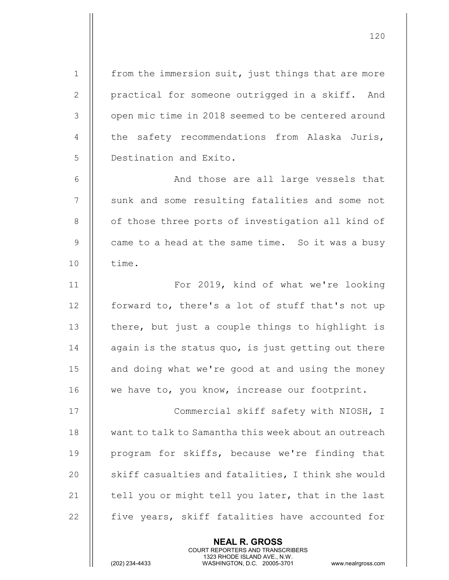| $\mathbf 1$    | from the immersion suit, just things that are more   |
|----------------|------------------------------------------------------|
| $\mathbf{2}$   | practical for someone outrigged in a skiff. And      |
| 3              | open mic time in 2018 seemed to be centered around   |
| $\overline{4}$ | the safety recommendations from Alaska Juris,        |
| 5              | Destination and Exito.                               |
| 6              | And those are all large vessels that                 |
| 7              | sunk and some resulting fatalities and some not      |
| 8              | of those three ports of investigation all kind of    |
| 9              | came to a head at the same time. So it was a busy    |
| 10             | time.                                                |
| 11             | For 2019, kind of what we're looking                 |
| 12             | forward to, there's a lot of stuff that's not up     |
| 13             | there, but just a couple things to highlight is      |
| 14             | again is the status quo, is just getting out there   |
| 15             | and doing what we're good at and using the money     |
| 16             | we have to, you know, increase our footprint.        |
| 17             | Commercial skiff safety with NIOSH, I                |
| 18             | want to talk to Samantha this week about an outreach |
| 19             | program for skiffs, because we're finding that       |
| 20             | skiff casualties and fatalities, I think she would   |
| 21             | tell you or might tell you later, that in the last   |
| 22             | five years, skiff fatalities have accounted for      |
|                |                                                      |

NEAL R. GROSS

 COURT REPORTERS AND TRANSCRIBERS 1323 RHODE ISLAND AVE., N.W.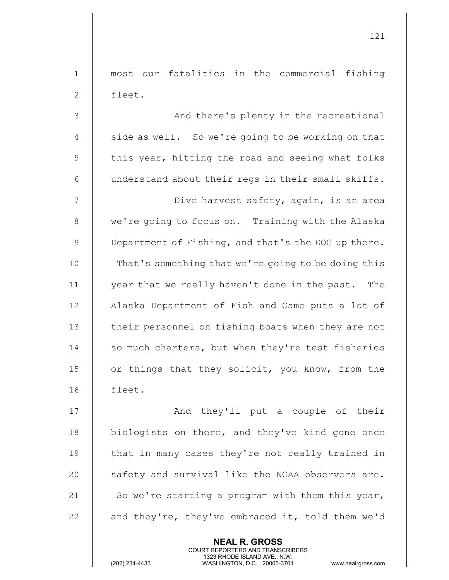1 || most our fatalities in the commercial fishing 2 | fleet.

3 || And there's plenty in the recreational  $4 \parallel$  side as well. So we're going to be working on that  $5$   $\parallel$  this year, hitting the road and seeing what folks 6  $\parallel$  understand about their regs in their small skiffs.

7 Dive harvest safety, again, is an area 8 | we're going to focus on. Training with the Alaska 9 Department of Fishing, and that's the EOG up there. 10 || That's something that we're going to be doing this 11 year that we really haven't done in the past. The 12 | Alaska Department of Fish and Game puts a lot of 13 | their personnel on fishing boats when they are not 14 || so much charters, but when they're test fisheries 15 || or things that they solicit, you know, from the 16 fleet.

17 || And they'll put a couple of their 18 || biologists on there, and they've kind gone once 19 || that in many cases they're not really trained in 20 || safety and survival like the NOAA observers are. 21  $\parallel$  So we're starting a program with them this year, 22  $\parallel$  and they're, they've embraced it, told them we'd

> NEAL R. GROSS COURT REPORTERS AND TRANSCRIBERS

1323 RHODE ISLAND AVE., N.W.<br>WASHINGTON, D.C. 20005-3701

WASHINGTON, D.C. 20005-3701 www.nealrgross.com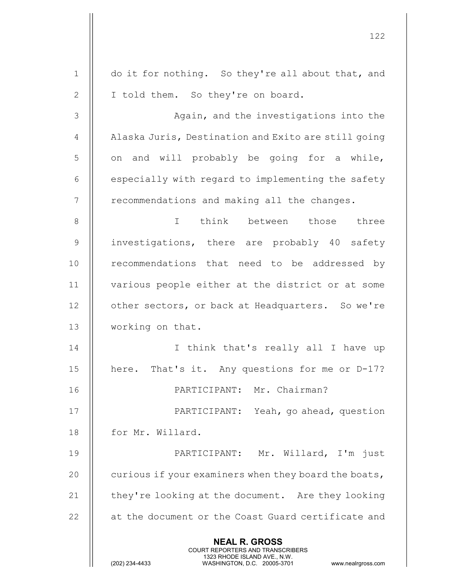|                | 122                                                                                                                                                                    |
|----------------|------------------------------------------------------------------------------------------------------------------------------------------------------------------------|
| $\mathbf 1$    | do it for nothing. So they're all about that, and                                                                                                                      |
| $\mathbf{2}$   | I told them. So they're on board.                                                                                                                                      |
| 3              | Again, and the investigations into the                                                                                                                                 |
| $\overline{4}$ | Alaska Juris, Destination and Exito are still going                                                                                                                    |
| 5              | on and will probably be going for a while,                                                                                                                             |
| 6              | especially with regard to implementing the safety                                                                                                                      |
| 7              | recommendations and making all the changes.                                                                                                                            |
| $8\,$          | I think between those three                                                                                                                                            |
| $\mathcal{G}$  | investigations, there are probably 40 safety                                                                                                                           |
| 10             | recommendations that need to be addressed by                                                                                                                           |
| 11             | various people either at the district or at some                                                                                                                       |
| 12             | other sectors, or back at Headquarters. So we're                                                                                                                       |
| 13             | working on that.                                                                                                                                                       |
| 14             | think that's really all I have up<br>I.                                                                                                                                |
| 15             | here. That's it. Any questions for me or D-17?                                                                                                                         |
| 16             | PARTICIPANT: Mr. Chairman?                                                                                                                                             |
| 17             | PARTICIPANT: Yeah, go ahead, question                                                                                                                                  |
| 18             | for Mr. Willard.                                                                                                                                                       |
| 19             | PARTICIPANT: Mr. Willard, I'm just                                                                                                                                     |
| 20             | curious if your examiners when they board the boats,                                                                                                                   |
| 21             | they're looking at the document. Are they looking                                                                                                                      |
| 22             | at the document or the Coast Guard certificate and                                                                                                                     |
|                | <b>NEAL R. GROSS</b><br><b>COURT REPORTERS AND TRANSCRIBERS</b><br>1323 RHODE ISLAND AVE., N.W.<br>(202) 234-4433<br>WASHINGTON, D.C. 20005-3701<br>www.nealrgross.com |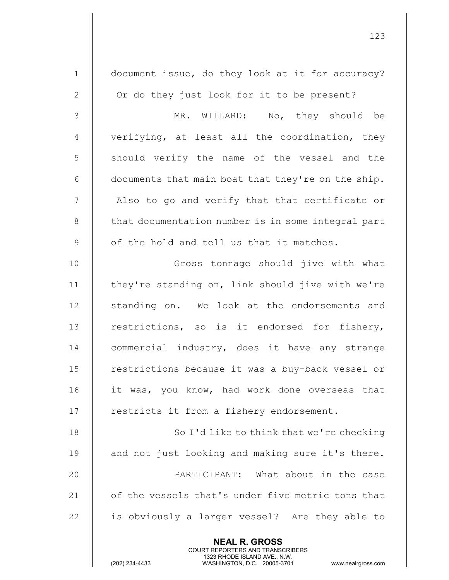| $\mathbf 1$    | document issue, do they look at it for accuracy?                                                                                                                       |
|----------------|------------------------------------------------------------------------------------------------------------------------------------------------------------------------|
| $\mathbf{2}$   | Or do they just look for it to be present?                                                                                                                             |
| $\mathfrak{Z}$ | MR. WILLARD: No, they should be                                                                                                                                        |
| 4              | verifying, at least all the coordination, they                                                                                                                         |
| 5              | should verify the name of the vessel and the                                                                                                                           |
| 6              | documents that main boat that they're on the ship.                                                                                                                     |
| $\overline{7}$ | Also to go and verify that that certificate or                                                                                                                         |
| $8\,$          | that documentation number is in some integral part                                                                                                                     |
| $\mathsf 9$    | of the hold and tell us that it matches.                                                                                                                               |
| 10             | Gross tonnage should jive with what                                                                                                                                    |
| 11             | they're standing on, link should jive with we're                                                                                                                       |
| 12             | standing on. We look at the endorsements and                                                                                                                           |
| 13             | restrictions, so is it endorsed for fishery,                                                                                                                           |
| 14             | commercial industry, does it have any strange                                                                                                                          |
| 15             | restrictions because it was a buy-back vessel or                                                                                                                       |
| 16             | it was, you know, had work done overseas that                                                                                                                          |
| 17             | restricts it from a fishery endorsement.                                                                                                                               |
| 18             | So I'd like to think that we're checking                                                                                                                               |
| 19             | and not just looking and making sure it's there.                                                                                                                       |
| 20             | PARTICIPANT: What about in the case                                                                                                                                    |
| 21             | of the vessels that's under five metric tons that                                                                                                                      |
| 22             | is obviously a larger vessel? Are they able to                                                                                                                         |
|                | <b>NEAL R. GROSS</b><br><b>COURT REPORTERS AND TRANSCRIBERS</b><br>1323 RHODE ISLAND AVE., N.W.<br>(202) 234-4433<br>WASHINGTON, D.C. 20005-3701<br>www.nealrgross.com |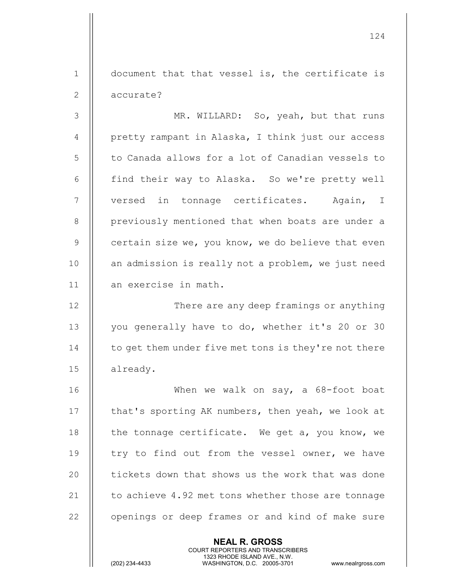1 || document that that vessel is, the certificate is 2 || accurate?

3 MR. WILLARD: So, yeah, but that runs 4 | pretty rampant in Alaska, I think just our access 5 | to Canada allows for a lot of Canadian vessels to 6 || find their way to Alaska. So we're pretty well 7 || versed in tonnage certificates. Again, I 8 || previously mentioned that when boats are under a 9 Certain size we, you know, we do believe that even 10  $\parallel$  an admission is really not a problem, we just need 11 || an exercise in math.

12 || There are any deep framings or anything 13 || you generally have to do, whether it's 20 or 30 14 | to get them under five met tons is they're not there 15 | already.

16 When we walk on say, a 68-foot boat 17 | that's sporting AK numbers, then yeah, we look at 18  $\parallel$  the tonnage certificate. We get a, you know, we 19  $\parallel$  try to find out from the vessel owner, we have 20 || tickets down that shows us the work that was done 21  $\parallel$  to achieve 4.92 met tons whether those are tonnage 22 || openings or deep frames or and kind of make sure

> NEAL R. GROSS COURT REPORTERS AND TRANSCRIBERS

1323 RHODE ISLAND AVE., N.W.<br>WASHINGTON, D.C. 20005-3701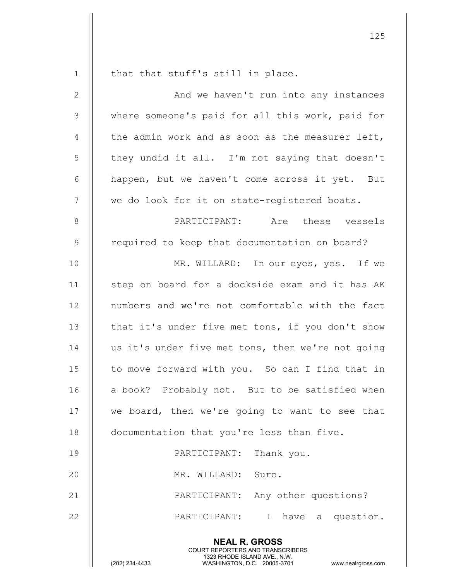NEAL R. GROSS COURT REPORTERS AND TRANSCRIBERS  $1$  | that that stuff's still in place. 2 And we haven't run into any instances 3 where someone's paid for all this work, paid for 4  $\parallel$  the admin work and as soon as the measurer left,  $5$  || they undid it all. I'm not saying that doesn't 6 | happen, but we haven't come across it yet. But 7 || we do look for it on state-registered boats. 8 PARTICIPANT: Are these vessels 9 | required to keep that documentation on board? 10 || MR. WILLARD: In our eyes, yes. If we 11 || step on board for a dockside exam and it has AK 12 || numbers and we're not comfortable with the fact 13 || that it's under five met tons, if you don't show 14 || us it's under five met tons, then we're not going 15 || to move forward with you. So can I find that in 16 || a book? Probably not. But to be satisfied when 17 || we board, then we're going to want to see that 18 | documentation that you're less than five. 19 || PARTICIPANT: Thank you. 20 || MR. WILLARD: Sure. 21 || PARTICIPANT: Any other questions? 22 || PARTICIPANT: I have a question.

125

1323 RHODE ISLAND AVE., N.W.<br>WASHINGTON, D.C. 20005-3701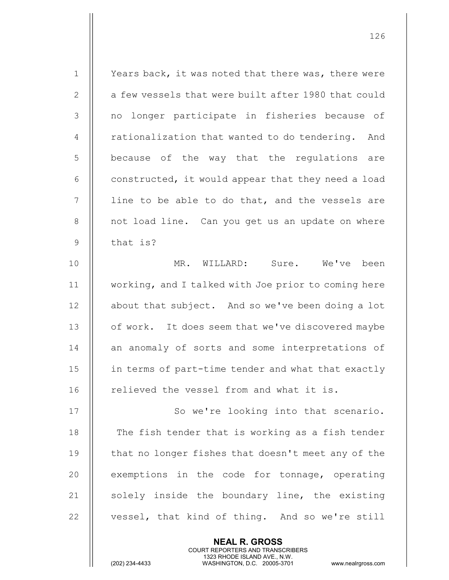| $\mathbf 1$    | Years back, it was noted that there was, there were |
|----------------|-----------------------------------------------------|
| $\mathbf{2}$   | a few vessels that were built after 1980 that could |
| 3              | no longer participate in fisheries because of       |
| $\overline{4}$ | rationalization that wanted to do tendering. And    |
| 5              | because of the way that the regulations are         |
| 6              | constructed, it would appear that they need a load  |
| $\overline{7}$ | line to be able to do that, and the vessels are     |
| $8\,$          | not load line. Can you get us an update on where    |
| $\mathsf 9$    | that is?                                            |
| 10             | MR. WILLARD: Sure. We've been                       |
| 11             | working, and I talked with Joe prior to coming here |
| 12             | about that subject. And so we've been doing a lot   |
| 13             | of work. It does seem that we've discovered maybe   |
| 14             | an anomaly of sorts and some interpretations of     |
| 15             | in terms of part-time tender and what that exactly  |
| 16             | relieved the vessel from and what it is.            |
| 17             | So we're looking into that scenario.                |
| 18             | The fish tender that is working as a fish tender    |
| 19             | that no longer fishes that doesn't meet any of the  |
| 20             | exemptions in the code for tonnage, operating       |
| 21             | solely inside the boundary line, the existing       |
| 22             | vessel, that kind of thing. And so we're still      |
|                |                                                     |

NEAL R. GROSS

COURT REPORTERS AND TRANSCRIBERS

1323 RHODE ISLAND AVE., N.W.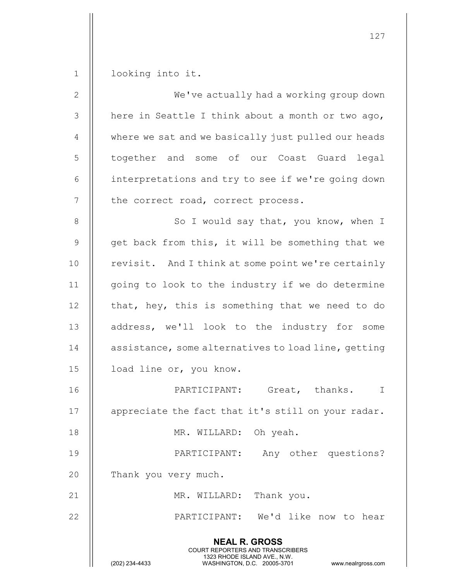1 | looking into it.

| $\mathbf{2}$   | We've actually had a working group down                                                                                                                         |
|----------------|-----------------------------------------------------------------------------------------------------------------------------------------------------------------|
| $\mathcal{S}$  | here in Seattle I think about a month or two ago,                                                                                                               |
| 4              | where we sat and we basically just pulled our heads                                                                                                             |
| 5              | together and some of our Coast Guard legal                                                                                                                      |
| 6              | interpretations and try to see if we're going down                                                                                                              |
| $\overline{7}$ | the correct road, correct process.                                                                                                                              |
| $8\,$          | So I would say that, you know, when I                                                                                                                           |
| $\mathsf 9$    | get back from this, it will be something that we                                                                                                                |
| 10             | revisit. And I think at some point we're certainly                                                                                                              |
| 11             | going to look to the industry if we do determine                                                                                                                |
| 12             | that, hey, this is something that we need to do                                                                                                                 |
| 13             | address, we'll look to the industry for some                                                                                                                    |
| 14             | assistance, some alternatives to load line, getting                                                                                                             |
| 15             | load line or, you know.                                                                                                                                         |
| 16             | PARTICIPANT: Great, thanks. I                                                                                                                                   |
| 17             | appreciate the fact that it's still on your radar.                                                                                                              |
| 18             | MR. WILLARD: Oh yeah.                                                                                                                                           |
| 19             | PARTICIPANT: Any other questions?                                                                                                                               |
| 20             | Thank you very much.                                                                                                                                            |
| 21             | MR. WILLARD: Thank you.                                                                                                                                         |
| 22             | PARTICIPANT: We'd like now to hear                                                                                                                              |
|                | <b>NEAL R. GROSS</b><br>COURT REPORTERS AND TRANSCRIBERS<br>1323 RHODE ISLAND AVE., N.W.<br>(202) 234-4433<br>WASHINGTON, D.C. 20005-3701<br>www.nealrgross.com |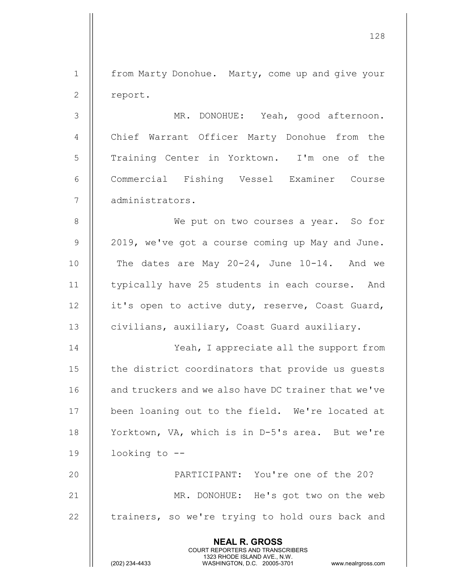NEAL R. GROSS COURT REPORTERS AND TRANSCRIBERS 1323 RHODE ISLAND AVE., N.W.<br>WASHINGTON, D.C. 20005-3701 WASHINGTON, D.C. 1 | from Marty Donohue. Marty, come up and give your 2 || report. 3 MR. DONOHUE: Yeah, good afternoon. 4 || Chief Warrant Officer Marty Donohue from the 5 Training Center in Yorktown. I'm one of the 6 Commercial Fishing Vessel Examiner Course 7 | administrators. 8 We put on two courses a year. So for  $9$  | 2019, we've got a course coming up May and June. 10  $\parallel$  The dates are May 20-24, June 10-14. And we 11 typically have 25 students in each course. And 12 | it's open to active duty, reserve, Coast Guard, 13 | civilians, auxiliary, Coast Guard auxiliary. 14 || Yeah, I appreciate all the support from 15 || the district coordinators that provide us quests 16 || and truckers and we also have DC trainer that we've 17 || been loaning out to the field. We're located at 18 Yorktown, VA, which is in D-5's area. But we're 19 looking to -- 20 PARTICIPANT: You're one of the 20? 21 || MR. DONOHUE: He's got two on the web 22  $\parallel$  trainers, so we're trying to hold ours back and

128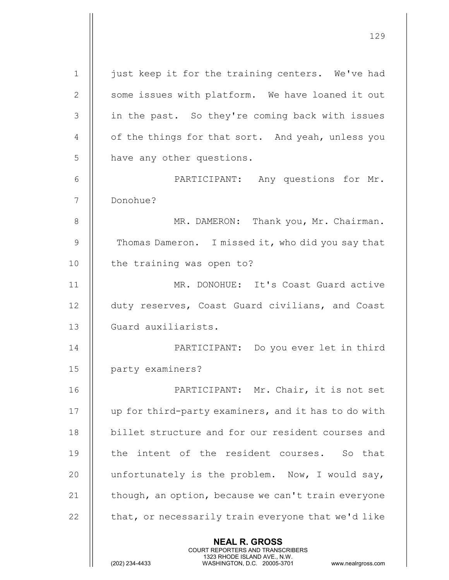NEAL R. GROSS COURT REPORTERS AND TRANSCRIBERS 1 || just keep it for the training centers. We've had 2 || some issues with platform. We have loaned it out 3 || in the past. So they're coming back with issues  $4 \parallel$  of the things for that sort. And yeah, unless you 5 | have any other questions. 6 PARTICIPANT: Any questions for Mr. 7 Donohue? 8 | MR. DAMERON: Thank you, Mr. Chairman. 9 Thomas Dameron. I missed it, who did you say that 10 | the training was open to? 11 MR. DONOHUE: It's Coast Guard active 12 | duty reserves, Coast Guard civilians, and Coast 13 || Guard auxiliarists. 14 PARTICIPANT: Do you ever let in third 15 | party examiners? 16 PARTICIPANT: Mr. Chair, it is not set 17 up for third-party examiners, and it has to do with 18 || billet structure and for our resident courses and 19 || the intent of the resident courses. So that 20  $\parallel$  unfortunately is the problem. Now, I would say, 21  $\parallel$  though, an option, because we can't train everyone 22  $\parallel$  that, or necessarily train everyone that we'd like

129

1323 RHODE ISLAND AVE., N.W.<br>WASHINGTON, D.C. 20005-3701 WASHINGTON, D.C.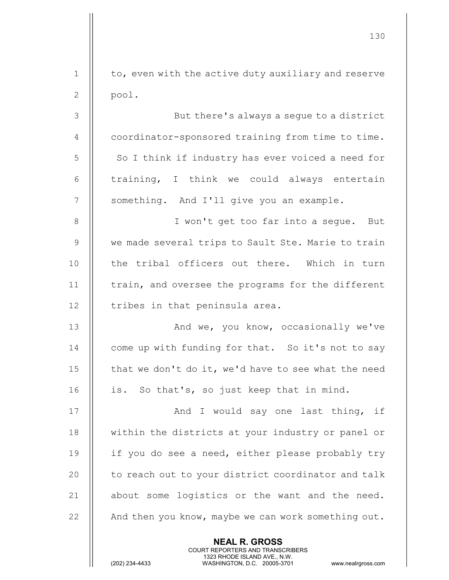| $\mathbf 1$    | to, even with the active duty auxiliary and reserve                                                 |
|----------------|-----------------------------------------------------------------------------------------------------|
| $\mathbf{2}$   | pool.                                                                                               |
| $\mathcal{S}$  | But there's always a segue to a district                                                            |
| $\overline{4}$ | coordinator-sponsored training from time to time.                                                   |
| 5              | So I think if industry has ever voiced a need for                                                   |
| 6              | training, I think we could always entertain                                                         |
| $\overline{7}$ | something. And I'll give you an example.                                                            |
| $\,8\,$        | I won't get too far into a segue. But                                                               |
| $\mathsf 9$    | we made several trips to Sault Ste. Marie to train                                                  |
| 10             | the tribal officers out there. Which in turn                                                        |
| 11             | train, and oversee the programs for the different                                                   |
| 12             | tribes in that peninsula area.                                                                      |
| 13             | And we, you know, occasionally we've                                                                |
| 14             | come up with funding for that. So it's not to say                                                   |
| 15             | that we don't do it, we'd have to see what the need                                                 |
| 16             | is. So that's, so just keep that in mind.                                                           |
| 17             | And I would say one last thing, if                                                                  |
| 18             | within the districts at your industry or panel or                                                   |
| 19             | if you do see a need, either please probably try                                                    |
| 20             | to reach out to your district coordinator and talk                                                  |
| 21             | about some logistics or the want and the need.                                                      |
| 22             | And then you know, maybe we can work something out.                                                 |
|                | <b>NEAL R. GROSS</b><br><b>COURT REPORTERS AND TRANSCRIBERS</b>                                     |
|                | 1323 RHODE ISLAND AVE., N.W.<br>(202) 234-4433<br>WASHINGTON, D.C. 20005-3701<br>www.nealrgross.com |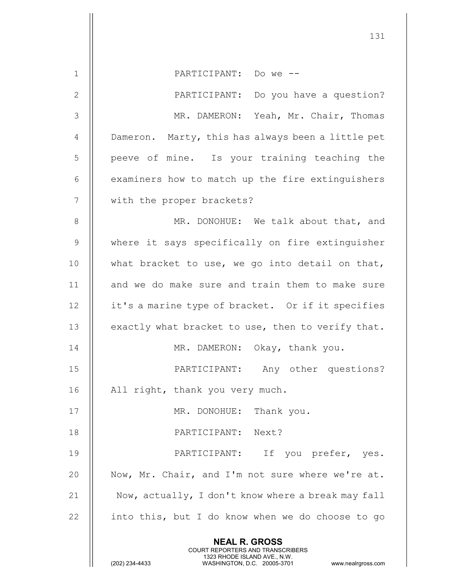| $\mathbf 1$      | PARTICIPANT: Do we --                                                                                                                                                  |
|------------------|------------------------------------------------------------------------------------------------------------------------------------------------------------------------|
| $\mathbf{2}$     | PARTICIPANT: Do you have a question?                                                                                                                                   |
| 3                | MR. DAMERON: Yeah, Mr. Chair, Thomas                                                                                                                                   |
| 4                | Dameron. Marty, this has always been a little pet                                                                                                                      |
| 5                | peeve of mine. Is your training teaching the                                                                                                                           |
| 6                | examiners how to match up the fire extinguishers                                                                                                                       |
| $\boldsymbol{7}$ | with the proper brackets?                                                                                                                                              |
| $\,8\,$          | MR. DONOHUE: We talk about that, and                                                                                                                                   |
| $\mathsf 9$      | where it says specifically on fire extinguisher                                                                                                                        |
| 10               | what bracket to use, we go into detail on that,                                                                                                                        |
| 11               | and we do make sure and train them to make sure                                                                                                                        |
| 12               | it's a marine type of bracket. Or if it specifies                                                                                                                      |
| 13               | exactly what bracket to use, then to verify that.                                                                                                                      |
| 14               | MR. DAMERON: Okay, thank you.                                                                                                                                          |
| 15               | Any other questions?<br>PARTICIPANT:                                                                                                                                   |
| 16               | All right, thank you very much.                                                                                                                                        |
| 17               | MR. DONOHUE: Thank you.                                                                                                                                                |
| 18               | PARTICIPANT: Next?                                                                                                                                                     |
| 19               | PARTICIPANT: If you prefer, yes.                                                                                                                                       |
| 20               | Now, Mr. Chair, and I'm not sure where we're at.                                                                                                                       |
| 21               | Now, actually, I don't know where a break may fall                                                                                                                     |
| 22               | into this, but I do know when we do choose to go                                                                                                                       |
|                  | <b>NEAL R. GROSS</b><br><b>COURT REPORTERS AND TRANSCRIBERS</b><br>1323 RHODE ISLAND AVE., N.W.<br>(202) 234-4433<br>WASHINGTON, D.C. 20005-3701<br>www.nealrgross.com |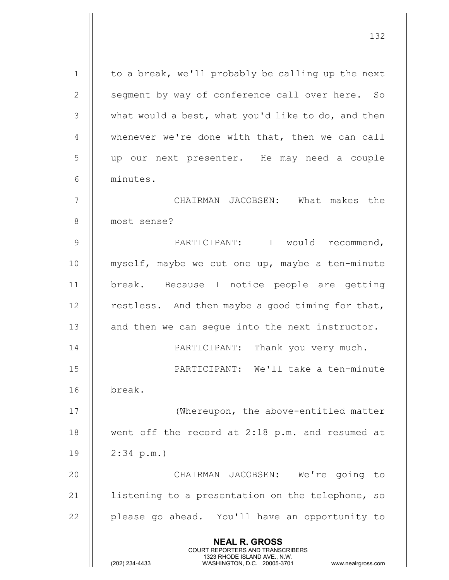NEAL R. GROSS COURT REPORTERS AND TRANSCRIBERS 1323 RHODE ISLAND AVE., N.W.<br>WASHINGTON, D.C. 20005-3701 WASHINGTON, D.C. 20005-3701 www.nealrgross.com  $1 \parallel$  to a break, we'll probably be calling up the next 2 || segment by way of conference call over here. So 3 | what would a best, what you'd like to do, and then 4 Whenever we're done with that, then we can call 5 up our next presenter. He may need a couple 6 minutes. 7 CHAIRMAN JACOBSEN: What makes the 8 || most sense? 9 || PARTICIPANT: I would recommend, 10 myself, maybe we cut one up, maybe a ten-minute 11 break. Because I notice people are getting  $12$  | restless. And then maybe a good timing for that, 13 || and then we can seque into the next instructor. 14 || PARTICIPANT: Thank you very much. 15 PARTICIPANT: We'll take a ten-minute 16 break. 17 (Whereupon, the above-entitled matter 18 || went off the record at 2:18 p.m. and resumed at 19 2:34 p.m.) 20 CHAIRMAN JACOBSEN: We're going to 21  $\parallel$  listening to a presentation on the telephone, so 22 || please go ahead. You'll have an opportunity to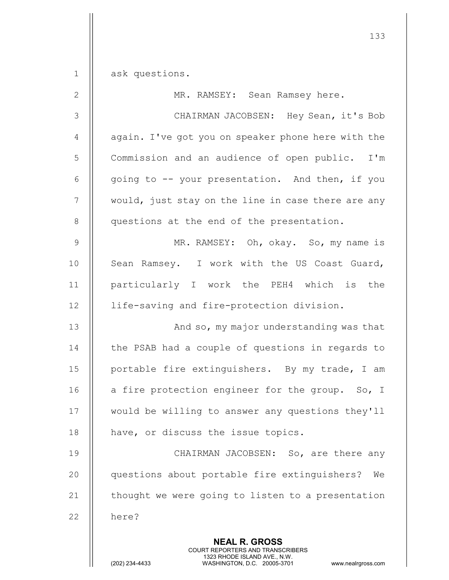133 NEAL R. GROSS COURT REPORTERS AND TRANSCRIBERS 1323 RHODE ISLAND AVE., N.W.<br>WASHINGTON, D.C. 20005-3701 1 || ask questions. 2 || MR. RAMSEY: Sean Ramsey here. 3 CHAIRMAN JACOBSEN: Hey Sean, it's Bob  $4 \parallel$  again. I've got you on speaker phone here with the 5 Commission and an audience of open public. I'm 6  $\parallel$  going to  $-$  your presentation. And then, if you  $7$   $\parallel$  would, just stay on the line in case there are any 8 || questions at the end of the presentation. 9 MR. RAMSEY: Oh, okay. So, my name is 10 || Sean Ramsey. I work with the US Coast Guard, 11 particularly I work the PEH4 which is the 12 | life-saving and fire-protection division. 13 || And so, my major understanding was that 14 || the PSAB had a couple of questions in regards to 15 || portable fire extinguishers. By my trade, I am 16  $\parallel$  a fire protection engineer for the group. So, I 17 would be willing to answer any questions they'll 18 | have, or discuss the issue topics. 19 CHAIRMAN JACOBSEN: So, are there any 20 || questions about portable fire extinguishers? We 21  $\parallel$  thought we were going to listen to a presentation 22 | here?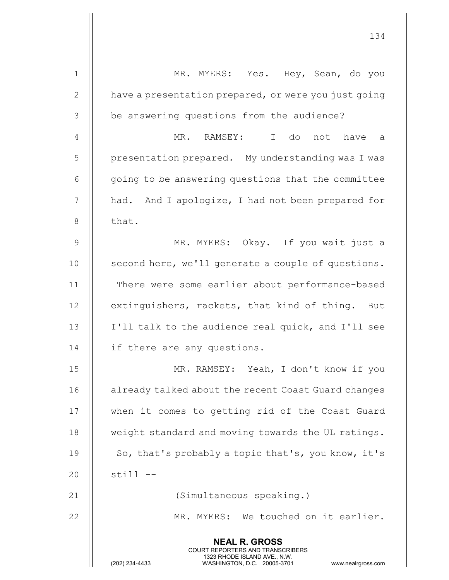| $1\,$          | MR. MYERS: Yes. Hey, Sean, do you                                                                                                                                      |
|----------------|------------------------------------------------------------------------------------------------------------------------------------------------------------------------|
| $\mathbf{2}$   | have a presentation prepared, or were you just going                                                                                                                   |
| 3              | be answering questions from the audience?                                                                                                                              |
| $\overline{4}$ | MR. RAMSEY: I do<br>not<br>have<br>a                                                                                                                                   |
| 5              | presentation prepared. My understanding was I was                                                                                                                      |
| 6              | going to be answering questions that the committee                                                                                                                     |
| 7              | had. And I apologize, I had not been prepared for                                                                                                                      |
| 8              | that.                                                                                                                                                                  |
| $\mathcal{G}$  | MR. MYERS: Okay. If you wait just a                                                                                                                                    |
| 10             | second here, we'll generate a couple of questions.                                                                                                                     |
| 11             | There were some earlier about performance-based                                                                                                                        |
| 12             | extinguishers, rackets, that kind of thing. But                                                                                                                        |
| 13             | I'll talk to the audience real quick, and I'll see                                                                                                                     |
| 14             | if there are any questions.                                                                                                                                            |
| 15             | RAMSEY: Yeah, I don't know if you<br>MR.                                                                                                                               |
| 16             | already talked about the recent Coast Guard changes                                                                                                                    |
| 17             | when it comes to getting rid of the Coast Guard                                                                                                                        |
| 18             | weight standard and moving towards the UL ratings.                                                                                                                     |
| 19             | So, that's probably a topic that's, you know, it's                                                                                                                     |
| 20             | still --                                                                                                                                                               |
| 21             | (Simultaneous speaking.)                                                                                                                                               |
| 22             | MR. MYERS: We touched on it earlier.                                                                                                                                   |
|                | <b>NEAL R. GROSS</b><br><b>COURT REPORTERS AND TRANSCRIBERS</b><br>1323 RHODE ISLAND AVE., N.W.<br>(202) 234-4433<br>WASHINGTON, D.C. 20005-3701<br>www.nealrgross.com |

 $\mathsf{I}\mathsf{I}$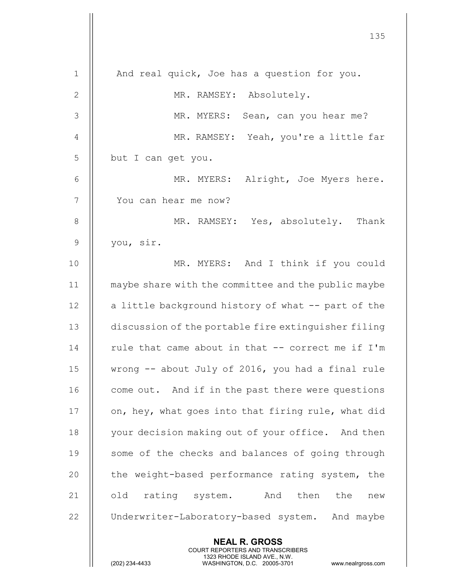|                | 135                                                                                                                                                             |
|----------------|-----------------------------------------------------------------------------------------------------------------------------------------------------------------|
| 1              | And real quick, Joe has a question for you.                                                                                                                     |
| $\mathbf{2}$   | MR. RAMSEY: Absolutely.                                                                                                                                         |
| 3              | MR. MYERS: Sean, can you hear me?                                                                                                                               |
| 4              | MR. RAMSEY: Yeah, you're a little far                                                                                                                           |
| 5              | but I can get you.                                                                                                                                              |
| 6              | MR. MYERS: Alright, Joe Myers here.                                                                                                                             |
| $\overline{7}$ | You can hear me now?                                                                                                                                            |
| $8\,$          | MR. RAMSEY: Yes, absolutely. Thank                                                                                                                              |
| $\mathcal{G}$  | you, sir.                                                                                                                                                       |
| 10             | MR. MYERS: And I think if you could                                                                                                                             |
| 11             | maybe share with the committee and the public maybe                                                                                                             |
| 12             | a little background history of what -- part of the                                                                                                              |
| 13             | discussion of the portable fire extinguisher filing                                                                                                             |
| 14             | rule that came about in that -- correct me if I'm                                                                                                               |
| 15             | wrong -- about July of 2016, you had a final rule                                                                                                               |
| 16             | come out. And if in the past there were questions                                                                                                               |
| 17             | on, hey, what goes into that firing rule, what did                                                                                                              |
| 18             | your decision making out of your office. And then                                                                                                               |
| 19             | some of the checks and balances of going through                                                                                                                |
| 20             | the weight-based performance rating system, the                                                                                                                 |
| 21             | old rating system. And then the<br>new                                                                                                                          |
| 22             | Underwriter-Laboratory-based system. And maybe                                                                                                                  |
|                | <b>NEAL R. GROSS</b><br>COURT REPORTERS AND TRANSCRIBERS<br>1323 RHODE ISLAND AVE., N.W.<br>(202) 234-4433<br>WASHINGTON, D.C. 20005-3701<br>www.nealrgross.com |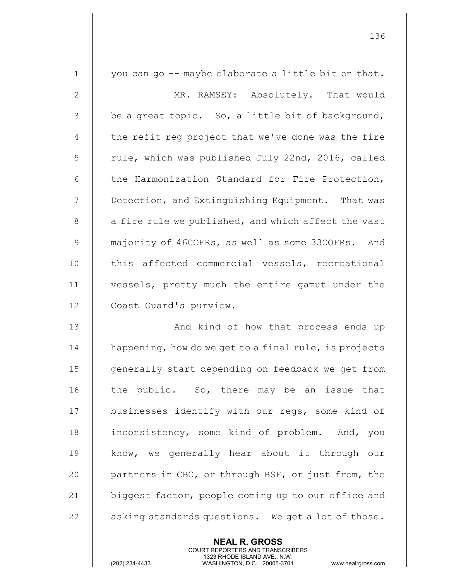| $\mathbf 1$    | you can go -- maybe elaborate a little bit on that.   |
|----------------|-------------------------------------------------------|
| $\mathbf{2}$   | MR. RAMSEY: Absolutely. That would                    |
| 3              | be a great topic. So, a little bit of background,     |
| $\overline{4}$ | the refit reg project that we've done was the fire    |
| 5              | rule, which was published July 22nd, 2016, called     |
| 6              | the Harmonization Standard for Fire Protection,       |
| 7              | Detection, and Extinguishing Equipment. That was      |
| $8\,$          | a fire rule we published, and which affect the vast   |
| $\mathsf 9$    | majority of 46COFRs, as well as some 33COFRs. And     |
| 10             | this affected commercial vessels, recreational        |
| 11             | vessels, pretty much the entire gamut under the       |
| 12             | Coast Guard's purview.                                |
| 13             | And kind of how that process ends up                  |
| 14             | happening, how do we get to a final rule, is projects |
| 15             | generally start depending on feedback we get from     |
| 16             | the public. So, there may be an issue that            |
| 17             | businesses identify with our regs, some kind of       |
| 18             | inconsistency, some kind of problem. And, you         |
| 19             |                                                       |
|                | know, we generally hear about it through our          |
|                | partners in CBC, or through BSF, or just from, the    |
| 20<br>21       | biggest factor, people coming up to our office and    |
| 22             | asking standards questions. We get a lot of those.    |

NEAL R. GROSS

 COURT REPORTERS AND TRANSCRIBERS 1323 RHODE ISLAND AVE., N.W.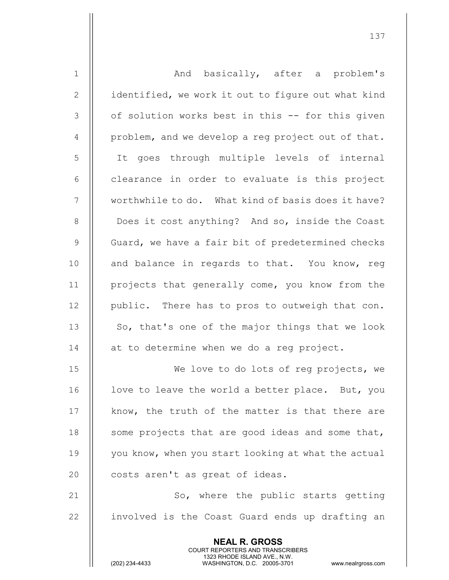| $\mathbf 1$    | And basically, after a problem's                                                                    |
|----------------|-----------------------------------------------------------------------------------------------------|
| $\mathbf{2}$   | identified, we work it out to figure out what kind                                                  |
| 3              | of solution works best in this -- for this given                                                    |
| $\overline{4}$ | problem, and we develop a reg project out of that.                                                  |
| 5              | It goes through multiple levels of internal                                                         |
| 6              | clearance in order to evaluate is this project                                                      |
| 7              | worthwhile to do. What kind of basis does it have?                                                  |
| $8\,$          | Does it cost anything? And so, inside the Coast                                                     |
| 9              | Guard, we have a fair bit of predetermined checks                                                   |
| 10             | and balance in regards to that. You know, reg                                                       |
| 11             | projects that generally come, you know from the                                                     |
| 12             | public. There has to pros to outweigh that con.                                                     |
| 13             | So, that's one of the major things that we look                                                     |
| 14             | at to determine when we do a reg project.                                                           |
| 15             | We love to do lots of reg projects, we                                                              |
| 16             | love to leave the world a better place. But, you                                                    |
| 17             | know, the truth of the matter is that there are                                                     |
| 18             | some projects that are good ideas and some that,                                                    |
| 19             | you know, when you start looking at what the actual                                                 |
| 20             | costs aren't as great of ideas.                                                                     |
| 21             | So, where the public starts getting                                                                 |
| 22             | involved is the Coast Guard ends up drafting an                                                     |
|                |                                                                                                     |
|                | <b>NEAL R. GROSS</b><br><b>COURT REPORTERS AND TRANSCRIBERS</b>                                     |
|                | 1323 RHODE ISLAND AVE., N.W.<br>(202) 234-4433<br>WASHINGTON, D.C. 20005-3701<br>www.nealrgross.com |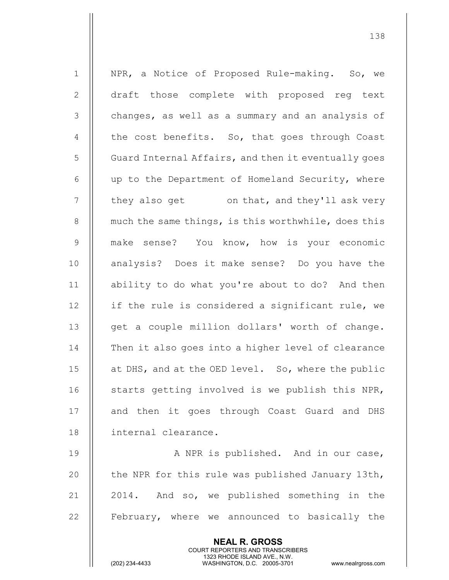1 || NPR, a Notice of Proposed Rule-making. So, we 2 || draft those complete with proposed reg text 3 | changes, as well as a summary and an analysis of 4  $\parallel$  the cost benefits. So, that goes through Coast 5 Guard Internal Affairs, and then it eventually goes  $6$   $\parallel$  up to the Department of Homeland Security, where  $7 \parallel$  they also get on that, and they'll ask very 8 || much the same things, is this worthwhile, does this 9 make sense? You know, how is your economic 10 || analysis? Does it make sense? Do you have the 11 ability to do what you're about to do? And then  $12$  | if the rule is considered a significant rule, we  $13$  || get a couple million dollars' worth of change. 14 || Then it also goes into a higher level of clearance 15 || at DHS, and at the OED level. So, where the public 16  $\parallel$  starts getting involved is we publish this NPR, 17 || and then it goes through Coast Guard and DHS 18 internal clearance. 19 || A NPR is published. And in our case, 20  $\parallel$  the NPR for this rule was published January 13th, 21  $\parallel$  2014. And so, we published something in the 22 || February, where we announced to basically the

> NEAL R. GROSS COURT REPORTERS AND TRANSCRIBERS

138

1323 RHODE ISLAND AVE., N.W.<br>WASHINGTON, D.C. 20005-3701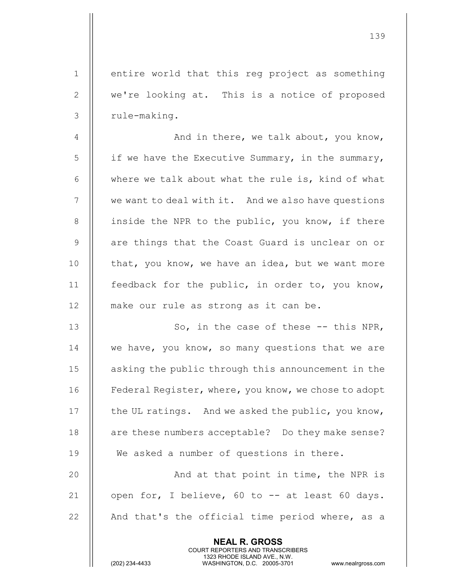1 || entire world that this reg project as something 2 || we're looking at. This is a notice of proposed  $3$  | rule-making.

4  $\parallel$  And in there, we talk about, you know,  $5 \parallel$  if we have the Executive Summary, in the summary, 6  $\parallel$  where we talk about what the rule is, kind of what 7 | we want to deal with it. And we also have questions  $8$  || inside the NPR to the public, you know, if there 9 || are things that the Coast Guard is unclear on or 10 || that, you know, we have an idea, but we want more 11 feedback for the public, in order to, you know, 12 make our rule as strong as it can be.

13 || So, in the case of these -- this NPR, 14 || we have, you know, so many questions that we are 15 || asking the public through this announcement in the 16 | Federal Register, where, you know, we chose to adopt 17 | the UL ratings. And we asked the public, you know, 18 || are these numbers acceptable? Do they make sense? 19 || We asked a number of questions in there.

20 And at that point in time, the NPR is 21  $\parallel$  open for, I believe, 60 to -- at least 60 days. 22  $\parallel$  And that's the official time period where, as a

> NEAL R. GROSS COURT REPORTERS AND TRANSCRIBERS

1323 RHODE ISLAND AVE., N.W.<br>WASHINGTON, D.C. 20005-3701

WASHINGTON, D.C. 20005-3701 www.nealrgross.com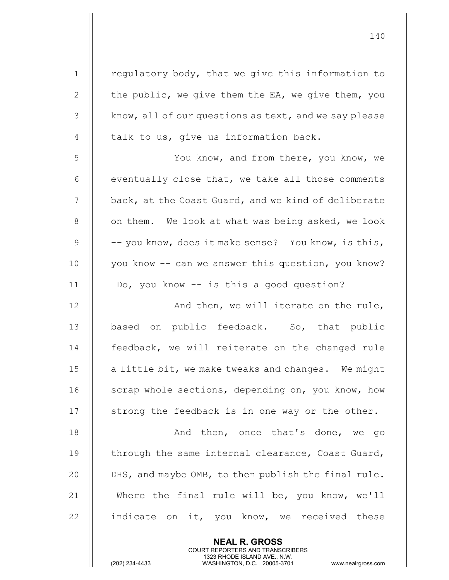1 | regulatory body, that we give this information to 2  $\parallel$  the public, we give them the EA, we give them, you  $3 \parallel$  know, all of our questions as text, and we say please 4  $\parallel$  talk to us, give us information back. 5 | You know, and from there, you know, we  $6$   $\parallel$  eventually close that, we take all those comments 7 | back, at the Coast Guard, and we kind of deliberate 8 | on them. We look at what was being asked, we look 9  $\parallel$  -- you know, does it make sense? You know, is this, 10 || you know -- can we answer this question, you know? 11 Do, you know -- is this a good question? 12 And then, we will iterate on the rule, 13 || based on public feedback. So, that public 14 | feedback, we will reiterate on the changed rule 15  $\parallel$  a little bit, we make tweaks and changes. We might 16 | scrap whole sections, depending on, you know, how  $17$   $\parallel$  strong the feedback is in one way or the other. 18 And then, once that's done, we go 19 | through the same internal clearance, Coast Guard, 20  $\parallel$  DHS, and maybe OMB, to then publish the final rule. 21  $\parallel$  Where the final rule will be, you know, we'll 22 || indicate on it, you know, we received these

> NEAL R. GROSS COURT REPORTERS AND TRANSCRIBERS

140

1323 RHODE ISLAND AVE., N.W.<br>WASHINGTON, D.C. 20005-3701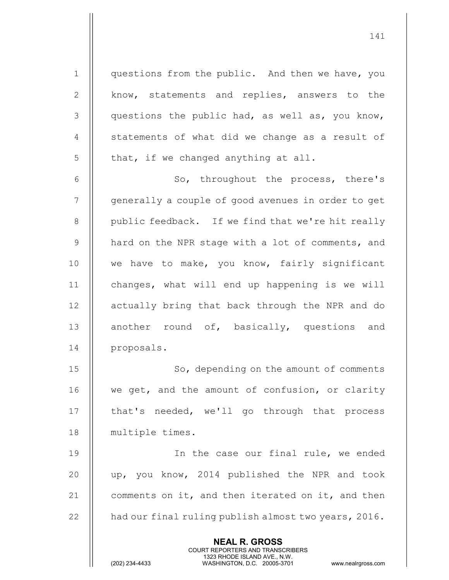1 | questions from the public. And then we have, you 2 || know, statements and replies, answers to the  $3 \parallel$  questions the public had, as well as, you know,  $4 \parallel$  statements of what did we change as a result of  $5$  || that, if we changed anything at all.

6 || So, throughout the process, there's 7 | generally a couple of good avenues in order to get 8 || public feedback. If we find that we're hit really 9 || hard on the NPR stage with a lot of comments, and 10 || we have to make, you know, fairly significant 11 | changes, what will end up happening is we will 12 || actually bring that back through the NPR and do 13 || another round of, basically, questions and 14 || proposals.

15 || So, depending on the amount of comments 16 || we get, and the amount of confusion, or clarity 17 || that's needed, we'll go through that process 18 || multiple times.

19 || In the case our final rule, we ended 20 || up, you know, 2014 published the NPR and took 21  $\parallel$  comments on it, and then iterated on it, and then 22  $\parallel$  had our final ruling publish almost two years, 2016.

> NEAL R. GROSS COURT REPORTERS AND TRANSCRIBERS

1323 RHODE ISLAND AVE., N.W.<br>WASHINGTON, D.C. 20005-3701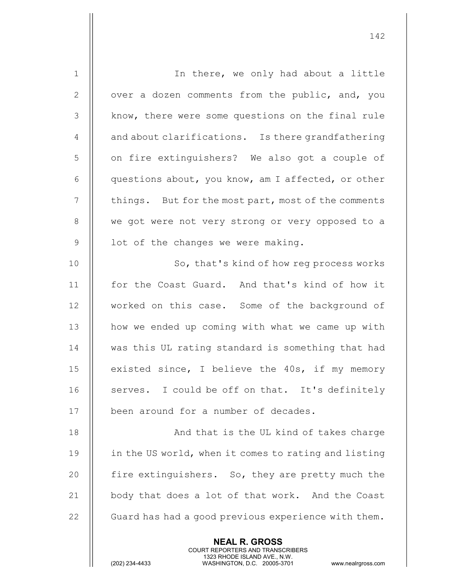| $\mathbf 1$    | In there, we only had about a little                                                                                                                                   |
|----------------|------------------------------------------------------------------------------------------------------------------------------------------------------------------------|
| 2              | over a dozen comments from the public, and, you                                                                                                                        |
| 3              | know, there were some questions on the final rule                                                                                                                      |
| $\overline{4}$ | and about clarifications. Is there grandfathering                                                                                                                      |
| 5              | on fire extinguishers? We also got a couple of                                                                                                                         |
| 6              | questions about, you know, am I affected, or other                                                                                                                     |
| 7              | things. But for the most part, most of the comments                                                                                                                    |
| 8              | we got were not very strong or very opposed to a                                                                                                                       |
| $\mathsf 9$    | lot of the changes we were making.                                                                                                                                     |
| 10             | So, that's kind of how req process works                                                                                                                               |
| 11             | for the Coast Guard. And that's kind of how it                                                                                                                         |
| 12             | worked on this case. Some of the background of                                                                                                                         |
| 13             | how we ended up coming with what we came up with                                                                                                                       |
| 14             | was this UL rating standard is something that had                                                                                                                      |
| 15             | existed since, I believe the 40s, if my memory                                                                                                                         |
| 16             | serves. I could be off on that. It's definitely                                                                                                                        |
| 17             | been around for a number of decades.                                                                                                                                   |
| 18             | And that is the UL kind of takes charge                                                                                                                                |
| 19             | in the US world, when it comes to rating and listing                                                                                                                   |
| 20             | fire extinguishers. So, they are pretty much the                                                                                                                       |
| 21             | body that does a lot of that work. And the Coast                                                                                                                       |
| 22             | Guard has had a good previous experience with them.                                                                                                                    |
|                | <b>NEAL R. GROSS</b><br><b>COURT REPORTERS AND TRANSCRIBERS</b><br>1323 RHODE ISLAND AVE., N.W.<br>(202) 234-4433<br>WASHINGTON, D.C. 20005-3701<br>www.nealrgross.com |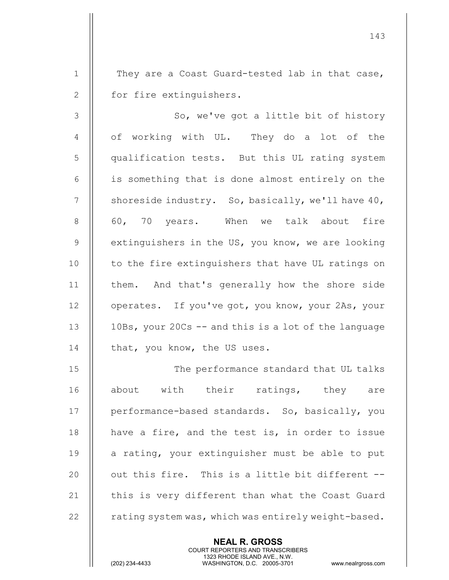1  $\parallel$  They are a Coast Guard-tested lab in that case, 2 | for fire extinguishers.

143

3 || So, we've got a little bit of history 4 || of working with UL. They do a lot of the 5 qualification tests. But this UL rating system 6 || is something that is done almost entirely on the 7  $\parallel$  shoreside industry. So, basically, we'll have 40,  $8 \parallel 60$ , 70 years. When we talk about fire 9  $\parallel$  extinguishers in the US, you know, we are looking  $10$   $\parallel$  to the fire extinguishers that have UL ratings on 11 || them. And that's generally how the shore side 12 | operates. If you've got, you know, your 2As, your 13  $\parallel$  10Bs, your 20Cs -- and this is a lot of the language 14 | that, you know, the US uses.

15 || The performance standard that UL talks 16 || about with their ratings, they are 17 || performance-based standards. So, basically, you  $\parallel$  have a fire, and the test is, in order to issue  $\parallel$  a rating, your extinguisher must be able to put  $\parallel$  out this fire. This is a little bit different -- $\parallel$  this is very different than what the Coast Guard  $\parallel$  rating system was, which was entirely weight-based.

> NEAL R. GROSS COURT REPORTERS AND TRANSCRIBERS

1323 RHODE ISLAND AVE., N.W.<br>WASHINGTON, D.C. 20005-3701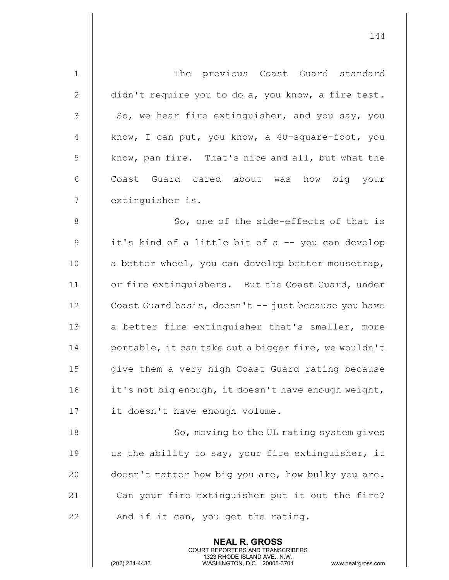| $\mathbf 1$    | The previous Coast Guard standard                    |
|----------------|------------------------------------------------------|
| $\mathbf{2}$   | didn't require you to do a, you know, a fire test.   |
| 3              | So, we hear fire extinguisher, and you say, you      |
| 4              | know, I can put, you know, a 40-square-foot, you     |
| 5              | know, pan fire. That's nice and all, but what the    |
| 6              | Coast Guard cared about was how big your             |
| 7              | extinguisher is.                                     |
| $8\,$          | So, one of the side-effects of that is               |
| $\overline{9}$ | it's kind of a little bit of a -- you can develop    |
| 10             | a better wheel, you can develop better mousetrap,    |
| 11             | or fire extinguishers. But the Coast Guard, under    |
| 12             | Coast Guard basis, doesn't -- just because you have  |
| 13             | a better fire extinguisher that's smaller, more      |
| 14             | portable, it can take out a bigger fire, we wouldn't |
| 15             | give them a very high Coast Guard rating because     |
| 16             | it's not big enough, it doesn't have enough weight,  |
| 17             | it doesn't have enough volume.                       |
| 18             | So, moving to the UL rating system gives             |
| 19             | us the ability to say, your fire extinguisher, it    |
| 20             | doesn't matter how big you are, how bulky you are.   |
| 21             | Can your fire extinguisher put it out the fire?      |
| 22             | And if it can, you get the rating.                   |
|                | <b>NEAL R. GROSS</b>                                 |

 COURT REPORTERS AND TRANSCRIBERS 1323 RHODE ISLAND AVE., N.W.

Ш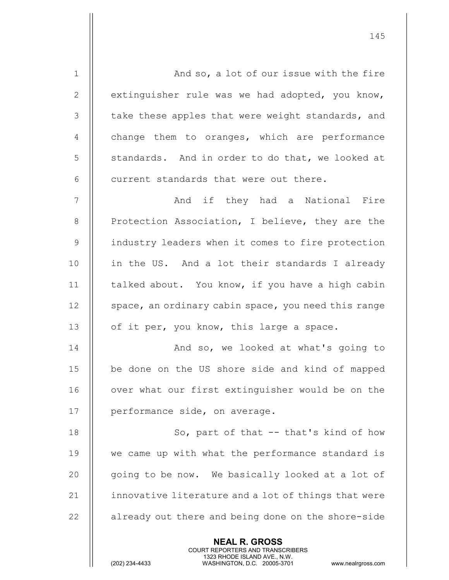NEAL R. GROSS COURT REPORTERS AND TRANSCRIBERS 1 And so, a lot of our issue with the fire 2 | extinguisher rule was we had adopted, you know, 3 || take these apples that were weight standards, and  $4$   $\parallel$  change them to oranges, which are performance  $5$  || standards. And in order to do that, we looked at  $6$   $\parallel$  current standards that were out there. 7 And if they had a National Fire 8 | Protection Association, I believe, they are the 9 | industry leaders when it comes to fire protection 10 || in the US. And a lot their standards I already 11  $\parallel$  talked about. You know, if you have a high cabin 12  $\parallel$  space, an ordinary cabin space, you need this range 13  $\parallel$  of it per, you know, this large a space. 14 || And so, we looked at what's going to 15 || be done on the US shore side and kind of mapped 16 || over what our first extinguisher would be on the 17 || performance side, on average. 18 || So, part of that -- that's kind of how 19 || we came up with what the performance standard is 20 || going to be now. We basically looked at a lot of 21  $\parallel$  innovative literature and a lot of things that were  $22$  || already out there and being done on the shore-side

145

1323 RHODE ISLAND AVE., N.W.<br>WASHINGTON, D.C. 20005-3701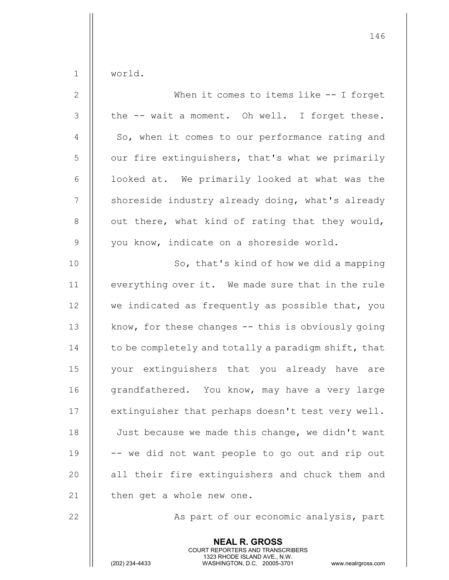world.

| $\overline{2}$ | When it comes to items like $--$ I forget            |
|----------------|------------------------------------------------------|
| $\mathcal{S}$  | the -- wait a moment. Oh well. I forget these.       |
| 4              | So, when it comes to our performance rating and      |
| 5              | our fire extinguishers, that's what we primarily     |
| 6              | looked at. We primarily looked at what was the       |
| $\overline{7}$ | shoreside industry already doing, what's already     |
| $\,8\,$        | out there, what kind of rating that they would,      |
| $\mathsf 9$    | you know, indicate on a shoreside world.             |
| 10             | So, that's kind of how we did a mapping              |
| 11             | everything over it. We made sure that in the rule    |
| 12             | we indicated as frequently as possible that, you     |
| 13             | know, for these changes $--$ this is obviously going |
| 14             | to be completely and totally a paradigm shift, that  |
| 15             | your extinguishers that you already have are         |
| 16             | grandfathered. You know, may have a very large       |
| 17             | extinguisher that perhaps doesn't test very well.    |
| 18             | Just because we made this change, we didn't want     |
| 19             | -- we did not want people to go out and rip out      |
| 20             | all their fire extinguishers and chuck them and      |
| 21             | then get a whole new one.                            |
| 22             | As part of our economic analysis, part               |

NEAL R. GROSS

 COURT REPORTERS AND TRANSCRIBERS 1323 RHODE ISLAND AVE., N.W.

(202) 234-4433 WASHINGTON, D.C. 20005-3701 www.nealrgross.com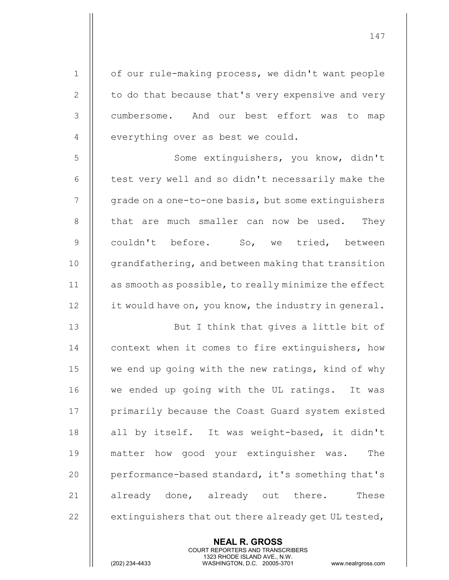1 | of our rule-making process, we didn't want people  $2 \parallel$  to do that because that's very expensive and very 3 || cumbersome. And our best effort was to map 4 || everything over as best we could. 5 || Some extinguishers, you know, didn't  $6$  || test very well and so didn't necessarily make the 7 | grade on a one-to-one basis, but some extinguishers 8 || that are much smaller can now be used. They 9 couldn't before. So, we tried, between 10 **qrandfathering, and between making that transition** 11  $\parallel$  as smooth as possible, to really minimize the effect 12  $\parallel$  it would have on, you know, the industry in general. 13 || But I think that gives a little bit of 14 | context when it comes to fire extinguishers, how 15 || we end up going with the new ratings, kind of why 16 we ended up going with the UL ratings. It was 17 | primarily because the Coast Guard system existed 18 || all by itself. It was weight-based, it didn't 19 matter how good your extinguisher was. The 20 | performance-based standard, it's something that's 21  $\parallel$  already done, already out there. These 22  $\parallel$  extinguishers that out there already get UL tested,

> NEAL R. GROSS COURT REPORTERS AND TRANSCRIBERS

147

1323 RHODE ISLAND AVE., N.W.<br>WASHINGTON, D.C. 20005-3701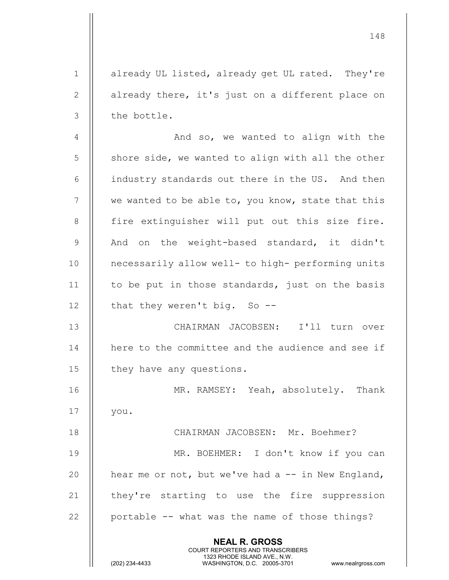NEAL R. GROSS COURT REPORTERS AND TRANSCRIBERS 1323 RHODE ISLAND AVE., N.W.<br>WASHINGTON, D.C. 20005-3701 WASHINGTON, D.C. 20005-3701 www.nealrgross.com 1 || already UL listed, already get UL rated. They're 2  $\parallel$  already there, it's just on a different place on  $3$   $\parallel$  the bottle. 4 And so, we wanted to align with the  $5$   $\parallel$  shore side, we wanted to align with all the other 6 || industry standards out there in the US. And then  $7$  || we wanted to be able to, you know, state that this 8 | fire extinguisher will put out this size fire. 9 And on the weight-based standard, it didn't 10 necessarily allow well- to high- performing units 11  $\parallel$  to be put in those standards, just on the basis 12  $\parallel$  that they weren't big. So --13 CHAIRMAN JACOBSEN: I'll turn over 14 || here to the committee and the audience and see if 15 | they have any questions. 16 || MR. RAMSEY: Yeah, absolutely. Thank 17 you. 18 CHAIRMAN JACOBSEN: Mr. Boehmer? 19 MR. BOEHMER: I don't know if you can 20  $\parallel$  hear me or not, but we've had a  $-$  in New England, 21  $\parallel$  they're starting to use the fire suppression  $22$  || portable  $-$  what was the name of those things?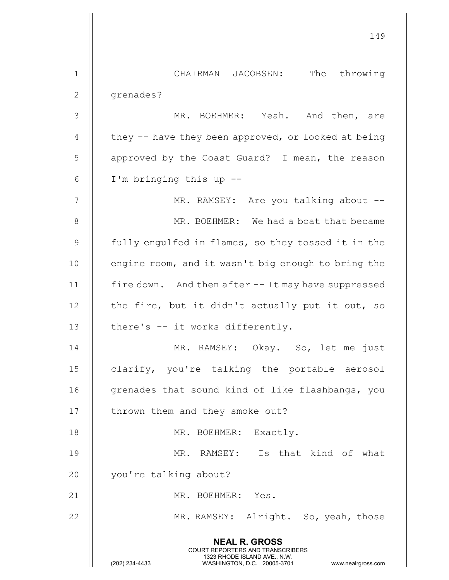|                | 149                                                                                                                                                                    |
|----------------|------------------------------------------------------------------------------------------------------------------------------------------------------------------------|
| $\mathbf 1$    | The throwing<br>CHAIRMAN JACOBSEN:                                                                                                                                     |
| $\mathbf{2}$   | grenades?                                                                                                                                                              |
| $\mathcal{S}$  | MR. BOEHMER: Yeah. And then, are                                                                                                                                       |
| 4              | they $-$ have they been approved, or looked at being                                                                                                                   |
| 5              | approved by the Coast Guard? I mean, the reason                                                                                                                        |
| 6              | I'm bringing this up --                                                                                                                                                |
| $\overline{7}$ | MR. RAMSEY: Are you talking about --                                                                                                                                   |
| 8              | MR. BOEHMER: We had a boat that became                                                                                                                                 |
| 9              | fully engulfed in flames, so they tossed it in the                                                                                                                     |
| 10             | engine room, and it wasn't big enough to bring the                                                                                                                     |
| 11             | fire down. And then after -- It may have suppressed                                                                                                                    |
| 12             | the fire, but it didn't actually put it out, so                                                                                                                        |
| 13             | there's -- it works differently.                                                                                                                                       |
| 14             | RAMSEY: Okay. So, let me just<br>MR.                                                                                                                                   |
| 15             | clarify, you're talking the portable aerosol                                                                                                                           |
| 16             | grenades that sound kind of like flashbangs, you                                                                                                                       |
| 17             | thrown them and they smoke out?                                                                                                                                        |
| 18             | MR. BOEHMER: Exactly.                                                                                                                                                  |
| 19             | MR. RAMSEY: Is that kind of what                                                                                                                                       |
| 20             | you're talking about?                                                                                                                                                  |
| 21             | MR. BOEHMER: Yes.                                                                                                                                                      |
| 22             | MR. RAMSEY: Alright. So, yeah, those                                                                                                                                   |
|                | <b>NEAL R. GROSS</b><br><b>COURT REPORTERS AND TRANSCRIBERS</b><br>1323 RHODE ISLAND AVE., N.W.<br>(202) 234-4433<br>WASHINGTON, D.C. 20005-3701<br>www.nealrgross.com |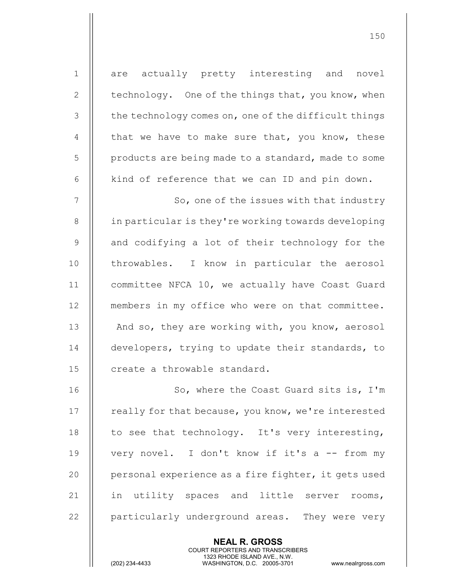1 are actually pretty interesting and novel 2 | technology. One of the things that, you know, when  $3$   $\parallel$  the technology comes on, one of the difficult things 4  $\parallel$  that we have to make sure that, you know, these 5 | products are being made to a standard, made to some  $6$  || kind of reference that we can ID and pin down. 7 || So, one of the issues with that industry 8 | in particular is they're working towards developing  $9$  || and codifying a lot of their technology for the 10 || throwables. I know in particular the aerosol 11 | committee NFCA 10, we actually have Coast Guard 12 || members in my office who were on that committee. 13 || And so, they are working with, you know, aerosol 14 | developers, trying to update their standards, to 15 || create a throwable standard. 16 || So, where the Coast Guard sits is, I'm 17 | really for that because, you know, we're interested 18  $\parallel$  to see that technology. It's very interesting, 19 very novel. I don't know if it's a -- from my 20 || personal experience as a fire fighter, it gets used 21  $\parallel$  in utility spaces and little server rooms,

 $22$   $\parallel$  particularly underground areas. They were very

NEAL R. GROSS COURT REPORTERS AND TRANSCRIBERS

1323 RHODE ISLAND AVE., N.W.<br>WASHINGTON, D.C. 20005-3701

WASHINGTON, D.C. 20005-3701 www.nealrgross.com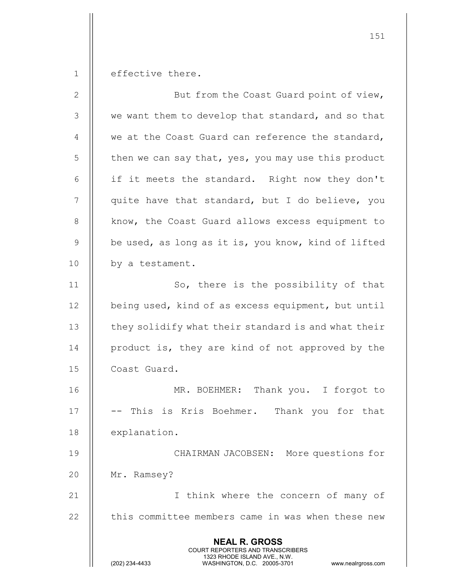1 effective there.

| $\overline{2}$ | But from the Coast Guard point of view,                                                                                                                         |
|----------------|-----------------------------------------------------------------------------------------------------------------------------------------------------------------|
| 3              | we want them to develop that standard, and so that                                                                                                              |
| 4              | we at the Coast Guard can reference the standard,                                                                                                               |
| 5              | then we can say that, yes, you may use this product                                                                                                             |
| 6              | if it meets the standard. Right now they don't                                                                                                                  |
| 7              | quite have that standard, but I do believe, you                                                                                                                 |
| 8              | know, the Coast Guard allows excess equipment to                                                                                                                |
| $\mathcal{G}$  | be used, as long as it is, you know, kind of lifted                                                                                                             |
| 10             | by a testament.                                                                                                                                                 |
| 11             | So, there is the possibility of that                                                                                                                            |
| 12             | being used, kind of as excess equipment, but until                                                                                                              |
| 13             | they solidify what their standard is and what their                                                                                                             |
| 14             | product is, they are kind of not approved by the                                                                                                                |
| 15             | Coast Guard.                                                                                                                                                    |
| 16             | MR. BOEHMER: Thank you. I forgot to                                                                                                                             |
| 17             | This is Kris Boehmer. Thank you for that                                                                                                                        |
| 18             | explanation.                                                                                                                                                    |
| 19             | CHAIRMAN JACOBSEN:<br>More questions for                                                                                                                        |
| 20             | Mr. Ramsey?                                                                                                                                                     |
| 21             | I think where the concern of many of                                                                                                                            |
| 22             | this committee members came in was when these new                                                                                                               |
|                | <b>NEAL R. GROSS</b><br>COURT REPORTERS AND TRANSCRIBERS<br>1323 RHODE ISLAND AVE., N.W.<br>(202) 234-4433<br>WASHINGTON, D.C. 20005-3701<br>www.nealrgross.com |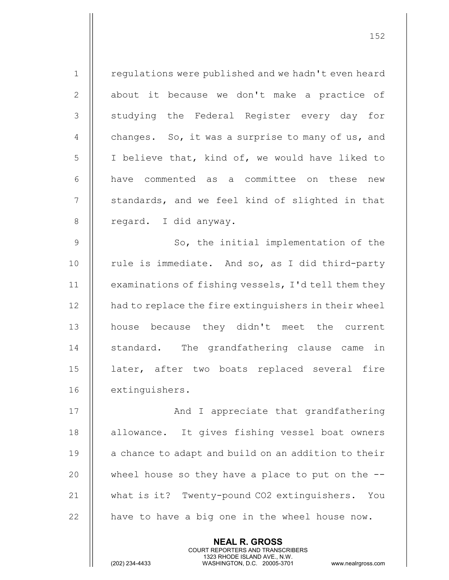1 | regulations were published and we hadn't even heard 2 || about it because we don't make a practice of 3 || studying the Federal Register every day for 4 changes. So, it was a surprise to many of us, and 5 || I believe that, kind of, we would have liked to 6 || have commented as a committee on these new  $7$   $\parallel$  standards, and we feel kind of slighted in that 8 | regard. I did anyway.

9 | So, the initial implementation of the  $10$  | rule is immediate. And so, as I did third-party 11 | examinations of fishing vessels, I'd tell them they 12 | had to replace the fire extinguishers in their wheel 13 house because they didn't meet the current 14 || standard. The grandfathering clause came in 15 || later, after two boats replaced several fire 16 | extinguishers.

17 || And I appreciate that grandfathering 18 || allowance. It gives fishing vessel boat owners 19  $\parallel$  a chance to adapt and build on an addition to their 20 wheel house so they have a place to put on the -- 21 | what is it? Twenty-pound CO2 extinguishers. You 22  $\parallel$  have to have a big one in the wheel house now.

> NEAL R. GROSS COURT REPORTERS AND TRANSCRIBERS

1323 RHODE ISLAND AVE., N.W.<br>WASHINGTON, D.C. 20005-3701

WASHINGTON, D.C. 20005-3701 www.nealrgross.com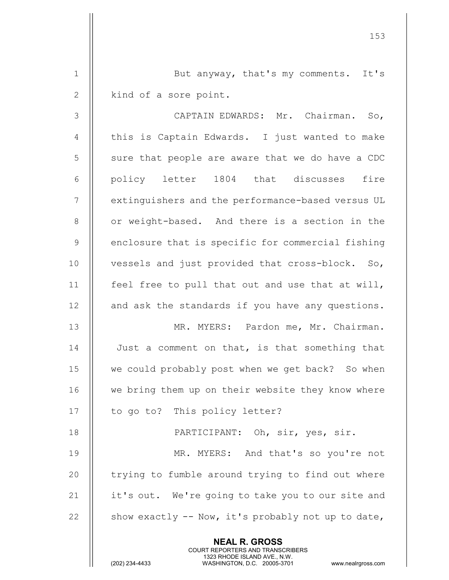|                | 153                                                                                                                                                                    |
|----------------|------------------------------------------------------------------------------------------------------------------------------------------------------------------------|
| $\mathbf{1}$   | But anyway, that's my comments. It's                                                                                                                                   |
| $\mathbf{2}$   | kind of a sore point.                                                                                                                                                  |
| 3              | CAPTAIN EDWARDS: Mr. Chairman. So,                                                                                                                                     |
| $\overline{4}$ | this is Captain Edwards. I just wanted to make                                                                                                                         |
| 5              | sure that people are aware that we do have a CDC                                                                                                                       |
| 6              | policy letter 1804 that discusses<br>fire                                                                                                                              |
| $\overline{7}$ | extinguishers and the performance-based versus UL                                                                                                                      |
| $8\,$          | or weight-based. And there is a section in the                                                                                                                         |
| $\mathsf 9$    | enclosure that is specific for commercial fishing                                                                                                                      |
| 10             | vessels and just provided that cross-block. So,                                                                                                                        |
| 11             | feel free to pull that out and use that at will,                                                                                                                       |
| 12             | and ask the standards if you have any questions.                                                                                                                       |
| 13             | MR. MYERS: Pardon me, Mr. Chairman.                                                                                                                                    |
| 14             | Just a comment on that, is that something that                                                                                                                         |
| 15             | we could probably post when we get back? So when                                                                                                                       |
| 16             | we bring them up on their website they know where                                                                                                                      |
| 17             | to go to? This policy letter?                                                                                                                                          |
| 18             | PARTICIPANT: Oh, sir, yes, sir.                                                                                                                                        |
| 19             | MR. MYERS: And that's so you're not                                                                                                                                    |
| 20             | trying to fumble around trying to find out where                                                                                                                       |
| 21             | it's out. We're going to take you to our site and                                                                                                                      |
| 22             | show exactly -- Now, it's probably not up to date,                                                                                                                     |
|                | <b>NEAL R. GROSS</b><br><b>COURT REPORTERS AND TRANSCRIBERS</b><br>1323 RHODE ISLAND AVE., N.W.<br>(202) 234-4433<br>WASHINGTON, D.C. 20005-3701<br>www.nealrgross.com |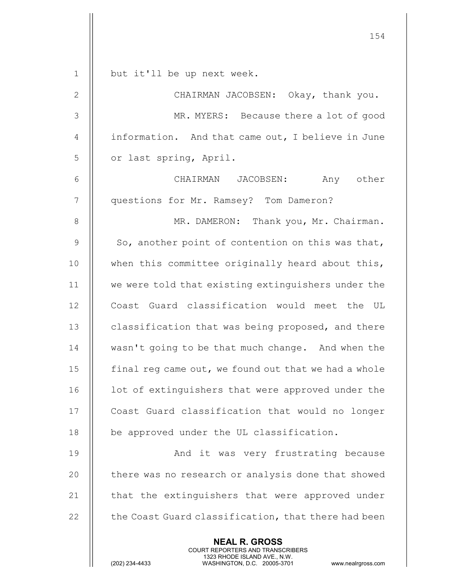| $\mathbf{1}$   | but it'll be up next week.                                                                                                                                      |
|----------------|-----------------------------------------------------------------------------------------------------------------------------------------------------------------|
| $\mathbf{2}$   | CHAIRMAN JACOBSEN: Okay, thank you.                                                                                                                             |
| 3              | MR. MYERS: Because there a lot of good                                                                                                                          |
| $\overline{4}$ | information. And that came out, I believe in June                                                                                                               |
| 5              | or last spring, April.                                                                                                                                          |
| 6              | CHAIRMAN JACOBSEN: Any other                                                                                                                                    |
| 7              | questions for Mr. Ramsey? Tom Dameron?                                                                                                                          |
| $8\,$          | MR. DAMERON: Thank you, Mr. Chairman.                                                                                                                           |
| $\mathcal{G}$  | So, another point of contention on this was that,                                                                                                               |
| 10             | when this committee originally heard about this,                                                                                                                |
| 11             | we were told that existing extinguishers under the                                                                                                              |
| 12             | Coast Guard classification would meet the UL                                                                                                                    |
| 13             | classification that was being proposed, and there                                                                                                               |
| 14             | wasn't going to be that much change. And when the                                                                                                               |
| 15             | final req came out, we found out that we had a whole                                                                                                            |
| 16             | lot of extinguishers that were approved under the                                                                                                               |
| 17             | Coast Guard classification that would no longer                                                                                                                 |
| 18             | be approved under the UL classification.                                                                                                                        |
| 19             | And it was very frustrating because                                                                                                                             |
| 20             | there was no research or analysis done that showed                                                                                                              |
| 21             | that the extinguishers that were approved under                                                                                                                 |
| 22             | the Coast Guard classification, that there had been                                                                                                             |
|                | <b>NEAL R. GROSS</b><br>COURT REPORTERS AND TRANSCRIBERS<br>1323 RHODE ISLAND AVE., N.W.<br>(202) 234-4433<br>WASHINGTON, D.C. 20005-3701<br>www.nealrgross.com |

 $\mathsf I$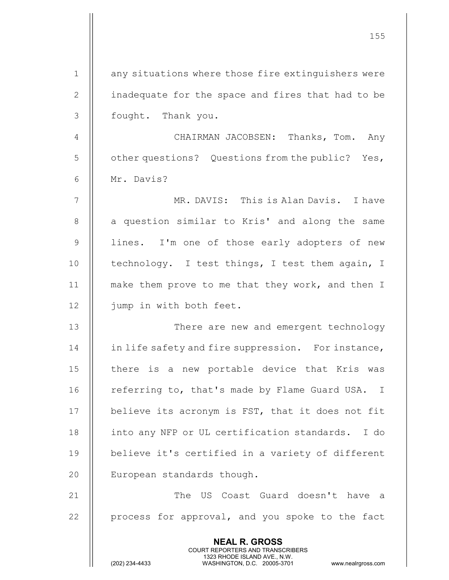|                | 155                                                                                                                                                             |
|----------------|-----------------------------------------------------------------------------------------------------------------------------------------------------------------|
| $\mathbf{1}$   | any situations where those fire extinguishers were                                                                                                              |
| $\mathbf{2}$   | inadequate for the space and fires that had to be                                                                                                               |
| 3              | fought. Thank you.                                                                                                                                              |
| $\overline{4}$ | CHAIRMAN JACOBSEN: Thanks, Tom.<br>Any                                                                                                                          |
| 5              | other questions? Questions from the public? Yes,                                                                                                                |
| 6              | Mr. Davis?                                                                                                                                                      |
| 7              | MR. DAVIS: This is Alan Davis. I have                                                                                                                           |
| 8              | a question similar to Kris' and along the same                                                                                                                  |
| $\overline{9}$ | lines. I'm one of those early adopters of new                                                                                                                   |
| 10             | technology. I test things, I test them again, I                                                                                                                 |
| 11             | make them prove to me that they work, and then I                                                                                                                |
| 12             | jump in with both feet.                                                                                                                                         |
| 13             | There are new and emergent technology                                                                                                                           |
| 14             | in life safety and fire suppression. For instance,                                                                                                              |
| 15             | there is a new portable device that Kris was                                                                                                                    |
| 16             | referring to, that's made by Flame Guard USA. I                                                                                                                 |
| 17             | believe its acronym is FST, that it does not fit                                                                                                                |
| 18             | into any NFP or UL certification standards. I do                                                                                                                |
| 19             | believe it's certified in a variety of different                                                                                                                |
| 20             | European standards though.                                                                                                                                      |
| 21             | The US Coast Guard doesn't have a                                                                                                                               |
| 22             | process for approval, and you spoke to the fact                                                                                                                 |
|                | <b>NEAL R. GROSS</b><br>COURT REPORTERS AND TRANSCRIBERS<br>1323 RHODE ISLAND AVE., N.W.<br>(202) 234-4433<br>WASHINGTON, D.C. 20005-3701<br>www.nealrgross.com |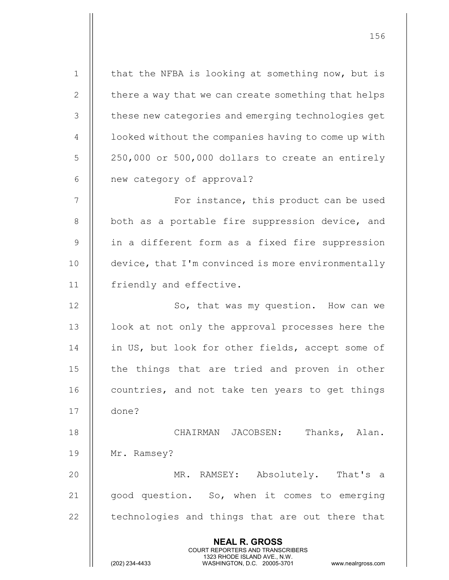NEAL R. GROSS COURT REPORTERS AND TRANSCRIBERS 1323 RHODE ISLAND AVE., N.W.<br>WASHINGTON, D.C. 20005-3701 WASHINGTON, D.C. WASHINGTON, D.C. 20005-3701 www.nealrgross.com 1 | that the NFBA is looking at something now, but is 2 | there a way that we can create something that helps 3 | these new categories and emerging technologies get 4 | looked without the companies having to come up with  $5 \parallel 250,000$  or 500,000 dollars to create an entirely  $6$  | new category of approval? 7 For instance, this product can be used 8 || both as a portable fire suppression device, and 9 || in a different form as a fixed fire suppression 10 | device, that I'm convinced is more environmentally 11 | friendly and effective. 12 || So, that was my question. How can we 13 || look at not only the approval processes here the 14 || in US, but look for other fields, accept some of 15 || the things that are tried and proven in other 16 | countries, and not take ten years to get things 17 done? 18 CHAIRMAN JACOBSEN: Thanks, Alan. 19 Mr. Ramsey? 20 MR. RAMSEY: Absolutely. That's a 21 || good question. So, when it comes to emerging  $22$   $\parallel$  technologies and things that are out there that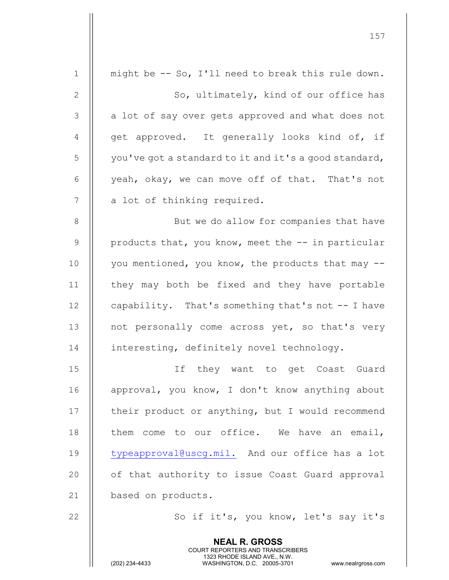|                | 157                                                                                                                                                                    |
|----------------|------------------------------------------------------------------------------------------------------------------------------------------------------------------------|
| $\mathbf{1}$   | might be -- So, I'll need to break this rule down.                                                                                                                     |
| $\mathbf{2}$   | So, ultimately, kind of our office has                                                                                                                                 |
| 3              | a lot of say over gets approved and what does not                                                                                                                      |
| $\overline{4}$ | get approved. It generally looks kind of, if                                                                                                                           |
| 5              | you've got a standard to it and it's a good standard,                                                                                                                  |
| $6\,$          | yeah, okay, we can move off of that. That's not                                                                                                                        |
| $\overline{7}$ | a lot of thinking required.                                                                                                                                            |
| $8\,$          | But we do allow for companies that have                                                                                                                                |
| $\mathcal{G}$  | products that, you know, meet the -- in particular                                                                                                                     |
| 10             | you mentioned, you know, the products that may --                                                                                                                      |
| 11             | they may both be fixed and they have portable                                                                                                                          |
| 12             | capability. That's something that's not -- I have                                                                                                                      |
| 13             | not personally come across yet, so that's very                                                                                                                         |
| 14             | interesting, definitely novel technology.                                                                                                                              |
| 15             | If they want to get Coast Guard                                                                                                                                        |
| 16             | approval, you know, I don't know anything about                                                                                                                        |
| 17             | their product or anything, but I would recommend                                                                                                                       |
| 18             | them come to our office. We have an email,                                                                                                                             |
| 19             | typeapproval@uscg.mil. And our office has a lot                                                                                                                        |
| 20             | of that authority to issue Coast Guard approval                                                                                                                        |
| 21             | based on products.                                                                                                                                                     |
| 22             | So if it's, you know, let's say it's                                                                                                                                   |
|                | <b>NEAL R. GROSS</b><br><b>COURT REPORTERS AND TRANSCRIBERS</b><br>1323 RHODE ISLAND AVE., N.W.<br>(202) 234-4433<br>WASHINGTON, D.C. 20005-3701<br>www.nealrgross.com |

 $\mathop{||}$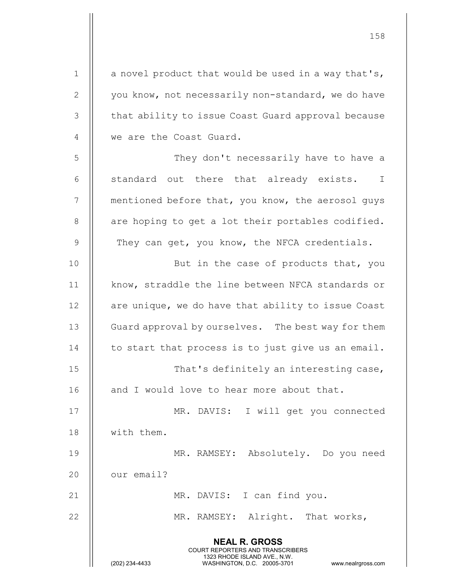NEAL R. GROSS COURT REPORTERS AND TRANSCRIBERS 1323 RHODE ISLAND AVE., N.W.<br>WASHINGTON, D.C. 20005-3701 WASHINGTON, D.C. 20005-3701 www.nealrgross.com 1 | a novel product that would be used in a way that's, 2 | you know, not necessarily non-standard, we do have 3 | that ability to issue Coast Guard approval because 4 || we are the Coast Guard. 5 || They don't necessarily have to have a  $6$   $\parallel$  standard out there that already exists. I  $7$   $\parallel$  mentioned before that, you know, the aerosol guys  $8$  || are hoping to get a lot their portables codified.  $9$  | They can get, you know, the NFCA credentials. 10 || But in the case of products that, you 11 || know, straddle the line between NFCA standards or  $12$  | are unique, we do have that ability to issue Coast 13 **Guard approval by ourselves.** The best way for them  $14$  | to start that process is to just give us an email. 15 || That's definitely an interesting case, 16 || and I would love to hear more about that. 17 MR. DAVIS: I will get you connected 18 with them. 19 MR. RAMSEY: Absolutely. Do you need  $20$  || our email? 21 || MR. DAVIS: I can find you. 22 || MR. RAMSEY: Alright. That works,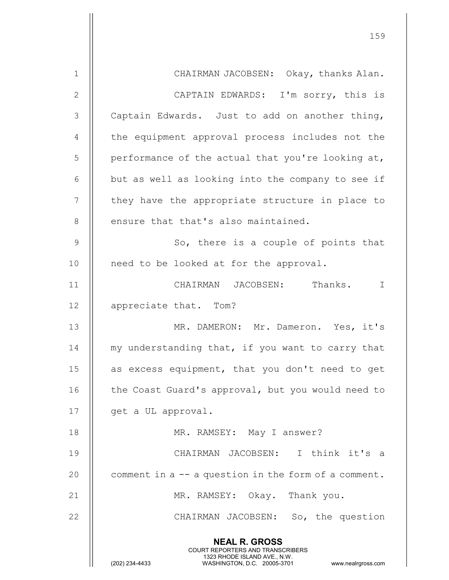|                | 159                                                                                                                                                                    |
|----------------|------------------------------------------------------------------------------------------------------------------------------------------------------------------------|
| $\mathbf 1$    | CHAIRMAN JACOBSEN: Okay, thanks Alan.                                                                                                                                  |
| $\mathbf{2}$   | CAPTAIN EDWARDS: I'm sorry, this is                                                                                                                                    |
| 3              | Captain Edwards. Just to add on another thing,                                                                                                                         |
| $\overline{4}$ | the equipment approval process includes not the                                                                                                                        |
| 5              | performance of the actual that you're looking at,                                                                                                                      |
| 6              | but as well as looking into the company to see if                                                                                                                      |
| $\overline{7}$ | they have the appropriate structure in place to                                                                                                                        |
| $8\,$          | ensure that that's also maintained.                                                                                                                                    |
| $\mathcal{G}$  | So, there is a couple of points that                                                                                                                                   |
| 10             | need to be looked at for the approval.                                                                                                                                 |
| 11             | CHAIRMAN JACOBSEN: Thanks.<br>$\mathbf I$                                                                                                                              |
| 12             | appreciate that. Tom?                                                                                                                                                  |
| 13             | MR. DAMERON: Mr. Dameron. Yes, it's                                                                                                                                    |
| 14             | my understanding that, if you want to carry that                                                                                                                       |
| 15             | as excess equipment, that you don't need to get                                                                                                                        |
| 16             | the Coast Guard's approval, but you would need to                                                                                                                      |
| 17             | get a UL approval.                                                                                                                                                     |
| 18             | MR. RAMSEY: May I answer?                                                                                                                                              |
| 19             | CHAIRMAN JACOBSEN: I think it's a                                                                                                                                      |
| 20             | comment in a -- a question in the form of a comment.                                                                                                                   |
| 21             | MR. RAMSEY: Okay. Thank you.                                                                                                                                           |
| 22             | CHAIRMAN JACOBSEN: So, the question                                                                                                                                    |
|                | <b>NEAL R. GROSS</b><br><b>COURT REPORTERS AND TRANSCRIBERS</b><br>1323 RHODE ISLAND AVE., N.W.<br>(202) 234-4433<br>WASHINGTON, D.C. 20005-3701<br>www.nealrgross.com |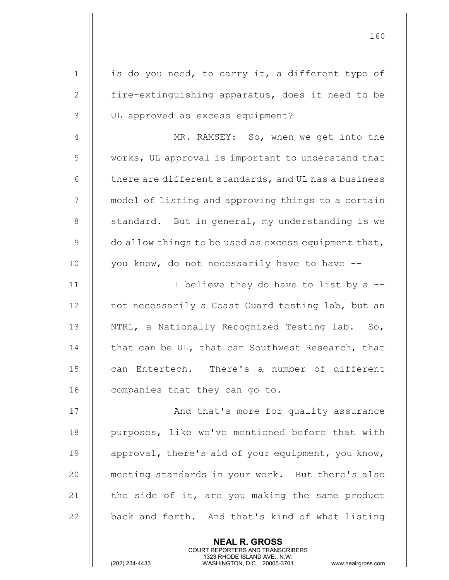| $\mathbf 1$    | is do you need, to carry it, a different type of     |
|----------------|------------------------------------------------------|
| 2              | fire-extinguishing apparatus, does it need to be     |
| 3              | UL approved as excess equipment?                     |
| $\overline{4}$ | MR. RAMSEY: So, when we get into the                 |
| 5              | works, UL approval is important to understand that   |
| 6              | there are different standards, and UL has a business |
| 7              | model of listing and approving things to a certain   |
| 8              | standard. But in general, my understanding is we     |
| $\mathsf 9$    | do allow things to be used as excess equipment that, |
| 10             | you know, do not necessarily have to have --         |
| 11             | I believe they do have to list by a --               |
| 12             | not necessarily a Coast Guard testing lab, but an    |
| 13             | NTRL, a Nationally Recognized Testing lab.<br>So,    |
| 14             | that can be UL, that can Southwest Research, that    |
| 15             | can Entertech. There's a number of different         |
| 16             | companies that they can go to.                       |
| 17             | And that's more for quality assurance                |
| 18             | purposes, like we've mentioned before that with      |
| 19             | approval, there's aid of your equipment, you know,   |
| 20             | meeting standards in your work. But there's also     |
| 21             | the side of it, are you making the same product      |
| 22             | back and forth. And that's kind of what listing      |
|                | <b>NEAL R. GROSS</b>                                 |

COURT REPORTERS AND TRANSCRIBERS

1323 RHODE ISLAND AVE., N.W.

Ш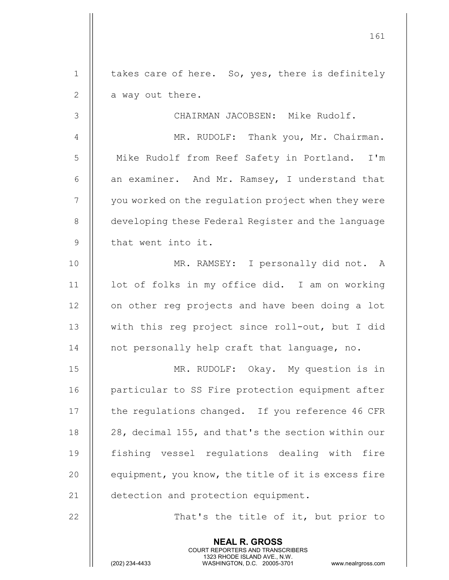161 NEAL R. GROSS COURT REPORTERS AND TRANSCRIBERS  $1$   $\parallel$  takes care of here. So, yes, there is definitely  $2 \parallel$  a way out there. 3 CHAIRMAN JACOBSEN: Mike Rudolf. 4 | MR. RUDOLF: Thank you, Mr. Chairman. 5 | Mike Rudolf from Reef Safety in Portland. I'm 6  $\parallel$  an examiner. And Mr. Ramsey, I understand that 7 | you worked on the regulation project when they were 8 | developing these Federal Register and the language 9 || that went into it. 10 || MR. RAMSEY: I personally did not. A 11 || lot of folks in my office did. I am on working 12 | on other reg projects and have been doing a lot 13 || with this reg project since roll-out, but I did 14 || not personally help craft that language, no. 15 MR. RUDOLF: Okay. My question is in 16 || particular to SS Fire protection equipment after 17 | the requlations changed. If you reference 46 CFR 18  $\parallel$  28, decimal 155, and that's the section within our 19 fishing vessel regulations dealing with fire 20 | equipment, you know, the title of it is excess fire 21 | detection and protection equipment. 22 || That's the title of it, but prior to

1323 RHODE ISLAND AVE., N.W.<br>WASHINGTON, D.C. 20005-3701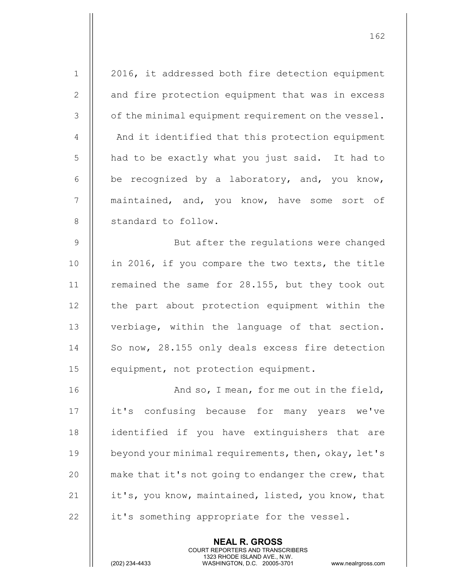| $\mathbf 1$    | 2016, it addressed both fire detection equipment    |
|----------------|-----------------------------------------------------|
| 2              | and fire protection equipment that was in excess    |
| 3              | of the minimal equipment requirement on the vessel. |
| $\overline{4}$ | And it identified that this protection equipment    |
| 5              | had to be exactly what you just said. It had to     |
| 6              | be recognized by a laboratory, and, you know,       |
| 7              | maintained, and, you know, have some sort of        |
| 8              | standard to follow.                                 |
| 9              | But after the regulations were changed              |
| 10             | in 2016, if you compare the two texts, the title    |
| 11             | remained the same for 28.155, but they took out     |
| 12             | the part about protection equipment within the      |
| 13             | verbiage, within the language of that section.      |
| 14             | So now, 28.155 only deals excess fire detection     |
| 15             | equipment, not protection equipment.                |
| 16             | And so, I mean, for me out in the field,            |
| 17             | it's confusing because for many years we've         |
| 18             | identified if you have extinguishers that are       |
| 19             | beyond your minimal requirements, then, okay, let's |
| 20             | make that it's not going to endanger the crew, that |
| 21             | it's, you know, maintained, listed, you know, that  |
| 22             | it's something appropriate for the vessel.          |
|                |                                                     |

NEAL R. GROSS

 COURT REPORTERS AND TRANSCRIBERS 1323 RHODE ISLAND AVE., N.W.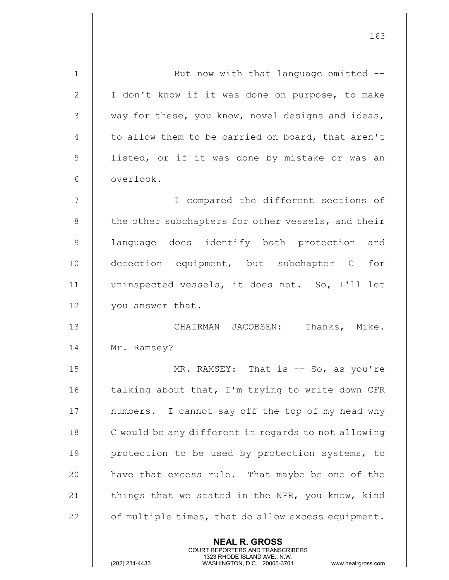| $\mathbf 1$    | But now with that language omitted --                                                                                                                                  |
|----------------|------------------------------------------------------------------------------------------------------------------------------------------------------------------------|
| $\mathbf{2}$   | I don't know if it was done on purpose, to make                                                                                                                        |
| 3              | way for these, you know, novel designs and ideas,                                                                                                                      |
| 4              | to allow them to be carried on board, that aren't                                                                                                                      |
| 5              | listed, or if it was done by mistake or was an                                                                                                                         |
| 6              | overlook.                                                                                                                                                              |
| $7\phantom{.}$ | I compared the different sections of                                                                                                                                   |
| 8              | the other subchapters for other vessels, and their                                                                                                                     |
| $\mathsf 9$    | language does identify both protection and                                                                                                                             |
| 10             | detection equipment, but subchapter C for                                                                                                                              |
| 11             | uninspected vessels, it does not. So, I'll let                                                                                                                         |
| 12             | you answer that.                                                                                                                                                       |
| 13             | CHAIRMAN JACOBSEN: Thanks, Mike.                                                                                                                                       |
| 14             | Mr. Ramsey?                                                                                                                                                            |
| 15             | MR. RAMSEY: That is -- So, as you're                                                                                                                                   |
| 16             | talking about that, I'm trying to write down CFR                                                                                                                       |
| 17             | numbers. I cannot say off the top of my head why                                                                                                                       |
| 18             | C would be any different in regards to not allowing                                                                                                                    |
| 19             | protection to be used by protection systems, to                                                                                                                        |
| 20             | have that excess rule. That maybe be one of the                                                                                                                        |
| 21             | things that we stated in the NPR, you know, kind                                                                                                                       |
| 22             | of multiple times, that do allow excess equipment.                                                                                                                     |
|                | <b>NEAL R. GROSS</b><br><b>COURT REPORTERS AND TRANSCRIBERS</b><br>1323 RHODE ISLAND AVE., N.W.<br>(202) 234-4433<br>WASHINGTON, D.C. 20005-3701<br>www.nealrgross.com |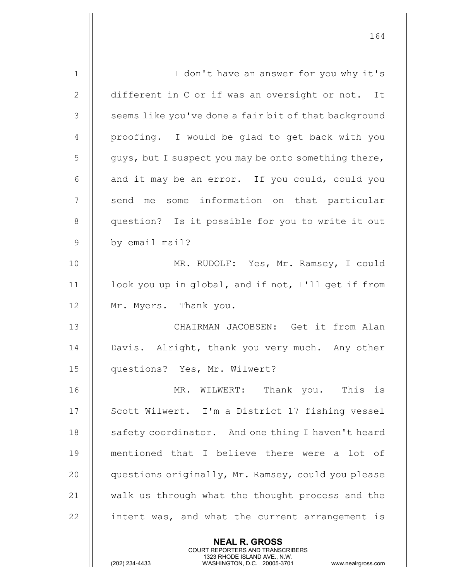| $\mathbf 1$    | I don't have an answer for you why it's              |
|----------------|------------------------------------------------------|
| $\mathbf{2}$   | different in C or if was an oversight or not. It     |
| 3              | seems like you've done a fair bit of that background |
| $\overline{4}$ | proofing. I would be glad to get back with you       |
| 5              | guys, but I suspect you may be onto something there, |
| 6              | and it may be an error. If you could, could you      |
| 7              | send me some information on that particular          |
| 8              | question? Is it possible for you to write it out     |
| $\overline{9}$ | by email mail?                                       |
| 10             | MR. RUDOLF: Yes, Mr. Ramsey, I could                 |
| 11             | look you up in global, and if not, I'll get if from  |
| 12             | Mr. Myers. Thank you.                                |
| 13             | CHAIRMAN JACOBSEN: Get it from Alan                  |
| 14             | Davis. Alright, thank you very much. Any other       |
| 15             | questions? Yes, Mr. Wilwert?                         |
| 16             | MR. WILWERT: Thank you. This is                      |
| 17             | Scott Wilwert. I'm a District 17 fishing vessel      |
| 18             | safety coordinator. And one thing I haven't heard    |
| 19             | mentioned that I believe there were a lot of         |
| 20             | questions originally, Mr. Ramsey, could you please   |
| 21             | walk us through what the thought process and the     |
| 22             | intent was, and what the current arrangement is      |
|                | <b>NEAL R. GROSS</b>                                 |

COURT REPORTERS AND TRANSCRIBERS

1323 RHODE ISLAND AVE., N.W.

 $\parallel$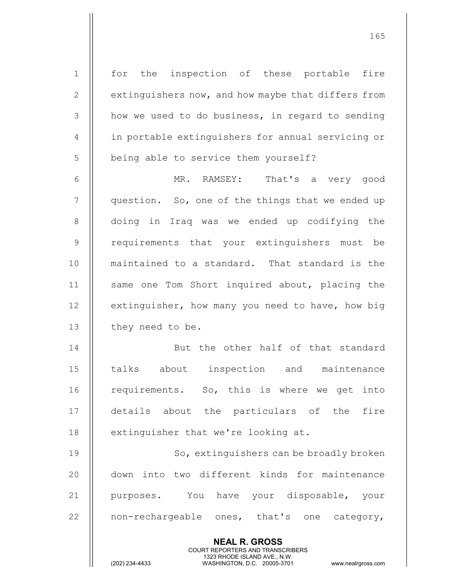NEAL R. GROSS COURT REPORTERS AND TRANSCRIBERS 1323 RHODE ISLAND AVE., N.W.<br>WASHINGTON, D.C. 20005-3701 WASHINGTON, D.C. 1 || for the inspection of these portable fire 2 | extinguishers now, and how maybe that differs from  $3$   $\parallel$  how we used to do business, in regard to sending 4 || in portable extinguishers for annual servicing or 5 | being able to service them yourself? 6 MR. RAMSEY: That's a very good 7 || question. So, one of the things that we ended up 8 || doing in Iraq was we ended up codifying the 9 || requirements that your extinguishers must be 10 maintained to a standard. That standard is the 11 || same one Tom Short inquired about, placing the  $12$  | extinguisher, how many you need to have, how big 13 | they need to be. 14 || But the other half of that standard 15 || talks about inspection and maintenance 16 || requirements. So, this is where we get into 17 details about the particulars of the fire 18  $\parallel$  extinguisher that we're looking at. 19 || So, extinguishers can be broadly broken 20 || down into two different kinds for maintenance 21 || purposes. You have your disposable, your 22  $\parallel$  non-rechargeable ones, that's one category,

165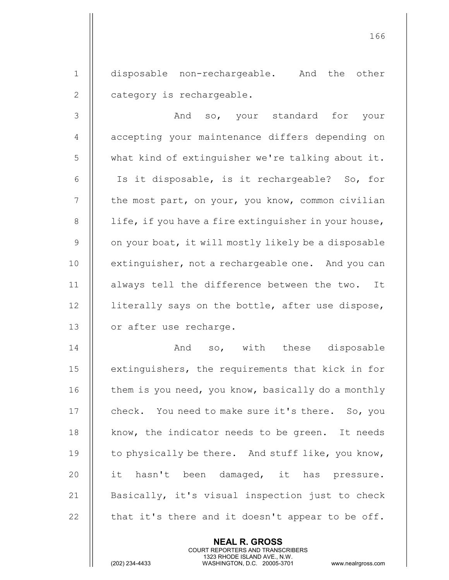1 disposable non-rechargeable. And the other 2 | category is rechargeable.

3 || The Mode so, your standard for your 4 || accepting your maintenance differs depending on 5 what kind of extinguisher we're talking about it. 6 || Is it disposable, is it rechargeable? So, for  $7$  || the most part, on your, you know, common civilian  $8$  | 1ife, if you have a fire extinguisher in your house, 9  $\parallel$  on your boat, it will mostly likely be a disposable 10 **extinguisher, not a rechargeable one.** And you can 11 || always tell the difference between the two. It  $12$  | literally says on the bottle, after use dispose, 13 | or after use recharge.

14 And so, with these disposable 15 || extinguishers, the requirements that kick in for 16  $\parallel$  them is you need, you know, basically do a monthly 17 | check. You need to make sure it's there. So, you 18  $\parallel$  know, the indicator needs to be green. It needs 19  $\parallel$  to physically be there. And stuff like, you know, 20 || it hasn't been damaged, it has pressure. 21 || Basically, it's visual inspection just to check 22  $\parallel$  that it's there and it doesn't appear to be off.

> NEAL R. GROSS COURT REPORTERS AND TRANSCRIBERS

1323 RHODE ISLAND AVE., N.W.<br>WASHINGTON, D.C. 20005-3701

WASHINGTON, D.C. 20005-3701 www.nealrgross.com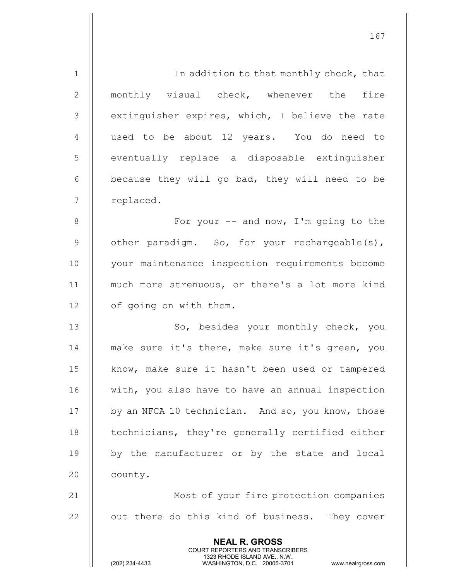| $\mathbf 1$    | In addition to that monthly check, that                                                                                                                                |
|----------------|------------------------------------------------------------------------------------------------------------------------------------------------------------------------|
| $\mathbf{2}$   | monthly visual check, whenever the fire                                                                                                                                |
| 3              | extinguisher expires, which, I believe the rate                                                                                                                        |
| 4              | used to be about 12 years. You do need to                                                                                                                              |
| 5              | eventually replace a disposable extinguisher                                                                                                                           |
| 6              | because they will go bad, they will need to be                                                                                                                         |
| $\overline{7}$ | replaced.                                                                                                                                                              |
| $\,8\,$        | For your $--$ and now, I'm going to the                                                                                                                                |
| $\mathsf 9$    | other paradigm. So, for your rechargeable(s),                                                                                                                          |
| 10             | your maintenance inspection requirements become                                                                                                                        |
| 11             | much more strenuous, or there's a lot more kind                                                                                                                        |
| 12             | of going on with them.                                                                                                                                                 |
| 13             | So, besides your monthly check, you                                                                                                                                    |
| 14             | make sure it's there, make sure it's green, you                                                                                                                        |
| 15             | know, make sure it hasn't been used or tampered                                                                                                                        |
| 16             | with, you also have to have an annual inspection                                                                                                                       |
| 17             | by an NFCA 10 technician. And so, you know, those                                                                                                                      |
| 18             | technicians, they're generally certified either                                                                                                                        |
| 19             | by the manufacturer or by the state and local                                                                                                                          |
| 20             | county.                                                                                                                                                                |
| 21             | Most of your fire protection companies                                                                                                                                 |
| 22             | out there do this kind of business. They cover                                                                                                                         |
|                | <b>NEAL R. GROSS</b><br><b>COURT REPORTERS AND TRANSCRIBERS</b><br>1323 RHODE ISLAND AVE., N.W.<br>WASHINGTON, D.C. 20005-3701<br>(202) 234-4433<br>www.nealrgross.com |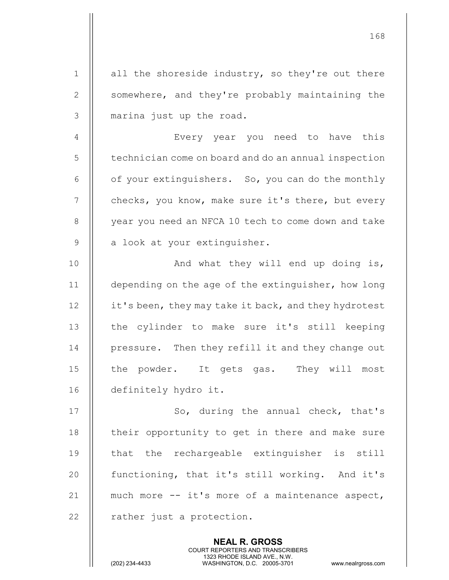1 || all the shoreside industry, so they're out there 2 | somewhere, and they're probably maintaining the 3 || marina just up the road. 4 Every year you need to have this 5 | technician come on board and do an annual inspection  $6$  | of your extinguishers. So, you can do the monthly 7 | checks, you know, make sure it's there, but every 8 | year you need an NFCA 10 tech to come down and take  $9$  || a look at your extinguisher. 10 || And what they will end up doing is, 11 depending on the age of the extinguisher, how long 12  $\parallel$  it's been, they may take it back, and they hydrotest 13 || the cylinder to make sure it's still keeping 14 | pressure. Then they refill it and they change out 15 || the powder. It gets gas. They will most 16 | definitely hydro it. 17 || So, during the annual check, that's 18 || their opportunity to get in there and make sure  $19$   $\parallel$  that the rechargeable extinguisher is still 20  $\parallel$  functioning, that it's still working. And it's 21  $\parallel$  much more  $-$  it's more of a maintenance aspect,  $22$  || rather just a protection.

> NEAL R. GROSS COURT REPORTERS AND TRANSCRIBERS

168

1323 RHODE ISLAND AVE., N.W.<br>WASHINGTON, D.C. 20005-3701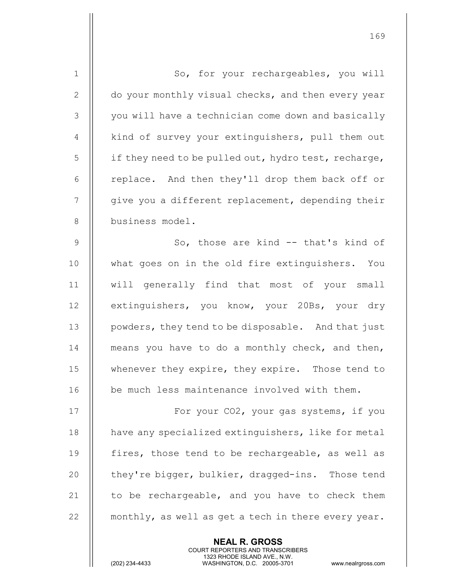| $\mathbf 1$    | So, for your rechargeables, you will                 |
|----------------|------------------------------------------------------|
| $\mathbf{2}$   | do your monthly visual checks, and then every year   |
| 3              | you will have a technician come down and basically   |
| $\overline{4}$ | kind of survey your extinguishers, pull them out     |
| 5              | if they need to be pulled out, hydro test, recharge, |
| 6              | replace. And then they'll drop them back off or      |
| $\overline{7}$ | give you a different replacement, depending their    |
| $8\,$          | business model.                                      |
| $\mathcal{G}$  | So, those are kind -- that's kind of                 |
| 10             | what goes on in the old fire extinguishers. You      |
| 11             | will generally find that most of your small          |
| 12             | extinguishers, you know, your 20Bs, your dry         |
| 13             | powders, they tend to be disposable. And that just   |
| 14             | means you have to do a monthly check, and then,      |
| 15             | whenever they expire, they expire. Those tend to     |
| 16             | be much less maintenance involved with them.         |
| 17             | For your CO2, your gas systems, if you               |
| 18             | have any specialized extinguishers, like for metal   |
| 19             | fires, those tend to be rechargeable, as well as     |
| 20             | they're bigger, bulkier, dragged-ins. Those tend     |
| 21             | to be rechargeable, and you have to check them       |
| 22             | monthly, as well as get a tech in there every year.  |
|                | <b>NEAL R. GROSS</b>                                 |

 COURT REPORTERS AND TRANSCRIBERS 1323 RHODE ISLAND AVE., N.W.

 $\parallel$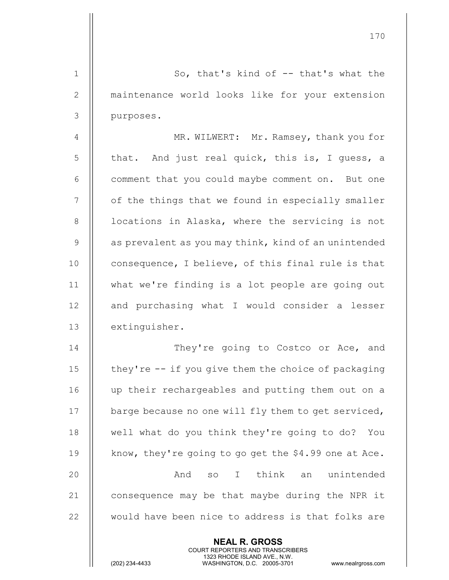| $\mathbf 1$    | So, that's kind of $-$ that's what the               |
|----------------|------------------------------------------------------|
| $\mathbf{2}$   | maintenance world looks like for your extension      |
| $\mathcal{S}$  | purposes.                                            |
| 4              | MR. WILWERT: Mr. Ramsey, thank you for               |
| 5              | that. And just real quick, this is, I guess, a       |
| $6\,$          | comment that you could maybe comment on. But one     |
| $\overline{7}$ | of the things that we found in especially smaller    |
| 8              | locations in Alaska, where the servicing is not      |
| 9              | as prevalent as you may think, kind of an unintended |
| 10             | consequence, I believe, of this final rule is that   |
| 11             | what we're finding is a lot people are going out     |
| 12             | and purchasing what I would consider a lesser        |
| 13             | extinguisher.                                        |
| 14             | They're going to Costco or Ace, and                  |
| 15             | they're -- if you give them the choice of packaging  |
| 16             | up their rechargeables and putting them out on a     |
| 17             | barge because no one will fly them to get serviced,  |
| 18             | well what do you think they're going to do? You      |
| 19             | know, they're going to go get the \$4.99 one at Ace. |
| 20             | think an<br>And<br>unintended<br>SO<br>I             |
| 21             | consequence may be that maybe during the NPR it      |
| 22             | would have been nice to address is that folks are    |
|                | <b>NEAL R. GROSS</b>                                 |

 COURT REPORTERS AND TRANSCRIBERS 1323 RHODE ISLAND AVE., N.W.

Ш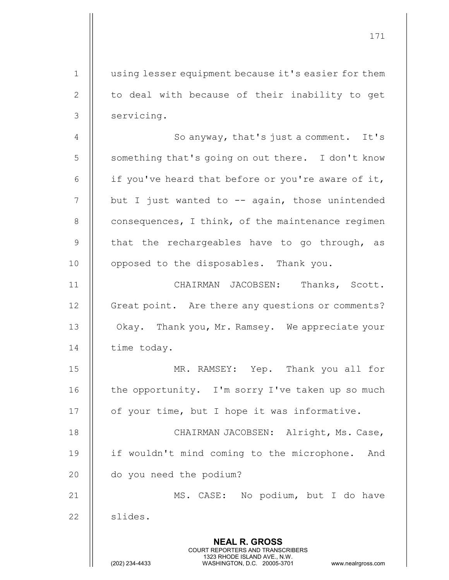NEAL R. GROSS COURT REPORTERS AND TRANSCRIBERS 1 || using lesser equipment because it's easier for them  $2 \parallel$  to deal with because of their inability to get  $3 \parallel$  servicing. 4 | So anyway, that's just a comment. It's  $5 \parallel$  something that's going on out there. I don't know 6  $\parallel$  if you've heard that before or you're aware of it,  $7$  || but I just wanted to  $-$  again, those unintended  $8$  || consequences, I think, of the maintenance regimen 9  $\parallel$  that the rechargeables have to go through, as 10 || opposed to the disposables. Thank you. 11 || CHAIRMAN JACOBSEN: Thanks, Scott. 12 | Great point. Are there any questions or comments? 13 | Okay. Thank you, Mr. Ramsey. We appreciate your 14 | time today. 15 MR. RAMSEY: Yep. Thank you all for 16  $\parallel$  the opportunity. I'm sorry I've taken up so much 17  $\parallel$  of your time, but I hope it was informative. 18 CHAIRMAN JACOBSEN: Alright, Ms. Case, 19 || if wouldn't mind coming to the microphone. And 20 do you need the podium? 21 || MS. CASE: No podium, but I do have 22 | slides.

171

1323 RHODE ISLAND AVE., N.W.<br>WASHINGTON, D.C. 20005-3701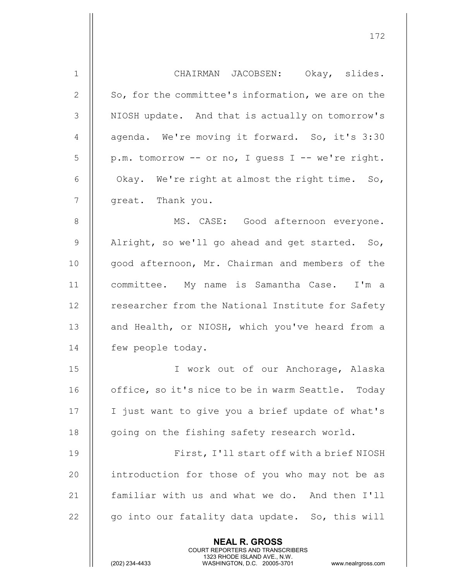| $\mathbf 1$  | CHAIRMAN JACOBSEN: Okay, slides.                                                                                                                                       |
|--------------|------------------------------------------------------------------------------------------------------------------------------------------------------------------------|
| $\mathbf{2}$ | So, for the committee's information, we are on the                                                                                                                     |
| 3            | NIOSH update. And that is actually on tomorrow's                                                                                                                       |
| 4            | agenda. We're moving it forward. So, it's 3:30                                                                                                                         |
| 5            | p.m. tomorrow -- or no, I guess I -- we're right.                                                                                                                      |
| 6            | Okay. We're right at almost the right time. So,                                                                                                                        |
| 7            | great. Thank you.                                                                                                                                                      |
| 8            | MS. CASE: Good afternoon everyone.                                                                                                                                     |
| $\mathsf 9$  | Alright, so we'll go ahead and get started. So,                                                                                                                        |
| 10           | good afternoon, Mr. Chairman and members of the                                                                                                                        |
| 11           | committee. My name is Samantha Case. I'm a                                                                                                                             |
| 12           | researcher from the National Institute for Safety                                                                                                                      |
| 13           | and Health, or NIOSH, which you've heard from a                                                                                                                        |
| 14           | few people today.                                                                                                                                                      |
| 15           | I work out of our Anchorage, Alaska                                                                                                                                    |
| 16           | office, so it's nice to be in warm Seattle. Today                                                                                                                      |
| 17           | I just want to give you a brief update of what's                                                                                                                       |
| 18           | going on the fishing safety research world.                                                                                                                            |
| 19           | First, I'll start off with a brief NIOSH                                                                                                                               |
| 20           | introduction for those of you who may not be as                                                                                                                        |
| 21           | familiar with us and what we do. And then I'll                                                                                                                         |
| 22           | go into our fatality data update. So, this will                                                                                                                        |
|              | <b>NEAL R. GROSS</b><br><b>COURT REPORTERS AND TRANSCRIBERS</b><br>1323 RHODE ISLAND AVE., N.W.<br>(202) 234-4433<br>WASHINGTON, D.C. 20005-3701<br>www.nealrgross.com |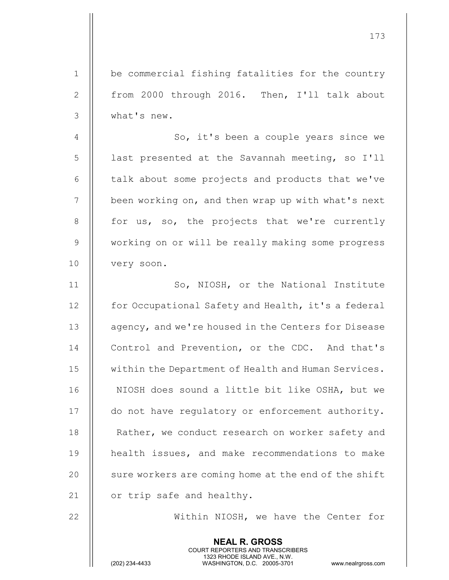1 | be commercial fishing fatalities for the country 2 || from 2000 through 2016. Then, I'll talk about 3 what's new. 4 | So, it's been a couple years since we 5 | last presented at the Savannah meeting, so I'll  $6$  | talk about some projects and products that we've  $7$  | been working on, and then wrap up with what's next  $8$  || for us, so, the projects that we're currently 9 | working on or will be really making some progress 10 | very soon. 11 || So, NIOSH, or the National Institute 12 | for Occupational Safety and Health, it's a federal 13 | agency, and we're housed in the Centers for Disease 14 Control and Prevention, or the CDC. And that's 15 | within the Department of Health and Human Services. 16 || NIOSH does sound a little bit like OSHA, but we 17 | do not have regulatory or enforcement authority. 18 || Rather, we conduct research on worker safety and 19 || health issues, and make recommendations to make 20  $\parallel$  sure workers are coming home at the end of the shift 21  $\parallel$  or trip safe and healthy. 22 Within NIOSH, we have the Center for

> NEAL R. GROSS COURT REPORTERS AND TRANSCRIBERS

173

1323 RHODE ISLAND AVE., N.W.<br>WASHINGTON, D.C. 20005-3701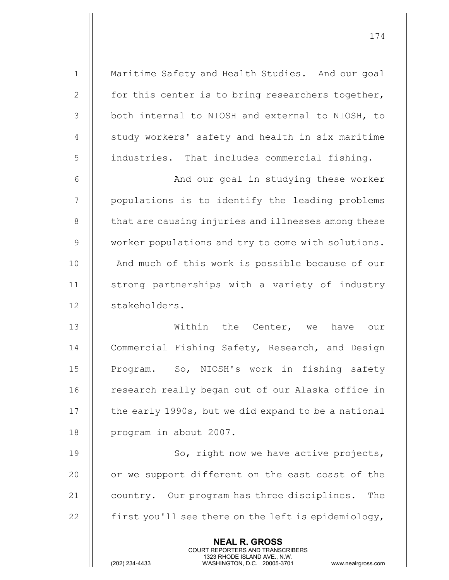1 | Maritime Safety and Health Studies. And our goal 2 | for this center is to bring researchers together, 3 || both internal to NIOSH and external to NIOSH, to 4 | study workers' safety and health in six maritime 5 | industries. That includes commercial fishing.

6 || And our goal in studying these worker 7 | populations is to identify the leading problems 8 | that are causing injuries and illnesses among these 9 | worker populations and try to come with solutions. 10 || And much of this work is possible because of our 11 || strong partnerships with a variety of industry 12 || stakeholders.

13 Within the Center, we have our 14 Commercial Fishing Safety, Research, and Design 15 || Program. So, NIOSH's work in fishing safety 16 || research really began out of our Alaska office in 17 | the early 1990s, but we did expand to be a national 18 | program in about 2007.

19 || So, right now we have active projects, 20 || or we support different on the east coast of the 21 | country. Our program has three disciplines. The 22  $\parallel$  first you'll see there on the left is epidemiology,

> NEAL R. GROSS COURT REPORTERS AND TRANSCRIBERS

1323 RHODE ISLAND AVE., N.W.<br>WASHINGTON, D.C. 20005-3701

WASHINGTON, D.C. 20005-3701 www.nealrgross.com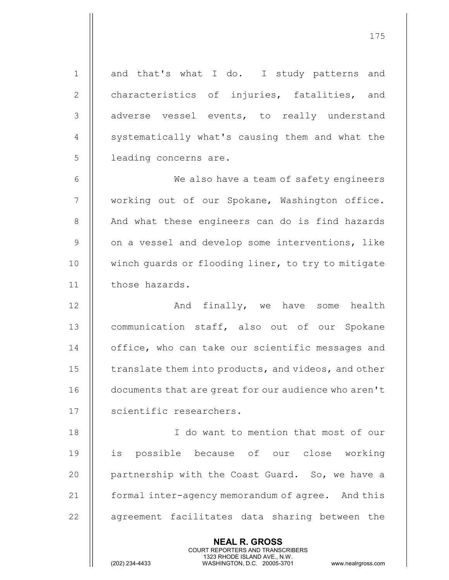NEAL R. GROSS 1 and that's what I do. I study patterns and 2 || characteristics of injuries, fatalities, and 3 || adverse vessel events, to really understand 4 || systematically what's causing them and what the 5 || leading concerns are. 6 We also have a team of safety engineers 7 || working out of our Spokane, Washington office. 8 || And what these engineers can do is find hazards  $9$   $\parallel$  on a vessel and develop some interventions, like 10 || winch quards or flooding liner, to try to mitigate 11 || those hazards. 12 || And finally, we have some health 13 || communication staff, also out of our Spokane 14 | office, who can take our scientific messages and 15  $\parallel$  translate them into products, and videos, and other 16 | documents that are great for our audience who aren't 17 | scientific researchers. 18 || I do want to mention that most of our 19 is possible because of our close working 20 || partnership with the Coast Guard. So, we have a 21 | formal inter-agency memorandum of agree. And this 22 || agreement facilitates data sharing between the

COURT REPORTERS AND TRANSCRIBERS

175

1323 RHODE ISLAND AVE., N.W.<br>WASHINGTON, D.C. 20005-3701 WASHINGTON, D.C.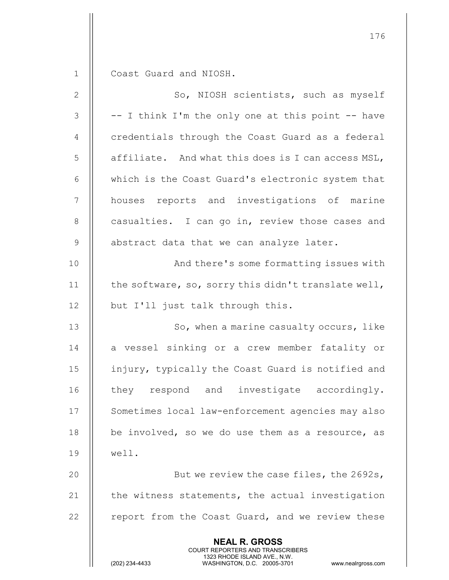1 Coast Guard and NIOSH.

| $\mathbf{2}$   | So, NIOSH scientists, such as myself                                                                                                                            |
|----------------|-----------------------------------------------------------------------------------------------------------------------------------------------------------------|
| $\mathcal{S}$  | -- I think I'm the only one at this point -- have                                                                                                               |
| $\overline{4}$ | credentials through the Coast Guard as a federal                                                                                                                |
| 5              | affiliate. And what this does is I can access MSL,                                                                                                              |
| 6              | which is the Coast Guard's electronic system that                                                                                                               |
| $\overline{7}$ | houses reports and investigations of marine                                                                                                                     |
| $\,8\,$        | casualties. I can go in, review those cases and                                                                                                                 |
| $\mathsf 9$    | abstract data that we can analyze later.                                                                                                                        |
| 10             | And there's some formatting issues with                                                                                                                         |
| 11             | the software, so, sorry this didn't translate well,                                                                                                             |
| 12             | but I'll just talk through this.                                                                                                                                |
| 13             | So, when a marine casualty occurs, like                                                                                                                         |
| 14             | a vessel sinking or a crew member fatality or                                                                                                                   |
| 15             | injury, typically the Coast Guard is notified and                                                                                                               |
| 16             | they respond and investigate accordingly.                                                                                                                       |
| 17             | Sometimes local law-enforcement agencies may also                                                                                                               |
| 18             | be involved, so we do use them as a resource, as                                                                                                                |
| 19             | well.                                                                                                                                                           |
| 20             | But we review the case files, the 2692s,                                                                                                                        |
| 21             | the witness statements, the actual investigation                                                                                                                |
| 22             | report from the Coast Guard, and we review these                                                                                                                |
|                | <b>NEAL R. GROSS</b><br>COURT REPORTERS AND TRANSCRIBERS<br>1323 RHODE ISLAND AVE., N.W.<br>(202) 234-4433<br>WASHINGTON, D.C. 20005-3701<br>www.nealrgross.com |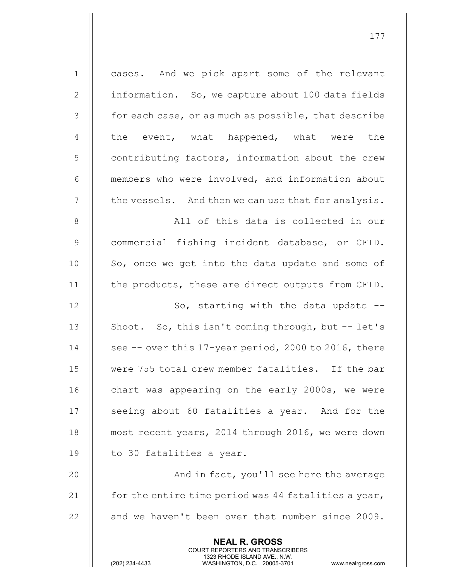| $\mathbf 1$    | cases. And we pick apart some of the relevant            |
|----------------|----------------------------------------------------------|
| $\mathbf{2}$   | information. So, we capture about 100 data fields        |
| 3              | for each case, or as much as possible, that describe     |
| $\overline{4}$ | the event, what happened, what were the                  |
| 5              | contributing factors, information about the crew         |
| 6              | members who were involved, and information about         |
| $\overline{7}$ | the vessels. And then we can use that for analysis.      |
| 8              | All of this data is collected in our                     |
| $\mathsf 9$    | commercial fishing incident database, or CFID.           |
| 10             | So, once we get into the data update and some of         |
| 11             | the products, these are direct outputs from CFID.        |
| 12             | So, starting with the data update $-$ -                  |
| 13             | Shoot. So, this isn't coming through, but -- let's       |
| 14             | see -- over this 17-year period, 2000 to 2016, there     |
| 15             | were 755 total crew member fatalities. If the bar        |
| 16             | chart was appearing on the early 2000s, we were          |
| 17             | seeing about 60 fatalities a year. And for the           |
| 18             | most recent years, 2014 through 2016, we were down       |
| 19             | to 30 fatalities a year.                                 |
| 20             | And in fact, you'll see here the average                 |
| 21             | for the entire time period was 44 fatalities a year,     |
| 22             | and we haven't been over that number since 2009.         |
|                | <b>NEAL R. GROSS</b><br>COURT REPORTERS AND TRANSCRIBERS |

1323 RHODE ISLAND AVE., N.W.

 $\prod$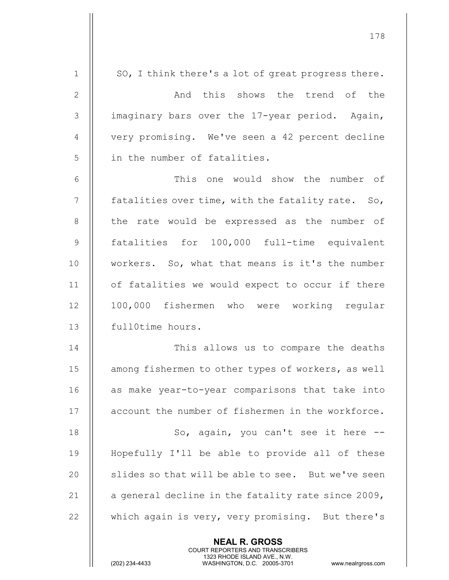| $\mathbf 1$    | SO, I think there's a lot of great progress there.       |
|----------------|----------------------------------------------------------|
| $\mathbf{2}$   | And this shows the trend of the                          |
| $\mathfrak{Z}$ | imaginary bars over the 17-year period. Again,           |
| $\overline{4}$ | very promising. We've seen a 42 percent decline          |
| 5              | in the number of fatalities.                             |
| 6              | This one would show the number of                        |
| 7              | fatalities over time, with the fatality rate. So,        |
| $8\,$          | the rate would be expressed as the number of             |
| 9              | fatalities for 100,000 full-time equivalent              |
| 10             | workers. So, what that means is it's the number          |
| 11             | of fatalities we would expect to occur if there          |
| 12             | 100,000 fishermen who were working regular               |
| 13             | fullOtime hours.                                         |
| 14             | This allows us to compare the deaths                     |
| 15             | among fishermen to other types of workers, as well       |
| 16             | as make year-to-year comparisons that take into          |
| 17             | account the number of fishermen in the workforce.        |
| 18             | So, again, you can't see it here --                      |
| 19             | Hopefully I'll be able to provide all of these           |
| 20             | slides so that will be able to see. But we've seen       |
| 21             | a general decline in the fatality rate since 2009,       |
| 22             | which again is very, very promising. But there's         |
|                | <b>NEAL R. GROSS</b><br>COURT REPORTERS AND TRANSCRIBERS |

 $\frac{1}{2}$ 

1323 RHODE ISLAND AVE., N.W.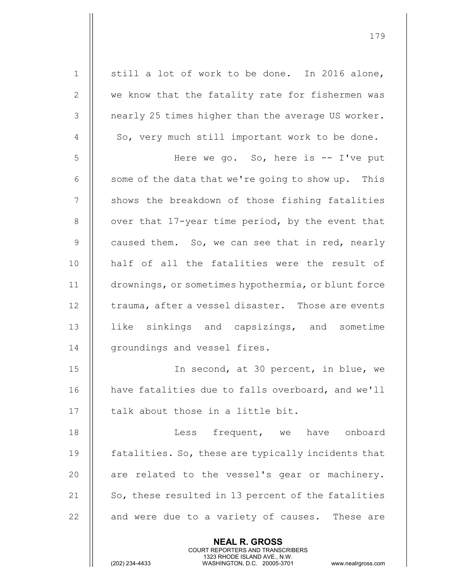| $\mathbf 1$    | still a lot of work to be done. In 2016 alone,           |
|----------------|----------------------------------------------------------|
| $\mathbf{2}$   | we know that the fatality rate for fishermen was         |
| 3              | nearly 25 times higher than the average US worker.       |
| 4              | So, very much still important work to be done.           |
| 5              | Here we go. So, here is $-$ I've put                     |
| 6              | some of the data that we're going to show up. This       |
| $\overline{7}$ | shows the breakdown of those fishing fatalities          |
| $8\,$          | over that 17-year time period, by the event that         |
| $\mathsf 9$    | caused them. So, we can see that in red, nearly          |
| 10             | half of all the fatalities were the result of            |
| 11             | drownings, or sometimes hypothermia, or blunt force      |
| 12             | trauma, after a vessel disaster. Those are events        |
| 13             | like sinkings and capsizings, and sometime               |
| 14             | groundings and vessel fires.                             |
| 15             | In second, at 30 percent, in blue, we                    |
| 16             | have fatalities due to falls overboard, and we'll        |
| 17             | talk about those in a little bit.                        |
| 18             | Less frequent, we have onboard                           |
| 19             | fatalities. So, these are typically incidents that       |
| 20             | are related to the vessel's gear or machinery.           |
| 21             | So, these resulted in 13 percent of the fatalities       |
| 22             | and were due to a variety of causes. These are           |
|                | <b>NEAL R. GROSS</b><br>COURT REPORTERS AND TRANSCRIBERS |

1323 RHODE ISLAND AVE., N.W.

 $\prod$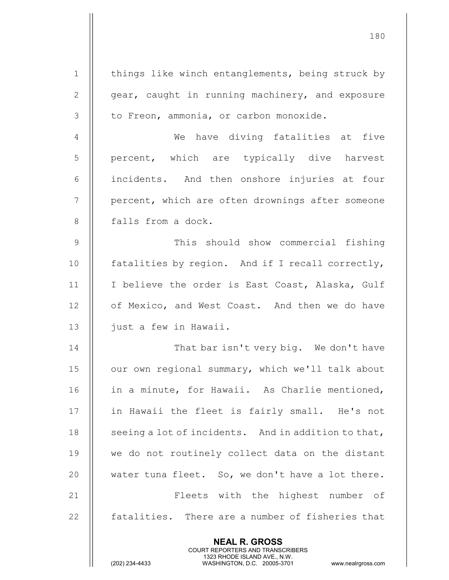| $\mathbf 1$    | things like winch entanglements, being struck by         |
|----------------|----------------------------------------------------------|
| $\mathbf{2}$   | gear, caught in running machinery, and exposure          |
| 3              | to Freon, ammonia, or carbon monoxide.                   |
| $\overline{4}$ | We have diving fatalities at five                        |
| 5              | percent, which are typically dive harvest                |
| 6              | incidents. And then onshore injuries at four             |
| 7              | percent, which are often drownings after someone         |
| $8\,$          | falls from a dock.                                       |
| 9              | This should show commercial fishing                      |
| 10             | fatalities by region. And if I recall correctly,         |
| 11             | I believe the order is East Coast, Alaska, Gulf          |
| 12             | of Mexico, and West Coast. And then we do have           |
| 13             | just a few in Hawaii.                                    |
| 14             | That bar isn't very big. We don't have                   |
| 15             | our own regional summary, which we'll talk about         |
| 16             | in a minute, for Hawaii. As Charlie mentioned,           |
| 17             | in Hawaii the fleet is fairly small. He's not            |
| 18             | seeing a lot of incidents. And in addition to that,      |
| 19             | we do not routinely collect data on the distant          |
| 20             | water tuna fleet. So, we don't have a lot there.         |
| 21             | Fleets with the highest number of                        |
| 22             | fatalities. There are a number of fisheries that         |
|                | <b>NEAL R. GROSS</b><br>COURT REPORTERS AND TRANSCRIBERS |

 $\frac{1}{2}$ 

1323 RHODE ISLAND AVE., N.W.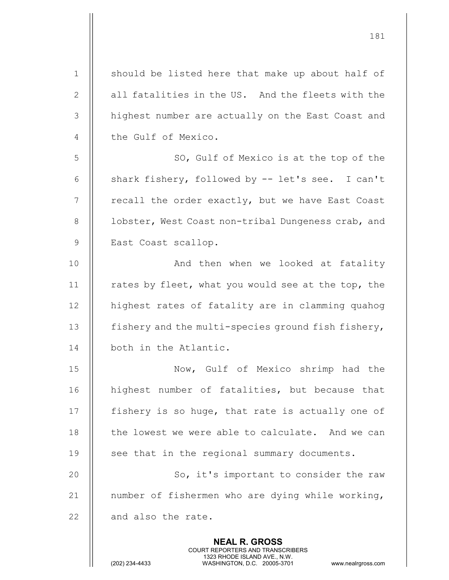NEAL R. GROSS 1 || should be listed here that make up about half of  $2 \parallel$  all fatalities in the US. And the fleets with the 3 | highest number are actually on the East Coast and 4 | the Gulf of Mexico. 5 SO, Gulf of Mexico is at the top of the 6  $\parallel$  shark fishery, followed by  $-$  let's see. I can't  $7$  || recall the order exactly, but we have East Coast 8 | lobster, West Coast non-tribal Dungeness crab, and 9 || East Coast scallop. 10 || And then when we looked at fatality 11  $\parallel$  rates by fleet, what you would see at the top, the 12 | highest rates of fatality are in clamming quahog 13  $\parallel$  fishery and the multi-species ground fish fishery, 14 | both in the Atlantic. 15 Now, Gulf of Mexico shrimp had the 16 || highest number of fatalities, but because that 17 | fishery is so huge, that rate is actually one of 18  $\parallel$  the lowest we were able to calculate. And we can 19  $\parallel$  see that in the regional summary documents. 20 || So, it's important to consider the raw 21  $\parallel$  number of fishermen who are dying while working,  $22$  || and also the rate.

COURT REPORTERS AND TRANSCRIBERS

181

1323 RHODE ISLAND AVE., N.W.<br>WASHINGTON, D.C. 20005-3701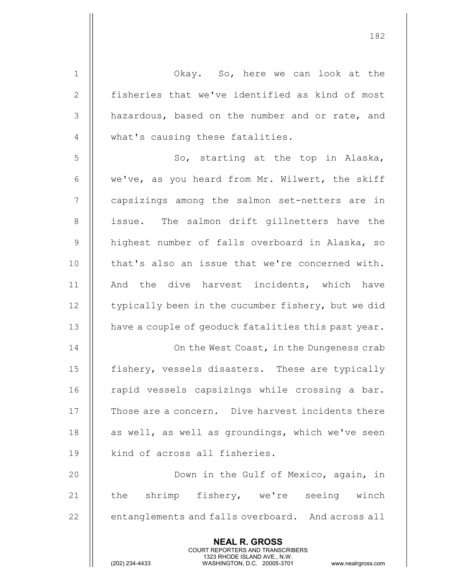| $\mathbf 1$    | Okay. So, here we can look at the                                                                                                                               |
|----------------|-----------------------------------------------------------------------------------------------------------------------------------------------------------------|
| $\mathbf 2$    | fisheries that we've identified as kind of most                                                                                                                 |
| 3              | hazardous, based on the number and or rate, and                                                                                                                 |
| $\overline{4}$ | what's causing these fatalities.                                                                                                                                |
| 5              | So, starting at the top in Alaska,                                                                                                                              |
| 6              | we've, as you heard from Mr. Wilwert, the skiff                                                                                                                 |
| $\overline{7}$ | capsizings among the salmon set-netters are in                                                                                                                  |
| 8              | issue. The salmon drift gillnetters have the                                                                                                                    |
| $\mathcal{G}$  | highest number of falls overboard in Alaska, so                                                                                                                 |
| 10             | that's also an issue that we're concerned with.                                                                                                                 |
| 11             | And the dive harvest incidents, which have                                                                                                                      |
| 12             | typically been in the cucumber fishery, but we did                                                                                                              |
| 13             | have a couple of geoduck fatalities this past year.                                                                                                             |
| 14             | On the West Coast, in the Dungeness crab                                                                                                                        |
| 15             | fishery, vessels disasters. These are typically                                                                                                                 |
| 16             | rapid vessels capsizings while crossing a bar.                                                                                                                  |
| 17             | Those are a concern. Dive harvest incidents there                                                                                                               |
| 18             | as well, as well as groundings, which we've seen                                                                                                                |
| 19             | kind of across all fisheries.                                                                                                                                   |
| 20             | Down in the Gulf of Mexico, again, in                                                                                                                           |
| 21             | the shrimp fishery, we're seeing winch                                                                                                                          |
| 22             | entanglements and falls overboard. And across all                                                                                                               |
|                | <b>NEAL R. GROSS</b><br>COURT REPORTERS AND TRANSCRIBERS<br>1323 RHODE ISLAND AVE., N.W.<br>(202) 234-4433<br>WASHINGTON, D.C. 20005-3701<br>www.nealrgross.com |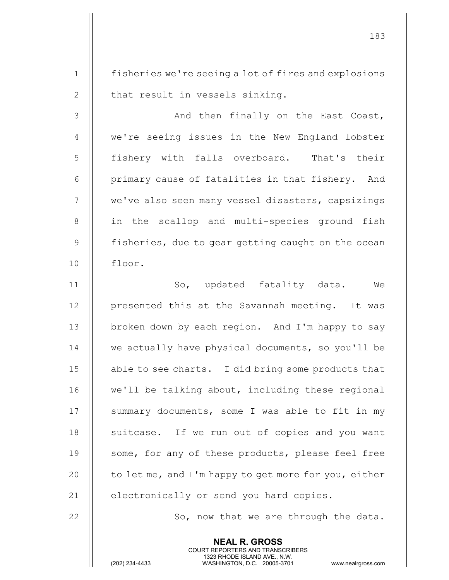1 fisheries we're seeing a lot of fires and explosions  $2 \parallel$  that result in vessels sinking.

3 || And then finally on the East Coast, 4 We're seeing issues in the New England lobster 5 || fishery with falls overboard. That's their 6 | primary cause of fatalities in that fishery. And 7 | we've also seen many vessel disasters, capsizings 8 || in the scallop and multi-species ground fish  $9$  | fisheries, due to gear getting caught on the ocean 10 floor.

11 || So, updated fatality data. We 12 || presented this at the Savannah meeting. It was 13 | broken down by each region. And I'm happy to say 14 || we actually have physical documents, so you'll be 15 | able to see charts. I did bring some products that 16 || we'll be talking about, including these regional 17 || summary documents, some I was able to fit in my 18 || suitcase. If we run out of copies and you want 19 || some, for any of these products, please feel free 20  $\parallel$  to let me, and I'm happy to get more for you, either 21  $\parallel$  electronically or send you hard copies.

 $22$   $\parallel$  So, now that we are through the data.

NEAL R. GROSS COURT REPORTERS AND TRANSCRIBERS

1323 RHODE ISLAND AVE., N.W.<br>WASHINGTON, D.C. 20005-3701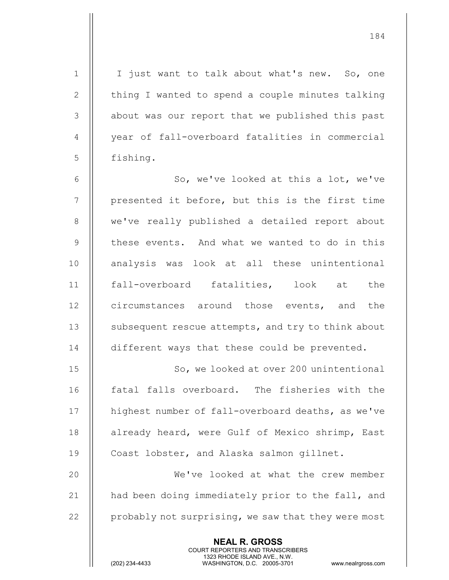NEAL R. GROSS COURT REPORTERS AND TRANSCRIBERS 1 || I just want to talk about what's new. So, one 2 | thing I wanted to spend a couple minutes talking 3 || about was our report that we published this past 4 || year of fall-overboard fatalities in commercial 5 || fishing. 6 || So, we've looked at this a lot, we've  $7$  || presented it before, but this is the first time 8 || we've really published a detailed report about 9 In these events. And what we wanted to do in this 10 || analysis was look at all these unintentional 11 fall-overboard fatalities, look at the 12 circumstances around those events, and the 13 | subsequent rescue attempts, and try to think about 14 | different ways that these could be prevented. 15 || So, we looked at over 200 unintentional 16 || fatal falls overboard. The fisheries with the 17 | highest number of fall-overboard deaths, as we've 18 || already heard, were Gulf of Mexico shrimp, East 19 | Coast lobster, and Alaska salmon gillnet. 20 We've looked at what the crew member 21  $\parallel$  had been doing immediately prior to the fall, and  $22$   $\parallel$  probably not surprising, we saw that they were most

184

1323 RHODE ISLAND AVE., N.W.<br>WASHINGTON, D.C. 20005-3701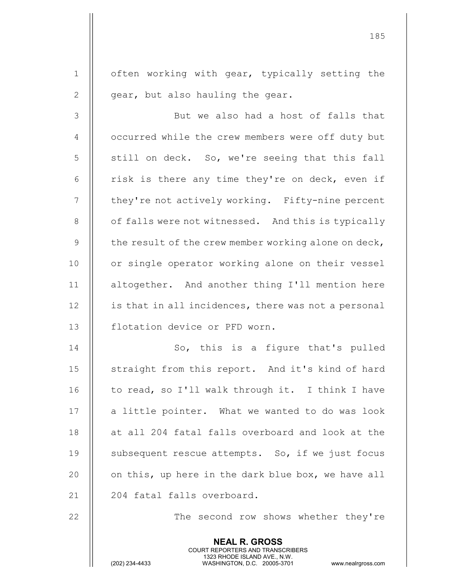NEAL R. GROSS 1  $\parallel$  often working with gear, typically setting the  $2 \parallel$  gear, but also hauling the gear. 3 || But we also had a host of falls that 4 | occurred while the crew members were off duty but  $5 \parallel$  still on deck. So, we're seeing that this fall 6  $\parallel$  risk is there any time they're on deck, even if 7 | they're not actively working. Fifty-nine percent 8 | of falls were not witnessed. And this is typically 9  $\parallel$  the result of the crew member working alone on deck, 10 || or single operator working alone on their vessel 11 altogether. And another thing I'll mention here  $12$  | is that in all incidences, there was not a personal 13 || flotation device or PFD worn. 14 || So, this is a figure that's pulled 15 || straight from this report. And it's kind of hard 16  $\parallel$  to read, so I'll walk through it. I think I have 17 || a little pointer. What we wanted to do was look 18 || at all 204 fatal falls overboard and look at the 19 || subsequent rescue attempts. So, if we just focus 20  $\parallel$  on this, up here in the dark blue box, we have all  $21$   $\parallel$  204 fatal falls overboard. 22 The second row shows whether they're

COURT REPORTERS AND TRANSCRIBERS

185

1323 RHODE ISLAND AVE., N.W.<br>WASHINGTON, D.C. 20005-3701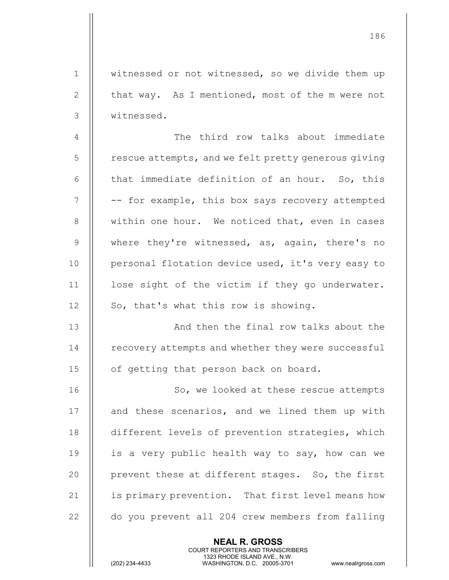1 | witnessed or not witnessed, so we divide them up 2 | that way. As I mentioned, most of the m were not 3 witnessed.

4 The third row talks about immediate  $5$   $\parallel$  rescue attempts, and we felt pretty generous giving 6  $\parallel$  that immediate definition of an hour. So, this  $7$   $\parallel$  -- for example, this box says recovery attempted 8 || within one hour. We noticed that, even in cases 9 Where they're witnessed, as, again, there's no 10 || personal flotation device used, it's very easy to 11 | lose sight of the victim if they go underwater.  $12 \parallel$  So, that's what this row is showing.

13 || And then the final row talks about the 14 **F** recovery attempts and whether they were successful 15 || of getting that person back on board.

16 || So, we looked at these rescue attempts 17 || and these scenarios, and we lined them up with 18 | different levels of prevention strategies, which 19  $\parallel$  is a very public health way to say, how can we 20 || prevent these at different stages. So, the first 21 | is primary prevention. That first level means how 22 | do you prevent all 204 crew members from falling

> NEAL R. GROSS COURT REPORTERS AND TRANSCRIBERS

1323 RHODE ISLAND AVE., N.W.<br>WASHINGTON, D.C. 20005-3701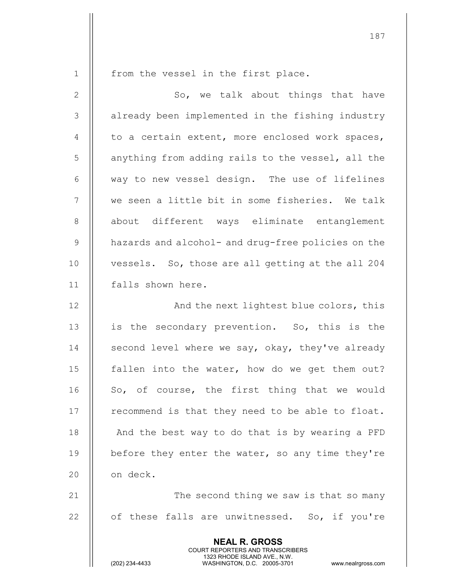1 || from the vessel in the first place.

2 || So, we talk about things that have 3 | already been implemented in the fishing industry 4  $\parallel$  to a certain extent, more enclosed work spaces, 5 | anything from adding rails to the vessel, all the 6 way to new vessel design. The use of lifelines 7 we seen a little bit in some fisheries. We talk 8 || about different ways eliminate entanglement 9 **hazards and alcohol- and drug-free policies on the** 10 || vessels. So, those are all getting at the all 204 11 falls shown here. 12 || And the next lightest blue colors, this

13 || is the secondary prevention. So, this is the  $\parallel$  second level where we say, okay, they've already  $\parallel$  fallen into the water, how do we get them out?  $\parallel$  So, of course, the first thing that we would | recommend is that they need to be able to float. || And the best way to do that is by wearing a PFD  $\parallel$  before they enter the water, so any time they're 20 | on deck.

21 || The second thing we saw is that so many 22  $\parallel$  of these falls are unwitnessed. So, if you're

> NEAL R. GROSS COURT REPORTERS AND TRANSCRIBERS

1323 RHODE ISLAND AVE., N.W.<br>WASHINGTON, D.C. 20005-3701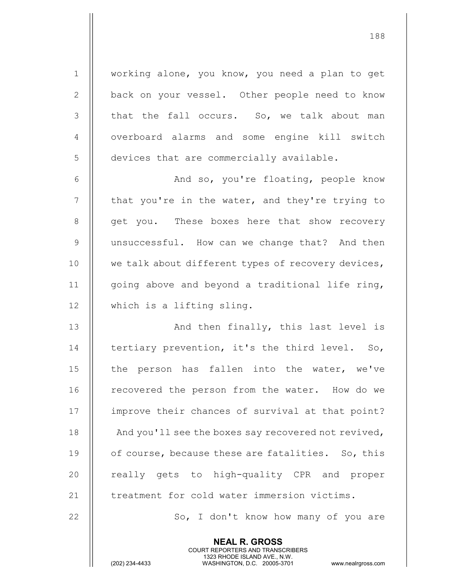1 | working alone, you know, you need a plan to get 2 || back on your vessel. Other people need to know  $3$   $\parallel$  that the fall occurs. So, we talk about man 4 | overboard alarms and some engine kill switch 5 | devices that are commercially available. 6 And so, you're floating, people know  $7$  || that you're in the water, and they're trying to 8 || get you. These boxes here that show recovery 9 II unsuccessful. How can we change that? And then 10  $\parallel$  we talk about different types of recovery devices, 11  $\parallel$  going above and beyond a traditional life ring, 12 which is a lifting sling. 13 || And then finally, this last level is 14 **tertiary prevention, it's the third level.** So, 15 || the person has fallen into the water, we've 16 | recovered the person from the water. How do we 17 | improve their chances of survival at that point? 18  $\parallel$  And you'll see the boxes say recovered not revived, 19  $\parallel$  of course, because these are fatalities. So, this 20 || really gets to high-quality CPR and proper 21 | treatment for cold water immersion victims. 22 || So, I don't know how many of you are

> NEAL R. GROSS COURT REPORTERS AND TRANSCRIBERS

188

1323 RHODE ISLAND AVE., N.W.<br>WASHINGTON, D.C. 20005-3701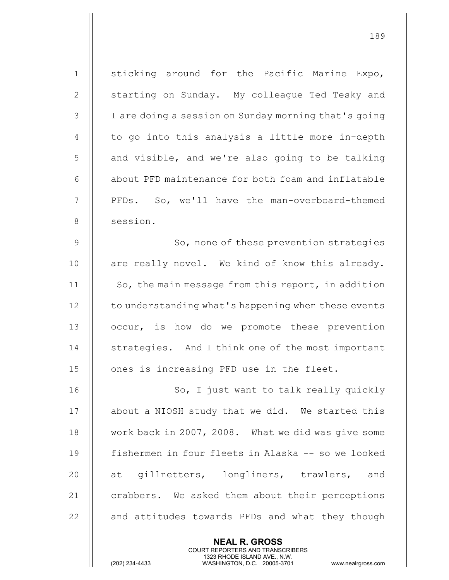| $\mathbf 1$    | sticking around for the Pacific Marine Expo,         |
|----------------|------------------------------------------------------|
| $\mathbf{2}$   | starting on Sunday. My colleague Ted Tesky and       |
| 3              | I are doing a session on Sunday morning that's going |
| $\overline{4}$ | to go into this analysis a little more in-depth      |
| 5              | and visible, and we're also going to be talking      |
| 6              | about PFD maintenance for both foam and inflatable   |
| 7              | PFDs. So, we'll have the man-overboard-themed        |
| 8              | session.                                             |
| $\mathcal{G}$  | So, none of these prevention strategies              |
| 10             | are really novel. We kind of know this already.      |
| 11             | So, the main message from this report, in addition   |
| 12             | to understanding what's happening when these events  |
| 13             | occur, is how do we promote these prevention         |
| 14             | strategies. And I think one of the most important    |
| 15             | ones is increasing PFD use in the fleet.             |
| 16             | So, I just want to talk really quickly               |
| 17             | about a NIOSH study that we did. We started this     |
| 18             | work back in 2007, 2008. What we did was give some   |
| 19             | fishermen in four fleets in Alaska -- so we looked   |
| 20             | gillnetters, longliners, trawlers, and<br>at         |
| 21             | crabbers. We asked them about their perceptions      |
| 22             | and attitudes towards PFDs and what they though      |
|                | <b>NEAL R. GROSS</b>                                 |

 COURT REPORTERS AND TRANSCRIBERS 1323 RHODE ISLAND AVE., N.W.

 $\mathbf{\mathsf{I}}$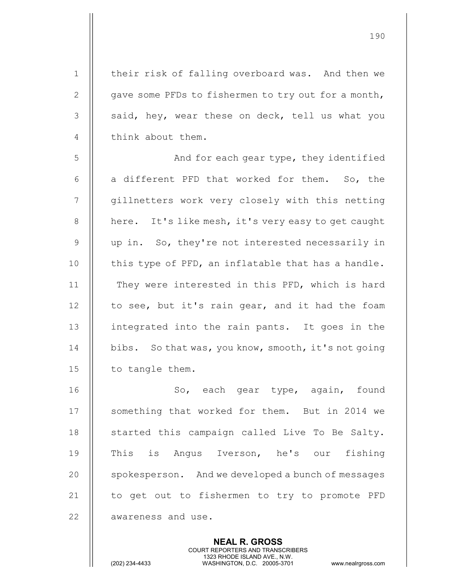2  $\parallel$  gave some PFDs to fishermen to try out for a month,  $3$   $\parallel$  said, hey, wear these on deck, tell us what you 4 || think about them. 5 | And for each gear type, they identified 6  $\parallel$  a different PFD that worked for them. So, the 7 || gillnetters work very closely with this netting 8 | here. It's like mesh, it's very easy to get caught 9 || up in. So, they're not interested necessarily in 10  $\parallel$  this type of PFD, an inflatable that has a handle. 11 || They were interested in this PFD, which is hard  $12$  | to see, but it's rain gear, and it had the foam 13 || integrated into the rain pants. It goes in the 14 | bibs. So that was, you know, smooth, it's not going 15  $\parallel$  to tangle them.

190

16 So, each gear type, again, found 17 || something that worked for them. But in 2014 we  $18$  || started this campaign called Live To Be Salty. 19 || This is Angus Iverson, he's our fishing 20 | spokesperson. And we developed a bunch of messages 21  $\parallel$  to get out to fishermen to try to promote PFD 22 | awareness and use.

> NEAL R. GROSS COURT REPORTERS AND TRANSCRIBERS

1323 RHODE ISLAND AVE., N.W.<br>WASHINGTON, D.C. 20005-3701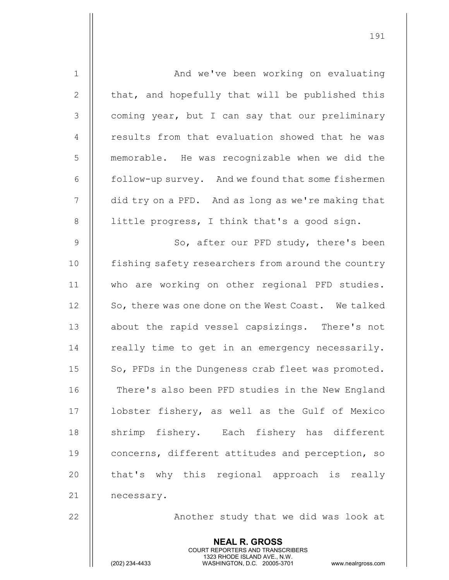| $\mathbf 1$    | And we've been working on evaluating                |
|----------------|-----------------------------------------------------|
| $\mathbf{2}$   | that, and hopefully that will be published this     |
| 3              | coming year, but I can say that our preliminary     |
| $\overline{4}$ | results from that evaluation showed that he was     |
| 5              | memorable. He was recognizable when we did the      |
| 6              | follow-up survey. And we found that some fishermen  |
| 7              | did try on a PFD. And as long as we're making that  |
| 8              | little progress, I think that's a good sign.        |
| $\mathsf 9$    | So, after our PFD study, there's been               |
| 10             | fishing safety researchers from around the country  |
| 11             | who are working on other regional PFD studies.      |
| 12             | So, there was one done on the West Coast. We talked |
| 13             | about the rapid vessel capsizings. There's not      |
| 14             | really time to get in an emergency necessarily.     |
| 15             | So, PFDs in the Dungeness crab fleet was promoted.  |
| 16             | There's also been PFD studies in the New England    |
| 17             | lobster fishery, as well as the Gulf of Mexico      |
| 18             | shrimp fishery. Each fishery has different          |
| 19             | concerns, different attitudes and perception, so    |
| 20             | that's why this regional approach is really         |
| 21             | necessary.                                          |
| 22             | Another study that we did was look at               |

NEAL R. GROSS

COURT REPORTERS AND TRANSCRIBERS

1323 RHODE ISLAND AVE., N.W.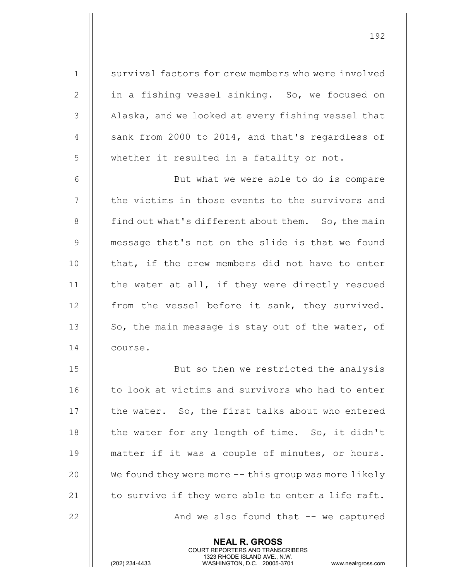1 Survival factors for crew members who were involved 2 || in a fishing vessel sinking. So, we focused on 3 | Alaska, and we looked at every fishing vessel that 4  $\parallel$  sank from 2000 to 2014, and that's regardless of 5 || whether it resulted in a fatality or not.

6 | But what we were able to do is compare 7 || the victims in those events to the survivors and 8 | find out what's different about them. So, the main 9 || message that's not on the slide is that we found 10 || that, if the crew members did not have to enter 11 || the water at all, if they were directly rescued 12 || from the vessel before it sank, they survived. 13  $\parallel$  So, the main message is stay out of the water, of 14 | course.

15 || But so then we restricted the analysis 16 | to look at victims and survivors who had to enter 17 | the water. So, the first talks about who entered 18  $\parallel$  the water for any length of time. So, it didn't 19 || matter if it was a couple of minutes, or hours. 20 | We found they were more -- this group was more likely 21  $\parallel$  to survive if they were able to enter a life raft. 22 || And we also found that -- we captured

> NEAL R. GROSS COURT REPORTERS AND TRANSCRIBERS

1323 RHODE ISLAND AVE., N.W.<br>WASHINGTON, D.C. 20005-3701

WASHINGTON, D.C. 20005-3701 www.nealrgross.com

192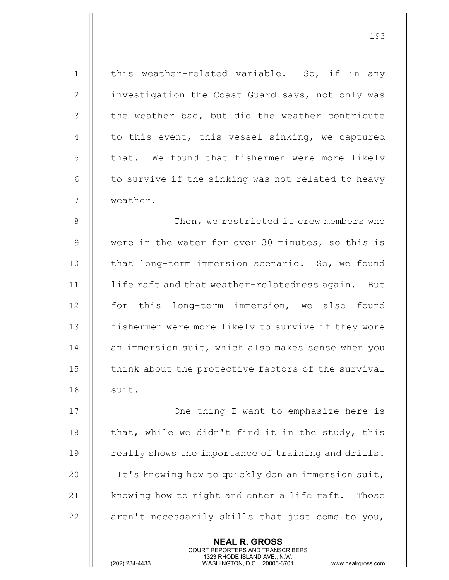1 || this weather-related variable. So, if in any 2 | investigation the Coast Guard says, not only was  $3$   $\parallel$  the weather bad, but did the weather contribute 4  $\parallel$  to this event, this vessel sinking, we captured  $5$   $\parallel$  that. We found that fishermen were more likely  $6$   $\parallel$  to survive if the sinking was not related to heavy 7 || weather. 8 | Then, we restricted it crew members who 9 Were in the water for over 30 minutes, so this is 10 || that long-term immersion scenario. So, we found 11 life raft and that weather-relatedness again. But 12 || for this long-term immersion, we also found 13 | fishermen were more likely to survive if they wore 14 || an immersion suit, which also makes sense when you 15 | think about the protective factors of the survival  $16$   $\parallel$  suit. 17 || Che thing I want to emphasize here is 18  $\parallel$  that, while we didn't find it in the study, this 19 | really shows the importance of training and drills. 20 | It's knowing how to quickly don an immersion suit, 21  $\parallel$  knowing how to right and enter a life raft. Those 22  $\parallel$  aren't necessarily skills that just come to you,

> NEAL R. GROSS COURT REPORTERS AND TRANSCRIBERS

193

1323 RHODE ISLAND AVE., N.W.<br>WASHINGTON, D.C. 20005-3701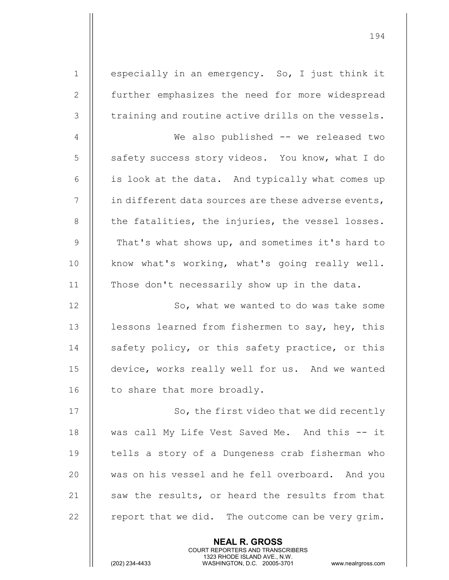1 || especially in an emergency. So, I just think it 2 | further emphasizes the need for more widespread  $3$   $\parallel$  training and routine active drills on the vessels. 4 || We also published -- we released two 5 S safety success story videos. You know, what I do  $6$  || is look at the data. And typically what comes up 7  $\parallel$  in different data sources are these adverse events,  $8$  || the fatalities, the injuries, the vessel losses. 9 That's what shows up, and sometimes it's hard to 10  $\parallel$  know what's working, what's going really well. 11 | Those don't necessarily show up in the data. 12 || So, what we wanted to do was take some 13 | lessons learned from fishermen to say, hey, this 14 || safety policy, or this safety practice, or this 15 device, works really well for us. And we wanted 16  $\parallel$  to share that more broadly. 17 || So, the first video that we did recently 18 || was call My Life Vest Saved Me. And this -- it 19 || tells a story of a Dungeness crab fisherman who 20 || was on his vessel and he fell overboard. And you 21  $\parallel$  saw the results, or heard the results from that 22  $\parallel$  report that we did. The outcome can be very grim.

> NEAL R. GROSS COURT REPORTERS AND TRANSCRIBERS

194

1323 RHODE ISLAND AVE., N.W.<br>WASHINGTON, D.C. 20005-3701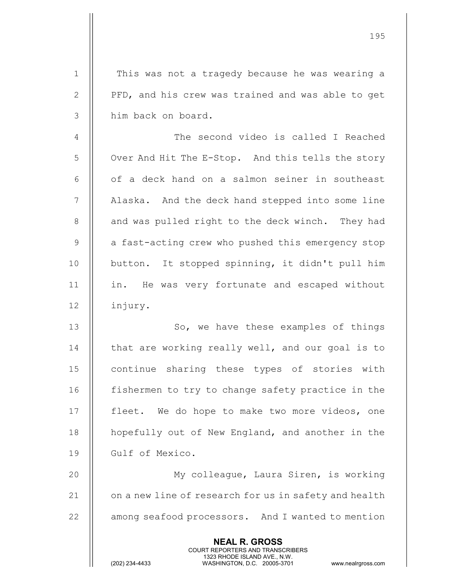1 || This was not a tragedy because he was wearing a 2 | PFD, and his crew was trained and was able to get 3 || him back on board.

4 || The second video is called I Reached 5 | Over And Hit The E-Stop. And this tells the story  $6$   $\parallel$  of a deck hand on a salmon seiner in southeast 7 || Alaska. And the deck hand stepped into some line 8 || and was pulled right to the deck winch. They had  $9$  | a fast-acting crew who pushed this emergency stop 10 || button. It stopped spinning, it didn't pull him 11 || in. He was very fortunate and escaped without 12 injury.

13 || So, we have these examples of things  $14$   $\parallel$  that are working really well, and our goal is to 15 || continue sharing these types of stories with 16 | fishermen to try to change safety practice in the 17 || fleet. We do hope to make two more videos, one 18 | hopefully out of New England, and another in the 19 Gulf of Mexico.

20 || My colleague, Laura Siren, is working 21  $\parallel$  on a new line of research for us in safety and health 22 **among seafood processors.** And I wanted to mention

> NEAL R. GROSS COURT REPORTERS AND TRANSCRIBERS

1323 RHODE ISLAND AVE., N.W.<br>WASHINGTON, D.C. 20005-3701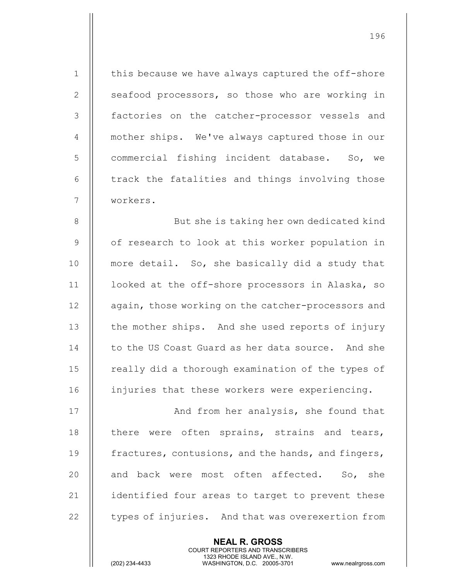1 | this because we have always captured the off-shore 2 | seafood processors, so those who are working in 3 || factories on the catcher-processor vessels and 4 || mother ships. We've always captured those in our 5 | commercial fishing incident database. So, we  $6$   $\parallel$  track the fatalities and things involving those 7 workers. 8 || But she is taking her own dedicated kind 9 || of research to look at this worker population in 10 || more detail. So, she basically did a study that 11 || looked at the off-shore processors in Alaska, so 12 | again, those working on the catcher-processors and 13 | the mother ships. And she used reports of injury 14 | to the US Coast Guard as her data source. And she 15 || really did a thorough examination of the types of 16 | injuries that these workers were experiencing. 17 || **And from her analysis, she found that** 18  $\parallel$  there were often sprains, strains and tears, 19  $\parallel$  fractures, contusions, and the hands, and fingers, 20 || and back were most often affected. So, she

196

21 | identified four areas to target to prevent these  $22$   $\parallel$  types of injuries. And that was overexertion from

> NEAL R. GROSS COURT REPORTERS AND TRANSCRIBERS

1323 RHODE ISLAND AVE., N.W.<br>WASHINGTON, D.C. 20005-3701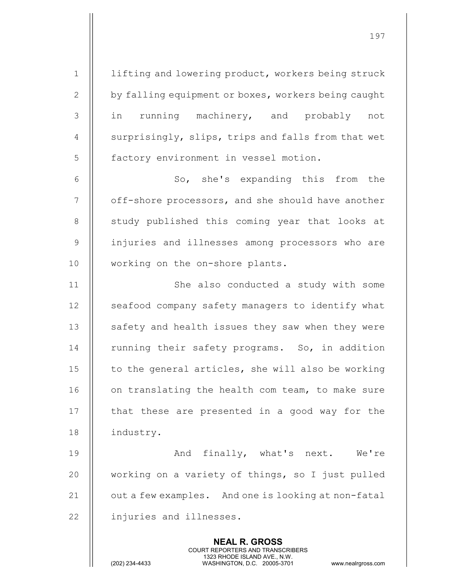NEAL R. GROSS COURT REPORTERS AND TRANSCRIBERS 1323 RHODE ISLAND AVE., N.W.<br>WASHINGTON, D.C. 20005-3701 1 | lifting and lowering product, workers being struck 2  $\parallel$  by falling equipment or boxes, workers being caught 3 || in running machinery, and probably not 4  $\parallel$  surprisingly, slips, trips and falls from that wet 5 | factory environment in vessel motion. 6 || So, she's expanding this from the  $7$  | off-shore processors, and she should have another 8 || study published this coming year that looks at 9 || injuries and illnesses among processors who are 10 || working on the on-shore plants. 11 || She also conducted a study with some 12 | seafood company safety managers to identify what 13 || safety and health issues they saw when they were 14 || running their safety programs. So, in addition 15  $\parallel$  to the general articles, she will also be working 16 || on translating the health com team, to make sure 17 || that these are presented in a good way for the 18 industry. 19 And finally, what's next. We're 20 || working on a variety of things, so I just pulled 21  $\parallel$  out a few examples. And one is looking at non-fatal 22 | injuries and illnesses.

197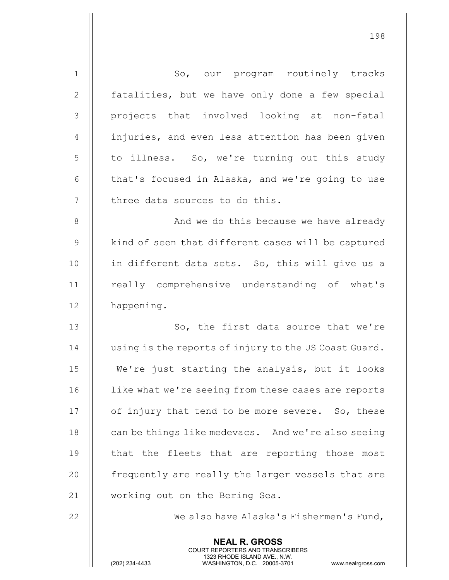| $\mathbf 1$    | So, our program routinely tracks                                                                                                                                       |
|----------------|------------------------------------------------------------------------------------------------------------------------------------------------------------------------|
| 2              | fatalities, but we have only done a few special                                                                                                                        |
| 3              | projects that involved looking at non-fatal                                                                                                                            |
| $\overline{4}$ | injuries, and even less attention has been given                                                                                                                       |
| 5              | to illness. So, we're turning out this study                                                                                                                           |
| 6              | that's focused in Alaska, and we're going to use                                                                                                                       |
| 7              | three data sources to do this.                                                                                                                                         |
| 8              | And we do this because we have already                                                                                                                                 |
| $\overline{9}$ | kind of seen that different cases will be captured                                                                                                                     |
| 10             | in different data sets. So, this will give us a                                                                                                                        |
| 11             | really comprehensive understanding of what's                                                                                                                           |
| 12             | happening.                                                                                                                                                             |
| 13             | So, the first data source that we're                                                                                                                                   |
| 14             | using is the reports of injury to the US Coast Guard.                                                                                                                  |
| 15             | We're just starting the analysis, but it looks                                                                                                                         |
| 16             | like what we're seeing from these cases are reports                                                                                                                    |
| 17             | of injury that tend to be more severe. So, these                                                                                                                       |
| 18             | can be things like medevacs. And we're also seeing                                                                                                                     |
| 19             | that the fleets that are reporting those most                                                                                                                          |
| 20             | frequently are really the larger vessels that are                                                                                                                      |
| 21             | working out on the Bering Sea.                                                                                                                                         |
| 22             | We also have Alaska's Fishermen's Fund,                                                                                                                                |
|                | <b>NEAL R. GROSS</b><br><b>COURT REPORTERS AND TRANSCRIBERS</b><br>1323 RHODE ISLAND AVE., N.W.<br>(202) 234-4433<br>WASHINGTON, D.C. 20005-3701<br>www.nealrgross.com |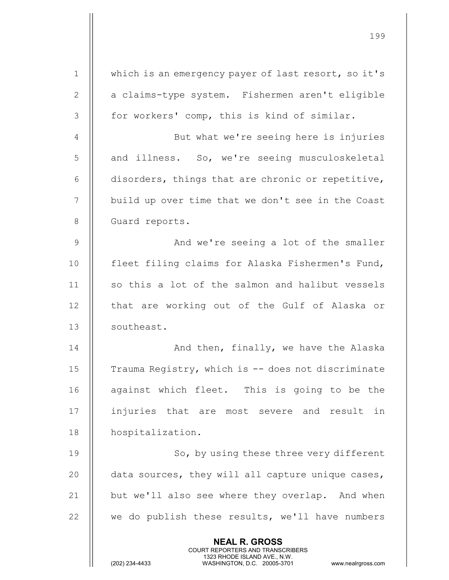| $\mathbf 1$     | which is an emergency payer of last resort, so it's                                                                                                             |
|-----------------|-----------------------------------------------------------------------------------------------------------------------------------------------------------------|
| $\mathbf{2}$    | a claims-type system. Fishermen aren't eligible                                                                                                                 |
| $\mathfrak{Z}$  | for workers' comp, this is kind of similar.                                                                                                                     |
| 4               | But what we're seeing here is injuries                                                                                                                          |
| 5               | and illness. So, we're seeing musculoskeletal                                                                                                                   |
| 6               | disorders, things that are chronic or repetitive,                                                                                                               |
| $7\phantom{.0}$ | build up over time that we don't see in the Coast                                                                                                               |
| 8               | Guard reports.                                                                                                                                                  |
| 9               | And we're seeing a lot of the smaller                                                                                                                           |
| 10              | fleet filing claims for Alaska Fishermen's Fund,                                                                                                                |
| 11              | so this a lot of the salmon and halibut vessels                                                                                                                 |
| 12              | that are working out of the Gulf of Alaska or                                                                                                                   |
| 13              | southeast.                                                                                                                                                      |
| 14              | And then, finally, we have the Alaska                                                                                                                           |
| 15              | Trauma Registry, which is -- does not discriminate                                                                                                              |
| 16              | against which fleet. This is going to be the                                                                                                                    |
| 17              | injuries that are most severe and result in                                                                                                                     |
| 18              | hospitalization.                                                                                                                                                |
| 19              | So, by using these three very different                                                                                                                         |
| 20              | data sources, they will all capture unique cases,                                                                                                               |
| 21              | but we'll also see where they overlap. And when                                                                                                                 |
| 22              | we do publish these results, we'll have numbers                                                                                                                 |
|                 | <b>NEAL R. GROSS</b><br>COURT REPORTERS AND TRANSCRIBERS<br>1323 RHODE ISLAND AVE., N.W.<br>(202) 234-4433<br>WASHINGTON, D.C. 20005-3701<br>www.nealrgross.com |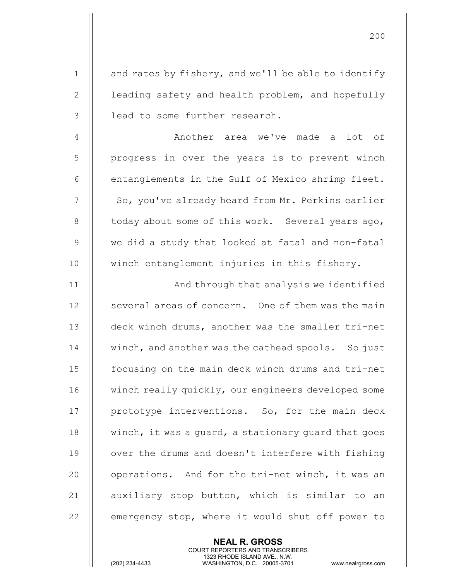1  $\parallel$  and rates by fishery, and we'll be able to identify 2  $\parallel$  leading safety and health problem, and hopefully 3 || lead to some further research. 4 Another area we've made a lot of 5 || progress in over the years is to prevent winch  $6$  | entanglements in the Gulf of Mexico shrimp fleet. 7 | So, you've already heard from Mr. Perkins earlier 8  $\parallel$  today about some of this work. Several years ago, 9 We did a study that looked at fatal and non-fatal 10 || winch entanglement injuries in this fishery. 11 || And through that analysis we identified 12 || several areas of concern. One of them was the main 13 deck winch drums, another was the smaller tri-net 14 || winch, and another was the cathead spools. So just 15 focusing on the main deck winch drums and tri-net 16 | winch really quickly, our engineers developed some 17 || prototype interventions. So, for the main deck 18 | winch, it was a quard, a stationary quard that goes 19 || over the drums and doesn't interfere with fishing 20 || operations. And for the tri-net winch, it was an 21  $\parallel$  auxiliary stop button, which is similar to an 22 **emergency stop, where it would shut off power to** 

> NEAL R. GROSS COURT REPORTERS AND TRANSCRIBERS

200

1323 RHODE ISLAND AVE., N.W.<br>WASHINGTON, D.C. 20005-3701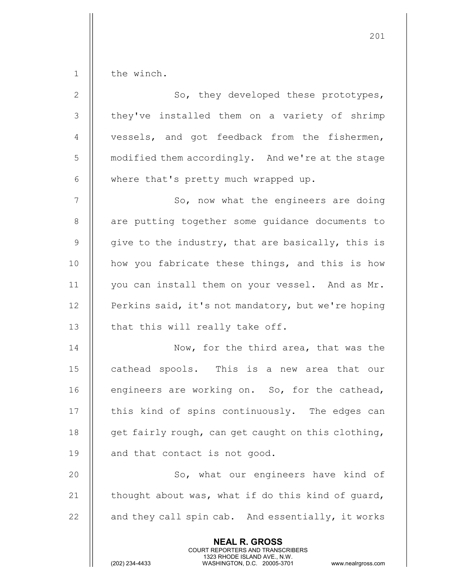$\parallel$  the winch.

| $\mathbf{2}$   | So, they developed these prototypes,                                                                                                                                   |
|----------------|------------------------------------------------------------------------------------------------------------------------------------------------------------------------|
| 3              | they've installed them on a variety of shrimp                                                                                                                          |
| $\overline{4}$ | vessels, and got feedback from the fishermen,                                                                                                                          |
| 5              | modified them accordingly. And we're at the stage                                                                                                                      |
| $\epsilon$     | where that's pretty much wrapped up.                                                                                                                                   |
| $\overline{7}$ | So, now what the engineers are doing                                                                                                                                   |
| $8\,$          | are putting together some guidance documents to                                                                                                                        |
| $\overline{9}$ | give to the industry, that are basically, this is                                                                                                                      |
| 10             | how you fabricate these things, and this is how                                                                                                                        |
| 11             | you can install them on your vessel. And as Mr.                                                                                                                        |
| 12             | Perkins said, it's not mandatory, but we're hoping                                                                                                                     |
| 13             | that this will really take off.                                                                                                                                        |
| 14             | Now, for the third area, that was the                                                                                                                                  |
| 15             | cathead spools. This is a new area that our                                                                                                                            |
| 16             | engineers are working on. So, for the cathead,                                                                                                                         |
| 17             | this kind of spins continuously. The edges can                                                                                                                         |
| 18             | get fairly rough, can get caught on this clothing,                                                                                                                     |
| 19             | and that contact is not good.                                                                                                                                          |
| 20             | So, what our engineers have kind of                                                                                                                                    |
| 21             | thought about was, what if do this kind of guard,                                                                                                                      |
| 22             | and they call spin cab. And essentially, it works                                                                                                                      |
|                | <b>NEAL R. GROSS</b><br><b>COURT REPORTERS AND TRANSCRIBERS</b><br>1323 RHODE ISLAND AVE., N.W.<br>(202) 234-4433<br>WASHINGTON, D.C. 20005-3701<br>www.nealrgross.com |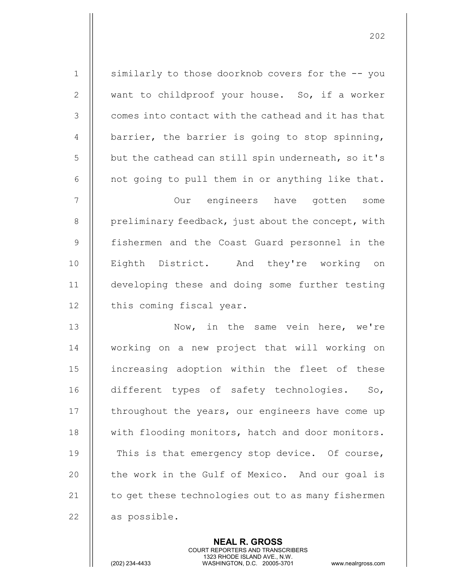1 similarly to those doorknob covers for the -- you 2 || want to childproof your house. So, if a worker  $3$   $\parallel$  comes into contact with the cathead and it has that 4  $\parallel$  barrier, the barrier is going to stop spinning,  $5$   $\parallel$  but the cathead can still spin underneath, so it's  $6$  || not going to pull them in or anything like that. 7 || Our engineers have gotten some 8 | preliminary feedback, just about the concept, with 9 fishermen and the Coast Guard personnel in the 10 || Eighth District. And they're working on 11 developing these and doing some further testing 12 | this coming fiscal year. 13 || Now, in the same vein here, we're 14 working on a new project that will working on 15 increasing adoption within the fleet of these 16 || different types of safety technologies. So, 17 | throughout the years, our engineers have come up 18 || with flooding monitors, hatch and door monitors. 19 || This is that emergency stop device. Of course, 20 || the work in the Gulf of Mexico. And our goal is

21  $\parallel$  to get these technologies out to as many fishermen  $22$  | as possible.

> NEAL R. GROSS COURT REPORTERS AND TRANSCRIBERS

1323 RHODE ISLAND AVE., N.W.<br>WASHINGTON, D.C. 20005-3701

WASHINGTON, D.C. 20005-3701 www.nealrgross.com

202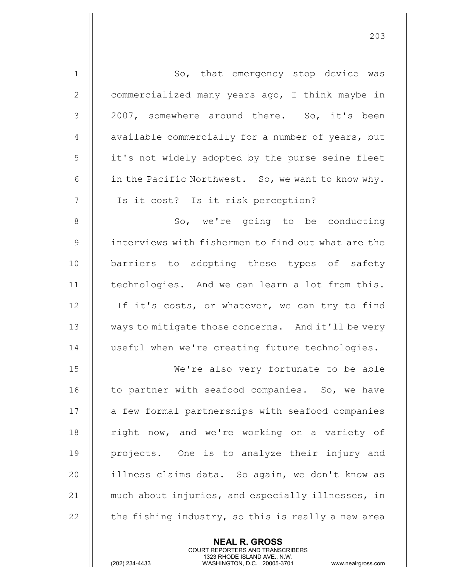| $\mathbf 1$    | So, that emergency stop device was                 |
|----------------|----------------------------------------------------|
| 2              | commercialized many years ago, I think maybe in    |
| 3              | 2007, somewhere around there. So, it's been        |
| $\overline{4}$ | available commercially for a number of years, but  |
| 5              | it's not widely adopted by the purse seine fleet   |
| $6\,$          | in the Pacific Northwest. So, we want to know why. |
| $\overline{7}$ | Is it cost? Is it risk perception?                 |
| 8              | So, we're going to be conducting                   |
| 9              | interviews with fishermen to find out what are the |
| 10             | barriers to adopting these types of safety         |
| 11             | technologies. And we can learn a lot from this.    |
| 12             | If it's costs, or whatever, we can try to find     |
| 13             | ways to mitigate those concerns. And it'll be very |
| 14             | useful when we're creating future technologies.    |
| 15             | We're also very fortunate to be able               |
| 16             | to partner with seafood companies. So, we have     |
| 17             | a few formal partnerships with seafood companies   |
| 18             | right now, and we're working on a variety of       |
| 19             | projects. One is to analyze their injury and       |
| 20             | illness claims data. So again, we don't know as    |
| 21             | much about injuries, and especially illnesses, in  |
| 22             | the fishing industry, so this is really a new area |
|                |                                                    |

NEAL R. GROSS

 COURT REPORTERS AND TRANSCRIBERS 1323 RHODE ISLAND AVE., N.W.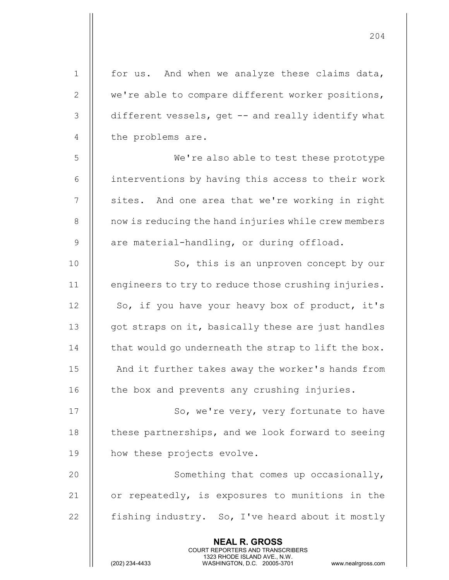| $\mathbf{1}$  | for us. And when we analyze these claims data,                                                                                                                         |
|---------------|------------------------------------------------------------------------------------------------------------------------------------------------------------------------|
| $\mathbf{2}$  | we're able to compare different worker positions,                                                                                                                      |
| $\mathcal{S}$ | different vessels, get -- and really identify what                                                                                                                     |
| 4             | the problems are.                                                                                                                                                      |
| 5             | We're also able to test these prototype                                                                                                                                |
| 6             | interventions by having this access to their work                                                                                                                      |
| 7             | sites. And one area that we're working in right                                                                                                                        |
| $\,8\,$       | now is reducing the hand injuries while crew members                                                                                                                   |
| $\mathsf 9$   | are material-handling, or during offload.                                                                                                                              |
| 10            | So, this is an unproven concept by our                                                                                                                                 |
| 11            | engineers to try to reduce those crushing injuries.                                                                                                                    |
| 12            | So, if you have your heavy box of product, it's                                                                                                                        |
| 13            | got straps on it, basically these are just handles                                                                                                                     |
| 14            | that would go underneath the strap to lift the box.                                                                                                                    |
| 15            | And it further takes away the worker's hands from                                                                                                                      |
| 16            | the box and prevents any crushing injuries.                                                                                                                            |
| 17            | So, we're very, very fortunate to have                                                                                                                                 |
| 18            | these partnerships, and we look forward to seeing                                                                                                                      |
| 19            | how these projects evolve.                                                                                                                                             |
| 20            | Something that comes up occasionally,                                                                                                                                  |
| 21            | or repeatedly, is exposures to munitions in the                                                                                                                        |
| 22            | fishing industry. So, I've heard about it mostly                                                                                                                       |
|               | <b>NEAL R. GROSS</b><br><b>COURT REPORTERS AND TRANSCRIBERS</b><br>1323 RHODE ISLAND AVE., N.W.<br>(202) 234-4433<br>WASHINGTON, D.C. 20005-3701<br>www.nealrgross.com |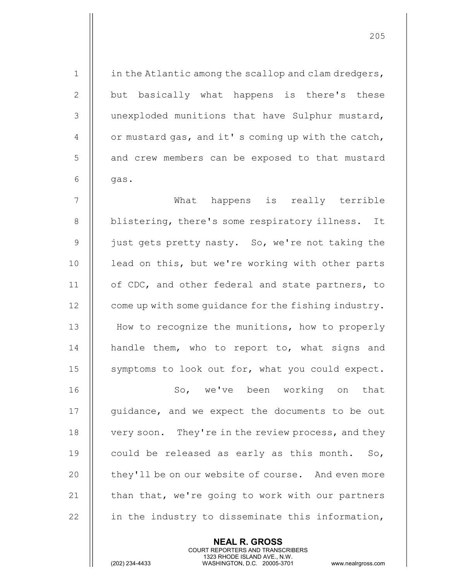1  $\parallel$  in the Atlantic among the scallop and clam dredgers, 2 || but basically what happens is there's these 3 | unexploded munitions that have Sulphur mustard, 4  $\parallel$  or mustard gas, and it's coming up with the catch, 5 | and crew members can be exposed to that mustard  $6 \parallel$  gas. 7 What happens is really terrible 8 | blistering, there's some respiratory illness. It  $9$  | just gets pretty nasty. So, we're not taking the 10 || lead on this, but we're working with other parts 11 | of CDC, and other federal and state partners, to 12 | come up with some guidance for the fishing industry. 13 | How to recognize the munitions, how to properly 14 || handle them, who to report to, what signs and 15 | symptoms to look out for, what you could expect. 16 || So, we've been working on that 17 || quidance, and we expect the documents to be out 18 | very soon. They're in the review process, and they 19  $\parallel$  could be released as early as this month. So, 20 | they'll be on our website of course. And even more 21  $\parallel$  than that, we're going to work with our partners 22  $\parallel$  in the industry to disseminate this information,

> NEAL R. GROSS COURT REPORTERS AND TRANSCRIBERS

205

1323 RHODE ISLAND AVE., N.W.<br>WASHINGTON, D.C. 20005-3701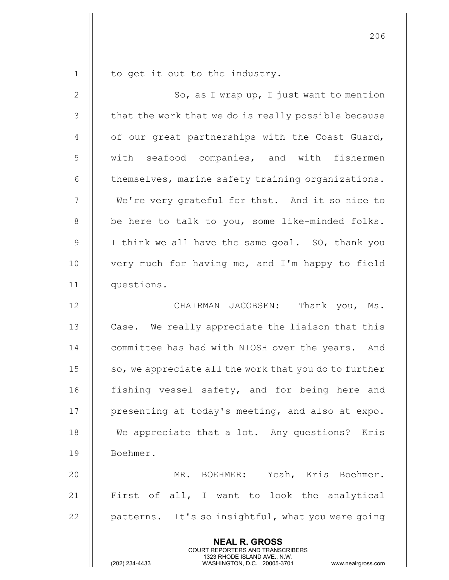1 | to get it out to the industry. 2 || So, as I wrap up, I just want to mention

  $\parallel$  that the work that we do is really possible because  $\parallel$  of our great partnerships with the Coast Guard, 5 W with seafood companies, and with fishermen | themselves, marine safety training organizations. 7 || We're very grateful for that. And it so nice to || be here to talk to you, some like-minded folks. 9 || I think we all have the same goal. SO, thank you  $\parallel$  very much for having me, and I'm happy to field questions.

12 CHAIRMAN JACOBSEN: Thank you, Ms. 13 || Case. We really appreciate the liaison that this 14 || committee has had with NIOSH over the years. And 15  $\parallel$  so, we appreciate all the work that you do to further 16 || fishing vessel safety, and for being here and 17 | presenting at today's meeting, and also at expo. 18 || We appreciate that a lot. Any questions? Kris 19 Boehmer.

20 MR. BOEHMER: Yeah, Kris Boehmer. 21  $\parallel$  First of all, I want to look the analytical  $22$  || patterns. It's so insightful, what you were going

> NEAL R. GROSS COURT REPORTERS AND TRANSCRIBERS

1323 RHODE ISLAND AVE., N.W.<br>WASHINGTON, D.C. 20005-3701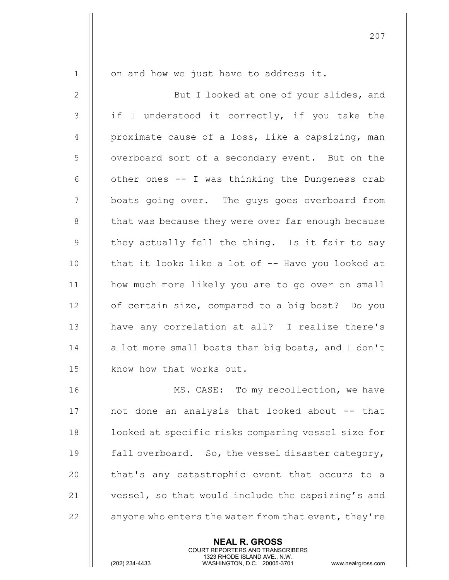| $\mathbf 1$    | on and how we just have to address it.               |
|----------------|------------------------------------------------------|
| $\mathbf{2}$   | But I looked at one of your slides, and              |
| 3              | if I understood it correctly, if you take the        |
| $\overline{4}$ | proximate cause of a loss, like a capsizing, man     |
| 5              | overboard sort of a secondary event. But on the      |
| 6              | other ones -- I was thinking the Dungeness crab      |
| $7\phantom{.}$ | boats going over. The guys goes overboard from       |
| 8              | that was because they were over far enough because   |
| $\mathcal{G}$  | they actually fell the thing. Is it fair to say      |
| 10             | that it looks like a lot of -- Have you looked at    |
| 11             | how much more likely you are to go over on small     |
| 12             | of certain size, compared to a big boat? Do you      |
| 13             | have any correlation at all? I realize there's       |
| 14             | a lot more small boats than big boats, and I don't   |
| 15             | know how that works out.                             |
| 16             | MS. CASE: To my recollection, we have                |
| 17             | not done an analysis that looked about -- that       |
| 18             | looked at specific risks comparing vessel size for   |
| 19             | fall overboard. So, the vessel disaster category,    |
| 20             | that's any catastrophic event that occurs to a       |
| 21             | vessel, so that would include the capsizing's and    |
| 22             | anyone who enters the water from that event, they're |
|                | <b>NEAL R. GROSS</b>                                 |

 COURT REPORTERS AND TRANSCRIBERS 1323 RHODE ISLAND AVE., N.W.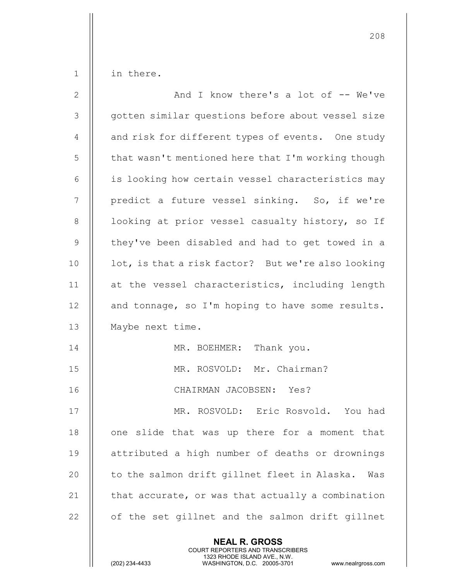$1 \parallel$  in there.

| $\mathbf{2}$   | And I know there's a lot of $-$ We've               |
|----------------|-----------------------------------------------------|
| $\mathfrak{Z}$ | gotten similar questions before about vessel size   |
| $\overline{4}$ | and risk for different types of events. One study   |
| 5              | that wasn't mentioned here that I'm working though  |
| 6              | is looking how certain vessel characteristics may   |
| $\overline{7}$ | predict a future vessel sinking. So, if we're       |
| $\,8\,$        | looking at prior vessel casualty history, so If     |
| $\mathsf 9$    | they've been disabled and had to get towed in a     |
| 10             | lot, is that a risk factor? But we're also looking  |
| 11             | at the vessel characteristics, including length     |
| 12             | and tonnage, so I'm hoping to have some results.    |
| 13             | Maybe next time.                                    |
| 14             | MR. BOEHMER: Thank you.                             |
| 15             | MR. ROSVOLD: Mr. Chairman?                          |
| 16             | CHAIRMAN JACOBSEN: Yes?                             |
| 17             | MR. ROSVOLD: Eric Rosvold. You had                  |
| 18             | one slide that was up there for a moment that       |
| 19             | attributed a high number of deaths or drownings     |
| 20             | to the salmon drift gillnet fleet in Alaska.<br>Was |
| 21             | that accurate, or was that actually a combination   |
| 22             | of the set gillnet and the salmon drift gillnet     |
|                | <b>NEAL R. GROSS</b>                                |

 COURT REPORTERS AND TRANSCRIBERS 1323 RHODE ISLAND AVE., N.W.

 $\parallel$ 

(202) 234-4433 WASHINGTON, D.C. 20005-3701 www.nealrgross.com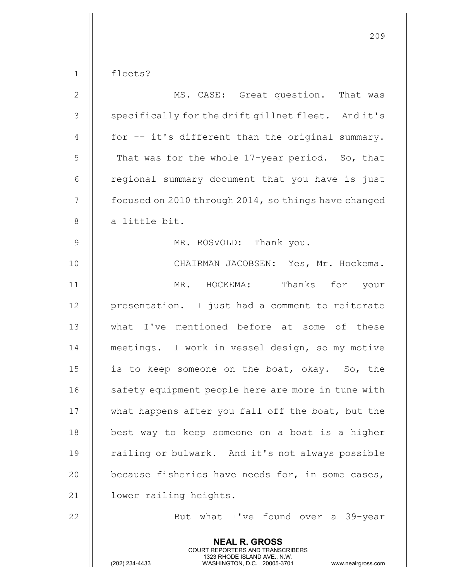| $\mathbf 1$    | fleets?                                              |
|----------------|------------------------------------------------------|
| $\overline{2}$ | MS. CASE: Great question. That was                   |
| 3              | specifically for the drift gillnet fleet. And it's   |
| 4              | for -- it's different than the original summary.     |
| 5              | That was for the whole 17-year period. So, that      |
| 6              | regional summary document that you have is just      |
| $\overline{7}$ | focused on 2010 through 2014, so things have changed |
| 8              | a little bit.                                        |
| $\mathcal{G}$  | MR. ROSVOLD: Thank you.                              |
| 10             | CHAIRMAN JACOBSEN: Yes, Mr. Hockema.                 |
| 11             | MR. HOCKEMA: Thanks for your                         |
| 12             | presentation. I just had a comment to reiterate      |
| 13             | what I've mentioned before at some of these          |
| 14             | meetings. I work in vessel design, so my motive      |
| 15             | is to keep someone on the boat, okay. So, the        |
| 16             | safety equipment people here are more in tune with   |
| 17             | what happens after you fall off the boat, but the    |
| 18             | best way to keep someone on a boat is a higher       |
| 19             | railing or bulwark. And it's not always possible     |
| 20             | because fisheries have needs for, in some cases,     |
| 21             | lower railing heights.                               |
| 22             | But what I've found over a 39-year                   |
|                | <b>NEAL R. GROSS</b>                                 |

 COURT REPORTERS AND TRANSCRIBERS 1323 RHODE ISLAND AVE., N.W.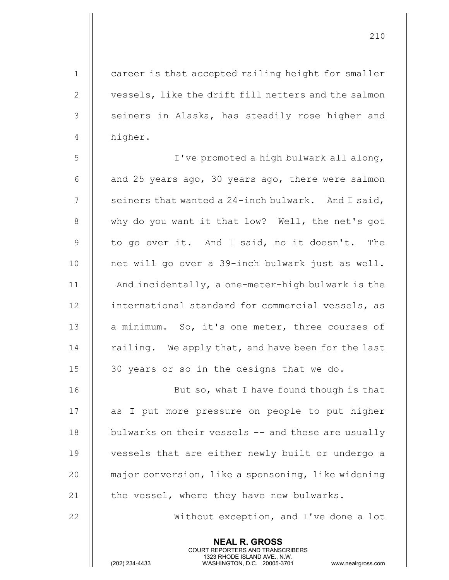1 | career is that accepted railing height for smaller 2 | vessels, like the drift fill netters and the salmon 3 || seiners in Alaska, has steadily rose higher and

I've promoted a high bulwark all along,  $\parallel$  and 25 years ago, 30 years ago, there were salmon  $\parallel$  seiners that wanted a 24-inch bulwark. And I said, 8 || why do you want it that low? Well, the net's got 9 do to go over it. And I said, no it doesn't. The net will go over a 39-inch bulwark just as well. And incidentally, a one-meter-high bulwark is the 12 | international standard for commercial vessels, as  $\parallel$  a minimum. So, it's one meter, three courses of  $\parallel$  railing. We apply that, and have been for the last 15 || 30 years or so in the designs that we do.

16 || But so, what I have found though is that 17 || as I put more pressure on people to put higher  $\parallel$  bulwarks on their vessels  $-$  and these are usually vessels that are either newly built or undergo a major conversion, like a sponsoning, like widening  $\parallel$  the vessel, where they have new bulwarks.

> NEAL R. GROSS COURT REPORTERS AND TRANSCRIBERS

22 || Without exception, and I've done a lot

1323 RHODE ISLAND AVE., N.W.<br>WASHINGTON, D.C. 20005-3701

4 || higher.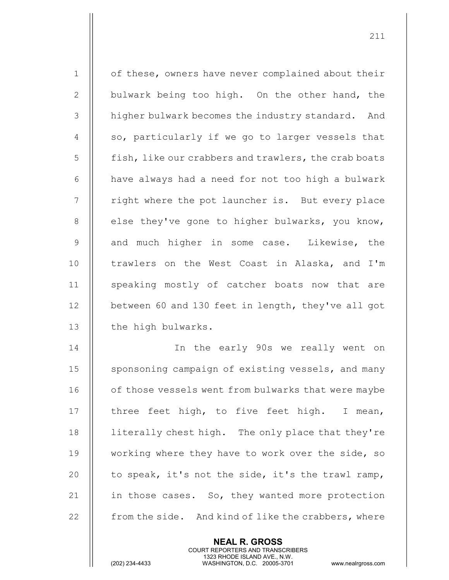1 | of these, owners have never complained about their 2 || bulwark being too high. On the other hand, the 3 | higher bulwark becomes the industry standard. And  $4 \parallel$  so, particularly if we go to larger vessels that 5 **fish, like our crabbers and trawlers, the crab boats** 6  $\parallel$  have always had a need for not too high a bulwark 7 | right where the pot launcher is. But every place 8  $\parallel$  else they've gone to higher bulwarks, you know, 9 and much higher in some case. Likewise, the 10 || trawlers on the West Coast in Alaska, and I'm 11 || speaking mostly of catcher boats now that are 12 | between 60 and 130 feet in length, they've all got 13 | the high bulwarks.

211

14 || The early 90s we really went on 15 | sponsoning campaign of existing vessels, and many 16 | of those vessels went from bulwarks that were maybe 17  $\parallel$  three feet high, to five feet high. I mean, 18 || literally chest high. The only place that they're 19 || working where they have to work over the side, so 20  $\parallel$  to speak, it's not the side, it's the trawl ramp, 21  $\parallel$  in those cases. So, they wanted more protection 22 **from** the side. And kind of like the crabbers, where

> NEAL R. GROSS COURT REPORTERS AND TRANSCRIBERS

1323 RHODE ISLAND AVE., N.W.<br>WASHINGTON, D.C. 20005-3701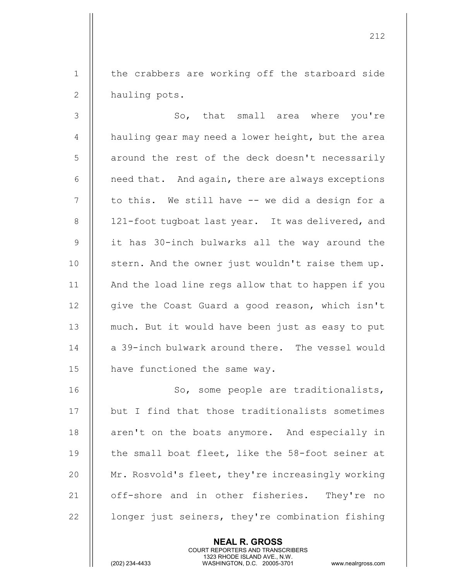1 || the crabbers are working off the starboard side 2 | hauling pots.

 $3$   $\parallel$  So, that small area where you're  $4$  | hauling gear may need a lower height, but the area 5 | around the rest of the deck doesn't necessarily  $6$  || need that. And again, there are always exceptions  $7 \parallel$  to this. We still have  $-$  we did a design for a 8 | 121-foot tugboat last year. It was delivered, and 9 it has 30-inch bulwarks all the way around the 10 || stern. And the owner just wouldn't raise them up. 11 || And the load line regs allow that to happen if you 12 || give the Coast Guard a good reason, which isn't 13 || much. But it would have been just as easy to put 14  $\parallel$  a 39-inch bulwark around there. The vessel would 15 | have functioned the same way.

16 || So, some people are traditionalists, 17 || but I find that those traditionalists sometimes 18 || aren't on the boats anymore. And especially in 19  $\parallel$  the small boat fleet, like the 58-foot seiner at 20 | Mr. Rosvold's fleet, they're increasingly working 21 || off-shore and in other fisheries. They're no 22  $\parallel$  longer just seiners, they're combination fishing

> NEAL R. GROSS COURT REPORTERS AND TRANSCRIBERS

1323 RHODE ISLAND AVE., N.W.<br>WASHINGTON, D.C. 20005-3701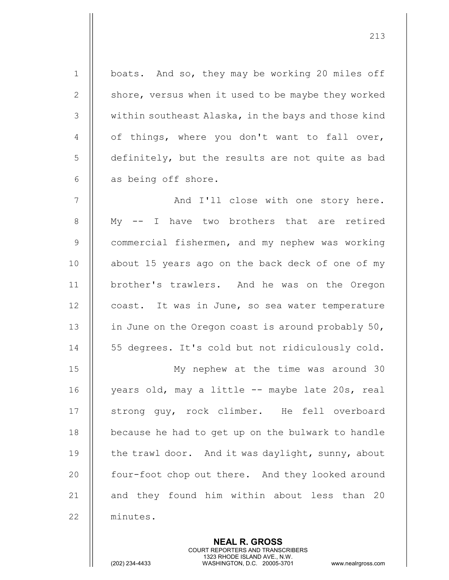1 | boats. And so, they may be working 20 miles off 2 | shore, versus when it used to be maybe they worked  $3$   $\parallel$  within southeast Alaska, in the bays and those kind 4  $\parallel$  of things, where you don't want to fall over, 5 definitely, but the results are not quite as bad  $6$  | as being off shore. 7 || Mand I'll close with one story here. 8 || My -- I have two brothers that are retired 9 | commercial fishermen, and my nephew was working 10 || about 15 years ago on the back deck of one of my 11 brother's trawlers. And he was on the Oregon 12 | coast. It was in June, so sea water temperature 13  $\parallel$  in June on the Oregon coast is around probably 50, 14 | 55 degrees. It's cold but not ridiculously cold. 15 My nephew at the time was around 30 16 || years old, may a little -- maybe late 20s, real 17 || strong guy, rock climber. He fell overboard 18 || because he had to get up on the bulwark to handle 19 | the trawl door. And it was daylight, sunny, about 20 || four-foot chop out there. And they looked around 21 || and they found him within about less than 20 22 minutes.

> NEAL R. GROSS COURT REPORTERS AND TRANSCRIBERS

213

1323 RHODE ISLAND AVE., N.W.<br>WASHINGTON, D.C. 20005-3701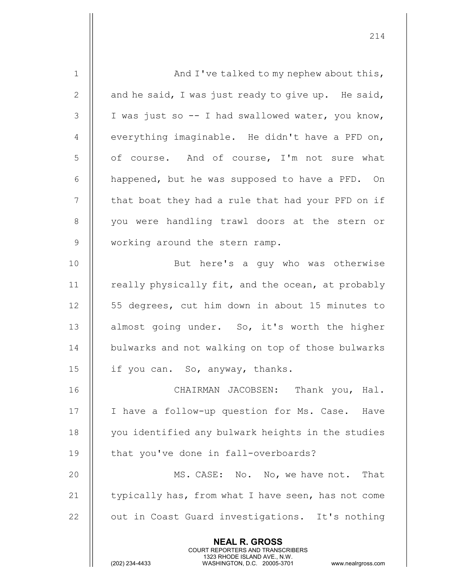| $\mathbf 1$ | And I've talked to my nephew about this,                                                                                                                               |
|-------------|------------------------------------------------------------------------------------------------------------------------------------------------------------------------|
| 2           | and he said, I was just ready to give up. He said,                                                                                                                     |
| 3           | I was just so -- I had swallowed water, you know,                                                                                                                      |
| 4           | everything imaginable. He didn't have a PFD on,                                                                                                                        |
| 5           | of course. And of course, I'm not sure what                                                                                                                            |
| 6           | happened, but he was supposed to have a PFD. On                                                                                                                        |
| 7           | that boat they had a rule that had your PFD on if                                                                                                                      |
| 8           | you were handling trawl doors at the stern or                                                                                                                          |
| 9           | working around the stern ramp.                                                                                                                                         |
| 10          | But here's a guy who was otherwise                                                                                                                                     |
| 11          | really physically fit, and the ocean, at probably                                                                                                                      |
| 12          | 55 degrees, cut him down in about 15 minutes to                                                                                                                        |
| 13          | almost going under. So, it's worth the higher                                                                                                                          |
| 14          | bulwarks and not walking on top of those bulwarks                                                                                                                      |
| 15          | if you can. So, anyway, thanks.                                                                                                                                        |
| 16          | CHAIRMAN JACOBSEN: Thank you, Hal.                                                                                                                                     |
| 17          | I have a follow-up question for Ms. Case. Have                                                                                                                         |
| 18          | you identified any bulwark heights in the studies                                                                                                                      |
| 19          | that you've done in fall-overboards?                                                                                                                                   |
| 20          | MS. CASE: No. No, we have not. That                                                                                                                                    |
| 21          | typically has, from what I have seen, has not come                                                                                                                     |
| 22          | out in Coast Guard investigations. It's nothing                                                                                                                        |
|             | <b>NEAL R. GROSS</b><br><b>COURT REPORTERS AND TRANSCRIBERS</b><br>1323 RHODE ISLAND AVE., N.W.<br>(202) 234-4433<br>WASHINGTON, D.C. 20005-3701<br>www.nealrgross.com |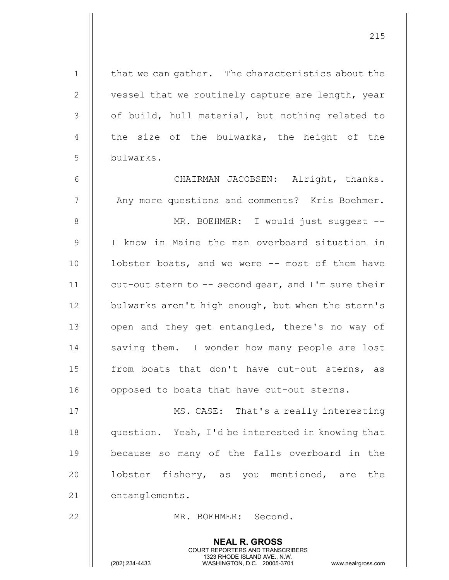1 | that we can gather. The characteristics about the 2 | vessel that we routinely capture are length, year  $3$   $\parallel$  of build, hull material, but nothing related to 4 || the size of the bulwarks, the height of the 5 bulwarks. 6 CHAIRMAN JACOBSEN: Alright, thanks. 7 | Any more questions and comments? Kris Boehmer. 8 || MR. BOEHMER: I would just suggest --9 I know in Maine the man overboard situation in 10  $\parallel$  1 obster boats, and we were  $-$ - most of them have 11  $\parallel$  cut-out stern to -- second gear, and I'm sure their 12 | bulwarks aren't high enough, but when the stern's 13 || open and they get entangled, there's no way of 14 || saving them. I wonder how many people are lost 15 || from boats that don't have cut-out sterns, as 16 | opposed to boats that have cut-out sterns. 17 || MS. CASE: That's a really interesting

215

18 || question. Yeah, I'd be interested in knowing that 19 because so many of the falls overboard in the 20  $\parallel$  lobster fishery, as you mentioned, are the 21 | entanglements.

22 || MR. BOEHMER: Second.

NEAL R. GROSS COURT REPORTERS AND TRANSCRIBERS

1323 RHODE ISLAND AVE., N.W.<br>WASHINGTON, D.C. 20005-3701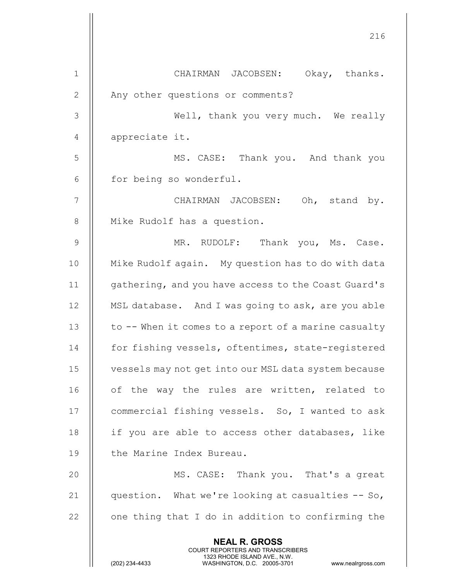216 NEAL R. GROSS COURT REPORTERS AND TRANSCRIBERS 1323 RHODE ISLAND AVE., N.W.<br>WASHINGTON, D.C. 20005-3701 WASHINGTON, D.C. 1 CHAIRMAN JACOBSEN: Okay, thanks. 2 || Any other questions or comments? 3 Well, thank you very much. We really 4 || appreciate it. 5 || MS. CASE: Thank you. And thank you 6 | for being so wonderful. 7 CHAIRMAN JACOBSEN: Oh, stand by. 8 | Mike Rudolf has a question. 9 MR. RUDOLF: Thank you, Ms. Case. 10 || Mike Rudolf again. My question has to do with data 11 gathering, and you have access to the Coast Guard's 12 | MSL database. And I was going to ask, are you able 13  $\parallel$  to  $-$ - When it comes to a report of a marine casualty 14 | for fishing vessels, oftentimes, state-registered 15 vessels may not get into our MSL data system because 16 || of the way the rules are written, related to 17 | commercial fishing vessels. So, I wanted to ask 18  $\parallel$  if you are able to access other databases, like 19 || the Marine Index Bureau. 20 || MS. CASE: Thank you. That's a great 21  $\parallel$  question. What we're looking at casualties  $-$  So,  $22$   $\parallel$  one thing that I do in addition to confirming the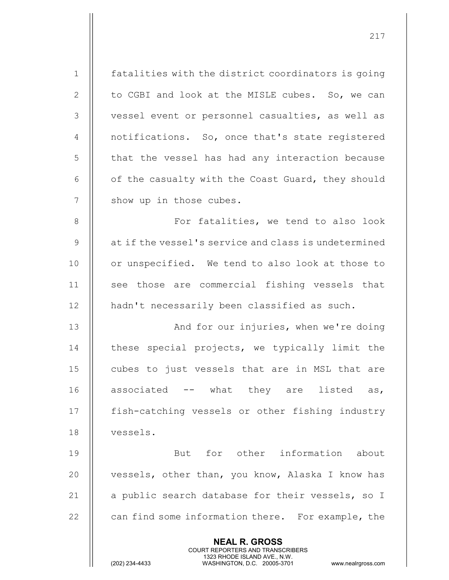NEAL R. GROSS COURT REPORTERS AND TRANSCRIBERS 1323 RHODE ISLAND AVE., N.W.<br>WASHINGTON, D.C. 20005-3701 1 fatalities with the district coordinators is going 2 || to CGBI and look at the MISLE cubes. So, we can 3 || vessel event or personnel casualties, as well as 4 | notifications. So, once that's state registered  $5$   $\parallel$  that the vessel has had any interaction because  $6$  |  $\circ$  of the casualty with the Coast Guard, they should 7 || show up in those cubes. 8 For fatalities, we tend to also look 9 decript 1 at if the vessel's service and class is undetermined 10 || or unspecified. We tend to also look at those to 11 || see those are commercial fishing vessels that 12 || hadn't necessarily been classified as such. 13 || And for our injuries, when we're doing  $14$   $\parallel$  these special projects, we typically limit the 15 || cubes to just vessels that are in MSL that are 16 || associated  $--$  what they are listed as, 17 || fish-catching vessels or other fishing industry 18 vessels. 19 || But for other information about 20 || vessels, other than, you know, Alaska I know has 21  $\parallel$  a public search database for their vessels, so I  $22$   $\parallel$  can find some information there. For example, the

217

WASHINGTON, D.C. 20005-3701 www.nealrgross.com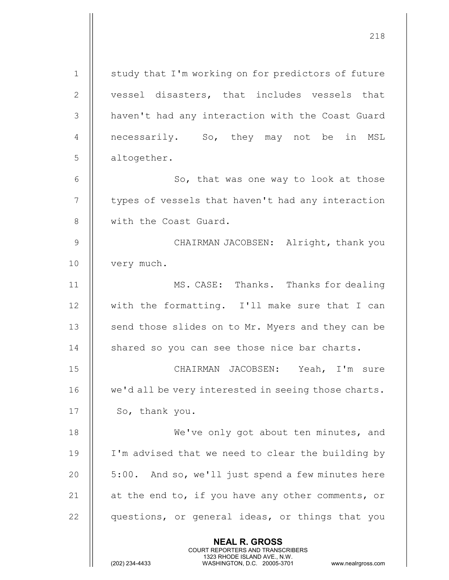| $\mathbf 1$     | study that I'm working on for predictors of future                                                                                                                     |  |  |
|-----------------|------------------------------------------------------------------------------------------------------------------------------------------------------------------------|--|--|
| 2               | vessel disasters, that includes vessels that                                                                                                                           |  |  |
| 3               | haven't had any interaction with the Coast Guard                                                                                                                       |  |  |
| $\overline{4}$  | necessarily. So, they may not be in MSL                                                                                                                                |  |  |
| 5               | altogether.                                                                                                                                                            |  |  |
| 6               | So, that was one way to look at those                                                                                                                                  |  |  |
| $7\phantom{.0}$ | types of vessels that haven't had any interaction                                                                                                                      |  |  |
| $8\,$           | with the Coast Guard.                                                                                                                                                  |  |  |
| $\mathcal{G}$   | CHAIRMAN JACOBSEN: Alright, thank you                                                                                                                                  |  |  |
| 10              | very much.                                                                                                                                                             |  |  |
| 11              | MS. CASE: Thanks. Thanks for dealing                                                                                                                                   |  |  |
| 12              | with the formatting. I'll make sure that I can                                                                                                                         |  |  |
| 13              | send those slides on to Mr. Myers and they can be                                                                                                                      |  |  |
| 14              | shared so you can see those nice bar charts.                                                                                                                           |  |  |
| 15              | CHAIRMAN JACOBSEN:<br>Yeah, I'm sure                                                                                                                                   |  |  |
| 16              | we'd all be very interested in seeing those charts.                                                                                                                    |  |  |
| 17              | So, thank you.                                                                                                                                                         |  |  |
| 18              | We've only got about ten minutes, and                                                                                                                                  |  |  |
| 19              | I'm advised that we need to clear the building by                                                                                                                      |  |  |
| 20              | 5:00. And so, we'll just spend a few minutes here                                                                                                                      |  |  |
| 21              | at the end to, if you have any other comments, or                                                                                                                      |  |  |
| 22              | questions, or general ideas, or things that you                                                                                                                        |  |  |
|                 | <b>NEAL R. GROSS</b><br><b>COURT REPORTERS AND TRANSCRIBERS</b><br>1323 RHODE ISLAND AVE., N.W.<br>(202) 234-4433<br>WASHINGTON, D.C. 20005-3701<br>www.nealrgross.com |  |  |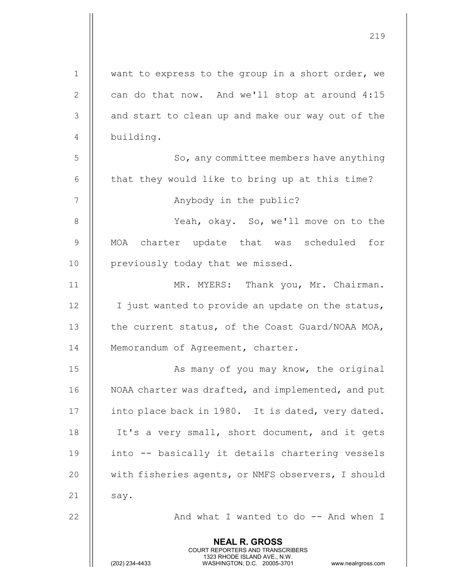|                | 219                                                                                                                                                                    |  |  |  |
|----------------|------------------------------------------------------------------------------------------------------------------------------------------------------------------------|--|--|--|
| $\mathbf 1$    | want to express to the group in a short order, we                                                                                                                      |  |  |  |
| $\mathbf{2}$   | can do that now. And we'll stop at around 4:15                                                                                                                         |  |  |  |
| $\mathfrak{Z}$ | and start to clean up and make our way out of the                                                                                                                      |  |  |  |
| $\overline{4}$ | building.                                                                                                                                                              |  |  |  |
| 5              | So, any committee members have anything                                                                                                                                |  |  |  |
| 6              | that they would like to bring up at this time?                                                                                                                         |  |  |  |
| 7              | Anybody in the public?                                                                                                                                                 |  |  |  |
| $8\,$          | Yeah, okay. So, we'll move on to the                                                                                                                                   |  |  |  |
| $\mathcal{G}$  | MOA charter update that was scheduled<br>for                                                                                                                           |  |  |  |
| 10             | previously today that we missed.                                                                                                                                       |  |  |  |
| 11             | MR. MYERS: Thank you, Mr. Chairman.                                                                                                                                    |  |  |  |
| 12             | I just wanted to provide an update on the status,                                                                                                                      |  |  |  |
| 13             | the current status, of the Coast Guard/NOAA MOA,                                                                                                                       |  |  |  |
| 14             | Memorandum of Agreement, charter.                                                                                                                                      |  |  |  |
| 15             | As many of you may know, the original                                                                                                                                  |  |  |  |
| 16             | NOAA charter was drafted, and implemented, and put                                                                                                                     |  |  |  |
| 17             | into place back in 1980. It is dated, very dated.                                                                                                                      |  |  |  |
| 18             | It's a very small, short document, and it gets                                                                                                                         |  |  |  |
| 19             | into -- basically it details chartering vessels                                                                                                                        |  |  |  |
| 20             | with fisheries agents, or NMFS observers, I should                                                                                                                     |  |  |  |
| 21             | say.                                                                                                                                                                   |  |  |  |
| 22             | And what I wanted to do -- And when I                                                                                                                                  |  |  |  |
|                | <b>NEAL R. GROSS</b><br><b>COURT REPORTERS AND TRANSCRIBERS</b><br>1323 RHODE ISLAND AVE., N.W.<br>(202) 234-4433<br>WASHINGTON, D.C. 20005-3701<br>www.nealrgross.com |  |  |  |

 $\mathsf{||}$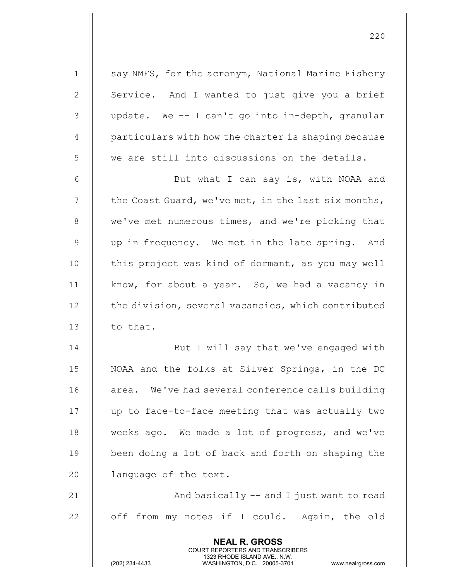NEAL R. GROSS 1 | say NMFS, for the acronym, National Marine Fishery  $2 \parallel$  Service. And I wanted to just give you a brief  $3$  || update. We  $-$  I can't go into in-depth, granular  $4 \parallel$  particulars with how the charter is shaping because  $5 \parallel$  we are still into discussions on the details. 6 || But what I can say is, with NOAA and 7  $\parallel$  the Coast Guard, we've met, in the last six months, 8 || we've met numerous times, and we're picking that 9 || up in frequency. We met in the late spring. And 10 || this project was kind of dormant, as you may well 11 | know, for about a year. So, we had a vacancy in  $12$   $\parallel$  the division, several vacancies, which contributed 13 || to that. 14 || But I will say that we've engaged with 15 || NOAA and the folks at Silver Springs, in the DC 16 || area. We've had several conference calls building 17 up to face-to-face meeting that was actually two 18 || weeks ago. We made a lot of progress, and we've 19 || been doing a lot of back and forth on shaping the 20 | language of the text. 21 || And basically -- and I just want to read  $22$  || off from my notes if I could. Again, the old

COURT REPORTERS AND TRANSCRIBERS

220

1323 RHODE ISLAND AVE., N.W.<br>WASHINGTON, D.C. 20005-3701

WASHINGTON, D.C. 20005-3701 www.nealrgross.com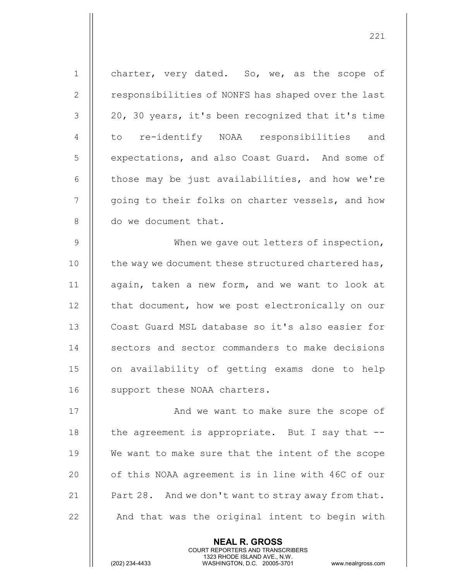| $\mathbf 1$    | charter, very dated. So, we, as the scope of        |  |  |  |
|----------------|-----------------------------------------------------|--|--|--|
| 2              | responsibilities of NONFS has shaped over the last  |  |  |  |
| 3              | 20, 30 years, it's been recognized that it's time   |  |  |  |
| 4              | to re-identify NOAA responsibilities and            |  |  |  |
| 5              | expectations, and also Coast Guard. And some of     |  |  |  |
| 6              | those may be just availabilities, and how we're     |  |  |  |
| 7              | going to their folks on charter vessels, and how    |  |  |  |
| 8              | do we document that.                                |  |  |  |
| $\overline{9}$ | When we gave out letters of inspection,             |  |  |  |
| 10             | the way we document these structured chartered has, |  |  |  |
| 11             | again, taken a new form, and we want to look at     |  |  |  |
| 12             | that document, how we post electronically on our    |  |  |  |
| 13             | Coast Guard MSL database so it's also easier for    |  |  |  |
| 14             | sectors and sector commanders to make decisions     |  |  |  |
| 15             | on availability of getting exams done to help       |  |  |  |
| 16             | support these NOAA charters.                        |  |  |  |
| 17             | And we want to make sure the scope of               |  |  |  |
| 18             | the agreement is appropriate. But I say that --     |  |  |  |
| 19             | We want to make sure that the intent of the scope   |  |  |  |
| 20             | of this NOAA agreement is in line with 46C of our   |  |  |  |
| 21             | Part 28. And we don't want to stray away from that. |  |  |  |
| 22             | And that was the original intent to begin with      |  |  |  |
|                |                                                     |  |  |  |

NEAL R. GROSS

 COURT REPORTERS AND TRANSCRIBERS 1323 RHODE ISLAND AVE., N.W.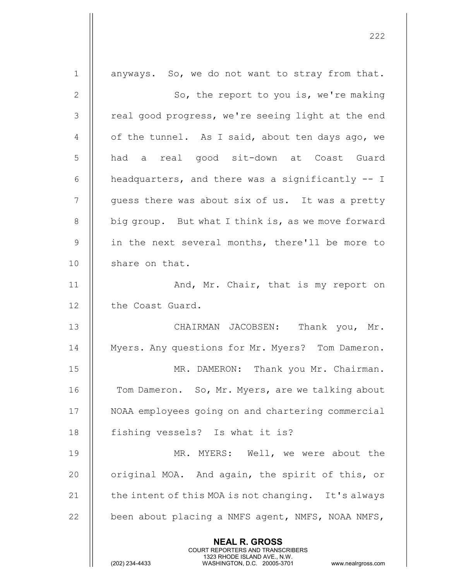| $\mathbf 1$    | anyways. So, we do not want to stray from that.                                                                                                                 |  |  |  |
|----------------|-----------------------------------------------------------------------------------------------------------------------------------------------------------------|--|--|--|
| $\mathbf{2}$   | So, the report to you is, we're making                                                                                                                          |  |  |  |
| 3              | real good progress, we're seeing light at the end                                                                                                               |  |  |  |
| $\overline{4}$ | of the tunnel. As I said, about ten days ago, we                                                                                                                |  |  |  |
| 5              | had a real good sit-down at Coast Guard                                                                                                                         |  |  |  |
| $6\,$          | headquarters, and there was a significantly -- I                                                                                                                |  |  |  |
| 7              | guess there was about six of us. It was a pretty                                                                                                                |  |  |  |
| 8              | big group. But what I think is, as we move forward                                                                                                              |  |  |  |
| $\mathsf 9$    | in the next several months, there'll be more to                                                                                                                 |  |  |  |
| 10             | share on that.                                                                                                                                                  |  |  |  |
| 11             | And, Mr. Chair, that is my report on                                                                                                                            |  |  |  |
| 12             | the Coast Guard.                                                                                                                                                |  |  |  |
| 13             | CHAIRMAN JACOBSEN: Thank you, Mr.                                                                                                                               |  |  |  |
| 14             | Myers. Any questions for Mr. Myers? Tom Dameron.                                                                                                                |  |  |  |
| 15             | MR. DAMERON: Thank you Mr. Chairman.                                                                                                                            |  |  |  |
| 16             | Tom Dameron. So, Mr. Myers, are we talking about                                                                                                                |  |  |  |
| 17             | NOAA employees going on and chartering commercial                                                                                                               |  |  |  |
| 18             | fishing vessels? Is what it is?                                                                                                                                 |  |  |  |
| 19             | MR. MYERS: Well, we were about the                                                                                                                              |  |  |  |
| 20             | original MOA. And again, the spirit of this, or                                                                                                                 |  |  |  |
| 21             | the intent of this MOA is not changing. It's always                                                                                                             |  |  |  |
| 22             | been about placing a NMFS agent, NMFS, NOAA NMFS,                                                                                                               |  |  |  |
|                | <b>NEAL R. GROSS</b><br>COURT REPORTERS AND TRANSCRIBERS<br>1323 RHODE ISLAND AVE., N.W.<br>(202) 234-4433<br>WASHINGTON, D.C. 20005-3701<br>www.nealrgross.com |  |  |  |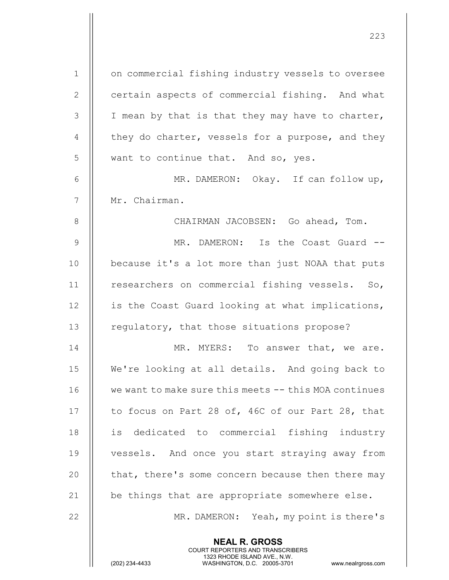| $\mathbf 1$    | on commercial fishing industry vessels to oversee     |  |  |
|----------------|-------------------------------------------------------|--|--|
| 2              | certain aspects of commercial fishing. And what       |  |  |
| $\mathfrak{Z}$ | I mean by that is that they may have to charter,      |  |  |
| 4              | they do charter, vessels for a purpose, and they      |  |  |
| 5              | want to continue that. And so, yes.                   |  |  |
| 6              | MR. DAMERON: Okay. If can follow up,                  |  |  |
| $\overline{7}$ | Mr. Chairman.                                         |  |  |
| $8\,$          | CHAIRMAN JACOBSEN: Go ahead, Tom.                     |  |  |
| $\overline{9}$ | MR. DAMERON: Is the Coast Guard --                    |  |  |
| 10             | because it's a lot more than just NOAA that puts      |  |  |
| 11             | researchers on commercial fishing vessels. So,        |  |  |
| 12             | is the Coast Guard looking at what implications,      |  |  |
| 13             | regulatory, that those situations propose?            |  |  |
| 14             | MR. MYERS: To answer that, we are.                    |  |  |
| 15             | We're looking at all details. And going back to       |  |  |
| 16             | we want to make sure this meets -- this MOA continues |  |  |
| 17             | to focus on Part 28 of, 46C of our Part 28, that      |  |  |
| 18             | is dedicated to commercial fishing industry           |  |  |
| 19             | vessels. And once you start straying away from        |  |  |
| 20             | that, there's some concern because then there may     |  |  |
| 21             | be things that are appropriate somewhere else.        |  |  |
| 22             | MR. DAMERON: Yeah, my point is there's                |  |  |
|                | <b>NEAL R. GROSS</b>                                  |  |  |

 COURT REPORTERS AND TRANSCRIBERS 1323 RHODE ISLAND AVE., N.W.

 $\mathbf{\mathbf{\mathsf{H}}}$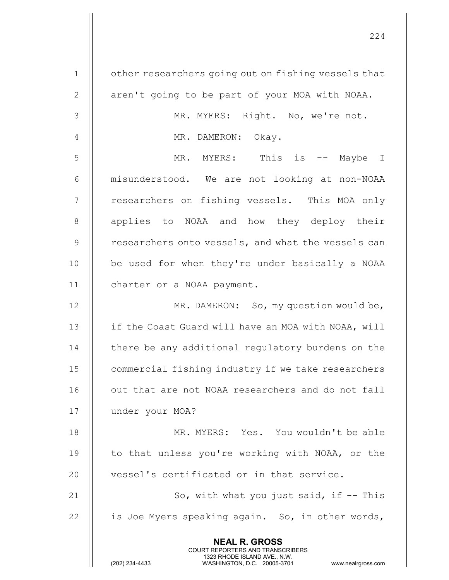NEAL R. GROSS COURT REPORTERS AND TRANSCRIBERS 1323 RHODE ISLAND AVE., N.W.<br>WASHINGTON, D.C. 20005-3701 WASHINGTON, D.C. 20005-3701 www.nealrgross.com 1 | other researchers going out on fishing vessels that 2 || aren't going to be part of your MOA with NOAA. 3 || MR. MYERS: Right. No, we're not. 4 || MR. DAMERON: Okay. 5 MR. MYERS: This is -- Maybe I 6 misunderstood. We are not looking at non-NOAA 7 || researchers on fishing vessels. This MOA only 8 || applies to NOAA and how they deploy their 9 Fesearchers onto vessels, and what the vessels can 10 || be used for when they're under basically a NOAA 11 charter or a NOAA payment. 12 || MR. DAMERON: So, my question would be, 13 | if the Coast Guard will have an MOA with NOAA, will 14 | there be any additional regulatory burdens on the 15 | commercial fishing industry if we take researchers 16 || out that are not NOAA researchers and do not fall 17 under your MOA? 18 || MR. MYERS: Yes. You wouldn't be able 19 || to that unless you're working with NOAA, or the 20 || vessel's certificated or in that service. 21  $\parallel$  So, with what you just said, if  $-$  This 22  $\parallel$  is Joe Myers speaking again. So, in other words,

224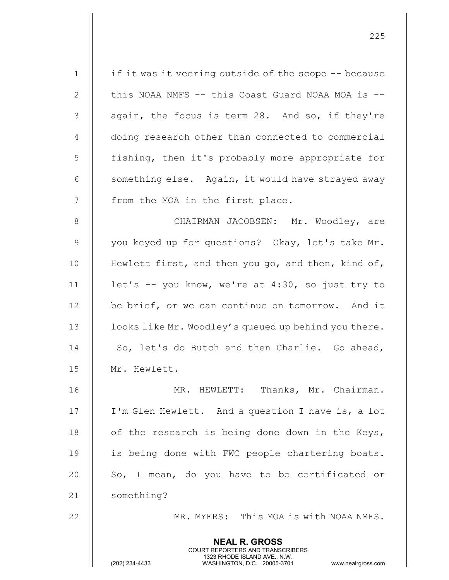|               | <b>NEAL R. GROSS</b><br>COURT REPORTERS AND TRANSCRIBERS<br>1323 RHODE ISLAND AVE., N.W.<br>(202) 234-4433<br>WASHINGTON, D.C. 20005-3701<br>www.nealrgross.com |  |  |  |
|---------------|-----------------------------------------------------------------------------------------------------------------------------------------------------------------|--|--|--|
| 22            | MR. MYERS: This MOA is with NOAA NMFS.                                                                                                                          |  |  |  |
| 21            | something?                                                                                                                                                      |  |  |  |
| 20            | So, I mean, do you have to be certificated or                                                                                                                   |  |  |  |
| 19            | is being done with FWC people chartering boats.                                                                                                                 |  |  |  |
| 18            | of the research is being done down in the Keys,                                                                                                                 |  |  |  |
| 17            | I'm Glen Hewlett. And a question I have is, a lot                                                                                                               |  |  |  |
| 16            | MR. HEWLETT: Thanks, Mr. Chairman.                                                                                                                              |  |  |  |
| 15            | Mr. Hewlett.                                                                                                                                                    |  |  |  |
| 14            | So, let's do Butch and then Charlie. Go ahead,                                                                                                                  |  |  |  |
| 13            | looks like Mr. Woodley's queued up behind you there.                                                                                                            |  |  |  |
| 12            | be brief, or we can continue on tomorrow. And it                                                                                                                |  |  |  |
| 11            | let's -- you know, we're at 4:30, so just try to                                                                                                                |  |  |  |
| 10            | Hewlett first, and then you go, and then, kind of,                                                                                                              |  |  |  |
| $\mathsf 9$   | you keyed up for questions? Okay, let's take Mr.                                                                                                                |  |  |  |
| $8\,$         | CHAIRMAN JACOBSEN: Mr. Woodley, are                                                                                                                             |  |  |  |
| 7             | from the MOA in the first place.                                                                                                                                |  |  |  |
| 6             | something else. Again, it would have strayed away                                                                                                               |  |  |  |
| 5             | fishing, then it's probably more appropriate for                                                                                                                |  |  |  |
| 4             | doing research other than connected to commercial                                                                                                               |  |  |  |
| $\mathcal{S}$ | again, the focus is term 28. And so, if they're                                                                                                                 |  |  |  |
| $\mathbf{2}$  | this NOAA NMFS -- this Coast Guard NOAA MOA is --                                                                                                               |  |  |  |
| $\mathbf 1$   | if it was it veering outside of the scope -- because                                                                                                            |  |  |  |
|               |                                                                                                                                                                 |  |  |  |

<u>225</u>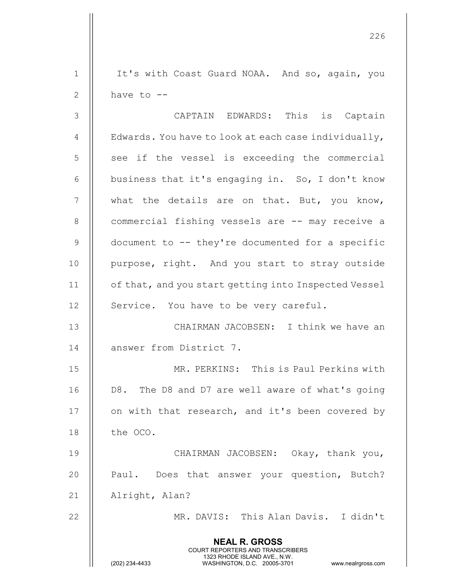1 | It's with Coast Guard NOAA. And so, again, you 2  $\parallel$  have to  $-$ 

NEAL R. GROSS COURT REPORTERS AND TRANSCRIBERS 1323 RHODE ISLAND AVE., N.W.<br>WASHINGTON, D.C. 20005-3701 WASHINGTON, D.C. WASHINGTON, D.C. 20005-3701 www.nealrgross.com 3 CAPTAIN EDWARDS: This is Captain 4  $\parallel$  Edwards. You have to look at each case individually,  $5$  || see if the vessel is exceeding the commercial 6  $\parallel$  business that it's engaging in. So, I don't know  $7 \parallel$  what the details are on that. But, you know, 8 | commercial fishing vessels are -- may receive a 9 document to -- they're documented for a specific 10 || purpose, right. And you start to stray outside 11 | of that, and you start getting into Inspected Vessel 12 | Service. You have to be very careful. 13 CHAIRMAN JACOBSEN: I think we have an 14 || answer from District 7. 15 MR. PERKINS: This is Paul Perkins with 16 || D8. The D8 and D7 are well aware of what's going 17 || on with that research, and it's been covered by 18 || the OCO. 19 **CHAIRMAN JACOBSEN:** Okay, thank you, 20 || Paul. Does that answer your question, Butch? 21 | Alright, Alan? 22 MR. DAVIS: This Alan Davis. I didn't

226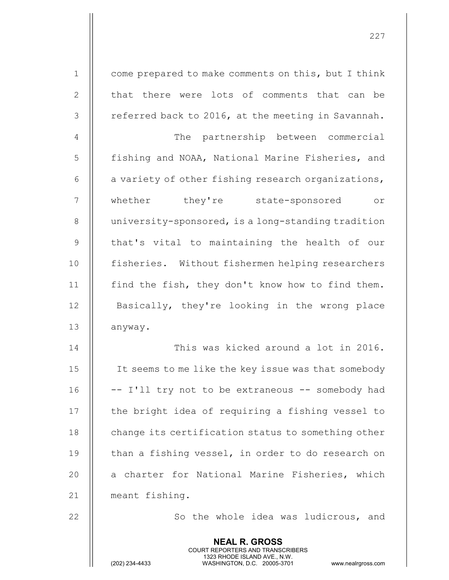| $1\,$        | come prepared to make comments on this, but I think |  |  |  |
|--------------|-----------------------------------------------------|--|--|--|
| $\mathbf{2}$ | that there were lots of comments that can be        |  |  |  |
| 3            | referred back to 2016, at the meeting in Savannah.  |  |  |  |
| 4            | The partnership between commercial                  |  |  |  |
| 5            | fishing and NOAA, National Marine Fisheries, and    |  |  |  |
| 6            | a variety of other fishing research organizations,  |  |  |  |
| 7            | whether they're state-sponsored<br><b>Or</b>        |  |  |  |
| $8\,$        | university-sponsored, is a long-standing tradition  |  |  |  |
| $\mathsf 9$  | that's vital to maintaining the health of our       |  |  |  |
| 10           | fisheries. Without fishermen helping researchers    |  |  |  |
| 11           | find the fish, they don't know how to find them.    |  |  |  |
| 12           | Basically, they're looking in the wrong place       |  |  |  |
| 13           | anyway.                                             |  |  |  |
| 14           | This was kicked around a lot in 2016.               |  |  |  |
| 15           | It seems to me like the key issue was that somebody |  |  |  |
| 16           | -- I'll try not to be extraneous -- somebody had    |  |  |  |
| 17           | the bright idea of requiring a fishing vessel to    |  |  |  |
| 18           | change its certification status to something other  |  |  |  |
| 19           | than a fishing vessel, in order to do research on   |  |  |  |
| 20           | a charter for National Marine Fisheries, which      |  |  |  |
| 21           | meant fishing.                                      |  |  |  |
| 22           | So the whole idea was ludicrous, and                |  |  |  |
|              | <b>NEAL R. GROSS</b>                                |  |  |  |

 COURT REPORTERS AND TRANSCRIBERS 1323 RHODE ISLAND AVE., N.W.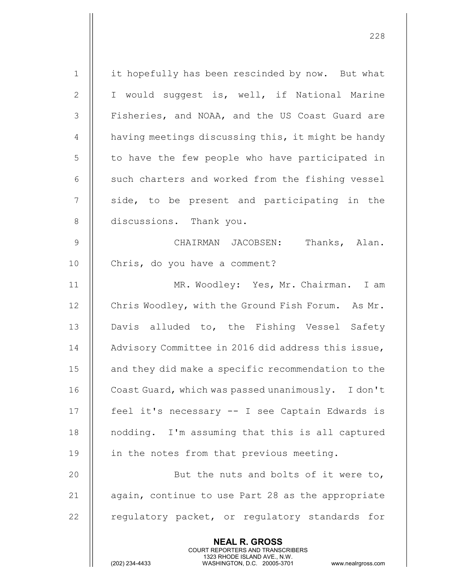| $\mathbf 1$    | it hopefully has been rescinded by now. But what                                                                                                                       |  |
|----------------|------------------------------------------------------------------------------------------------------------------------------------------------------------------------|--|
| 2              | I would suggest is, well, if National Marine                                                                                                                           |  |
| 3              | Fisheries, and NOAA, and the US Coast Guard are                                                                                                                        |  |
| $\overline{4}$ | having meetings discussing this, it might be handy                                                                                                                     |  |
| 5              | to have the few people who have participated in                                                                                                                        |  |
| 6              | such charters and worked from the fishing vessel                                                                                                                       |  |
| 7              | side, to be present and participating in the                                                                                                                           |  |
| 8              | discussions. Thank you.                                                                                                                                                |  |
| 9              | CHAIRMAN JACOBSEN: Thanks, Alan.                                                                                                                                       |  |
| 10             | Chris, do you have a comment?                                                                                                                                          |  |
| 11             | MR. Woodley: Yes, Mr. Chairman. I am                                                                                                                                   |  |
| 12             | Chris Woodley, with the Ground Fish Forum. As Mr.                                                                                                                      |  |
| 13             | Davis alluded to, the Fishing Vessel Safety                                                                                                                            |  |
| 14             | Advisory Committee in 2016 did address this issue,                                                                                                                     |  |
| 15             | and they did make a specific recommendation to the                                                                                                                     |  |
| 16             | Coast Guard, which was passed unanimously. I don't                                                                                                                     |  |
| 17             | feel it's necessary -- I see Captain Edwards is                                                                                                                        |  |
| 18             | nodding. I'm assuming that this is all captured                                                                                                                        |  |
| 19             | in the notes from that previous meeting.                                                                                                                               |  |
| 20             | But the nuts and bolts of it were to,                                                                                                                                  |  |
| 21             | again, continue to use Part 28 as the appropriate                                                                                                                      |  |
| 22             | regulatory packet, or regulatory standards for                                                                                                                         |  |
|                | <b>NEAL R. GROSS</b><br><b>COURT REPORTERS AND TRANSCRIBERS</b><br>1323 RHODE ISLAND AVE., N.W.<br>(202) 234-4433<br>WASHINGTON, D.C. 20005-3701<br>www.nealrgross.com |  |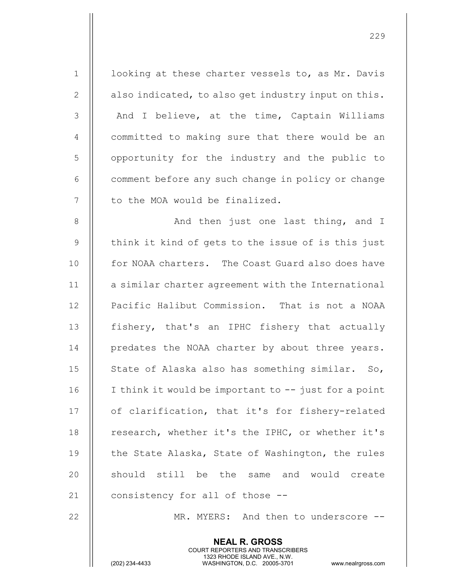1 | looking at these charter vessels to, as Mr. Davis 2  $\parallel$  also indicated, to also get industry input on this. 3 || And I believe, at the time, Captain Williams 4 || committed to making sure that there would be an 5 | opportunity for the industry and the public to  $6$   $\parallel$  comment before any such change in policy or change 7 || to the MOA would be finalized. 8 And then just one last thing, and I 9 || think it kind of gets to the issue of is this just 10 **for NOAA charters.** The Coast Guard also does have 11 || a similar charter agreement with the International 12 || Pacific Halibut Commission. That is not a NOAA 13 || fishery, that's an IPHC fishery that actually 14 || predates the NOAA charter by about three years. 15  $\parallel$  State of Alaska also has something similar. So, 16 || I think it would be important to -- just for a point 17 | of clarification, that it's for fishery-related 18 || research, whether it's the IPHC, or whether it's 19 | the State Alaska, State of Washington, the rules 20 || should still be the same and would create 21 || consistency for all of those --

229

22 MR. MYERS: And then to underscore --

NEAL R. GROSS COURT REPORTERS AND TRANSCRIBERS

1323 RHODE ISLAND AVE., N.W.<br>WASHINGTON, D.C. 20005-3701

WASHINGTON, D.C. 20005-3701 www.nealrgross.com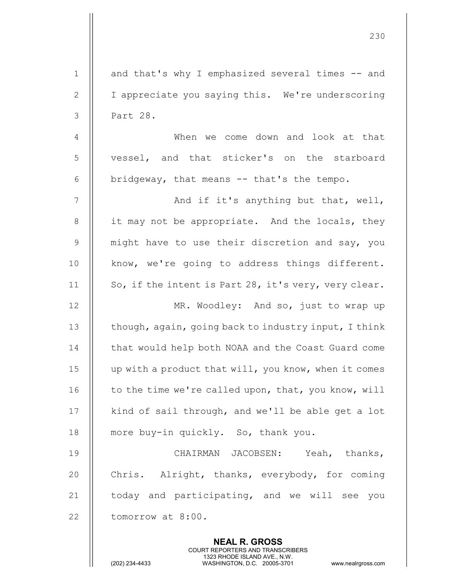|                | <b>NEAL R. GROSS</b>                                 |  |
|----------------|------------------------------------------------------|--|
| 22             | tomorrow at 8:00.                                    |  |
| 21             | today and participating, and we will see you         |  |
| 20             | Chris. Alright, thanks, everybody, for coming        |  |
| 19             | CHAIRMAN JACOBSEN: Yeah, thanks,                     |  |
| 18             | more buy-in quickly. So, thank you.                  |  |
| 17             | kind of sail through, and we'll be able get a lot    |  |
| 16             | to the time we're called upon, that, you know, will  |  |
| 15             | up with a product that will, you know, when it comes |  |
| 14             | that would help both NOAA and the Coast Guard come   |  |
| 13             | though, again, going back to industry input, I think |  |
| 12             | MR. Woodley: And so, just to wrap up                 |  |
| 11             | So, if the intent is Part 28, it's very, very clear. |  |
| 10             | know, we're going to address things different.       |  |
| $\mathsf 9$    | might have to use their discretion and say, you      |  |
| $8\,$          | it may not be appropriate. And the locals, they      |  |
| $\overline{7}$ | And if it's anything but that, well,                 |  |
| 6              | bridgeway, that means -- that's the tempo.           |  |
| 5              | vessel, and that sticker's on the starboard          |  |
| $\overline{4}$ | When we come down and look at that                   |  |
| 3              | Part 28.                                             |  |
| $\mathbf{2}$   | I appreciate you saying this. We're underscoring     |  |
| $\mathbf{1}$   | and that's why I emphasized several times -- and     |  |
|                | 230                                                  |  |

 COURT REPORTERS AND TRANSCRIBERS 1323 RHODE ISLAND AVE., N.W.

 $\parallel$